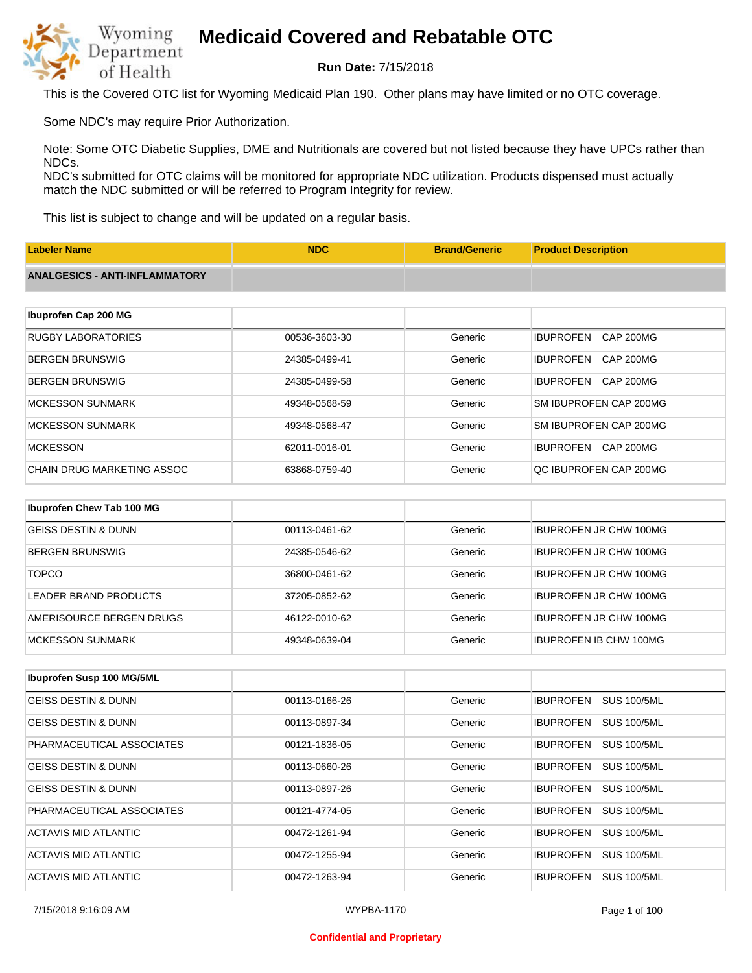

**Run Date:** 7/15/2018

This is the Covered OTC list for Wyoming Medicaid Plan 190. Other plans may have limited or no OTC coverage.

Some NDC's may require Prior Authorization.

Note: Some OTC Diabetic Supplies, DME and Nutritionals are covered but not listed because they have UPCs rather than NDCs.

NDC's submitted for OTC claims will be monitored for appropriate NDC utilization. Products dispensed must actually match the NDC submitted or will be referred to Program Integrity for review.

This list is subject to change and will be updated on a regular basis.

| <b>Labeler Name</b>                   | <b>NDC</b>    | <b>Brand/Generic</b> | <b>Product Description</b>           |
|---------------------------------------|---------------|----------------------|--------------------------------------|
| <b>ANALGESICS - ANTI-INFLAMMATORY</b> |               |                      |                                      |
|                                       |               |                      |                                      |
| Ibuprofen Cap 200 MG                  |               |                      |                                      |
| <b>RUGBY LABORATORIES</b>             | 00536-3603-30 | Generic              | <b>IBUPROFEN</b><br><b>CAP 200MG</b> |
| <b>BERGEN BRUNSWIG</b>                | 24385-0499-41 | Generic              | <b>IBUPROFEN</b><br>CAP 200MG        |
| <b>BERGEN BRUNSWIG</b>                | 24385-0499-58 | Generic              | <b>IBUPROFEN</b><br>CAP 200MG        |
| <b>MCKESSON SUNMARK</b>               | 49348-0568-59 | Generic              | SM IBUPROFEN CAP 200MG               |
| <b>MCKESSON SUNMARK</b>               | 49348-0568-47 | Generic              | SM IBUPROFEN CAP 200MG               |
| <b>MCKESSON</b>                       | 62011-0016-01 | Generic              | <b>IBUPROFEN</b><br><b>CAP 200MG</b> |
| <b>CHAIN DRUG MARKETING ASSOC</b>     | 63868-0759-40 | Generic              | QC IBUPROFEN CAP 200MG               |
|                                       |               |                      |                                      |
| Ibuprofen Chew Tab 100 MG             |               |                      |                                      |
| <b>GEISS DESTIN &amp; DUNN</b>        | 00113-0461-62 | Generic              | <b>IBUPROFEN JR CHW 100MG</b>        |
| <b>BERGEN BRUNSWIG</b>                | 24385-0546-62 | Generic              | <b>IBUPROFEN JR CHW 100MG</b>        |

| <b>TOPCO</b>             | 36800-0461-62 | Generic | <b>IBUPROFEN JR CHW 100MG</b> |
|--------------------------|---------------|---------|-------------------------------|
| LEADER BRAND PRODUCTS    | 37205-0852-62 | Generic | <b>IBUPROFEN JR CHW 100MG</b> |
| AMERISOURCE BERGEN DRUGS | 46122-0010-62 | Generic | <b>IBUPROFEN JR CHW 100MG</b> |
| IMCKESSON SUNMARK        | 49348-0639-04 | Generic | <b>IBUPROFEN IB CHW 100MG</b> |

| <b>Ibuprofen Susp 100 MG/5ML</b> |               |         |                                        |
|----------------------------------|---------------|---------|----------------------------------------|
| GEISS DESTIN & DUNN              | 00113-0166-26 | Generic | <b>IBUPROFEN</b><br><b>SUS 100/5ML</b> |
| <b>GEISS DESTIN &amp; DUNN</b>   | 00113-0897-34 | Generic | <b>SUS 100/5ML</b><br><b>IBUPROFEN</b> |
| PHARMACEUTICAL ASSOCIATES        | 00121-1836-05 | Generic | <b>SUS 100/5ML</b><br><b>IBUPROFEN</b> |
| <b>GEISS DESTIN &amp; DUNN</b>   | 00113-0660-26 | Generic | <b>SUS 100/5ML</b><br><b>IBUPROFEN</b> |
| <b>GEISS DESTIN &amp; DUNN</b>   | 00113-0897-26 | Generic | <b>SUS 100/5ML</b><br><b>IBUPROFEN</b> |
| PHARMACEUTICAL ASSOCIATES        | 00121-4774-05 | Generic | <b>IBUPROFEN</b><br><b>SUS 100/5ML</b> |
| ACTAVIS MID ATLANTIC             | 00472-1261-94 | Generic | <b>IBUPROFEN</b><br><b>SUS 100/5ML</b> |
| ACTAVIS MID ATLANTIC             | 00472-1255-94 | Generic | <b>IBUPROFEN</b><br><b>SUS 100/5ML</b> |
| ACTAVIS MID ATLANTIC             | 00472-1263-94 | Generic | <b>SUS 100/5ML</b><br><b>IBUPROFEN</b> |

7/15/2018 9:16:09 AM WYPBA-1170 Page 1 of 100

#### **Confidential and Proprietary**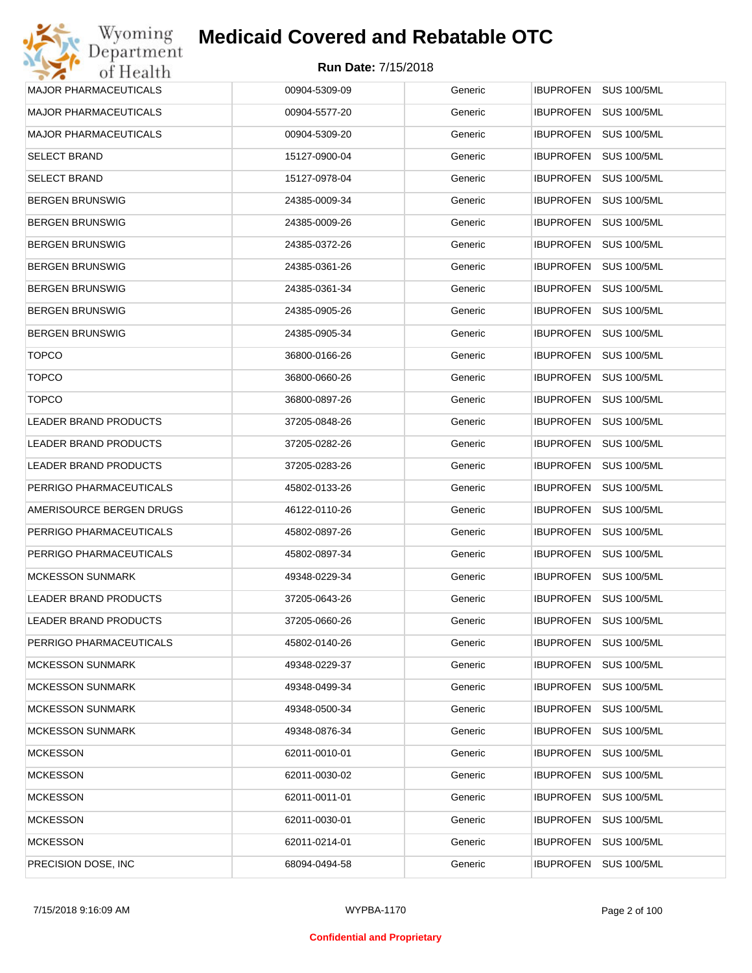| Wyoming                      | <b>Medicaid Covered and Rebatable OTC</b> |         |                                        |
|------------------------------|-------------------------------------------|---------|----------------------------------------|
| Department<br>of Health      | <b>Run Date: 7/15/2018</b>                |         |                                        |
| MAJOR PHARMACEUTICALS        | 00904-5309-09                             | Generic | <b>IBUPROFEN</b><br><b>SUS 100/5ML</b> |
| MAJOR PHARMACEUTICALS        | 00904-5577-20                             | Generic | <b>IBUPROFEN</b><br><b>SUS 100/5ML</b> |
| <b>MAJOR PHARMACEUTICALS</b> | 00904-5309-20                             | Generic | <b>SUS 100/5ML</b><br><b>IBUPROFEN</b> |
| <b>SELECT BRAND</b>          | 15127-0900-04                             | Generic | <b>IBUPROFEN</b><br><b>SUS 100/5ML</b> |
| SELECT BRAND                 | 15127-0978-04                             | Generic | <b>IBUPROFEN</b><br><b>SUS 100/5ML</b> |
| BERGEN BRUNSWIG              | 24385-0009-34                             | Generic | <b>IBUPROFEN</b><br><b>SUS 100/5ML</b> |
| BERGEN BRUNSWIG              | 24385-0009-26                             | Generic | <b>IBUPROFEN</b><br><b>SUS 100/5ML</b> |
| BERGEN BRUNSWIG              | 24385-0372-26                             | Generic | <b>IBUPROFEN</b><br><b>SUS 100/5ML</b> |
| BERGEN BRUNSWIG              | 24385-0361-26                             | Generic | <b>IBUPROFEN</b><br><b>SUS 100/5ML</b> |
| BERGEN BRUNSWIG              | 24385-0361-34                             | Generic | <b>IBUPROFEN</b><br><b>SUS 100/5ML</b> |
| BERGEN BRUNSWIG              | 24385-0905-26                             | Generic | <b>IBUPROFEN</b><br><b>SUS 100/5ML</b> |
| BERGEN BRUNSWIG              | 24385-0905-34                             | Generic | <b>IBUPROFEN</b><br><b>SUS 100/5ML</b> |
| <b>TOPCO</b>                 | 36800-0166-26                             | Generic | <b>IBUPROFEN</b><br><b>SUS 100/5ML</b> |
| <b>TOPCO</b>                 | 36800-0660-26                             | Generic | <b>IBUPROFEN</b><br><b>SUS 100/5ML</b> |
| <b>TOPCO</b>                 | 36800-0897-26                             | Generic | <b>SUS 100/5ML</b><br><b>IBUPROFEN</b> |
| LEADER BRAND PRODUCTS        | 37205-0848-26                             | Generic | <b>IBUPROFEN</b><br><b>SUS 100/5ML</b> |
| LEADER BRAND PRODUCTS        | 37205-0282-26                             | Generic | <b>SUS 100/5ML</b><br><b>IBUPROFEN</b> |
| LEADER BRAND PRODUCTS        | 37205-0283-26                             | Generic | <b>IBUPROFEN</b><br><b>SUS 100/5ML</b> |
| PERRIGO PHARMACEUTICALS      | 45802-0133-26                             | Generic | <b>SUS 100/5ML</b><br><b>IBUPROFEN</b> |
| AMERISOURCE BERGEN DRUGS     | 46122-0110-26                             | Generic | <b>IBUPROFEN</b><br><b>SUS 100/5ML</b> |
| PERRIGO PHARMACEUTICALS      | 45802-0897-26                             | Generic | <b>SUS 100/5ML</b><br><b>IBUPROFEN</b> |
| PERRIGO PHARMACEUTICALS      | 45802-0897-34                             | Generic | IBUPROFEN<br><b>SUS 100/5ML</b>        |
| MCKESSON SUNMARK             | 49348-0229-34                             | Generic | IBUPROFEN SUS 100/5ML                  |
| LEADER BRAND PRODUCTS        | 37205-0643-26                             | Generic | <b>IBUPROFEN</b><br><b>SUS 100/5ML</b> |
| LEADER BRAND PRODUCTS        | 37205-0660-26                             | Generic | <b>IBUPROFEN</b><br><b>SUS 100/5ML</b> |
| PERRIGO PHARMACEUTICALS      | 45802-0140-26                             | Generic | <b>IBUPROFEN</b><br><b>SUS 100/5ML</b> |
| MCKESSON SUNMARK             | 49348-0229-37                             | Generic | <b>IBUPROFEN</b><br><b>SUS 100/5ML</b> |
| MCKESSON SUNMARK             | 49348-0499-34                             | Generic | <b>IBUPROFEN</b><br><b>SUS 100/5ML</b> |
| MCKESSON SUNMARK             | 49348-0500-34                             | Generic | <b>IBUPROFEN</b><br><b>SUS 100/5ML</b> |
| MCKESSON SUNMARK             | 49348-0876-34                             | Generic | <b>IBUPROFEN</b><br><b>SUS 100/5ML</b> |
| <b>MCKESSON</b>              | 62011-0010-01                             | Generic | <b>IBUPROFEN</b><br><b>SUS 100/5ML</b> |
| <b>MCKESSON</b>              | 62011-0030-02                             | Generic | <b>IBUPROFEN</b><br><b>SUS 100/5ML</b> |
| <b>MCKESSON</b>              | 62011-0011-01                             | Generic | <b>IBUPROFEN</b><br><b>SUS 100/5ML</b> |
| <b>MCKESSON</b>              | 62011-0030-01                             | Generic | <b>IBUPROFEN</b><br><b>SUS 100/5ML</b> |
| MCKESSON                     | 62011-0214-01                             | Generic | <b>SUS 100/5ML</b><br><b>IBUPROFEN</b> |
| PRECISION DOSE, INC          | 68094-0494-58                             | Generic | <b>SUS 100/5ML</b><br><b>IBUPROFEN</b> |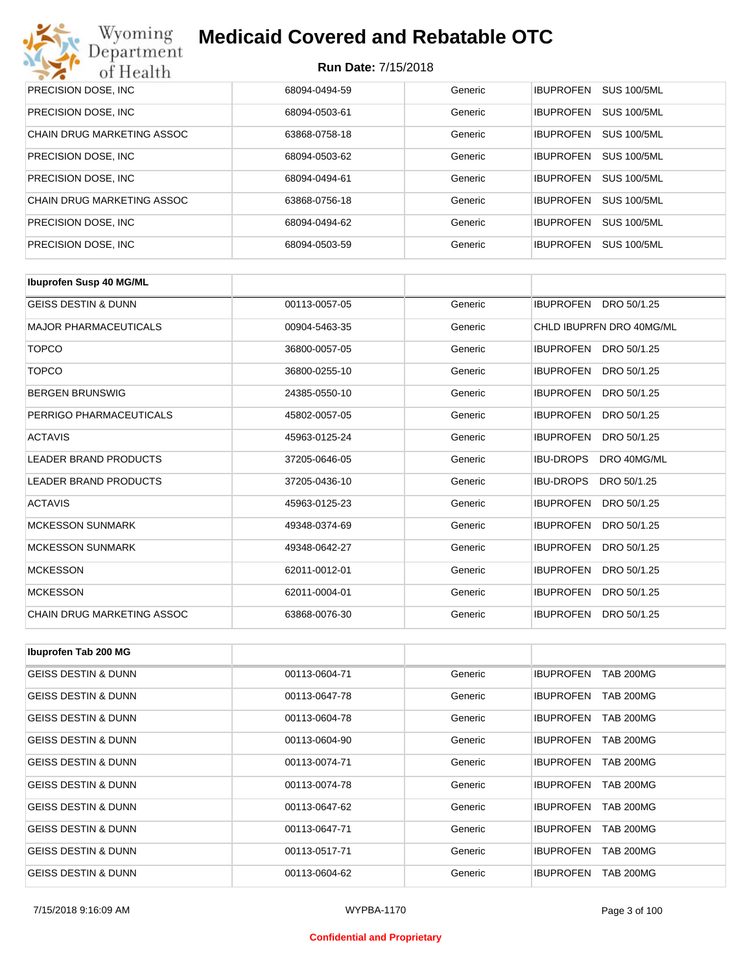| Wyoming<br><b>Medicaid Covered and Rebatable OTC</b><br>Department |                            |         |                                        |  |  |
|--------------------------------------------------------------------|----------------------------|---------|----------------------------------------|--|--|
| of Health                                                          | <b>Run Date: 7/15/2018</b> |         |                                        |  |  |
| PRECISION DOSE, INC                                                | 68094-0494-59              | Generic | <b>IBUPROFEN</b><br><b>SUS 100/5ML</b> |  |  |
| PRECISION DOSE, INC.                                               | 68094-0503-61              | Generic | <b>SUS 100/5ML</b><br><b>IBUPROFEN</b> |  |  |
| CHAIN DRUG MARKETING ASSOC                                         | 63868-0758-18              | Generic | <b>IBUPROFEN</b><br><b>SUS 100/5ML</b> |  |  |
| PRECISION DOSE, INC.                                               | 68094-0503-62              | Generic | <b>IBUPROFEN</b><br><b>SUS 100/5ML</b> |  |  |
| PRECISION DOSE, INC.                                               | 68094-0494-61              | Generic | <b>IBUPROFEN</b><br><b>SUS 100/5ML</b> |  |  |
| CHAIN DRUG MARKETING ASSOC                                         | 63868-0756-18              | Generic | <b>IBUPROFEN</b><br><b>SUS 100/5ML</b> |  |  |
| PRECISION DOSE, INC.                                               | 68094-0494-62              | Generic | <b>IBUPROFEN</b><br><b>SUS 100/5ML</b> |  |  |
| PRECISION DOSE, INC.                                               | 68094-0503-59              | Generic | <b>SUS 100/5ML</b><br><b>IBUPROFEN</b> |  |  |

| <b>Ibuprofen Susp 40 MG/ML</b> |               |         |                                 |
|--------------------------------|---------------|---------|---------------------------------|
| <b>GEISS DESTIN &amp; DUNN</b> | 00113-0057-05 | Generic | IBUPROFEN DRO 50/1.25           |
| <b>MAJOR PHARMACEUTICALS</b>   | 00904-5463-35 | Generic | CHLD IBUPRFN DRO 40MG/ML        |
| <b>TOPCO</b>                   | 36800-0057-05 | Generic | IBUPROFEN DRO 50/1.25           |
| <b>TOPCO</b>                   | 36800-0255-10 | Generic | <b>IBUPROFEN</b><br>DRO 50/1.25 |
| <b>BERGEN BRUNSWIG</b>         | 24385-0550-10 | Generic | <b>IBUPROFEN</b><br>DRO 50/1.25 |
| PERRIGO PHARMACEUTICALS        | 45802-0057-05 | Generic | <b>IBUPROFEN</b><br>DRO 50/1.25 |
| <b>ACTAVIS</b>                 | 45963-0125-24 | Generic | <b>IBUPROFEN</b><br>DRO 50/1.25 |
| <b>LEADER BRAND PRODUCTS</b>   | 37205-0646-05 | Generic | <b>IBU-DROPS</b><br>DRO 40MG/ML |
| <b>LEADER BRAND PRODUCTS</b>   | 37205-0436-10 | Generic | <b>IBU-DROPS</b><br>DRO 50/1.25 |
| <b>ACTAVIS</b>                 | 45963-0125-23 | Generic | <b>IBUPROFEN</b><br>DRO 50/1.25 |
| <b>MCKESSON SUNMARK</b>        | 49348-0374-69 | Generic | <b>IBUPROFEN</b><br>DRO 50/1.25 |
| <b>MCKESSON SUNMARK</b>        | 49348-0642-27 | Generic | <b>IBUPROFEN</b><br>DRO 50/1.25 |
| <b>MCKESSON</b>                | 62011-0012-01 | Generic | <b>IBUPROFEN</b><br>DRO 50/1.25 |
| <b>MCKESSON</b>                | 62011-0004-01 | Generic | <b>IBUPROFEN</b><br>DRO 50/1.25 |
| CHAIN DRUG MARKETING ASSOC     | 63868-0076-30 | Generic | <b>IBUPROFEN</b><br>DRO 50/1.25 |

| Ibuprofen Tab 200 MG           |               |         |                                      |
|--------------------------------|---------------|---------|--------------------------------------|
| <b>GEISS DESTIN &amp; DUNN</b> | 00113-0604-71 | Generic | <b>TAB 200MG</b><br><b>IBUPROFEN</b> |
| <b>GEISS DESTIN &amp; DUNN</b> | 00113-0647-78 | Generic | <b>TAB 200MG</b><br><b>IBUPROFEN</b> |
| <b>GEISS DESTIN &amp; DUNN</b> | 00113-0604-78 | Generic | <b>IBUPROFEN</b><br><b>TAB 200MG</b> |
| <b>GEISS DESTIN &amp; DUNN</b> | 00113-0604-90 | Generic | <b>TAB 200MG</b><br><b>IBUPROFEN</b> |
| <b>GEISS DESTIN &amp; DUNN</b> | 00113-0074-71 | Generic | <b>IBUPROFEN</b><br><b>TAB 200MG</b> |
| <b>GEISS DESTIN &amp; DUNN</b> | 00113-0074-78 | Generic | <b>TAB 200MG</b><br><b>IBUPROFEN</b> |
| <b>GEISS DESTIN &amp; DUNN</b> | 00113-0647-62 | Generic | <b>TAB 200MG</b><br><b>IBUPROFEN</b> |
| <b>GEISS DESTIN &amp; DUNN</b> | 00113-0647-71 | Generic | <b>TAB 200MG</b><br><b>IBUPROFEN</b> |
| <b>GEISS DESTIN &amp; DUNN</b> | 00113-0517-71 | Generic | <b>IBUPROFEN</b><br><b>TAB 200MG</b> |
| <b>GEISS DESTIN &amp; DUNN</b> | 00113-0604-62 | Generic | <b>TAB 200MG</b><br><b>IBUPROFEN</b> |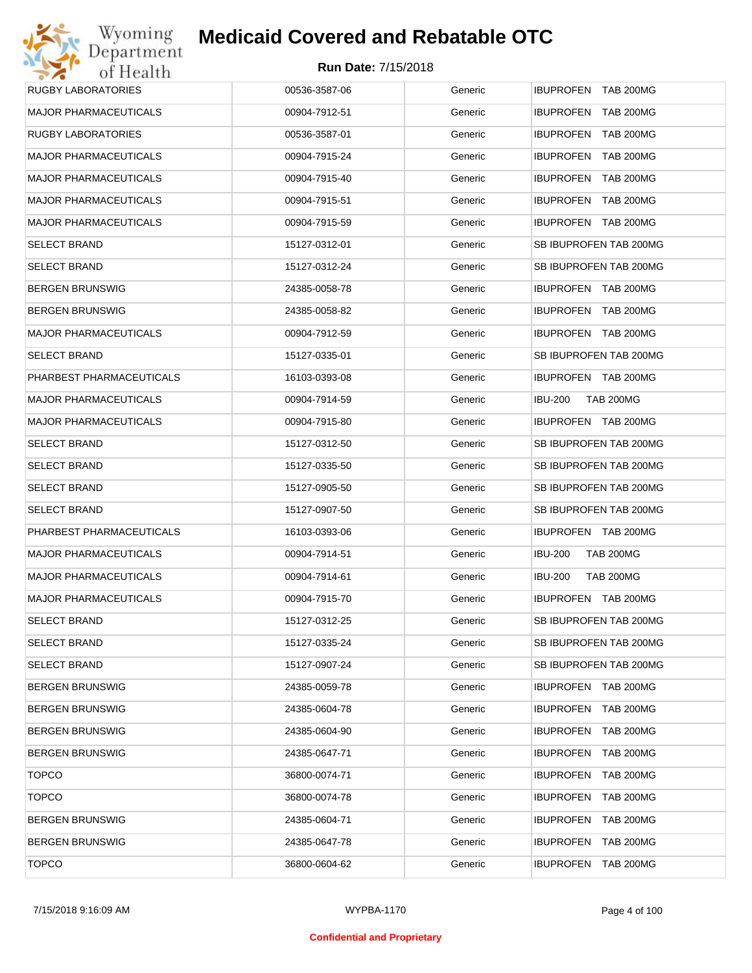| <b>RUGBY LABORATORIES</b>    | 00536-3587-06 | Generic | IBUPROFEN TAB 200MG                |
|------------------------------|---------------|---------|------------------------------------|
| <b>MAJOR PHARMACEUTICALS</b> | 00904-7912-51 | Generic | IBUPROFEN TAB 200MG                |
| <b>RUGBY LABORATORIES</b>    | 00536-3587-01 | Generic | IBUPROFEN TAB 200MG                |
| <b>MAJOR PHARMACEUTICALS</b> | 00904-7915-24 | Generic | IBUPROFEN TAB 200MG                |
| <b>MAJOR PHARMACEUTICALS</b> | 00904-7915-40 | Generic | IBUPROFEN TAB 200MG                |
| <b>MAJOR PHARMACEUTICALS</b> | 00904-7915-51 | Generic | IBUPROFEN TAB 200MG                |
| <b>MAJOR PHARMACEUTICALS</b> | 00904-7915-59 | Generic | IBUPROFEN TAB 200MG                |
| <b>SELECT BRAND</b>          | 15127-0312-01 | Generic | SB IBUPROFEN TAB 200MG             |
| <b>SELECT BRAND</b>          | 15127-0312-24 | Generic | SB IBUPROFEN TAB 200MG             |
| <b>BERGEN BRUNSWIG</b>       | 24385-0058-78 | Generic | IBUPROFEN TAB 200MG                |
| <b>BERGEN BRUNSWIG</b>       | 24385-0058-82 | Generic | IBUPROFEN TAB 200MG                |
| <b>MAJOR PHARMACEUTICALS</b> | 00904-7912-59 | Generic | IBUPROFEN TAB 200MG                |
| <b>SELECT BRAND</b>          | 15127-0335-01 | Generic | SB IBUPROFEN TAB 200MG             |
| PHARBEST PHARMACEUTICALS     | 16103-0393-08 | Generic | IBUPROFEN TAB 200MG                |
| <b>MAJOR PHARMACEUTICALS</b> | 00904-7914-59 | Generic | <b>TAB 200MG</b><br>IBU-200        |
| <b>MAJOR PHARMACEUTICALS</b> | 00904-7915-80 | Generic | IBUPROFEN TAB 200MG                |
| <b>SELECT BRAND</b>          | 15127-0312-50 | Generic | SB IBUPROFEN TAB 200MG             |
| <b>SELECT BRAND</b>          | 15127-0335-50 | Generic | SB IBUPROFEN TAB 200MG             |
| <b>SELECT BRAND</b>          | 15127-0905-50 | Generic | SB IBUPROFEN TAB 200MG             |
| <b>SELECT BRAND</b>          | 15127-0907-50 | Generic | SB IBUPROFEN TAB 200MG             |
| PHARBEST PHARMACEUTICALS     | 16103-0393-06 | Generic | IBUPROFEN TAB 200MG                |
| <b>MAJOR PHARMACEUTICALS</b> | 00904-7914-51 | Generic | <b>IBU-200</b><br><b>TAB 200MG</b> |
| <b>MAJOR PHARMACEUTICALS</b> | 00904-7914-61 | Generic | <b>IBU-200</b><br><b>TAB 200MG</b> |
| <b>MAJOR PHARMACEUTICALS</b> | 00904-7915-70 | Generic | IBUPROFEN TAB 200MG                |
| <b>SELECT BRAND</b>          | 15127-0312-25 | Generic | SB IBUPROFEN TAB 200MG             |
| <b>SELECT BRAND</b>          | 15127-0335-24 | Generic | SB IBUPROFEN TAB 200MG             |
| <b>SELECT BRAND</b>          | 15127-0907-24 | Generic | SB IBUPROFEN TAB 200MG             |
| <b>BERGEN BRUNSWIG</b>       | 24385-0059-78 | Generic | IBUPROFEN TAB 200MG                |
| <b>BERGEN BRUNSWIG</b>       | 24385-0604-78 | Generic | IBUPROFEN TAB 200MG                |
| <b>BERGEN BRUNSWIG</b>       | 24385-0604-90 | Generic | IBUPROFEN TAB 200MG                |
| <b>BERGEN BRUNSWIG</b>       | 24385-0647-71 | Generic | IBUPROFEN TAB 200MG                |
| <b>TOPCO</b>                 | 36800-0074-71 | Generic | IBUPROFEN TAB 200MG                |
| <b>TOPCO</b>                 | 36800-0074-78 | Generic | IBUPROFEN TAB 200MG                |
| <b>BERGEN BRUNSWIG</b>       | 24385-0604-71 | Generic | IBUPROFEN TAB 200MG                |
| <b>BERGEN BRUNSWIG</b>       | 24385-0647-78 | Generic | IBUPROFEN TAB 200MG                |
| <b>TOPCO</b>                 | 36800-0604-62 | Generic | IBUPROFEN TAB 200MG                |
|                              |               |         |                                    |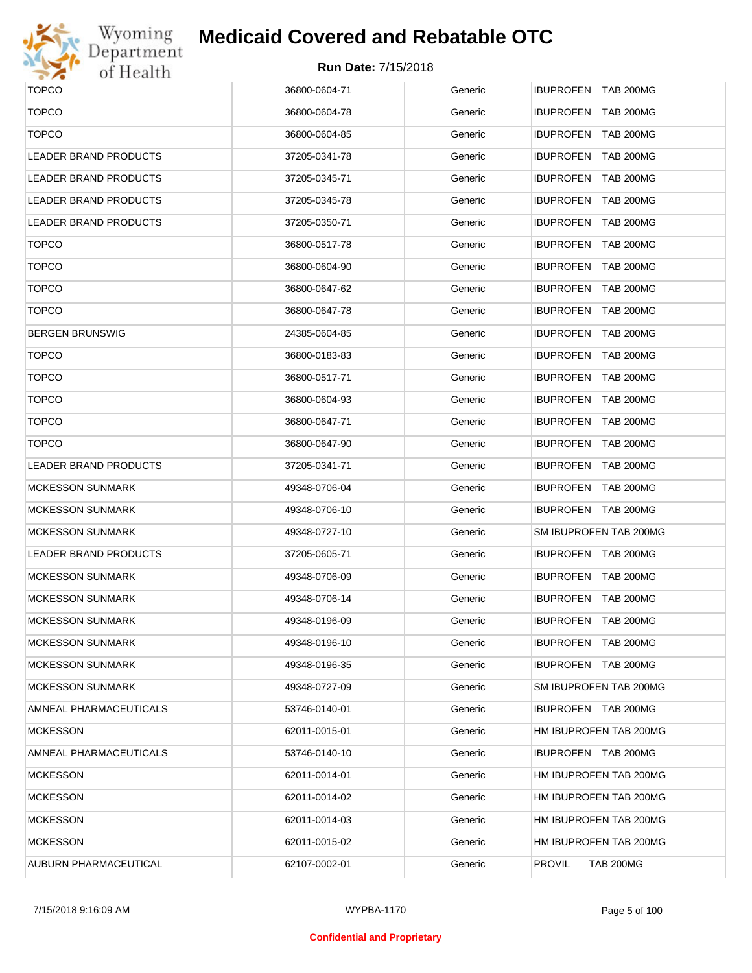

# Wyoming<br>Department<br>of Health

## **Medicaid Covered and Rebatable OTC**

| <b>TOPCO</b>                 | 36800-0604-71 | Generic | IBUPROFEN TAB 200MG                  |
|------------------------------|---------------|---------|--------------------------------------|
| <b>TOPCO</b>                 | 36800-0604-78 | Generic | IBUPROFEN TAB 200MG                  |
| <b>TOPCO</b>                 | 36800-0604-85 | Generic | IBUPROFEN TAB 200MG                  |
| <b>LEADER BRAND PRODUCTS</b> | 37205-0341-78 | Generic | <b>IBUPROFEN</b><br><b>TAB 200MG</b> |
| LEADER BRAND PRODUCTS        | 37205-0345-71 | Generic | IBUPROFEN TAB 200MG                  |
| <b>LEADER BRAND PRODUCTS</b> | 37205-0345-78 | Generic | <b>IBUPROFEN</b><br><b>TAB 200MG</b> |
| <b>LEADER BRAND PRODUCTS</b> | 37205-0350-71 | Generic | IBUPROFEN TAB 200MG                  |
| <b>TOPCO</b>                 | 36800-0517-78 | Generic | <b>IBUPROFEN</b><br><b>TAB 200MG</b> |
| <b>TOPCO</b>                 | 36800-0604-90 | Generic | IBUPROFEN TAB 200MG                  |
| <b>TOPCO</b>                 | 36800-0647-62 | Generic | <b>IBUPROFEN</b><br><b>TAB 200MG</b> |
| <b>TOPCO</b>                 | 36800-0647-78 | Generic | IBUPROFEN TAB 200MG                  |
| <b>BERGEN BRUNSWIG</b>       | 24385-0604-85 | Generic | <b>IBUPROFEN</b><br><b>TAB 200MG</b> |
| <b>TOPCO</b>                 | 36800-0183-83 | Generic | IBUPROFEN TAB 200MG                  |
| <b>TOPCO</b>                 | 36800-0517-71 | Generic | <b>IBUPROFEN</b><br><b>TAB 200MG</b> |
| <b>TOPCO</b>                 | 36800-0604-93 | Generic | IBUPROFEN TAB 200MG                  |
| <b>TOPCO</b>                 | 36800-0647-71 | Generic | <b>IBUPROFEN</b><br><b>TAB 200MG</b> |
| <b>TOPCO</b>                 | 36800-0647-90 | Generic | IBUPROFEN TAB 200MG                  |
| LEADER BRAND PRODUCTS        | 37205-0341-71 | Generic | <b>IBUPROFEN</b><br><b>TAB 200MG</b> |
| <b>MCKESSON SUNMARK</b>      | 49348-0706-04 | Generic | IBUPROFEN TAB 200MG                  |
| <b>MCKESSON SUNMARK</b>      | 49348-0706-10 | Generic | IBUPROFEN TAB 200MG                  |
| <b>MCKESSON SUNMARK</b>      | 49348-0727-10 | Generic | SM IBUPROFEN TAB 200MG               |
| <b>LEADER BRAND PRODUCTS</b> | 37205-0605-71 | Generic | IBUPROFEN TAB 200MG                  |
| <b>MCKESSON SUNMARK</b>      | 49348-0706-09 | Generic | IBUPROFEN TAB 200MG                  |
| <b>MCKESSON SUNMARK</b>      | 49348-0706-14 | Generic | <b>IBUPROFEN</b><br><b>TAB 200MG</b> |
| <b>MCKESSON SUNMARK</b>      | 49348-0196-09 | Generic | IBUPROFEN TAB 200MG                  |
| <b>MCKESSON SUNMARK</b>      | 49348-0196-10 | Generic | IBUPROFEN TAB 200MG                  |
| <b>MCKESSON SUNMARK</b>      | 49348-0196-35 | Generic | IBUPROFEN TAB 200MG                  |
| <b>MCKESSON SUNMARK</b>      | 49348-0727-09 | Generic | SM IBUPROFEN TAB 200MG               |
| AMNEAL PHARMACEUTICALS       | 53746-0140-01 | Generic | IBUPROFEN TAB 200MG                  |
| <b>MCKESSON</b>              | 62011-0015-01 | Generic | HM IBUPROFEN TAB 200MG               |
| AMNEAL PHARMACEUTICALS       | 53746-0140-10 | Generic | IBUPROFEN TAB 200MG                  |
| <b>MCKESSON</b>              | 62011-0014-01 | Generic | HM IBUPROFEN TAB 200MG               |
| <b>MCKESSON</b>              | 62011-0014-02 | Generic | HM IBUPROFEN TAB 200MG               |
| <b>MCKESSON</b>              | 62011-0014-03 | Generic | HM IBUPROFEN TAB 200MG               |
| <b>MCKESSON</b>              | 62011-0015-02 | Generic | HM IBUPROFEN TAB 200MG               |
| AUBURN PHARMACEUTICAL        | 62107-0002-01 | Generic | <b>PROVIL</b><br><b>TAB 200MG</b>    |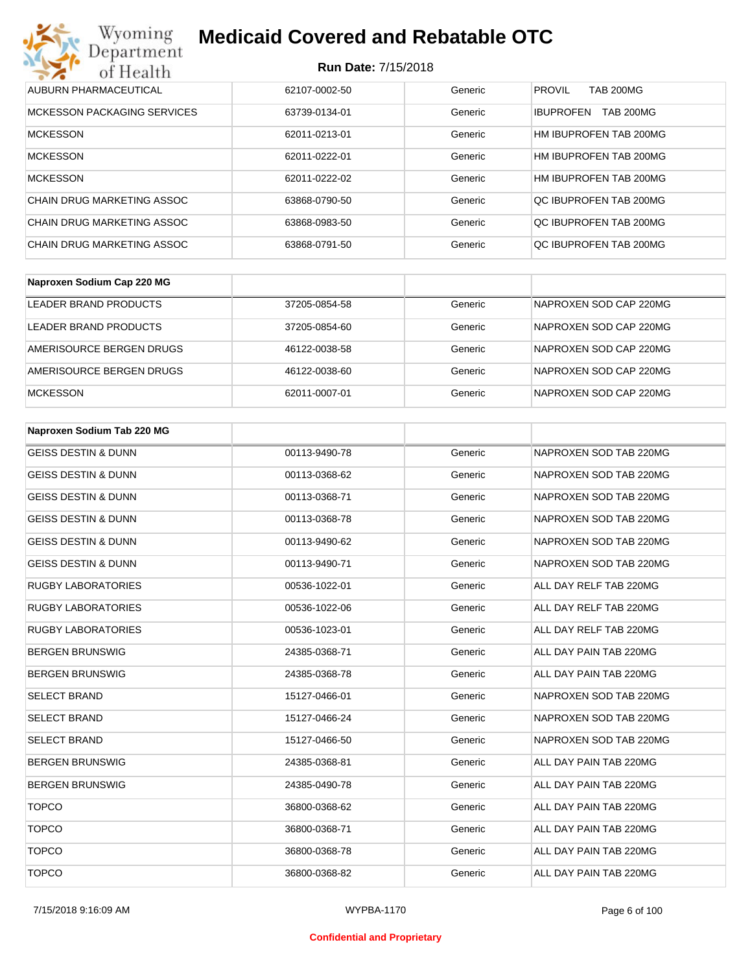### **Run Date:** 7/15/2018

| Wyoming<br><b>Medicaid Covered and Rebatable OTC</b><br>Department |               |         |                                      |  |  |
|--------------------------------------------------------------------|---------------|---------|--------------------------------------|--|--|
| <b>Run Date: 7/15/2018</b><br>of Health                            |               |         |                                      |  |  |
| AUBURN PHARMACEUTICAL                                              | 62107-0002-50 | Generic | <b>PROVIL</b><br><b>TAB 200MG</b>    |  |  |
| MCKESSON PACKAGING SERVICES                                        | 63739-0134-01 | Generic | <b>TAB 200MG</b><br><b>IBUPROFEN</b> |  |  |
| <b>MCKESSON</b>                                                    | 62011-0213-01 | Generic | HM IBUPROFEN TAB 200MG               |  |  |
| <b>MCKESSON</b>                                                    | 62011-0222-01 | Generic | HM IBUPROFEN TAB 200MG               |  |  |
| <b>MCKESSON</b>                                                    | 62011-0222-02 | Generic | HM IBUPROFEN TAB 200MG               |  |  |
| CHAIN DRUG MARKETING ASSOC                                         | 63868-0790-50 | Generic | OC IBUPROFEN TAB 200MG               |  |  |
| <b>CHAIN DRUG MARKETING ASSOC</b>                                  | 63868-0983-50 | Generic | OC IBUPROFEN TAB 200MG               |  |  |
| CHAIN DRUG MARKETING ASSOC                                         | 63868-0791-50 | Generic | OC IBUPROFEN TAB 200MG               |  |  |

| Naproxen Sodium Cap 220 MG |               |         |                        |
|----------------------------|---------------|---------|------------------------|
| LEADER BRAND PRODUCTS      | 37205-0854-58 | Generic | NAPROXEN SOD CAP 220MG |
| LEADER BRAND PRODUCTS      | 37205-0854-60 | Generic | NAPROXEN SOD CAP 220MG |
| AMERISOURCE BERGEN DRUGS   | 46122-0038-58 | Generic | NAPROXEN SOD CAP 220MG |
| AMERISOURCE BERGEN DRUGS   | 46122-0038-60 | Generic | NAPROXEN SOD CAP 220MG |
| <b>MCKESSON</b>            | 62011-0007-01 | Generic | NAPROXEN SOD CAP 220MG |

| Naproxen Sodium Tab 220 MG     |               |         |                        |
|--------------------------------|---------------|---------|------------------------|
| <b>GEISS DESTIN &amp; DUNN</b> | 00113-9490-78 | Generic | NAPROXEN SOD TAB 220MG |
| <b>GEISS DESTIN &amp; DUNN</b> | 00113-0368-62 | Generic | NAPROXEN SOD TAB 220MG |
| <b>GEISS DESTIN &amp; DUNN</b> | 00113-0368-71 | Generic | NAPROXEN SOD TAB 220MG |
| <b>GEISS DESTIN &amp; DUNN</b> | 00113-0368-78 | Generic | NAPROXEN SOD TAB 220MG |
| <b>GEISS DESTIN &amp; DUNN</b> | 00113-9490-62 | Generic | NAPROXEN SOD TAB 220MG |
| <b>GEISS DESTIN &amp; DUNN</b> | 00113-9490-71 | Generic | NAPROXEN SOD TAB 220MG |
| <b>RUGBY LABORATORIES</b>      | 00536-1022-01 | Generic | ALL DAY RELF TAB 220MG |
| <b>RUGBY LABORATORIES</b>      | 00536-1022-06 | Generic | ALL DAY RELF TAB 220MG |
| <b>RUGBY LABORATORIES</b>      | 00536-1023-01 | Generic | ALL DAY RELF TAB 220MG |
| <b>BERGEN BRUNSWIG</b>         | 24385-0368-71 | Generic | ALL DAY PAIN TAB 220MG |
| <b>BERGEN BRUNSWIG</b>         | 24385-0368-78 | Generic | ALL DAY PAIN TAB 220MG |
| <b>SELECT BRAND</b>            | 15127-0466-01 | Generic | NAPROXEN SOD TAB 220MG |
| <b>SELECT BRAND</b>            | 15127-0466-24 | Generic | NAPROXEN SOD TAB 220MG |
| <b>SELECT BRAND</b>            | 15127-0466-50 | Generic | NAPROXEN SOD TAB 220MG |
| <b>BERGEN BRUNSWIG</b>         | 24385-0368-81 | Generic | ALL DAY PAIN TAB 220MG |
| <b>BERGEN BRUNSWIG</b>         | 24385-0490-78 | Generic | ALL DAY PAIN TAB 220MG |
| <b>TOPCO</b>                   | 36800-0368-62 | Generic | ALL DAY PAIN TAB 220MG |
| <b>TOPCO</b>                   | 36800-0368-71 | Generic | ALL DAY PAIN TAB 220MG |
| <b>TOPCO</b>                   | 36800-0368-78 | Generic | ALL DAY PAIN TAB 220MG |
| <b>TOPCO</b>                   | 36800-0368-82 | Generic | ALL DAY PAIN TAB 220MG |

#### **Confidential and Proprietary**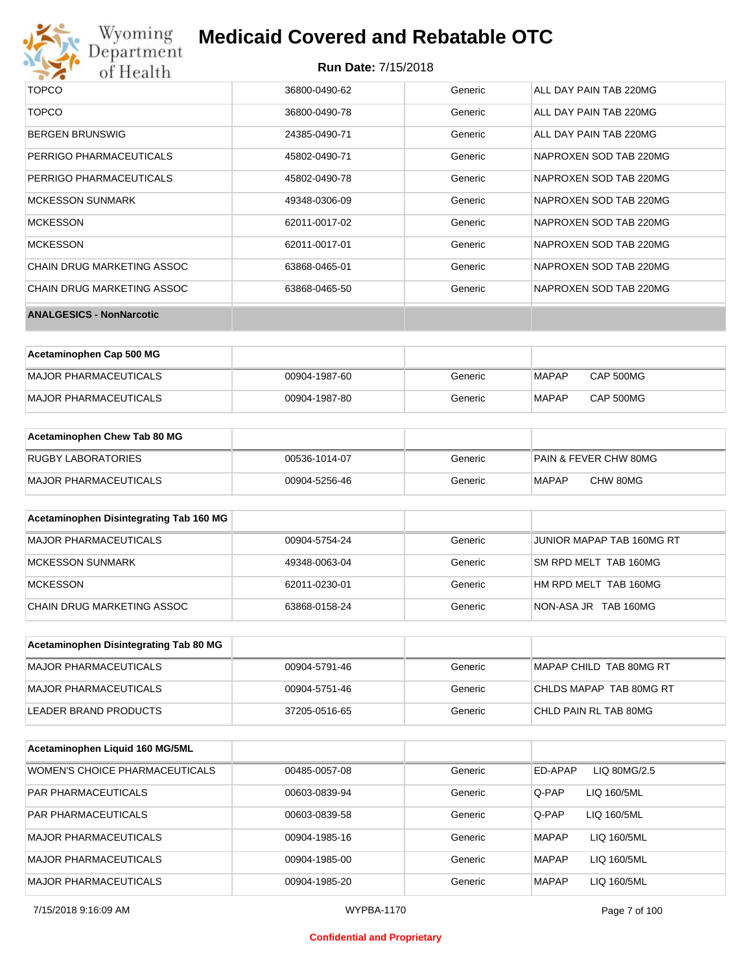

| <b>TOPCO</b>                    | 36800-0490-62 | Generic | ALL DAY PAIN TAB 220MG |
|---------------------------------|---------------|---------|------------------------|
| <b>TOPCO</b>                    | 36800-0490-78 | Generic | ALL DAY PAIN TAB 220MG |
| <b>BERGEN BRUNSWIG</b>          | 24385-0490-71 | Generic | ALL DAY PAIN TAB 220MG |
| PERRIGO PHARMACEUTICALS         | 45802-0490-71 | Generic | NAPROXEN SOD TAB 220MG |
| PERRIGO PHARMACEUTICALS         | 45802-0490-78 | Generic | NAPROXEN SOD TAB 220MG |
| <b>MCKESSON SUNMARK</b>         | 49348-0306-09 | Generic | NAPROXEN SOD TAB 220MG |
| <b>MCKESSON</b>                 | 62011-0017-02 | Generic | NAPROXEN SOD TAB 220MG |
| <b>MCKESSON</b>                 | 62011-0017-01 | Generic | NAPROXEN SOD TAB 220MG |
| CHAIN DRUG MARKETING ASSOC      | 63868-0465-01 | Generic | NAPROXEN SOD TAB 220MG |
| CHAIN DRUG MARKETING ASSOC      | 63868-0465-50 | Generic | NAPROXEN SOD TAB 220MG |
| <b>ANALGESICS - NonNarcotic</b> |               |         |                        |

| Acetaminophen Cap 500 MG |               |         |              |                  |
|--------------------------|---------------|---------|--------------|------------------|
| MAJOR PHARMACEUTICALS    | 00904-1987-60 | Generic | <b>MAPAP</b> | <b>CAP 500MG</b> |
| MAJOR PHARMACEUTICALS    | 00904-1987-80 | Generic | <b>MAPAP</b> | CAP 500MG        |

| Acetaminophen Chew Tab 80 MG |               |         |                       |
|------------------------------|---------------|---------|-----------------------|
| <b>RUGBY LABORATORIES</b>    | 00536-1014-07 | Generic | PAIN & FEVER CHW 80MG |
| MAJOR PHARMACEUTICALS        | 00904-5256-46 | Generic | CHW 80MG<br>MAPAP     |

| Acetaminophen Disintegrating Tab 160 MG |               |         |                           |
|-----------------------------------------|---------------|---------|---------------------------|
| MAJOR PHARMACEUTICALS                   | 00904-5754-24 | Generic | JUNIOR MAPAP TAB 160MG RT |
| MCKESSON SUNMARK                        | 49348-0063-04 | Generic | SM RPD MELT TAB 160MG     |
| <b>MCKESSON</b>                         | 62011-0230-01 | Generic | HM RPD MELT TAB 160MG     |
| CHAIN DRUG MARKETING ASSOC              | 63868-0158-24 | Generic | NON-ASA JR TAB 160MG      |

| Acetaminophen Disintegrating Tab 80 MG |               |         |                         |
|----------------------------------------|---------------|---------|-------------------------|
| IMAJOR PHARMACEUTICALS                 | 00904-5791-46 | Generic | MAPAP CHILD TAB 80MG RT |
| MAJOR PHARMACEUTICALS                  | 00904-5751-46 | Generic | CHLDS MAPAP TAB 80MG RT |
| LEADER BRAND PRODUCTS                  | 37205-0516-65 | Generic | CHLD PAIN RL TAB 80MG   |

| Acetaminophen Liquid 160 MG/5ML |               |         |                             |
|---------------------------------|---------------|---------|-----------------------------|
| WOMEN'S CHOICE PHARMACEUTICALS  | 00485-0057-08 | Generic | ED-APAP<br>LIQ 80MG/2.5     |
| <b>PAR PHARMACEUTICALS</b>      | 00603-0839-94 | Generic | Q-PAP<br>LIQ 160/5ML        |
| <b>PAR PHARMACEUTICALS</b>      | 00603-0839-58 | Generic | Q-PAP<br>LIQ 160/5ML        |
| <b>MAJOR PHARMACEUTICALS</b>    | 00904-1985-16 | Generic | <b>MAPAP</b><br>LIQ 160/5ML |
| <b>MAJOR PHARMACEUTICALS</b>    | 00904-1985-00 | Generic | <b>MAPAP</b><br>LIQ 160/5ML |
| <b>MAJOR PHARMACEUTICALS</b>    | 00904-1985-20 | Generic | <b>MAPAP</b><br>LIQ 160/5ML |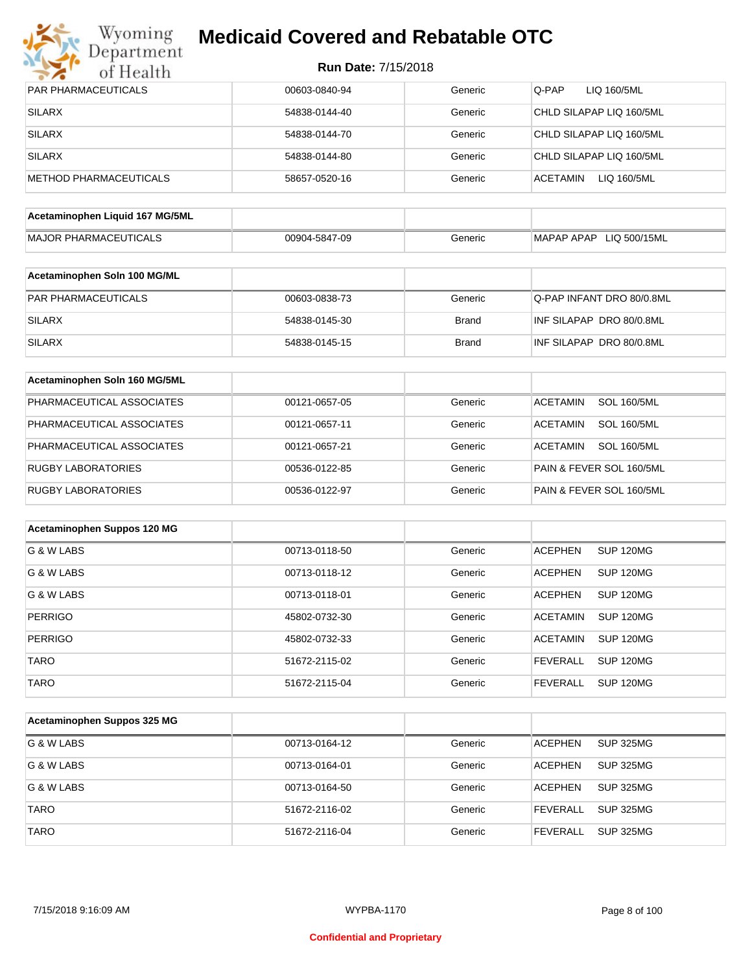

| <b>PAR PHARMACEUTICALS</b>      | 00603-0840-94 | Generic      | Q-PAP<br>LIQ 160/5ML                  |
|---------------------------------|---------------|--------------|---------------------------------------|
| <b>SILARX</b>                   | 54838-0144-40 | Generic      | CHLD SILAPAP LIQ 160/5ML              |
| <b>SILARX</b>                   | 54838-0144-70 | Generic      | CHLD SILAPAP LIQ 160/5ML              |
| <b>SILARX</b>                   | 54838-0144-80 | Generic      | CHLD SILAPAP LIQ 160/5ML              |
| <b>METHOD PHARMACEUTICALS</b>   | 58657-0520-16 | Generic      | ACETAMIN<br>LIQ 160/5ML               |
| Acetaminophen Liquid 167 MG/5ML |               |              |                                       |
| <b>MAJOR PHARMACEUTICALS</b>    | 00904-5847-09 | Generic      | MAPAP APAP LIQ 500/15ML               |
|                                 |               |              |                                       |
| Acetaminophen Soln 100 MG/ML    |               |              |                                       |
| PAR PHARMACEUTICALS             | 00603-0838-73 | Generic      | Q-PAP INFANT DRO 80/0.8ML             |
| <b>SILARX</b>                   | 54838-0145-30 | Brand        | INF SILAPAP DRO 80/0.8ML              |
| <b>SILARX</b>                   | 54838-0145-15 | <b>Brand</b> | INF SILAPAP DRO 80/0.8ML              |
| Acetaminophen Soln 160 MG/5ML   |               |              |                                       |
| PHARMACEUTICAL ASSOCIATES       | 00121-0657-05 | Generic      | <b>SOL 160/5ML</b><br><b>ACETAMIN</b> |
| PHARMACEUTICAL ASSOCIATES       | 00121-0657-11 | Generic      | <b>SOL 160/5ML</b><br>ACETAMIN        |
| PHARMACEUTICAL ASSOCIATES       | 00121-0657-21 | Generic      | <b>ACETAMIN</b><br><b>SOL 160/5ML</b> |
| <b>RUGBY LABORATORIES</b>       | 00536-0122-85 | Generic      | PAIN & FEVER SOL 160/5ML              |
| <b>RUGBY LABORATORIES</b>       | 00536-0122-97 | Generic      | PAIN & FEVER SOL 160/5ML              |
|                                 |               |              |                                       |
| Acetaminophen Suppos 120 MG     |               |              |                                       |
| G & W LABS                      | 00713-0118-50 | Generic      | <b>ACEPHEN</b><br>SUP 120MG           |
| G & W LABS                      | 00713-0118-12 | Generic      | <b>ACEPHEN</b><br><b>SUP 120MG</b>    |
| G & W LABS                      | 00713-0118-01 | Generic      | <b>ACEPHEN</b><br>SUP 120MG           |
| <b>PERRIGO</b>                  | 45802-0732-30 | Generic      | <b>ACETAMIN</b><br>SUP 120MG          |
| <b>PERRIGO</b>                  | 45802-0732-33 | Generic      | <b>ACETAMIN</b><br><b>SUP 120MG</b>   |
| <b>TARO</b>                     | 51672-2115-02 | Generic      | <b>FEVERALL</b><br><b>SUP 120MG</b>   |
| <b>TARO</b>                     | 51672-2115-04 | Generic      | <b>SUP 120MG</b><br><b>FEVERALL</b>   |
|                                 |               |              |                                       |
| Acetaminophen Suppos 325 MG     |               |              |                                       |
| G & W LABS                      | 00713-0164-12 | Generic      | <b>ACEPHEN</b><br><b>SUP 325MG</b>    |
| G & W LABS                      | 00713-0164-01 | Generic      | <b>ACEPHEN</b><br><b>SUP 325MG</b>    |
| G & W LABS                      | 00713-0164-50 | Generic      | <b>ACEPHEN</b><br><b>SUP 325MG</b>    |
| <b>TARO</b>                     | 51672-2116-02 | Generic      | <b>FEVERALL</b><br><b>SUP 325MG</b>   |
| <b>TARO</b>                     | 51672-2116-04 | Generic      | SUP 325MG<br><b>FEVERALL</b>          |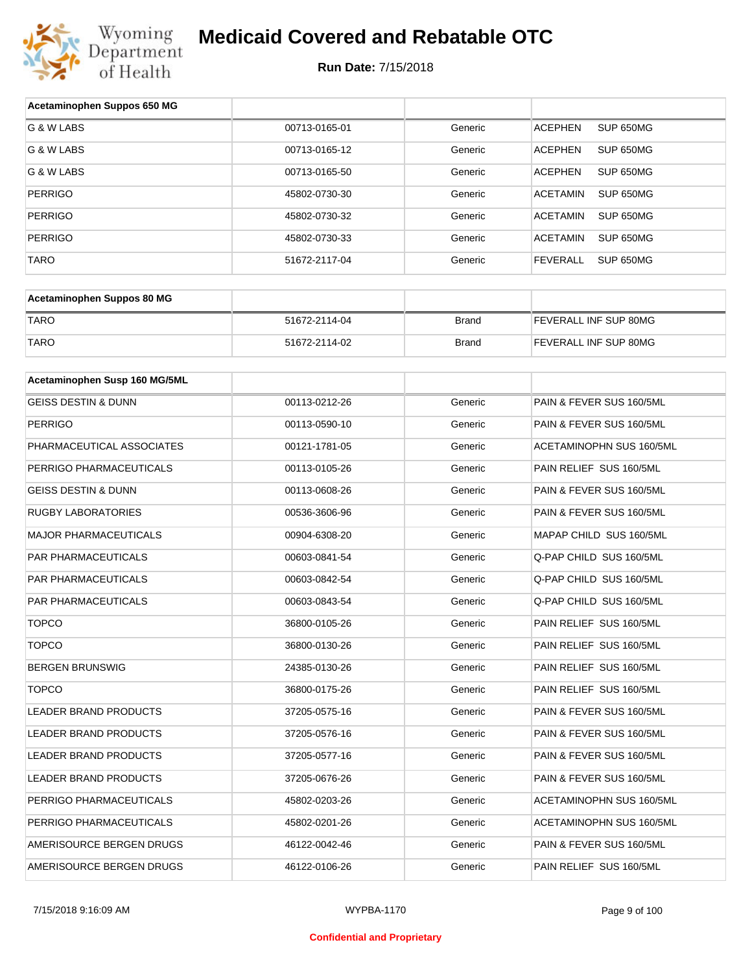

| Acetaminophen Suppos 650 MG    |               |              |                                     |
|--------------------------------|---------------|--------------|-------------------------------------|
| G & W LABS                     | 00713-0165-01 | Generic      | SUP 650MG<br><b>ACEPHEN</b>         |
| G & W LABS                     | 00713-0165-12 | Generic      | <b>ACEPHEN</b><br>SUP 650MG         |
| G & W LABS                     | 00713-0165-50 | Generic      | <b>ACEPHEN</b><br>SUP 650MG         |
| <b>PERRIGO</b>                 | 45802-0730-30 | Generic      | <b>ACETAMIN</b><br>SUP 650MG        |
| <b>PERRIGO</b>                 | 45802-0730-32 | Generic      | <b>ACETAMIN</b><br>SUP 650MG        |
| <b>PERRIGO</b>                 | 45802-0730-33 | Generic      | <b>ACETAMIN</b><br>SUP 650MG        |
| <b>TARO</b>                    | 51672-2117-04 | Generic      | <b>FEVERALL</b><br><b>SUP 650MG</b> |
|                                |               |              |                                     |
| Acetaminophen Suppos 80 MG     |               |              |                                     |
| <b>TARO</b>                    | 51672-2114-04 | <b>Brand</b> | FEVERALL INF SUP 80MG               |
| <b>TARO</b>                    | 51672-2114-02 | <b>Brand</b> | FEVERALL INF SUP 80MG               |
|                                |               |              |                                     |
| Acetaminophen Susp 160 MG/5ML  |               |              |                                     |
| <b>GEISS DESTIN &amp; DUNN</b> | 00113-0212-26 | Generic      | PAIN & FEVER SUS 160/5ML            |
| <b>PERRIGO</b>                 | 00113-0590-10 | Generic      | PAIN & FEVER SUS 160/5ML            |
| PHARMACEUTICAL ASSOCIATES      | 00121-1781-05 | Generic      | ACETAMINOPHN SUS 160/5ML            |
| PERRIGO PHARMACEUTICALS        | 00113-0105-26 | Generic      | PAIN RELIEF SUS 160/5ML             |
| <b>GEISS DESTIN &amp; DUNN</b> | 00113-0608-26 | Generic      | PAIN & FEVER SUS 160/5ML            |
| <b>RUGBY LABORATORIES</b>      | 00536-3606-96 | Generic      | PAIN & FEVER SUS 160/5ML            |
| <b>MAJOR PHARMACEUTICALS</b>   | 00904-6308-20 | Generic      | MAPAP CHILD SUS 160/5ML             |
| PAR PHARMACEUTICALS            | 00603-0841-54 | Generic      | Q-PAP CHILD SUS 160/5ML             |
| <b>PAR PHARMACEUTICALS</b>     | 00603-0842-54 | Generic      | Q-PAP CHILD SUS 160/5ML             |
| PAR PHARMACEUTICALS            | 00603-0843-54 | Generic      | Q-PAP CHILD SUS 160/5ML             |
| <b>TOPCO</b>                   | 36800-0105-26 | Generic      | PAIN RELIEF SUS 160/5ML             |
| <b>TOPCO</b>                   | 36800-0130-26 | Generic      | PAIN RELIEF SUS 160/5ML             |
| <b>BERGEN BRUNSWIG</b>         | 24385-0130-26 | Generic      | PAIN RELIEF SUS 160/5ML             |
| <b>TOPCO</b>                   | 36800-0175-26 | Generic      | PAIN RELIEF SUS 160/5ML             |
| LEADER BRAND PRODUCTS          | 37205-0575-16 | Generic      | PAIN & FEVER SUS 160/5ML            |
| LEADER BRAND PRODUCTS          | 37205-0576-16 | Generic      | PAIN & FEVER SUS 160/5ML            |
| LEADER BRAND PRODUCTS          | 37205-0577-16 | Generic      | PAIN & FEVER SUS 160/5ML            |
| LEADER BRAND PRODUCTS          | 37205-0676-26 | Generic      | PAIN & FEVER SUS 160/5ML            |
| PERRIGO PHARMACEUTICALS        | 45802-0203-26 | Generic      | ACETAMINOPHN SUS 160/5ML            |
| PERRIGO PHARMACEUTICALS        | 45802-0201-26 | Generic      | ACETAMINOPHN SUS 160/5ML            |
| AMERISOURCE BERGEN DRUGS       | 46122-0042-46 | Generic      | PAIN & FEVER SUS 160/5ML            |
| AMERISOURCE BERGEN DRUGS       | 46122-0106-26 | Generic      | PAIN RELIEF SUS 160/5ML             |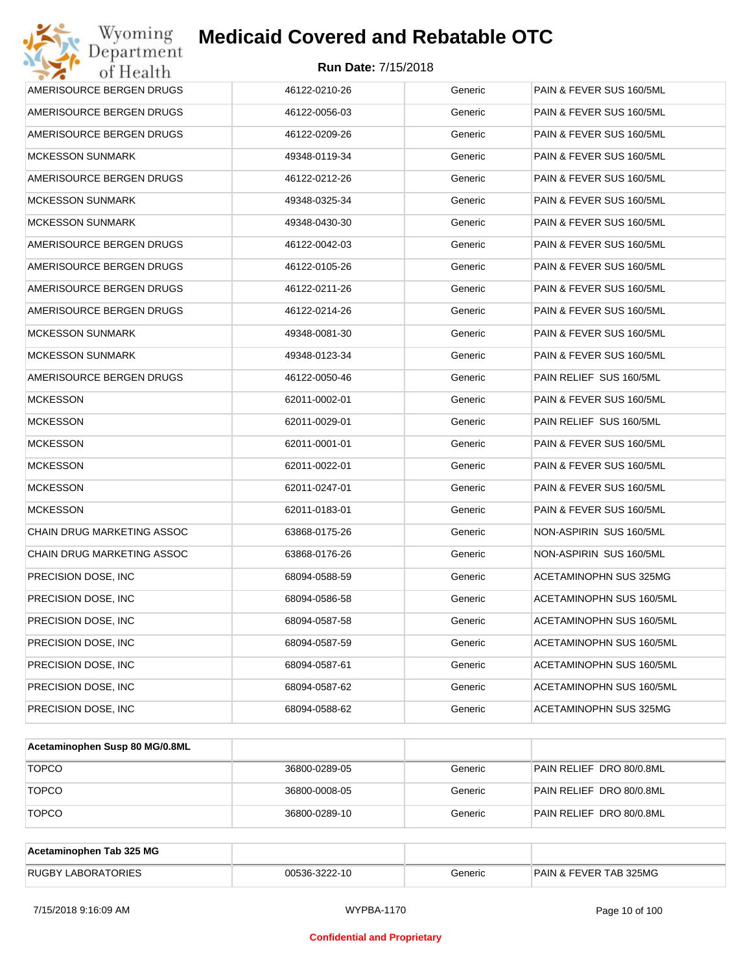| Wyoming<br>Department                   | <b>Medicaid Covered and Rebatable OTC</b> |         |                          |  |  |  |
|-----------------------------------------|-------------------------------------------|---------|--------------------------|--|--|--|
| <b>Run Date: 7/15/2018</b><br>of Health |                                           |         |                          |  |  |  |
| AMERISOURCE BERGEN DRUGS                | 46122-0210-26                             | Generic | PAIN & FEVER SUS 160/5ML |  |  |  |
| AMERISOURCE BERGEN DRUGS                | 46122-0056-03                             | Generic | PAIN & FEVER SUS 160/5ML |  |  |  |
| AMERISOURCE BERGEN DRUGS                | 46122-0209-26                             | Generic | PAIN & FEVER SUS 160/5ML |  |  |  |
| <b>MCKESSON SUNMARK</b>                 | 49348-0119-34                             | Generic | PAIN & FEVER SUS 160/5ML |  |  |  |
| AMERISOURCE BERGEN DRUGS                | 46122-0212-26                             | Generic | PAIN & FEVER SUS 160/5ML |  |  |  |
| <b>MCKESSON SUNMARK</b>                 | 49348-0325-34                             | Generic | PAIN & FEVER SUS 160/5ML |  |  |  |
| <b>MCKESSON SUNMARK</b>                 | 49348-0430-30                             | Generic | PAIN & FEVER SUS 160/5ML |  |  |  |
| AMERISOURCE BERGEN DRUGS                | 46122-0042-03                             | Generic | PAIN & FEVER SUS 160/5ML |  |  |  |
| AMERISOURCE BERGEN DRUGS                | 46122-0105-26                             | Generic | PAIN & FEVER SUS 160/5ML |  |  |  |
| AMERISOURCE BERGEN DRUGS                | 46122-0211-26                             | Generic | PAIN & FEVER SUS 160/5ML |  |  |  |
| AMERISOURCE BERGEN DRUGS                | 46122-0214-26                             | Generic | PAIN & FEVER SUS 160/5ML |  |  |  |
| <b>MCKESSON SUNMARK</b>                 | 49348-0081-30                             | Generic | PAIN & FEVER SUS 160/5ML |  |  |  |
| <b>MCKESSON SUNMARK</b>                 | 49348-0123-34                             | Generic | PAIN & FEVER SUS 160/5ML |  |  |  |
| AMERISOURCE BERGEN DRUGS                | 46122-0050-46                             | Generic | PAIN RELIEF SUS 160/5ML  |  |  |  |
| <b>MCKESSON</b>                         | 62011-0002-01                             | Generic | PAIN & FEVER SUS 160/5ML |  |  |  |
| <b>MCKESSON</b>                         | 62011-0029-01                             | Generic | PAIN RELIEF SUS 160/5ML  |  |  |  |
| <b>MCKESSON</b>                         | 62011-0001-01                             | Generic | PAIN & FEVER SUS 160/5ML |  |  |  |
| <b>MCKESSON</b>                         | 62011-0022-01                             | Generic | PAIN & FEVER SUS 160/5ML |  |  |  |
| <b>MCKESSON</b>                         | 62011-0247-01                             | Generic | PAIN & FEVER SUS 160/5ML |  |  |  |
| <b>MCKESSON</b>                         | 62011-0183-01                             | Generic | PAIN & FEVER SUS 160/5ML |  |  |  |
| CHAIN DRUG MARKETING ASSOC              | 63868-0175-26                             | Generic | NON-ASPIRIN SUS 160/5ML  |  |  |  |
| CHAIN DRUG MARKETING ASSOC              | 63868-0176-26                             | Generic | NON-ASPIRIN SUS 160/5ML  |  |  |  |
| PRECISION DOSE, INC                     | 68094-0588-59                             | Generic | ACETAMINOPHN SUS 325MG   |  |  |  |
| PRECISION DOSE, INC                     | 68094-0586-58                             | Generic | ACETAMINOPHN SUS 160/5ML |  |  |  |
| PRECISION DOSE, INC                     | 68094-0587-58                             | Generic | ACETAMINOPHN SUS 160/5ML |  |  |  |
| PRECISION DOSE, INC                     | 68094-0587-59                             | Generic | ACETAMINOPHN SUS 160/5ML |  |  |  |
| PRECISION DOSE, INC                     | 68094-0587-61                             | Generic | ACETAMINOPHN SUS 160/5ML |  |  |  |
| PRECISION DOSE, INC                     | 68094-0587-62                             | Generic | ACETAMINOPHN SUS 160/5ML |  |  |  |
| PRECISION DOSE, INC                     | 68094-0588-62                             | Generic | ACETAMINOPHN SUS 325MG   |  |  |  |

| Acetaminophen Susp 80 MG/0.8ML |               |         |                          |
|--------------------------------|---------------|---------|--------------------------|
| <b>TOPCO</b>                   | 36800-0289-05 | Generic | PAIN RELIEF DRO 80/0.8ML |
| <b>TOPCO</b>                   | 36800-0008-05 | Generic | PAIN RELIEF DRO 80/0.8ML |
| <b>TOPCO</b>                   | 36800-0289-10 | Generic | PAIN RELIEF DRO 80/0.8ML |

| Acetaminophen Tab 325 MG  |               |         |                                   |
|---------------------------|---------------|---------|-----------------------------------|
| <b>RUGBY LABORATORIES</b> | 00536-3222-10 | Generic | <b>PAIN &amp; FEVER TAB 325MG</b> |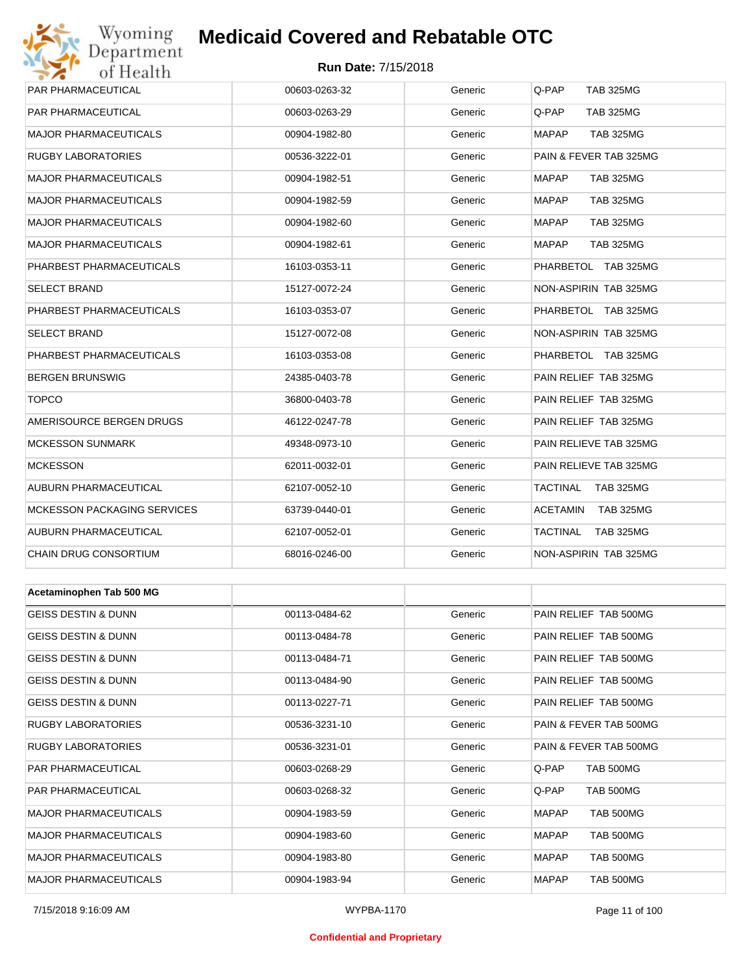# Wyoming<br>Department<br>of Health

## **Medicaid Covered and Rebatable OTC**

#### **Run Date:** 7/15/2018

| PAR PHARMACEUTICAL             | 00603-0263-32 | Generic | Q-PAP<br><b>TAB 325MG</b>           |
|--------------------------------|---------------|---------|-------------------------------------|
| PAR PHARMACEUTICAL             | 00603-0263-29 | Generic | Q-PAP<br><b>TAB 325MG</b>           |
| <b>MAJOR PHARMACEUTICALS</b>   | 00904-1982-80 | Generic | <b>MAPAP</b><br><b>TAB 325MG</b>    |
| RUGBY LABORATORIES             | 00536-3222-01 | Generic | PAIN & FEVER TAB 325MG              |
| <b>MAJOR PHARMACEUTICALS</b>   | 00904-1982-51 | Generic | <b>MAPAP</b><br><b>TAB 325MG</b>    |
| <b>MAJOR PHARMACEUTICALS</b>   | 00904-1982-59 | Generic | <b>MAPAP</b><br><b>TAB 325MG</b>    |
| <b>MAJOR PHARMACEUTICALS</b>   | 00904-1982-60 | Generic | <b>MAPAP</b><br><b>TAB 325MG</b>    |
| <b>MAJOR PHARMACEUTICALS</b>   | 00904-1982-61 | Generic | <b>MAPAP</b><br><b>TAB 325MG</b>    |
| PHARBEST PHARMACEUTICALS       | 16103-0353-11 | Generic | PHARBETOL TAB 325MG                 |
| SELECT BRAND                   | 15127-0072-24 | Generic | NON-ASPIRIN TAB 325MG               |
| PHARBEST PHARMACEUTICALS       | 16103-0353-07 | Generic | PHARBETOL TAB 325MG                 |
| SELECT BRAND                   | 15127-0072-08 | Generic | NON-ASPIRIN TAB 325MG               |
| PHARBEST PHARMACEUTICALS       | 16103-0353-08 | Generic | PHARBETOL TAB 325MG                 |
| <b>BERGEN BRUNSWIG</b>         | 24385-0403-78 | Generic | PAIN RELIEF TAB 325MG               |
| <b>TOPCO</b>                   | 36800-0403-78 | Generic | PAIN RELIEF TAB 325MG               |
| AMERISOURCE BERGEN DRUGS       | 46122-0247-78 | Generic | PAIN RELIEF TAB 325MG               |
| <b>MCKESSON SUNMARK</b>        | 49348-0973-10 | Generic | PAIN RELIEVE TAB 325MG              |
| <b>MCKESSON</b>                | 62011-0032-01 | Generic | PAIN RELIEVE TAB 325MG              |
| AUBURN PHARMACEUTICAL          | 62107-0052-10 | Generic | TACTINAL<br><b>TAB 325MG</b>        |
| MCKESSON PACKAGING SERVICES    | 63739-0440-01 | Generic | ACETAMIN<br>TAB 325MG               |
| AUBURN PHARMACEUTICAL          | 62107-0052-01 | Generic | <b>TACTINAL</b><br><b>TAB 325MG</b> |
| CHAIN DRUG CONSORTIUM          | 68016-0246-00 | Generic | NON-ASPIRIN TAB 325MG               |
|                                |               |         |                                     |
| Acetaminophen Tab 500 MG       |               |         |                                     |
| <b>GEISS DESTIN &amp; DUNN</b> | 00113-0484-62 | Generic | PAIN RELIEF TAB 500MG               |
| GEISS DESTIN & DUNN            | 00113-0484-78 | Generic | PAIN RELIEF TAB 500MG               |
| <b>GEISS DESTIN &amp; DUNN</b> | 00113-0484-71 | Generic | PAIN RELIEF TAB 500MG               |
| GEISS DESTIN & DUNN            | 00113-0484-90 | Generic | PAIN RELIEF TAB 500MG               |
| <b>GEISS DESTIN &amp; DUNN</b> | 00113-0227-71 | Generic | PAIN RELIEF TAB 500MG               |
| RUGBY LABORATORIES             | 00536-3231-10 | Generic | PAIN & FEVER TAB 500MG              |
| RUGBY LABORATORIES             | 00536-3231-01 | Generic | PAIN & FEVER TAB 500MG              |
| PAR PHARMACEUTICAL             | 00603-0268-29 | Generic | Q-PAP<br><b>TAB 500MG</b>           |
| PAR PHARMACEUTICAL             | 00603-0268-32 | Generic | Q-PAP<br><b>TAB 500MG</b>           |
| MAJOR PHARMACEUTICALS          | 00904-1983-59 | Generic | <b>MAPAP</b><br><b>TAB 500MG</b>    |

MAJOR PHARMACEUTICALS 00904-1983-60 Generic MAPAP TAB 500MG MAJOR PHARMACEUTICALS 
and the composition of the composition of the composition of the component of the component of the component of the component of the component of the component of the component of the component of th MAJOR PHARMACEUTICALS 00904-1983-94 Generic MAPAP TAB 500MG

#### **Confidential and Proprietary**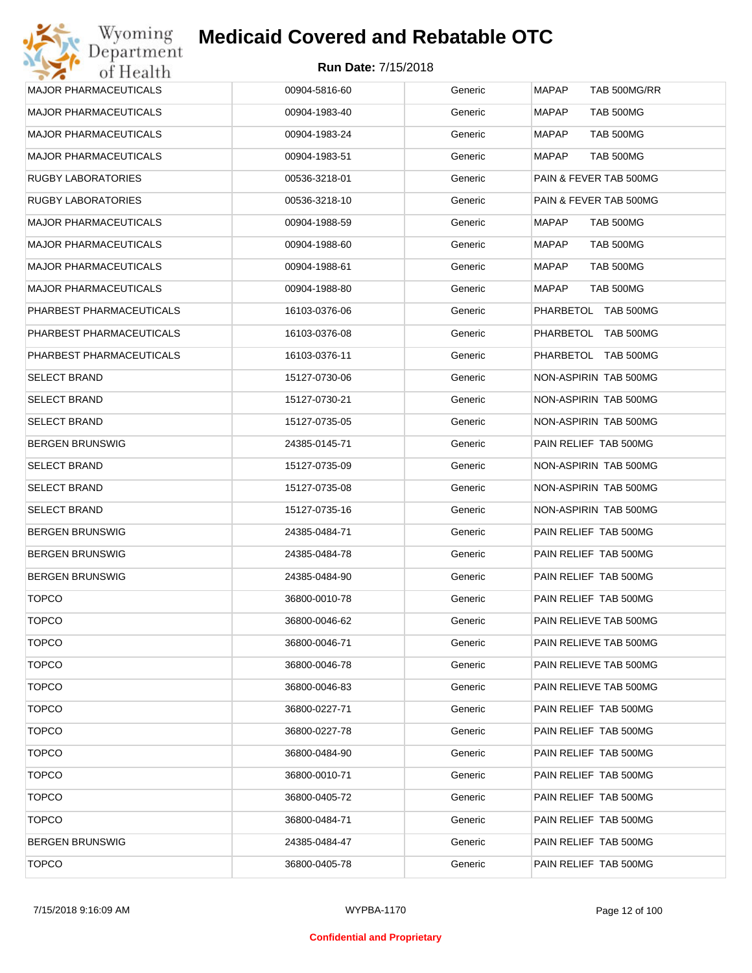## Wyoming<br>Department<br>of Health **Medicaid Covered and Rebatable OTC**

| <b>MAJOR PHARMACEUTICALS</b> | 00904-5816-60 | Generic | <b>MAPAP</b><br>TAB 500MG/RR     |
|------------------------------|---------------|---------|----------------------------------|
| <b>MAJOR PHARMACEUTICALS</b> | 00904-1983-40 | Generic | <b>MAPAP</b><br><b>TAB 500MG</b> |
| <b>MAJOR PHARMACEUTICALS</b> | 00904-1983-24 | Generic | <b>MAPAP</b><br><b>TAB 500MG</b> |
| <b>MAJOR PHARMACEUTICALS</b> | 00904-1983-51 | Generic | <b>MAPAP</b><br><b>TAB 500MG</b> |
| <b>RUGBY LABORATORIES</b>    | 00536-3218-01 | Generic | PAIN & FEVER TAB 500MG           |
| <b>RUGBY LABORATORIES</b>    | 00536-3218-10 | Generic | PAIN & FEVER TAB 500MG           |
| <b>MAJOR PHARMACEUTICALS</b> | 00904-1988-59 | Generic | MAPAP<br>TAB 500MG               |
| <b>MAJOR PHARMACEUTICALS</b> | 00904-1988-60 | Generic | <b>TAB 500MG</b><br>MAPAP        |
| <b>MAJOR PHARMACEUTICALS</b> | 00904-1988-61 | Generic | <b>TAB 500MG</b><br>MAPAP        |
| <b>MAJOR PHARMACEUTICALS</b> | 00904-1988-80 | Generic | MAPAP<br>TAB 500MG               |
| PHARBEST PHARMACEUTICALS     | 16103-0376-06 | Generic | PHARBETOL TAB 500MG              |
| PHARBEST PHARMACEUTICALS     | 16103-0376-08 | Generic | PHARBETOL TAB 500MG              |
| PHARBEST PHARMACEUTICALS     | 16103-0376-11 | Generic | PHARBETOL TAB 500MG              |
| <b>SELECT BRAND</b>          | 15127-0730-06 | Generic | NON-ASPIRIN TAB 500MG            |
| <b>SELECT BRAND</b>          | 15127-0730-21 | Generic | NON-ASPIRIN TAB 500MG            |
| <b>SELECT BRAND</b>          | 15127-0735-05 | Generic | NON-ASPIRIN TAB 500MG            |
| <b>BERGEN BRUNSWIG</b>       | 24385-0145-71 | Generic | PAIN RELIEF TAB 500MG            |
| <b>SELECT BRAND</b>          | 15127-0735-09 | Generic | NON-ASPIRIN TAB 500MG            |
| <b>SELECT BRAND</b>          | 15127-0735-08 | Generic | NON-ASPIRIN TAB 500MG            |
| <b>SELECT BRAND</b>          | 15127-0735-16 | Generic | NON-ASPIRIN TAB 500MG            |
| <b>BERGEN BRUNSWIG</b>       | 24385-0484-71 | Generic | PAIN RELIEF TAB 500MG            |
| <b>BERGEN BRUNSWIG</b>       | 24385-0484-78 | Generic | PAIN RELIEF TAB 500MG            |
| <b>BERGEN BRUNSWIG</b>       | 24385-0484-90 | Generic | PAIN RELIEF TAB 500MG            |
| <b>TOPCO</b>                 | 36800-0010-78 | Generic | PAIN RELIEF TAB 500MG            |
| <b>TOPCO</b>                 | 36800-0046-62 | Generic | PAIN RELIEVE TAB 500MG           |
| <b>TOPCO</b>                 | 36800-0046-71 | Generic | PAIN RELIEVE TAB 500MG           |
| <b>TOPCO</b>                 | 36800-0046-78 | Generic | PAIN RELIEVE TAB 500MG           |
| <b>TOPCO</b>                 | 36800-0046-83 | Generic | PAIN RELIEVE TAB 500MG           |
| <b>TOPCO</b>                 | 36800-0227-71 | Generic | PAIN RELIEF TAB 500MG            |
| <b>TOPCO</b>                 | 36800-0227-78 | Generic | PAIN RELIEF TAB 500MG            |
| <b>TOPCO</b>                 | 36800-0484-90 | Generic | PAIN RELIEF TAB 500MG            |
| <b>TOPCO</b>                 | 36800-0010-71 | Generic | PAIN RELIEF TAB 500MG            |
| <b>TOPCO</b>                 | 36800-0405-72 | Generic | PAIN RELIEF TAB 500MG            |
| <b>TOPCO</b>                 | 36800-0484-71 | Generic | PAIN RELIEF TAB 500MG            |
| <b>BERGEN BRUNSWIG</b>       | 24385-0484-47 | Generic | PAIN RELIEF TAB 500MG            |
| <b>TOPCO</b>                 | 36800-0405-78 | Generic | PAIN RELIEF TAB 500MG            |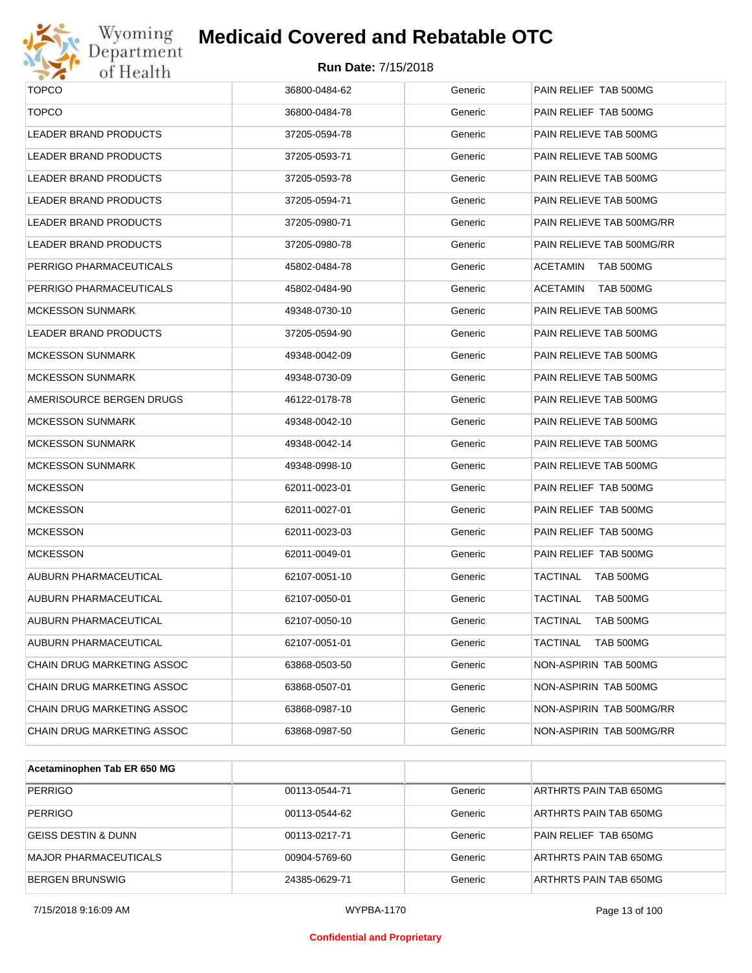

# Wyoming<br>Department<br>of Health

## **Medicaid Covered and Rebatable OTC**

| <b>TOPCO</b>                      | 36800-0484-62 | Generic | PAIN RELIEF TAB 500MG        |
|-----------------------------------|---------------|---------|------------------------------|
| <b>TOPCO</b>                      | 36800-0484-78 | Generic | PAIN RELIEF TAB 500MG        |
| LEADER BRAND PRODUCTS             | 37205-0594-78 | Generic | PAIN RELIEVE TAB 500MG       |
| LEADER BRAND PRODUCTS             | 37205-0593-71 | Generic | PAIN RELIEVE TAB 500MG       |
| LEADER BRAND PRODUCTS             | 37205-0593-78 | Generic | PAIN RELIEVE TAB 500MG       |
| LEADER BRAND PRODUCTS             | 37205-0594-71 | Generic | PAIN RELIEVE TAB 500MG       |
| <b>LEADER BRAND PRODUCTS</b>      | 37205-0980-71 | Generic | PAIN RELIEVE TAB 500MG/RR    |
| <b>LEADER BRAND PRODUCTS</b>      | 37205-0980-78 | Generic | PAIN RELIEVE TAB 500MG/RR    |
| PERRIGO PHARMACEUTICALS           | 45802-0484-78 | Generic | ACETAMIN<br>TAB 500MG        |
| PERRIGO PHARMACEUTICALS           | 45802-0484-90 | Generic | <b>ACETAMIN</b><br>TAB 500MG |
| <b>MCKESSON SUNMARK</b>           | 49348-0730-10 | Generic | PAIN RELIEVE TAB 500MG       |
| <b>LEADER BRAND PRODUCTS</b>      | 37205-0594-90 | Generic | PAIN RELIEVE TAB 500MG       |
| <b>MCKESSON SUNMARK</b>           | 49348-0042-09 | Generic | PAIN RELIEVE TAB 500MG       |
| <b>MCKESSON SUNMARK</b>           | 49348-0730-09 | Generic | PAIN RELIEVE TAB 500MG       |
| AMERISOURCE BERGEN DRUGS          | 46122-0178-78 | Generic | PAIN RELIEVE TAB 500MG       |
| <b>MCKESSON SUNMARK</b>           | 49348-0042-10 | Generic | PAIN RELIEVE TAB 500MG       |
| <b>MCKESSON SUNMARK</b>           | 49348-0042-14 | Generic | PAIN RELIEVE TAB 500MG       |
| <b>MCKESSON SUNMARK</b>           | 49348-0998-10 | Generic | PAIN RELIEVE TAB 500MG       |
| <b>MCKESSON</b>                   | 62011-0023-01 | Generic | PAIN RELIEF TAB 500MG        |
| <b>MCKESSON</b>                   | 62011-0027-01 | Generic | PAIN RELIEF TAB 500MG        |
| <b>MCKESSON</b>                   | 62011-0023-03 | Generic | PAIN RELIEF TAB 500MG        |
| <b>MCKESSON</b>                   | 62011-0049-01 | Generic | PAIN RELIEF TAB 500MG        |
| AUBURN PHARMACEUTICAL             | 62107-0051-10 | Generic | <b>TACTINAL</b><br>TAB 500MG |
| AUBURN PHARMACEUTICAL             | 62107-0050-01 | Generic | TACTINAL<br>TAB 500MG        |
| AUBURN PHARMACEUTICAL             | 62107-0050-10 | Generic | TACTINAL<br>TAB 500MG        |
| AUBURN PHARMACEUTICAL             | 62107-0051-01 | Generic | <b>TACTINAL</b><br>TAB 500MG |
| CHAIN DRUG MARKETING ASSOC        | 63868-0503-50 | Generic | NON-ASPIRIN TAB 500MG        |
| CHAIN DRUG MARKETING ASSOC        | 63868-0507-01 | Generic | NON-ASPIRIN TAB 500MG        |
| <b>CHAIN DRUG MARKETING ASSOC</b> | 63868-0987-10 | Generic | NON-ASPIRIN TAB 500MG/RR     |
| CHAIN DRUG MARKETING ASSOC        | 63868-0987-50 | Generic | NON-ASPIRIN TAB 500MG/RR     |
|                                   |               |         |                              |

| Acetaminophen Tab ER 650 MG    |               |         |                        |
|--------------------------------|---------------|---------|------------------------|
| <b>PERRIGO</b>                 | 00113-0544-71 | Generic | ARTHRTS PAIN TAB 650MG |
| <b>PERRIGO</b>                 | 00113-0544-62 | Generic | ARTHRTS PAIN TAB 650MG |
| <b>GEISS DESTIN &amp; DUNN</b> | 00113-0217-71 | Generic | PAIN RELIEF TAB 650MG  |
| MAJOR PHARMACEUTICALS          | 00904-5769-60 | Generic | ARTHRTS PAIN TAB 650MG |
| <b>BERGEN BRUNSWIG</b>         | 24385-0629-71 | Generic | ARTHRTS PAIN TAB 650MG |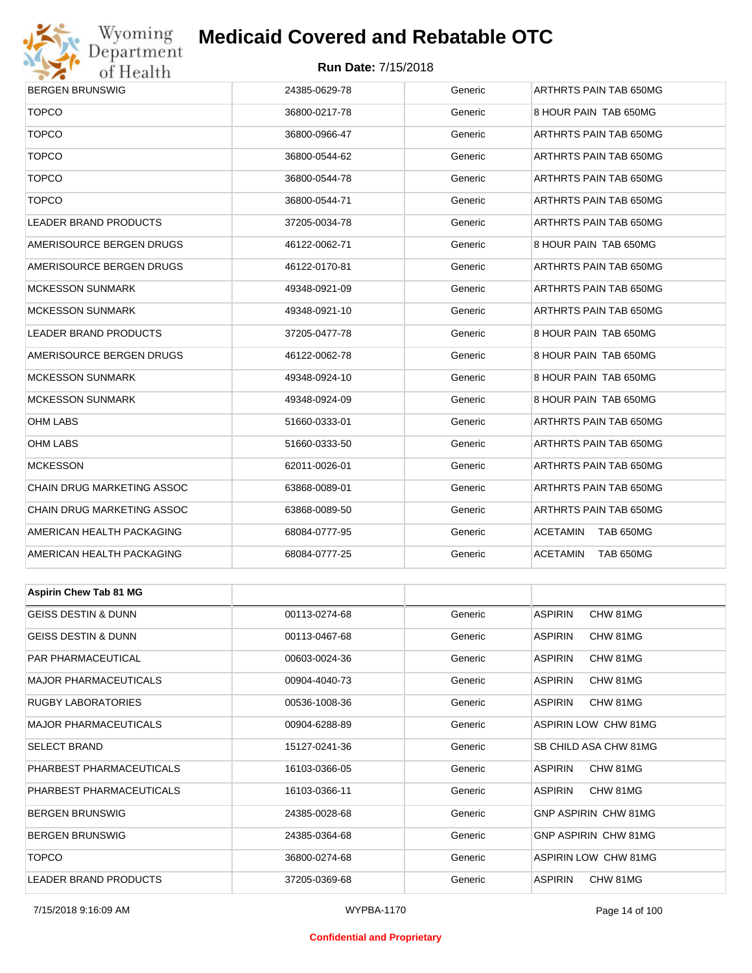

#### **Run Date:** 7/15/2018

| BERGEN BRUNSWIG                | 24385-0629-78 | Generic | ARTHRTS PAIN TAB 650MG       |  |  |
|--------------------------------|---------------|---------|------------------------------|--|--|
| <b>TOPCO</b>                   | 36800-0217-78 | Generic | 8 HOUR PAIN TAB 650MG        |  |  |
| <b>TOPCO</b>                   | 36800-0966-47 | Generic | ARTHRTS PAIN TAB 650MG       |  |  |
| <b>TOPCO</b>                   | 36800-0544-62 | Generic | ARTHRTS PAIN TAB 650MG       |  |  |
| <b>TOPCO</b>                   | 36800-0544-78 | Generic | ARTHRTS PAIN TAB 650MG       |  |  |
| <b>TOPCO</b>                   | 36800-0544-71 | Generic | ARTHRTS PAIN TAB 650MG       |  |  |
| <b>LEADER BRAND PRODUCTS</b>   | 37205-0034-78 | Generic | ARTHRTS PAIN TAB 650MG       |  |  |
| AMERISOURCE BERGEN DRUGS       | 46122-0062-71 | Generic | 8 HOUR PAIN TAB 650MG        |  |  |
| AMERISOURCE BERGEN DRUGS       | 46122-0170-81 | Generic | ARTHRTS PAIN TAB 650MG       |  |  |
| MCKESSON SUNMARK               | 49348-0921-09 | Generic | ARTHRTS PAIN TAB 650MG       |  |  |
| MCKESSON SUNMARK               | 49348-0921-10 | Generic | ARTHRTS PAIN TAB 650MG       |  |  |
| LEADER BRAND PRODUCTS          | 37205-0477-78 | Generic | 8 HOUR PAIN TAB 650MG        |  |  |
| AMERISOURCE BERGEN DRUGS       | 46122-0062-78 | Generic | 8 HOUR PAIN TAB 650MG        |  |  |
| MCKESSON SUNMARK               | 49348-0924-10 | Generic | 8 HOUR PAIN TAB 650MG        |  |  |
| MCKESSON SUNMARK               | 49348-0924-09 | Generic | 8 HOUR PAIN TAB 650MG        |  |  |
| OHM LABS                       | 51660-0333-01 | Generic | ARTHRTS PAIN TAB 650MG       |  |  |
| OHM LABS                       | 51660-0333-50 | Generic | ARTHRTS PAIN TAB 650MG       |  |  |
| MCKESSON                       | 62011-0026-01 | Generic | ARTHRTS PAIN TAB 650MG       |  |  |
| CHAIN DRUG MARKETING ASSOC     | 63868-0089-01 | Generic | ARTHRTS PAIN TAB 650MG       |  |  |
| CHAIN DRUG MARKETING ASSOC     | 63868-0089-50 | Generic | ARTHRTS PAIN TAB 650MG       |  |  |
| AMERICAN HEALTH PACKAGING      | 68084-0777-95 | Generic | <b>ACETAMIN</b><br>TAB 650MG |  |  |
| AMERICAN HEALTH PACKAGING      | 68084-0777-25 | Generic | <b>ACETAMIN</b><br>TAB 650MG |  |  |
|                                |               |         |                              |  |  |
| <b>Aspirin Chew Tab 81 MG</b>  |               |         |                              |  |  |
| <b>GEISS DESTIN &amp; DUNN</b> | 00113-0274-68 | Generic | <b>ASPIRIN</b><br>CHW 81MG   |  |  |
| GEISS DESTIN & DUNN            | 00113-0467-68 | Generic | <b>ASPIRIN</b><br>CHW 81MG   |  |  |
| PAR PHARMACEUTICAL             | 00603-0024-36 | Generic | <b>ASPIRIN</b><br>CHW 81MG   |  |  |
| MAJOR PHARMACEUTICALS          | 00904-4040-73 | Generic | ASPIRIN<br>CHW 81MG          |  |  |
| RUGBY LABORATORIES             | 00536-1008-36 | Generic | ASPIRIN<br>CHW 81MG          |  |  |
| MAJOR PHARMACEUTICALS          | 00904-6288-89 | Generic | ASPIRIN LOW CHW 81MG         |  |  |
| SELECT BRAND                   | 15127-0241-36 | Generic | SB CHILD ASA CHW 81MG        |  |  |
| PHARBEST PHARMACEUTICALS       | 16103-0366-05 | Generic | ASPIRIN<br>CHW 81MG          |  |  |
| PHARBEST PHARMACEUTICALS       | 16103-0366-11 | Generic | ASPIRIN<br>CHW 81MG          |  |  |
| <b>BERGEN BRUNSWIG</b>         | 24385-0028-68 | Generic | GNP ASPIRIN CHW 81MG         |  |  |
| <b>BERGEN BRUNSWIG</b>         | 24385-0364-68 | Generic | GNP ASPIRIN CHW 81MG         |  |  |

TOPCO 36800-0274-68 Generic ASPIRIN LOW CHW 81MG LEADER BRAND PRODUCTS 37205-0369-68 Generic ASPIRIN CHW 81MG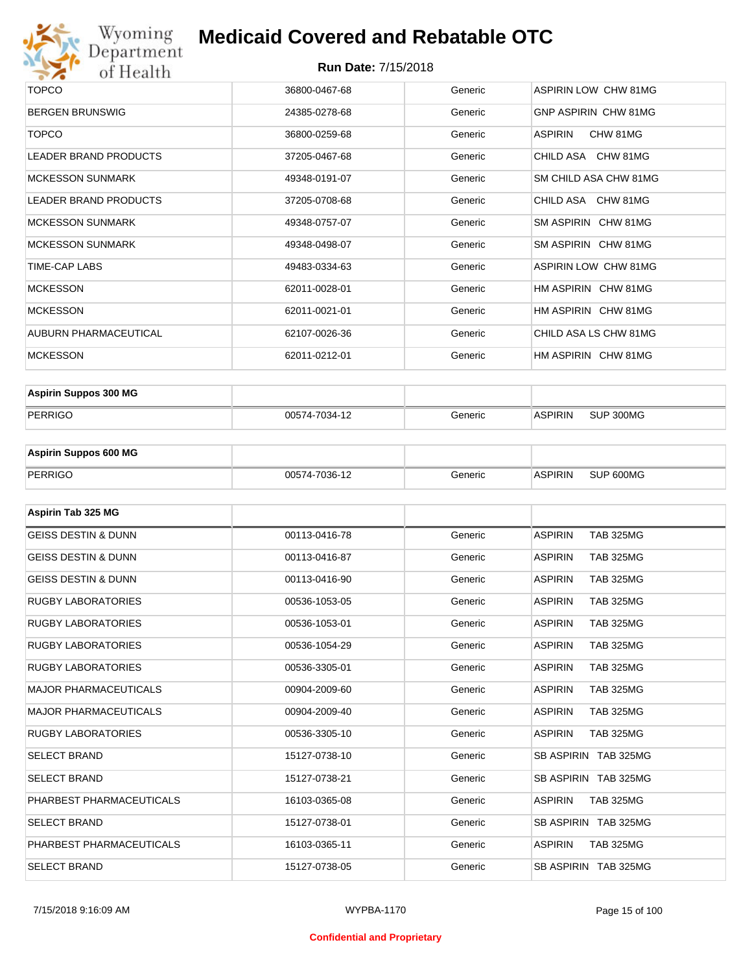

| <b>TOPCO</b>                 | 36800-0467-68 | Generic | ASPIRIN LOW CHW 81MG  |
|------------------------------|---------------|---------|-----------------------|
| <b>BERGEN BRUNSWIG</b>       | 24385-0278-68 | Generic | GNP ASPIRIN CHW 81MG  |
| <b>TOPCO</b>                 | 36800-0259-68 | Generic | CHW 81MG<br>ASPIRIN   |
| LEADER BRAND PRODUCTS        | 37205-0467-68 | Generic | CHILD ASA CHW 81MG    |
| <b>MCKESSON SUNMARK</b>      | 49348-0191-07 | Generic | SM CHILD ASA CHW 81MG |
| <b>LEADER BRAND PRODUCTS</b> | 37205-0708-68 | Generic | CHILD ASA CHW 81MG    |
| <b>MCKESSON SUNMARK</b>      | 49348-0757-07 | Generic | SM ASPIRIN CHW 81MG   |
| <b>MCKESSON SUNMARK</b>      | 49348-0498-07 | Generic | SM ASPIRIN CHW 81MG   |
| TIME-CAP LABS                | 49483-0334-63 | Generic | ASPIRIN LOW CHW 81MG  |
| <b>MCKESSON</b>              | 62011-0028-01 | Generic | HM ASPIRIN CHW 81MG   |
| <b>MCKESSON</b>              | 62011-0021-01 | Generic | HM ASPIRIN CHW 81MG   |
| AUBURN PHARMACEUTICAL        | 62107-0026-36 | Generic | CHILD ASA LS CHW 81MG |
| <b>MCKESSON</b>              | 62011-0212-01 | Generic | HM ASPIRIN CHW 81MG   |

| <b>Aspirin Suppos 300 MG</b> |               |         |                |           |
|------------------------------|---------------|---------|----------------|-----------|
| PERRIGO                      | 00574-7034-12 | Generic | <b>ASPIRIN</b> | SUP 300MG |

| <b>Aspirin Suppos 600 MG</b> |               |         |                |           |
|------------------------------|---------------|---------|----------------|-----------|
| PERRIGO                      | 00574-7036-12 | Generic | <b>ASPIRIN</b> | SUP 600MG |

| Aspirin Tab 325 MG             |               |         |                                    |
|--------------------------------|---------------|---------|------------------------------------|
| <b>GEISS DESTIN &amp; DUNN</b> | 00113-0416-78 | Generic | <b>ASPIRIN</b><br><b>TAB 325MG</b> |
| <b>GEISS DESTIN &amp; DUNN</b> | 00113-0416-87 | Generic | <b>ASPIRIN</b><br><b>TAB 325MG</b> |
| <b>GEISS DESTIN &amp; DUNN</b> | 00113-0416-90 | Generic | <b>ASPIRIN</b><br><b>TAB 325MG</b> |
| <b>RUGBY LABORATORIES</b>      | 00536-1053-05 | Generic | <b>TAB 325MG</b><br><b>ASPIRIN</b> |
| <b>RUGBY LABORATORIES</b>      | 00536-1053-01 | Generic | <b>ASPIRIN</b><br><b>TAB 325MG</b> |
| <b>RUGBY LABORATORIES</b>      | 00536-1054-29 | Generic | <b>ASPIRIN</b><br><b>TAB 325MG</b> |
| <b>RUGBY LABORATORIES</b>      | 00536-3305-01 | Generic | <b>ASPIRIN</b><br><b>TAB 325MG</b> |
| <b>MAJOR PHARMACEUTICALS</b>   | 00904-2009-60 | Generic | <b>TAB 325MG</b><br><b>ASPIRIN</b> |
| <b>MAJOR PHARMACEUTICALS</b>   | 00904-2009-40 | Generic | <b>TAB 325MG</b><br><b>ASPIRIN</b> |
| <b>RUGBY LABORATORIES</b>      | 00536-3305-10 | Generic | <b>ASPIRIN</b><br><b>TAB 325MG</b> |
| <b>SELECT BRAND</b>            | 15127-0738-10 | Generic | SB ASPIRIN TAB 325MG               |
| <b>SELECT BRAND</b>            | 15127-0738-21 | Generic | SB ASPIRIN TAB 325MG               |
| PHARBEST PHARMACEUTICALS       | 16103-0365-08 | Generic | <b>ASPIRIN</b><br><b>TAB 325MG</b> |
| <b>SELECT BRAND</b>            | 15127-0738-01 | Generic | SB ASPIRIN TAB 325MG               |
| PHARBEST PHARMACEUTICALS       | 16103-0365-11 | Generic | <b>ASPIRIN</b><br><b>TAB 325MG</b> |
| <b>SELECT BRAND</b>            | 15127-0738-05 | Generic | SB ASPIRIN TAB 325MG               |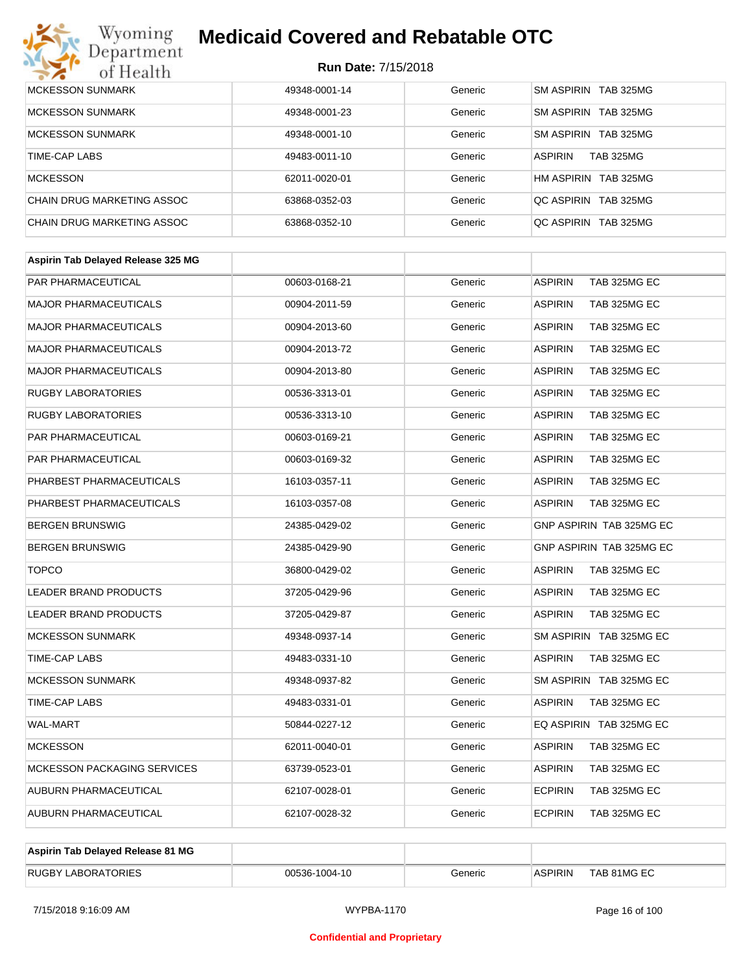# Wyoming<br>Department<br>of Health

## **Medicaid Covered and Rebatable OTC**

| <b>MCKESSON SUNMARK</b>    | 49348-0001-14 | Generic | SM ASPIRIN TAB 325MG               |
|----------------------------|---------------|---------|------------------------------------|
| <b>MCKESSON SUNMARK</b>    | 49348-0001-23 | Generic | SM ASPIRIN TAB 325MG               |
| <b>MCKESSON SUNMARK</b>    | 49348-0001-10 | Generic | SM ASPIRIN TAB 325MG               |
| TIME-CAP LABS              | 49483-0011-10 | Generic | <b>ASPIRIN</b><br><b>TAB 325MG</b> |
| <b>MCKESSON</b>            | 62011-0020-01 | Generic | HM ASPIRIN TAB 325MG               |
| CHAIN DRUG MARKETING ASSOC | 63868-0352-03 | Generic | OC ASPIRIN TAB 325MG               |
| CHAIN DRUG MARKETING ASSOC | 63868-0352-10 | Generic | OC ASPIRIN TAB 325MG               |

| Aspirin Tab Delayed Release 325 MG |               |         |                                 |
|------------------------------------|---------------|---------|---------------------------------|
| <b>PAR PHARMACEUTICAL</b>          | 00603-0168-21 | Generic | <b>ASPIRIN</b><br>TAB 325MG EC  |
| <b>MAJOR PHARMACEUTICALS</b>       | 00904-2011-59 | Generic | <b>ASPIRIN</b><br>TAB 325MG EC  |
| <b>MAJOR PHARMACEUTICALS</b>       | 00904-2013-60 | Generic | <b>ASPIRIN</b><br>TAB 325MG EC  |
| <b>MAJOR PHARMACEUTICALS</b>       | 00904-2013-72 | Generic | <b>ASPIRIN</b><br>TAB 325MG EC  |
| <b>MAJOR PHARMACEUTICALS</b>       | 00904-2013-80 | Generic | <b>ASPIRIN</b><br>TAB 325MG EC  |
| <b>RUGBY LABORATORIES</b>          | 00536-3313-01 | Generic | <b>ASPIRIN</b><br>TAB 325MG EC  |
| <b>RUGBY LABORATORIES</b>          | 00536-3313-10 | Generic | <b>ASPIRIN</b><br>TAB 325MG EC  |
| PAR PHARMACEUTICAL                 | 00603-0169-21 | Generic | <b>ASPIRIN</b><br>TAB 325MG EC  |
| PAR PHARMACEUTICAL                 | 00603-0169-32 | Generic | <b>ASPIRIN</b><br>TAB 325MG EC  |
| PHARBEST PHARMACEUTICALS           | 16103-0357-11 | Generic | <b>ASPIRIN</b><br>TAB 325MG EC  |
| PHARBEST PHARMACEUTICALS           | 16103-0357-08 | Generic | <b>ASPIRIN</b><br>TAB 325MG EC  |
| <b>BERGEN BRUNSWIG</b>             | 24385-0429-02 | Generic | GNP ASPIRIN TAB 325MG EC        |
| <b>BERGEN BRUNSWIG</b>             | 24385-0429-90 | Generic | <b>GNP ASPIRIN TAB 325MG EC</b> |
| <b>TOPCO</b>                       | 36800-0429-02 | Generic | <b>ASPIRIN</b><br>TAB 325MG EC  |
| <b>LEADER BRAND PRODUCTS</b>       | 37205-0429-96 | Generic | <b>ASPIRIN</b><br>TAB 325MG EC  |
| <b>LEADER BRAND PRODUCTS</b>       | 37205-0429-87 | Generic | <b>ASPIRIN</b><br>TAB 325MG EC  |
| <b>MCKESSON SUNMARK</b>            | 49348-0937-14 | Generic | SM ASPIRIN TAB 325MG EC         |
| <b>TIME-CAP LABS</b>               | 49483-0331-10 | Generic | <b>ASPIRIN</b><br>TAB 325MG EC  |
| <b>MCKESSON SUNMARK</b>            | 49348-0937-82 | Generic | SM ASPIRIN TAB 325MG EC         |
| TIME-CAP LABS                      | 49483-0331-01 | Generic | <b>ASPIRIN</b><br>TAB 325MG EC  |
| <b>WAL-MART</b>                    | 50844-0227-12 | Generic | EQ ASPIRIN TAB 325MG EC         |
| <b>MCKESSON</b>                    | 62011-0040-01 | Generic | <b>ASPIRIN</b><br>TAB 325MG EC  |
| <b>MCKESSON PACKAGING SERVICES</b> | 63739-0523-01 | Generic | <b>ASPIRIN</b><br>TAB 325MG EC  |
| AUBURN PHARMACEUTICAL              | 62107-0028-01 | Generic | <b>ECPIRIN</b><br>TAB 325MG EC  |
| AUBURN PHARMACEUTICAL              | 62107-0028-32 | Generic | <b>ECPIRIN</b><br>TAB 325MG EC  |
|                                    |               |         |                                 |

| Aspirin Tab Delayed Release 81 MG |               |         |                |             |
|-----------------------------------|---------------|---------|----------------|-------------|
| <b>RUGBY LABORATORIES</b>         | 00536-1004-10 | Generic | <b>ASPIRIN</b> | TAB 81MG EC |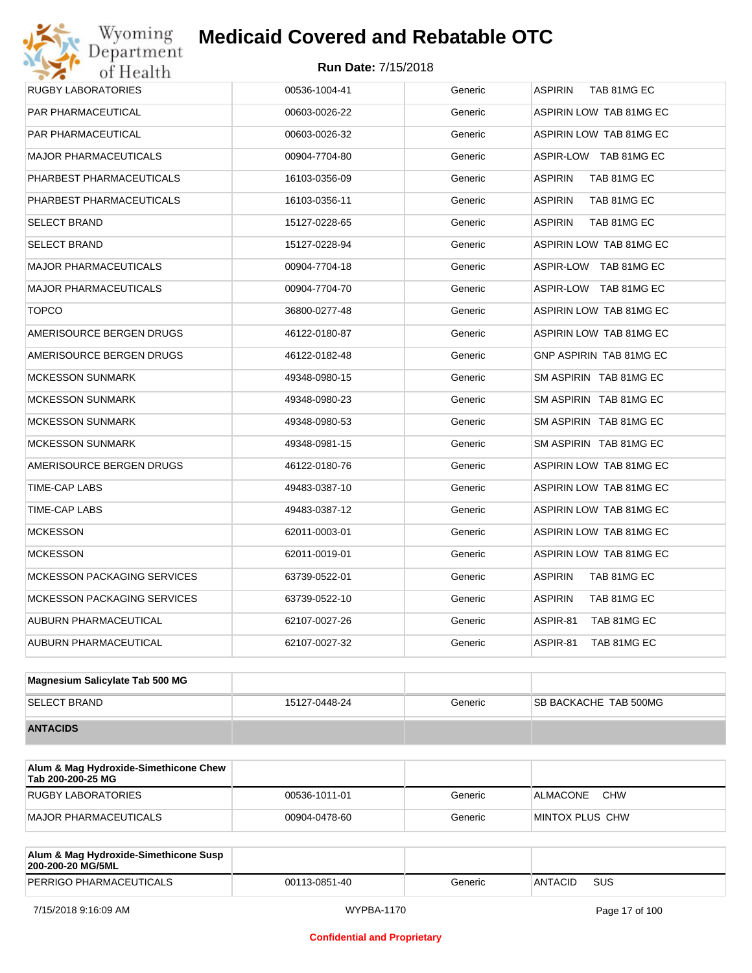## Wyoming<br>Department<br>of Health **Medicaid Covered and Rebatable OTC**

| RUGBY LABORATORIES                 | 00536-1004-41 | Generic | <b>ASPIRIN</b><br>TAB 81MG EC |
|------------------------------------|---------------|---------|-------------------------------|
| PAR PHARMACEUTICAL                 | 00603-0026-22 | Generic | ASPIRIN LOW TAB 81MG EC       |
| PAR PHARMACEUTICAL                 | 00603-0026-32 | Generic | ASPIRIN LOW TAB 81MG EC       |
| <b>MAJOR PHARMACEUTICALS</b>       | 00904-7704-80 | Generic | ASPIR-LOW TAB 81MG EC         |
| PHARBEST PHARMACEUTICALS           | 16103-0356-09 | Generic | <b>ASPIRIN</b><br>TAB 81MG EC |
| PHARBEST PHARMACEUTICALS           | 16103-0356-11 | Generic | <b>ASPIRIN</b><br>TAB 81MG EC |
| <b>SELECT BRAND</b>                | 15127-0228-65 | Generic | <b>ASPIRIN</b><br>TAB 81MG EC |
| <b>SELECT BRAND</b>                | 15127-0228-94 | Generic | ASPIRIN LOW TAB 81MG EC       |
| <b>MAJOR PHARMACEUTICALS</b>       | 00904-7704-18 | Generic | ASPIR-LOW TAB 81MG EC         |
| <b>MAJOR PHARMACEUTICALS</b>       | 00904-7704-70 | Generic | ASPIR-LOW TAB 81MG EC         |
| <b>TOPCO</b>                       | 36800-0277-48 | Generic | ASPIRIN LOW TAB 81MG EC       |
| AMERISOURCE BERGEN DRUGS           | 46122-0180-87 | Generic | ASPIRIN LOW TAB 81MG EC       |
| AMERISOURCE BERGEN DRUGS           | 46122-0182-48 | Generic | GNP ASPIRIN TAB 81MG EC       |
| <b>MCKESSON SUNMARK</b>            | 49348-0980-15 | Generic | SM ASPIRIN TAB 81MG EC        |
| <b>MCKESSON SUNMARK</b>            | 49348-0980-23 | Generic | SM ASPIRIN TAB 81MG EC        |
| <b>MCKESSON SUNMARK</b>            | 49348-0980-53 | Generic | SM ASPIRIN TAB 81MG EC        |
| <b>MCKESSON SUNMARK</b>            | 49348-0981-15 | Generic | SM ASPIRIN TAB 81MG EC        |
| AMERISOURCE BERGEN DRUGS           | 46122-0180-76 | Generic | ASPIRIN LOW TAB 81MG EC       |
| TIME-CAP LABS                      | 49483-0387-10 | Generic | ASPIRIN LOW TAB 81MG EC       |
| TIME-CAP LABS                      | 49483-0387-12 | Generic | ASPIRIN LOW TAB 81MG EC       |
| <b>MCKESSON</b>                    | 62011-0003-01 | Generic | ASPIRIN LOW TAB 81MG EC       |
| <b>MCKESSON</b>                    | 62011-0019-01 | Generic | ASPIRIN LOW TAB 81MG EC       |
| <b>MCKESSON PACKAGING SERVICES</b> | 63739-0522-01 | Generic | <b>ASPIRIN</b><br>TAB 81MG EC |
| <b>MCKESSON PACKAGING SERVICES</b> | 63739-0522-10 | Generic | <b>ASPIRIN</b><br>TAB 81MG EC |
| AUBURN PHARMACEUTICAL              | 62107-0027-26 | Generic | ASPIR-81<br>TAB 81MG EC       |
| AUBURN PHARMACEUTICAL              | 62107-0027-32 | Generic | ASPIR-81<br>TAB 81MG EC       |
|                                    |               |         |                               |

| Magnesium Salicylate Tab 500 MG |               |         |                              |
|---------------------------------|---------------|---------|------------------------------|
| <b>SELECT BRAND</b>             | 15127-0448-24 | Generic | <b>SB BACKACHE TAB 500MG</b> |
| <b>ANTACIDS</b>                 |               |         |                              |

| Alum & Mag Hydroxide-Simethicone Chew<br>Tab 200-200-25 MG |               |         |                               |
|------------------------------------------------------------|---------------|---------|-------------------------------|
| RUGBY LABORATORIES                                         | 00536-1011-01 | Generic | <b>CHW</b><br><b>ALMACONE</b> |
| MAJOR PHARMACEUTICALS                                      | 00904-0478-60 | Generic | IMINTOX PLUS CHW              |

| Alum & Mag Hydroxide-Simethicone Susp<br>200-200-20 MG/5ML |               |         |                |     |
|------------------------------------------------------------|---------------|---------|----------------|-----|
| PERRIGO PHARMACEUTICALS                                    | 00113-0851-40 | Generic | <b>ANTACID</b> | SUS |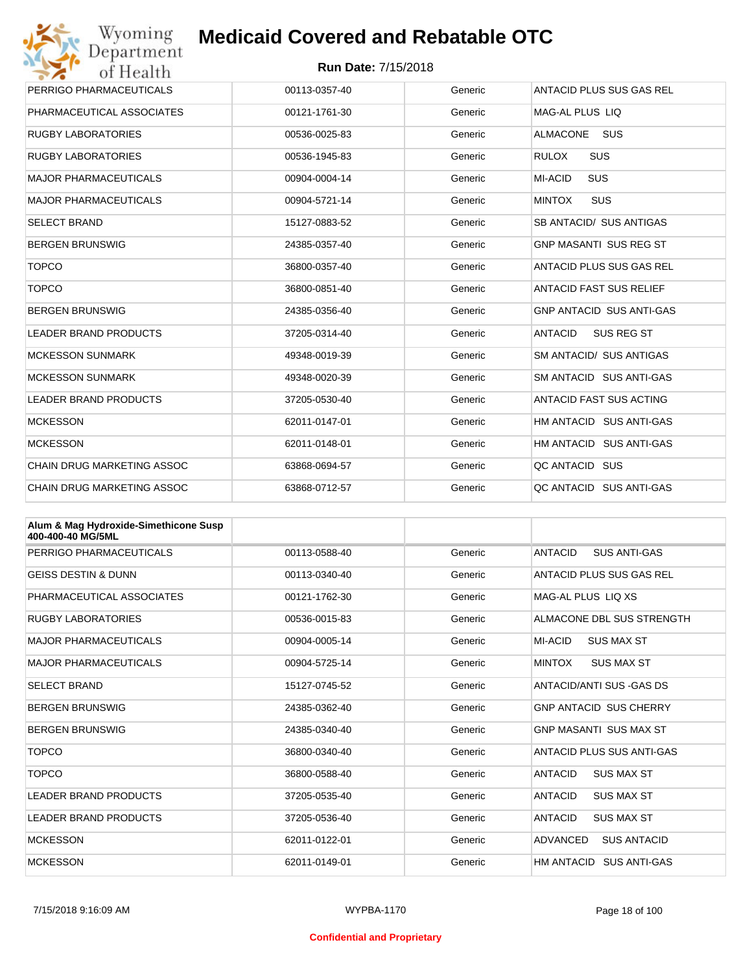| Wyoming                           | <b>Medicaid Covered and Rebatable OTC</b> |         |                                     |
|-----------------------------------|-------------------------------------------|---------|-------------------------------------|
| Department<br>of Health           | <b>Run Date: 7/15/2018</b>                |         |                                     |
| PERRIGO PHARMACEUTICALS           | 00113-0357-40                             | Generic | ANTACID PLUS SUS GAS REL            |
| PHARMACEUTICAL ASSOCIATES         | 00121-1761-30                             | Generic | MAG-AL PLUS LIO                     |
| <b>RUGBY LABORATORIES</b>         | 00536-0025-83                             | Generic | <b>ALMACONE</b><br><b>SUS</b>       |
| <b>RUGBY LABORATORIES</b>         | 00536-1945-83                             | Generic | <b>RULOX</b><br><b>SUS</b>          |
| MAJOR PHARMACEUTICALS             | 00904-0004-14                             | Generic | <b>MI-ACID</b><br><b>SUS</b>        |
| MAJOR PHARMACEUTICALS             | 00904-5721-14                             | Generic | <b>MINTOX</b><br><b>SUS</b>         |
| <b>SELECT BRAND</b>               | 15127-0883-52                             | Generic | SB ANTACID/ SUS ANTIGAS             |
| <b>BERGEN BRUNSWIG</b>            | 24385-0357-40                             | Generic | <b>GNP MASANTI SUS REG ST</b>       |
| <b>TOPCO</b>                      | 36800-0357-40                             | Generic | ANTACID PLUS SUS GAS REL            |
| <b>TOPCO</b>                      | 36800-0851-40                             | Generic | ANTACID FAST SUS RELIEF             |
| BERGEN BRUNSWIG                   | 24385-0356-40                             | Generic | <b>GNP ANTACID SUS ANTI-GAS</b>     |
| <b>LEADER BRAND PRODUCTS</b>      | 37205-0314-40                             | Generic | <b>ANTACID</b><br><b>SUS REG ST</b> |
| <b>MCKESSON SUNMARK</b>           | 49348-0019-39                             | Generic | SM ANTACID/ SUS ANTIGAS             |
| <b>MCKESSON SUNMARK</b>           | 49348-0020-39                             | Generic | SM ANTACID SUS ANTI-GAS             |
| <b>LEADER BRAND PRODUCTS</b>      | 37205-0530-40                             | Generic | <b>ANTACID FAST SUS ACTING</b>      |
| <b>MCKESSON</b>                   | 62011-0147-01                             | Generic | HM ANTACID SUS ANTI-GAS             |
| <b>MCKESSON</b>                   | 62011-0148-01                             | Generic | HM ANTACID SUS ANTI-GAS             |
| <b>CHAIN DRUG MARKETING ASSOC</b> | 63868-0694-57                             | Generic | QC ANTACID SUS                      |
| <b>CHAIN DRUG MARKETING ASSOC</b> | 63868-0712-57                             | Generic | OC ANTACID SUS ANTI-GAS             |

| Alum & Mag Hydroxide-Simethicone Susp<br>400-400-40 MG/5ML |               |         |                                       |
|------------------------------------------------------------|---------------|---------|---------------------------------------|
| PERRIGO PHARMACEUTICALS                                    | 00113-0588-40 | Generic | <b>ANTACID</b><br><b>SUS ANTI-GAS</b> |
| <b>GEISS DESTIN &amp; DUNN</b>                             | 00113-0340-40 | Generic | ANTACID PLUS SUS GAS REL              |
| PHARMACEUTICAL ASSOCIATES                                  | 00121-1762-30 | Generic | MAG-AL PLUS LIO XS                    |
| <b>RUGBY LABORATORIES</b>                                  | 00536-0015-83 | Generic | ALMACONE DBL SUS STRENGTH             |
| <b>MAJOR PHARMACEUTICALS</b>                               | 00904-0005-14 | Generic | MI-ACID<br><b>SUS MAX ST</b>          |
| <b>MAJOR PHARMACEUTICALS</b>                               | 00904-5725-14 | Generic | <b>MINTOX</b><br><b>SUS MAX ST</b>    |
| <b>SELECT BRAND</b>                                        | 15127-0745-52 | Generic | ANTACID/ANTI SUS - GAS DS             |
| <b>BERGEN BRUNSWIG</b>                                     | 24385-0362-40 | Generic | <b>GNP ANTACID SUS CHERRY</b>         |
| <b>BERGEN BRUNSWIG</b>                                     | 24385-0340-40 | Generic | <b>GNP MASANTI SUS MAX ST</b>         |
| <b>TOPCO</b>                                               | 36800-0340-40 | Generic | ANTACID PLUS SUS ANTI-GAS             |
| <b>TOPCO</b>                                               | 36800-0588-40 | Generic | <b>SUS MAX ST</b><br>ANTACID          |
| <b>LEADER BRAND PRODUCTS</b>                               | 37205-0535-40 | Generic | <b>ANTACID</b><br><b>SUS MAX ST</b>   |
| <b>LEADER BRAND PRODUCTS</b>                               | 37205-0536-40 | Generic | ANTACID<br><b>SUS MAX ST</b>          |
| <b>MCKESSON</b>                                            | 62011-0122-01 | Generic | ADVANCED<br><b>SUS ANTACID</b>        |
| <b>MCKESSON</b>                                            | 62011-0149-01 | Generic | HM ANTACID SUS ANTI-GAS               |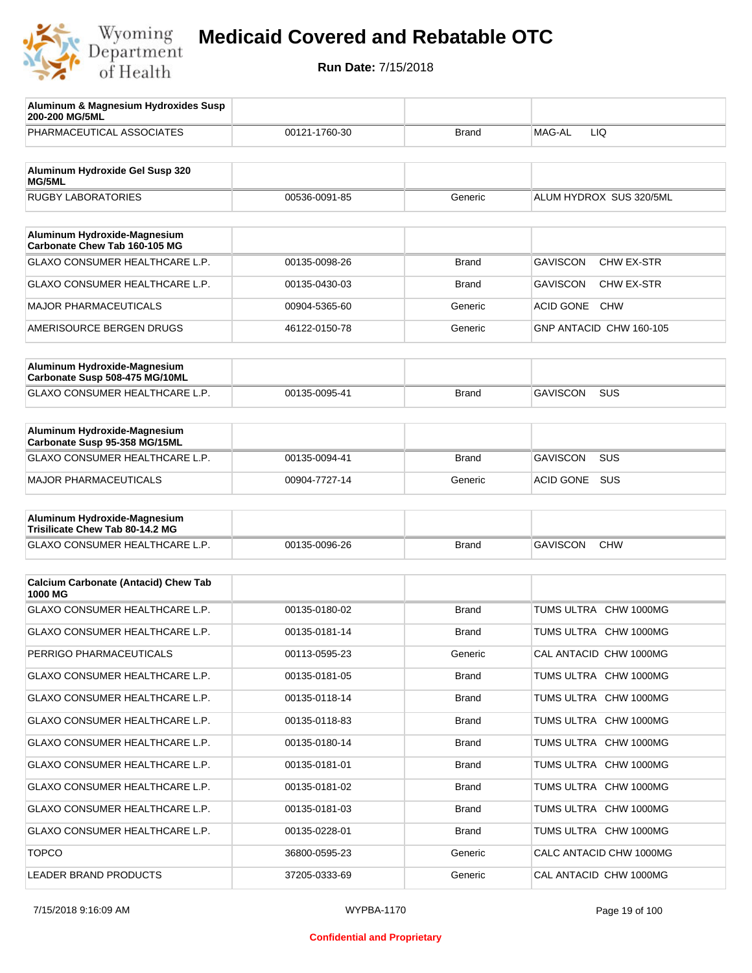

| Aluminum & Magnesium Hydroxides Susp<br>200-200 MG/5ML        |               |              |                                |
|---------------------------------------------------------------|---------------|--------------|--------------------------------|
| PHARMACEUTICAL ASSOCIATES                                     | 00121-1760-30 | Brand        | MAG-AL<br>LIQ                  |
| Aluminum Hydroxide Gel Susp 320<br><b>MG/5ML</b>              |               |              |                                |
| <b>RUGBY LABORATORIES</b>                                     | 00536-0091-85 | Generic      | ALUM HYDROX SUS 320/5ML        |
|                                                               |               |              |                                |
| Aluminum Hydroxide-Magnesium<br>Carbonate Chew Tab 160-105 MG |               |              |                                |
| GLAXO CONSUMER HEALTHCARE L.P.                                | 00135-0098-26 | Brand        | <b>GAVISCON</b><br>CHW EX-STR  |
| GLAXO CONSUMER HEALTHCARE L.P.                                | 00135-0430-03 | Brand        | <b>GAVISCON</b><br>CHW EX-STR  |
| <b>MAJOR PHARMACEUTICALS</b>                                  | 00904-5365-60 | Generic      | <b>ACID GONE</b><br><b>CHW</b> |
| AMERISOURCE BERGEN DRUGS                                      | 46122-0150-78 | Generic      | GNP ANTACID CHW 160-105        |
| Aluminum Hydroxide-Magnesium                                  |               |              |                                |
| Carbonate Susp 508-475 MG/10ML                                |               |              |                                |
| GLAXO CONSUMER HEALTHCARE L.P.                                | 00135-0095-41 | Brand        | <b>GAVISCON</b><br><b>SUS</b>  |
| Aluminum Hydroxide-Magnesium                                  |               |              |                                |
| Carbonate Susp 95-358 MG/15ML                                 |               |              |                                |
| GLAXO CONSUMER HEALTHCARE L.P.                                | 00135-0094-41 | Brand        | <b>GAVISCON</b><br><b>SUS</b>  |
| MAJOR PHARMACEUTICALS                                         | 00904-7727-14 | Generic      | <b>ACID GONE</b><br><b>SUS</b> |
| Aluminum Hydroxide-Magnesium                                  |               |              |                                |
| Trisilicate Chew Tab 80-14.2 MG                               |               |              |                                |
| GLAXO CONSUMER HEALTHCARE L.P.                                | 00135-0096-26 | <b>Brand</b> | <b>GAVISCON</b><br><b>CHW</b>  |
| <b>Calcium Carbonate (Antacid) Chew Tab</b>                   |               |              |                                |
| 1000 MG                                                       |               |              |                                |
| <b>GLAXO CONSUMER HEALTHCARE L.P.</b>                         | 00135-0180-02 | <b>Brand</b> | TUMS ULTRA CHW 1000MG          |
| <b>GLAXO CONSUMER HEALTHCARE L.P.</b>                         | 00135-0181-14 | Brand        | TUMS ULTRA CHW 1000MG          |
| PERRIGO PHARMACEUTICALS                                       | 00113-0595-23 | Generic      | CAL ANTACID CHW 1000MG         |
| GLAXO CONSUMER HEALTHCARE L.P.                                | 00135-0181-05 | <b>Brand</b> | TUMS ULTRA CHW 1000MG          |
| <b>GLAXO CONSUMER HEALTHCARE L.P.</b>                         | 00135-0118-14 | <b>Brand</b> | TUMS ULTRA CHW 1000MG          |
| GLAXO CONSUMER HEALTHCARE L.P.                                | 00135-0118-83 | <b>Brand</b> | TUMS ULTRA CHW 1000MG          |
| <b>GLAXO CONSUMER HEALTHCARE L.P.</b>                         | 00135-0180-14 | <b>Brand</b> | TUMS ULTRA CHW 1000MG          |
| GLAXO CONSUMER HEALTHCARE L.P.                                | 00135-0181-01 | <b>Brand</b> | TUMS ULTRA CHW 1000MG          |
| GLAXO CONSUMER HEALTHCARE L.P.                                | 00135-0181-02 | <b>Brand</b> | TUMS ULTRA CHW 1000MG          |
| GLAXO CONSUMER HEALTHCARE L.P.                                | 00135-0181-03 | <b>Brand</b> | TUMS ULTRA CHW 1000MG          |
| GLAXO CONSUMER HEALTHCARE L.P.                                | 00135-0228-01 | <b>Brand</b> | TUMS ULTRA CHW 1000MG          |
| <b>TOPCO</b>                                                  | 36800-0595-23 | Generic      | CALC ANTACID CHW 1000MG        |
| LEADER BRAND PRODUCTS                                         | 37205-0333-69 | Generic      | CAL ANTACID CHW 1000MG         |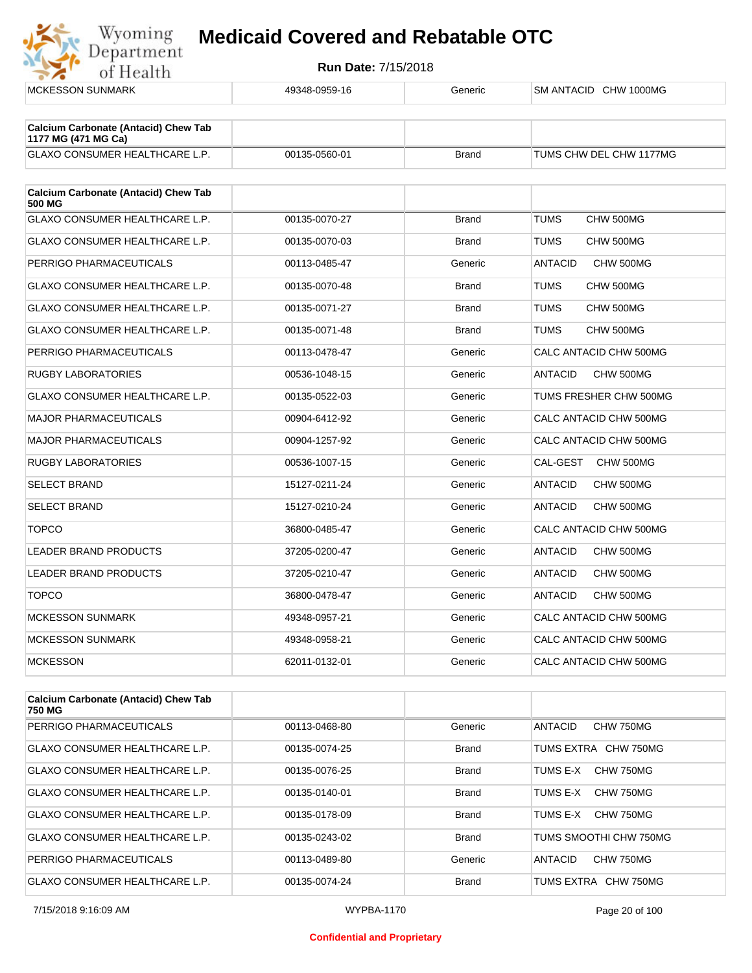

| <b>MCKESSON SUNMARK</b>                                            | 49348-0959-16 | Generic      | SM ANTACID CHW 1000MG       |
|--------------------------------------------------------------------|---------------|--------------|-----------------------------|
|                                                                    |               |              |                             |
| <b>Calcium Carbonate (Antacid) Chew Tab</b><br>1177 MG (471 MG Ca) |               |              |                             |
| GLAXO CONSUMER HEALTHCARE L.P.                                     | 00135-0560-01 | <b>Brand</b> | TUMS CHW DEL CHW 1177MG     |
|                                                                    |               |              |                             |
| <b>Calcium Carbonate (Antacid) Chew Tab</b><br>500 MG              |               |              |                             |
| <b>GLAXO CONSUMER HEALTHCARE L.P.</b>                              | 00135-0070-27 | <b>Brand</b> | <b>TUMS</b><br>CHW 500MG    |
| <b>GLAXO CONSUMER HEALTHCARE L.P.</b>                              | 00135-0070-03 | <b>Brand</b> | <b>TUMS</b><br>CHW 500MG    |
| PERRIGO PHARMACEUTICALS                                            | 00113-0485-47 | Generic      | <b>ANTACID</b><br>CHW 500MG |
| GLAXO CONSUMER HEALTHCARE L.P.                                     | 00135-0070-48 | <b>Brand</b> | TUMS<br>CHW 500MG           |
| <b>GLAXO CONSUMER HEALTHCARE L.P.</b>                              | 00135-0071-27 | <b>Brand</b> | TUMS<br>CHW 500MG           |
| <b>GLAXO CONSUMER HEALTHCARE L.P.</b>                              | 00135-0071-48 | <b>Brand</b> | <b>TUMS</b><br>CHW 500MG    |
| PERRIGO PHARMACEUTICALS                                            | 00113-0478-47 | Generic      | CALC ANTACID CHW 500MG      |
| <b>RUGBY LABORATORIES</b>                                          | 00536-1048-15 | Generic      | <b>ANTACID</b><br>CHW 500MG |
| GLAXO CONSUMER HEALTHCARE L.P.                                     | 00135-0522-03 | Generic      | TUMS FRESHER CHW 500MG      |
| <b>MAJOR PHARMACEUTICALS</b>                                       | 00904-6412-92 | Generic      | CALC ANTACID CHW 500MG      |
| <b>MAJOR PHARMACEUTICALS</b>                                       | 00904-1257-92 | Generic      | CALC ANTACID CHW 500MG      |
| RUGBY LABORATORIES                                                 | 00536-1007-15 | Generic      | CAL-GEST<br>CHW 500MG       |
| <b>SELECT BRAND</b>                                                | 15127-0211-24 | Generic      | <b>ANTACID</b><br>CHW 500MG |
| <b>SELECT BRAND</b>                                                | 15127-0210-24 | Generic      | <b>ANTACID</b><br>CHW 500MG |
| <b>TOPCO</b>                                                       | 36800-0485-47 | Generic      | CALC ANTACID CHW 500MG      |
| <b>LEADER BRAND PRODUCTS</b>                                       | 37205-0200-47 | Generic      | <b>ANTACID</b><br>CHW 500MG |
| <b>LEADER BRAND PRODUCTS</b>                                       | 37205-0210-47 | Generic      | CHW 500MG<br><b>ANTACID</b> |
| <b>TOPCO</b>                                                       | 36800-0478-47 | Generic      | <b>ANTACID</b><br>CHW 500MG |
| <b>MCKESSON SUNMARK</b>                                            | 49348-0957-21 | Generic      | CALC ANTACID CHW 500MG      |
| <b>MCKESSON SUNMARK</b>                                            | 49348-0958-21 | Generic      | CALC ANTACID CHW 500MG      |
| <b>MCKESSON</b>                                                    | 62011-0132-01 | Generic      | CALC ANTACID CHW 500MG      |
|                                                                    |               |              |                             |

| <b>Calcium Carbonate (Antacid) Chew Tab</b><br>750 MG |               |              |                                    |
|-------------------------------------------------------|---------------|--------------|------------------------------------|
| PERRIGO PHARMACEUTICALS                               | 00113-0468-80 | Generic      | <b>CHW 750MG</b><br>ANTACID        |
| GLAXO CONSUMER HEALTHCARE L.P.                        | 00135-0074-25 | <b>Brand</b> | TUMS EXTRA CHW 750MG               |
| <b>GLAXO CONSUMER HEALTHCARE L.P.</b>                 | 00135-0076-25 | <b>Brand</b> | CHW 750MG<br>TUMS F-X              |
| <b>GLAXO CONSUMER HEALTHCARE L.P.</b>                 | 00135-0140-01 | <b>Brand</b> | CHW 750MG<br>TUMS E-X              |
| <b>GLAXO CONSUMER HEALTHCARE L.P.</b>                 | 00135-0178-09 | <b>Brand</b> | CHW 750MG<br>TUMS F-X              |
| <b>GLAXO CONSUMER HEALTHCARE L.P.</b>                 | 00135-0243-02 | <b>Brand</b> | TUMS SMOOTHI CHW 750MG             |
| PERRIGO PHARMACEUTICALS                               | 00113-0489-80 | Generic      | <b>CHW 750MG</b><br><b>ANTACID</b> |
| <b>GLAXO CONSUMER HEALTHCARE L.P.</b>                 | 00135-0074-24 | <b>Brand</b> | TUMS EXTRA CHW 750MG               |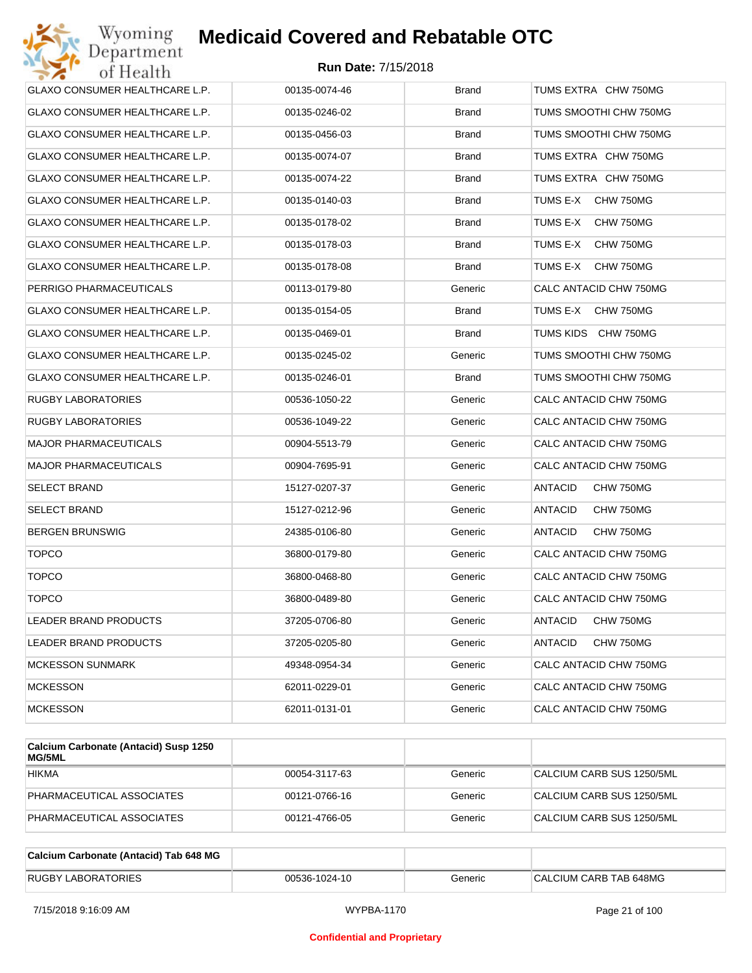| Wyoming<br>Department          | <b>Medicaid Covered and Rebatable OTC</b> |              |                             |
|--------------------------------|-------------------------------------------|--------------|-----------------------------|
| of Health                      | <b>Run Date: 7/15/2018</b>                |              |                             |
| GLAXO CONSUMER HEALTHCARE L.P. | 00135-0074-46                             | <b>Brand</b> | TUMS EXTRA CHW 750MG        |
| GLAXO CONSUMER HEALTHCARE L.P. | 00135-0246-02                             | Brand        | TUMS SMOOTHI CHW 750MG      |
| GLAXO CONSUMER HEALTHCARE L.P. | 00135-0456-03                             | <b>Brand</b> | TUMS SMOOTHI CHW 750MG      |
| GLAXO CONSUMER HEALTHCARE L.P. | 00135-0074-07                             | <b>Brand</b> | TUMS EXTRA CHW 750MG        |
| GLAXO CONSUMER HEALTHCARE L.P. | 00135-0074-22                             | <b>Brand</b> | TUMS EXTRA CHW 750MG        |
| GLAXO CONSUMER HEALTHCARE L.P. | 00135-0140-03                             | <b>Brand</b> | TUMS E-X<br>CHW 750MG       |
| GLAXO CONSUMER HEALTHCARE L.P. | 00135-0178-02                             | <b>Brand</b> | TUMS E-X<br>CHW 750MG       |
| GLAXO CONSUMER HEALTHCARE L.P. | 00135-0178-03                             | <b>Brand</b> | TUMS E-X<br>CHW 750MG       |
| GLAXO CONSUMER HEALTHCARE L.P. | 00135-0178-08                             | <b>Brand</b> | TUMS E-X<br>CHW 750MG       |
| PERRIGO PHARMACEUTICALS        | 00113-0179-80                             | Generic      | CALC ANTACID CHW 750MG      |
| GLAXO CONSUMER HEALTHCARE L.P. | 00135-0154-05                             | <b>Brand</b> | TUMS E-X<br>CHW 750MG       |
| GLAXO CONSUMER HEALTHCARE L.P. | 00135-0469-01                             | <b>Brand</b> | TUMS KIDS CHW 750MG         |
| GLAXO CONSUMER HEALTHCARE L.P. | 00135-0245-02                             | Generic      | TUMS SMOOTHI CHW 750MG      |
| GLAXO CONSUMER HEALTHCARE L.P. | 00135-0246-01                             | <b>Brand</b> | TUMS SMOOTHI CHW 750MG      |
| RUGBY LABORATORIES             | 00536-1050-22                             | Generic      | CALC ANTACID CHW 750MG      |
| RUGBY LABORATORIES             | 00536-1049-22                             | Generic      | CALC ANTACID CHW 750MG      |
| <b>MAJOR PHARMACEUTICALS</b>   | 00904-5513-79                             | Generic      | CALC ANTACID CHW 750MG      |
| MAJOR PHARMACEUTICALS          | 00904-7695-91                             | Generic      | CALC ANTACID CHW 750MG      |
| SELECT BRAND                   | 15127-0207-37                             | Generic      | ANTACID<br>CHW 750MG        |
| SELECT BRAND                   | 15127-0212-96                             | Generic      | ANTACID<br>CHW 750MG        |
| BERGEN BRUNSWIG                | 24385-0106-80                             | Generic      | <b>ANTACID</b><br>CHW 750MG |
| <b>TOPCO</b>                   | 36800-0179-80                             | Generic      | CALC ANTACID CHW 750MG      |
| <b>TOPCO</b>                   | 36800-0468-80                             | Generic      | CALC ANTACID CHW 750MG      |
| <b>TOPCO</b>                   | 36800-0489-80                             | Generic      | CALC ANTACID CHW 750MG      |
| LEADER BRAND PRODUCTS          | 37205-0706-80                             | Generic      | ANTACID<br>CHW 750MG        |
| <b>LEADER BRAND PRODUCTS</b>   | 37205-0205-80                             | Generic      | ANTACID<br>CHW 750MG        |
| <b>MCKESSON SUNMARK</b>        | 49348-0954-34                             | Generic      | CALC ANTACID CHW 750MG      |
| <b>MCKESSON</b>                | 62011-0229-01                             | Generic      | CALC ANTACID CHW 750MG      |
| <b>MCKESSON</b>                | 62011-0131-01                             | Generic      | CALC ANTACID CHW 750MG      |

| Calcium Carbonate (Antacid) Susp 1250<br>MG/5ML |               |         |                           |
|-------------------------------------------------|---------------|---------|---------------------------|
| <b>HIKMA</b>                                    | 00054-3117-63 | Generic | CALCIUM CARB SUS 1250/5ML |
| PHARMACEUTICAL ASSOCIATES                       | 00121-0766-16 | Generic | CALCIUM CARB SUS 1250/5ML |
| PHARMACEUTICAL ASSOCIATES                       | 00121-4766-05 | Generic | CALCIUM CARB SUS 1250/5ML |

| Calcium Carbonate (Antacid) Tab 648 MG |               |         |                        |
|----------------------------------------|---------------|---------|------------------------|
| <b>RUGBY LABORATORIES</b>              | 00536-1024-10 | Generic | CALCIUM CARB TAB 648MG |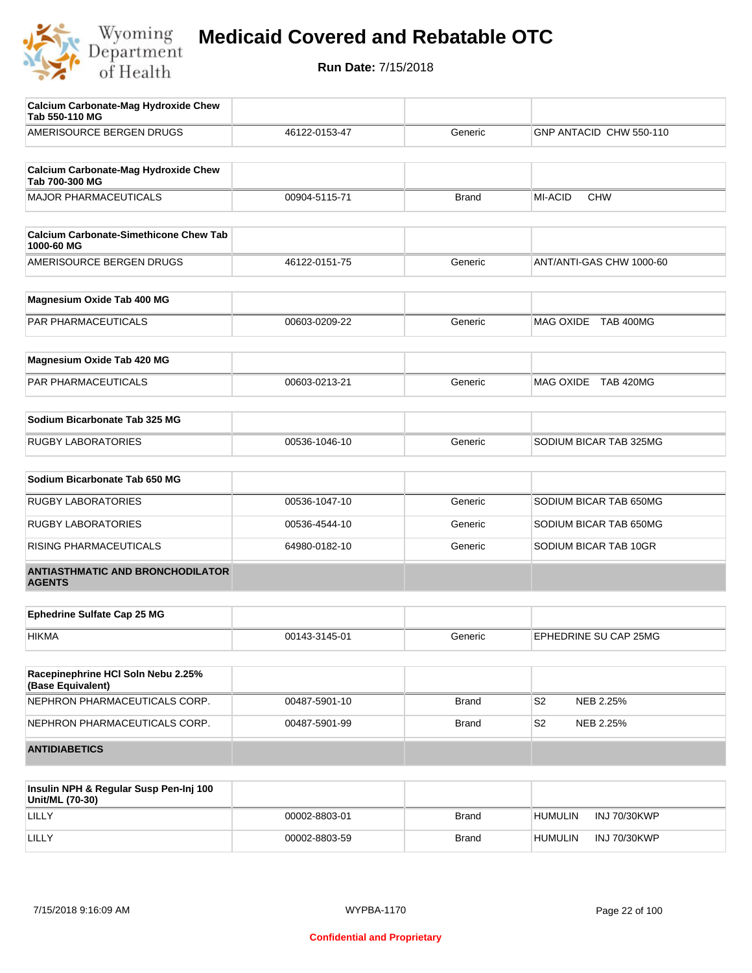

| <b>Calcium Carbonate-Mag Hydroxide Chew</b><br>Tab 550-110 MG |               |              |                             |
|---------------------------------------------------------------|---------------|--------------|-----------------------------|
| AMERISOURCE BERGEN DRUGS                                      | 46122-0153-47 | Generic      | GNP ANTACID CHW 550-110     |
| <b>Calcium Carbonate-Mag Hydroxide Chew</b><br>Tab 700-300 MG |               |              |                             |
| <b>MAJOR PHARMACEUTICALS</b>                                  | 00904-5115-71 | <b>Brand</b> | MI-ACID<br><b>CHW</b>       |
| <b>Calcium Carbonate-Simethicone Chew Tab</b><br>1000-60 MG   |               |              |                             |
| AMERISOURCE BERGEN DRUGS                                      | 46122-0151-75 | Generic      | ANT/ANTI-GAS CHW 1000-60    |
| Magnesium Oxide Tab 400 MG                                    |               |              |                             |
| <b>PAR PHARMACEUTICALS</b>                                    | 00603-0209-22 | Generic      | MAG OXIDE TAB 400MG         |
| Magnesium Oxide Tab 420 MG                                    |               |              |                             |
| PAR PHARMACEUTICALS                                           | 00603-0213-21 | Generic      | MAG OXIDE TAB 420MG         |
| Sodium Bicarbonate Tab 325 MG                                 |               |              |                             |
| <b>RUGBY LABORATORIES</b>                                     | 00536-1046-10 | Generic      | SODIUM BICAR TAB 325MG      |
| Sodium Bicarbonate Tab 650 MG                                 |               |              |                             |
| <b>RUGBY LABORATORIES</b>                                     | 00536-1047-10 | Generic      | SODIUM BICAR TAB 650MG      |
| <b>RUGBY LABORATORIES</b>                                     | 00536-4544-10 | Generic      | SODIUM BICAR TAB 650MG      |
| RISING PHARMACEUTICALS                                        | 64980-0182-10 | Generic      | SODIUM BICAR TAB 10GR       |
| <b>ANTIASTHMATIC AND BRONCHODILATOR</b><br><b>AGENTS</b>      |               |              |                             |
| <b>Ephedrine Sulfate Cap 25 MG</b>                            |               |              |                             |
| <b>HIKMA</b>                                                  | 00143-3145-01 | Generic      | EPHEDRINE SU CAP 25MG       |
| Racepinephrine HCI Soln Nebu 2.25%<br>(Base Equivalent)       |               |              |                             |
| NEPHRON PHARMACEUTICALS CORP.                                 | 00487-5901-10 | <b>Brand</b> | S <sub>2</sub><br>NEB 2.25% |
| NEPHRON PHARMACEUTICALS CORP.                                 | 00487-5901-99 | <b>Brand</b> | S2<br>NEB 2.25%             |
| <b>ANTIDIABETICS</b>                                          |               |              |                             |

| Insulin NPH & Regular Susp Pen-Inj 100<br>Unit/ML (70-30) |               |              |                                |
|-----------------------------------------------------------|---------------|--------------|--------------------------------|
| LILLY                                                     | 00002-8803-01 | <b>Brand</b> | INJ 70/30KWP<br><b>HUMULIN</b> |
| LILLY                                                     | 00002-8803-59 | <b>Brand</b> | <b>HUMULIN</b><br>INJ 70/30KWP |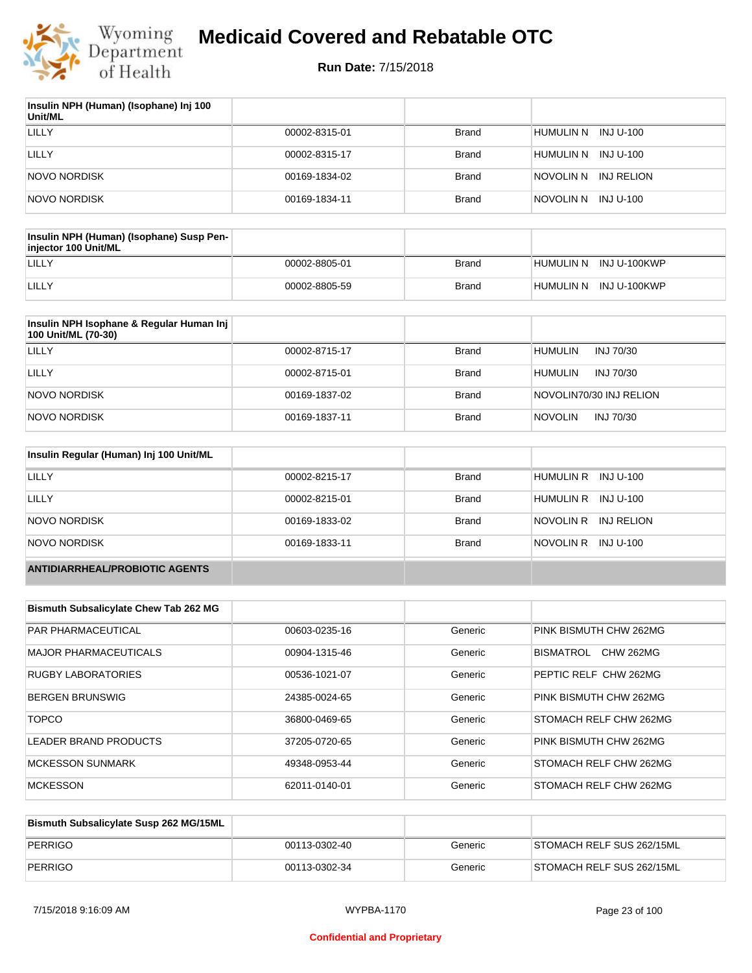

| Insulin NPH (Human) (Isophane) Inj 100<br>Unit/ML |               |              |                      |
|---------------------------------------------------|---------------|--------------|----------------------|
| LILLY                                             | 00002-8315-01 | <b>Brand</b> | HUMULIN N INJ U-100  |
| LILLY                                             | 00002-8315-17 | <b>Brand</b> | HUMULIN N INJ U-100  |
| <b>NOVO NORDISK</b>                               | 00169-1834-02 | <b>Brand</b> | NOVOLIN N INJ RELION |
| <b>NOVO NORDISK</b>                               | 00169-1834-11 | <b>Brand</b> | NOVOLIN N INJ U-100  |

| Insulin NPH (Human) (Isophane) Susp Pen-<br>injector 100 Unit/ML |               |              |                        |
|------------------------------------------------------------------|---------------|--------------|------------------------|
| LILLY                                                            | 00002-8805-01 | Brand        | HUMULIN N INJ U-100KWP |
| LILLY                                                            | 00002-8805-59 | <b>Brand</b> | HUMULIN N INJ U-100KWP |

| Insulin NPH Isophane & Regular Human Inj<br>100 Unit/ML (70-30) |               |              |                             |
|-----------------------------------------------------------------|---------------|--------------|-----------------------------|
| LILLY                                                           | 00002-8715-17 | Brand        | <b>HUMULIN</b><br>INJ 70/30 |
| LILLY                                                           | 00002-8715-01 | <b>Brand</b> | <b>HUMULIN</b><br>INJ 70/30 |
| NOVO NORDISK                                                    | 00169-1837-02 | <b>Brand</b> | NOVOLIN70/30 INJ RELION     |
| NOVO NORDISK                                                    | 00169-1837-11 | <b>Brand</b> | <b>NOVOLIN</b><br>INJ 70/30 |

| Insulin Regular (Human) Inj 100 Unit/ML |               |              |                         |
|-----------------------------------------|---------------|--------------|-------------------------|
| LILLY                                   | 00002-8215-17 | <b>Brand</b> | HUMULIN R INJ U-100     |
| LILLY                                   | 00002-8215-01 | <b>Brand</b> | HUMULIN R INJ U-100     |
| NOVO NORDISK                            | 00169-1833-02 | <b>Brand</b> | NOVOLIN R<br>INJ RELION |
| NOVO NORDISK                            | 00169-1833-11 | <b>Brand</b> | NOVOLIN R INJ U-100     |
| <b>ANTIDIARRHEAL/PROBIOTIC AGENTS</b>   |               |              |                         |

| <b>Bismuth Subsalicylate Chew Tab 262 MG</b> |               |         |                               |
|----------------------------------------------|---------------|---------|-------------------------------|
| <b>PAR PHARMACEUTICAL</b>                    | 00603-0235-16 | Generic | PINK BISMUTH CHW 262MG        |
| <b>MAJOR PHARMACEUTICALS</b>                 | 00904-1315-46 | Generic | BISMATROL<br><b>CHW 262MG</b> |
| <b>RUGBY LABORATORIES</b>                    | 00536-1021-07 | Generic | PEPTIC RELF CHW 262MG         |
| <b>BERGEN BRUNSWIG</b>                       | 24385-0024-65 | Generic | PINK BISMUTH CHW 262MG        |
| <b>TOPCO</b>                                 | 36800-0469-65 | Generic | STOMACH RELF CHW 262MG        |
| LEADER BRAND PRODUCTS                        | 37205-0720-65 | Generic | PINK BISMUTH CHW 262MG        |
| <b>MCKESSON SUNMARK</b>                      | 49348-0953-44 | Generic | STOMACH RELF CHW 262MG        |
| <b>MCKESSON</b>                              | 62011-0140-01 | Generic | STOMACH RELF CHW 262MG        |

| Bismuth Subsalicylate Susp 262 MG/15ML |               |         |                           |
|----------------------------------------|---------------|---------|---------------------------|
| PERRIGO                                | 00113-0302-40 | Generic | STOMACH RELF SUS 262/15ML |
| PERRIGO                                | 00113-0302-34 | Generic | STOMACH RELF SUS 262/15ML |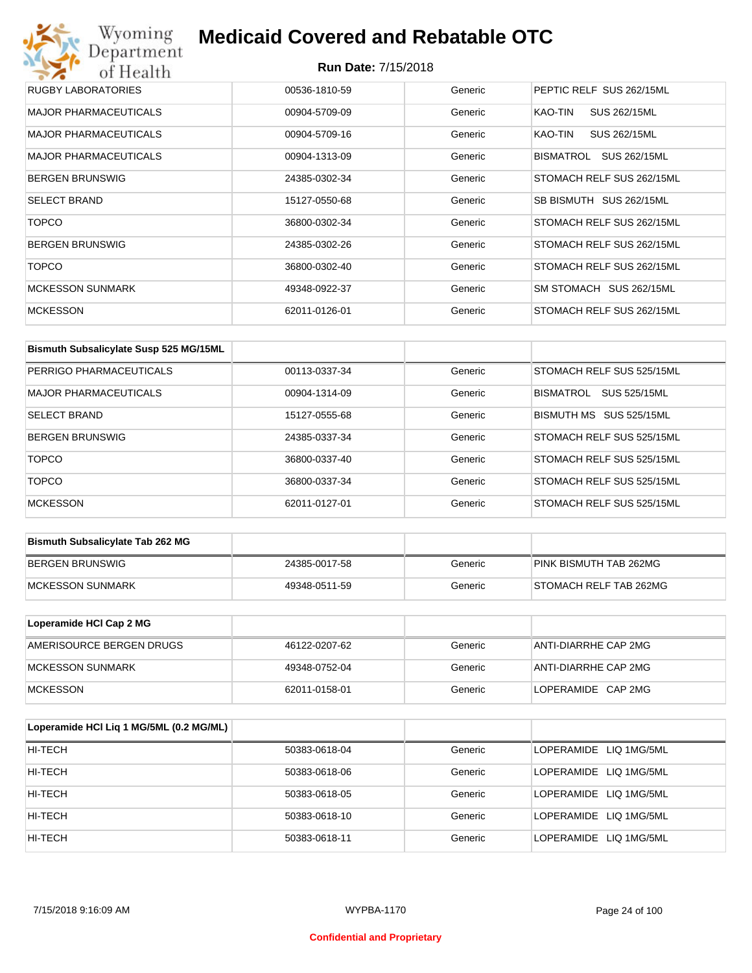## Wyoming<br>Department<br>of Health **Medicaid Covered and Rebatable OTC**

| RUGBY LABORATORIES           | 00536-1810-59 | Generic | PEPTIC RELF SUS 262/15ML  |
|------------------------------|---------------|---------|---------------------------|
| <b>MAJOR PHARMACEUTICALS</b> | 00904-5709-09 | Generic | SUS 262/15ML<br>KAO-TIN   |
| <b>MAJOR PHARMACEUTICALS</b> | 00904-5709-16 | Generic | SUS 262/15ML<br>KAO-TIN   |
| <b>MAJOR PHARMACEUTICALS</b> | 00904-1313-09 | Generic | SUS 262/15ML<br>BISMATROL |
| <b>BERGEN BRUNSWIG</b>       | 24385-0302-34 | Generic | STOMACH RELF SUS 262/15ML |
| <b>SELECT BRAND</b>          | 15127-0550-68 | Generic | SB BISMUTH SUS 262/15ML   |
| <b>TOPCO</b>                 | 36800-0302-34 | Generic | STOMACH RELF SUS 262/15ML |
| <b>BERGEN BRUNSWIG</b>       | 24385-0302-26 | Generic | STOMACH RELF SUS 262/15ML |
| <b>TOPCO</b>                 | 36800-0302-40 | Generic | STOMACH RELF SUS 262/15ML |
| <b>MCKESSON SUNMARK</b>      | 49348-0922-37 | Generic | SM STOMACH SUS 262/15ML   |
| <b>MCKESSON</b>              | 62011-0126-01 | Generic | STOMACH RELF SUS 262/15ML |

| Bismuth Subsalicylate Susp 525 MG/15ML |               |         |                           |
|----------------------------------------|---------------|---------|---------------------------|
| PERRIGO PHARMACEUTICALS                | 00113-0337-34 | Generic | STOMACH RELF SUS 525/15ML |
| <b>MAJOR PHARMACEUTICALS</b>           | 00904-1314-09 | Generic | BISMATROL<br>SUS 525/15ML |
| <b>SELECT BRAND</b>                    | 15127-0555-68 | Generic | BISMUTH MS SUS 525/15ML   |
| <b>BERGEN BRUNSWIG</b>                 | 24385-0337-34 | Generic | STOMACH RELF SUS 525/15ML |
| <b>TOPCO</b>                           | 36800-0337-40 | Generic | STOMACH RELF SUS 525/15ML |
| <b>TOPCO</b>                           | 36800-0337-34 | Generic | STOMACH RELF SUS 525/15ML |
| <b>MCKESSON</b>                        | 62011-0127-01 | Generic | STOMACH RELF SUS 525/15ML |

| <b>Bismuth Subsalicylate Tab 262 MG</b> |               |         |                        |
|-----------------------------------------|---------------|---------|------------------------|
| BERGEN BRUNSWIG                         | 24385-0017-58 | Generic | PINK BISMUTH TAB 262MG |
| <b>IMCKESSON SUNMARK</b>                | 49348-0511-59 | Generic | STOMACH RELF TAB 262MG |

| Loperamide HCI Cap 2 MG  |               |         |                      |
|--------------------------|---------------|---------|----------------------|
| AMERISOURCE BERGEN DRUGS | 46122-0207-62 | Generic | ANTI-DIARRHE CAP 2MG |
| IMCKESSON SUNMARK        | 49348-0752-04 | Generic | ANTI-DIARRHE CAP 2MG |
| <b>IMCKESSON</b>         | 62011-0158-01 | Generic | LOPERAMIDE CAP 2MG   |

| Loperamide HCI Liq 1 MG/5ML (0.2 MG/ML) |               |         |                        |
|-----------------------------------------|---------------|---------|------------------------|
| HI-TECH                                 | 50383-0618-04 | Generic | LOPERAMIDE LIQ 1MG/5ML |
| HI-TECH                                 | 50383-0618-06 | Generic | LOPERAMIDE LIQ 1MG/5ML |
| HI-TECH                                 | 50383-0618-05 | Generic | LOPERAMIDE LIQ 1MG/5ML |
| HI-TECH                                 | 50383-0618-10 | Generic | LOPERAMIDE LIQ 1MG/5ML |
| HI-TECH                                 | 50383-0618-11 | Generic | LOPERAMIDE LIQ 1MG/5ML |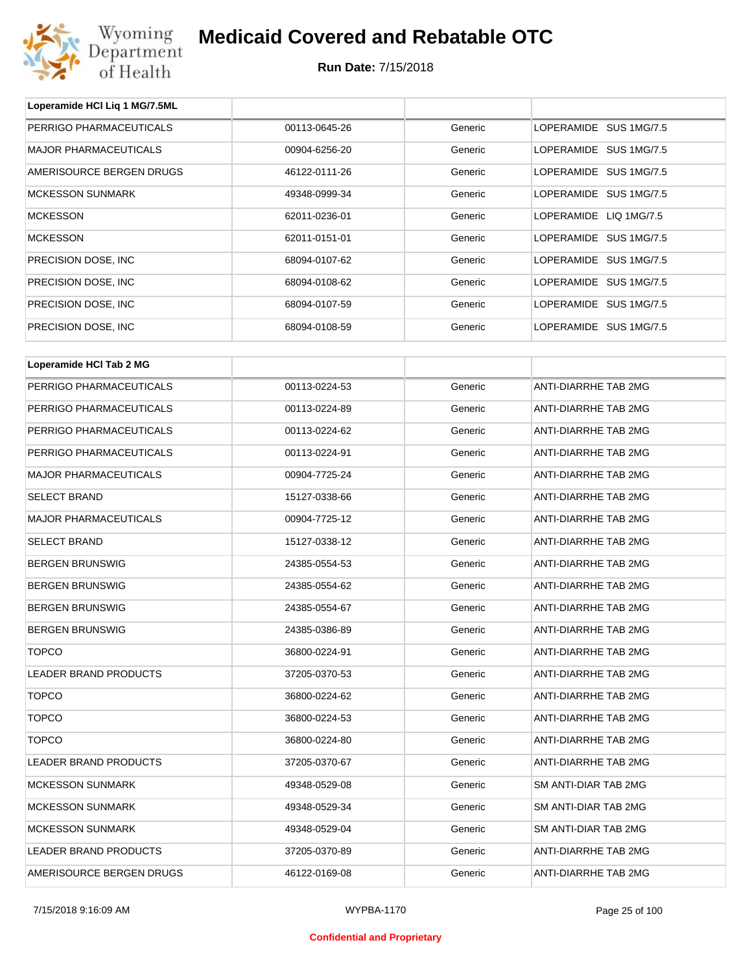

| Loperamide HCI Liq 1 MG/7.5ML |               |         |                        |
|-------------------------------|---------------|---------|------------------------|
| PERRIGO PHARMACEUTICALS       | 00113-0645-26 | Generic | LOPERAMIDE SUS 1MG/7.5 |
| <b>MAJOR PHARMACEUTICALS</b>  | 00904-6256-20 | Generic | LOPERAMIDE SUS 1MG/7.5 |
| AMERISOURCE BERGEN DRUGS      | 46122-0111-26 | Generic | LOPERAMIDE SUS 1MG/7.5 |
| <b>MCKESSON SUNMARK</b>       | 49348-0999-34 | Generic | LOPERAMIDE SUS 1MG/7.5 |
| <b>MCKESSON</b>               | 62011-0236-01 | Generic | LOPERAMIDE LIQ 1MG/7.5 |
| <b>MCKESSON</b>               | 62011-0151-01 | Generic | LOPERAMIDE SUS 1MG/7.5 |
| PRECISION DOSE, INC           | 68094-0107-62 | Generic | LOPERAMIDE SUS 1MG/7.5 |
| PRECISION DOSE, INC           | 68094-0108-62 | Generic | LOPERAMIDE SUS 1MG/7.5 |
| PRECISION DOSE, INC           | 68094-0107-59 | Generic | LOPERAMIDE SUS 1MG/7.5 |
| PRECISION DOSE, INC           | 68094-0108-59 | Generic | LOPERAMIDE SUS 1MG/7.5 |
| Loperamide HCI Tab 2 MG       |               |         |                        |
| PERRIGO PHARMACEUTICALS       | 00113-0224-53 | Generic | ANTI-DIARRHE TAB 2MG   |
| PERRIGO PHARMACEUTICALS       | 00113-0224-89 | Generic | ANTI-DIARRHE TAB 2MG   |
| PERRIGO PHARMACEUTICALS       | 00113-0224-62 | Generic | ANTI-DIARRHE TAB 2MG   |
| PERRIGO PHARMACEUTICALS       | 00113-0224-91 | Generic | ANTI-DIARRHE TAB 2MG   |
| <b>MAJOR PHARMACEUTICALS</b>  | 00904-7725-24 | Generic | ANTI-DIARRHE TAB 2MG   |
| <b>SELECT BRAND</b>           | 15127-0338-66 | Generic | ANTI-DIARRHE TAB 2MG   |
| <b>MAJOR PHARMACEUTICALS</b>  | 00904-7725-12 | Generic | ANTI-DIARRHE TAB 2MG   |
| <b>SELECT BRAND</b>           | 15127-0338-12 | Generic | ANTI-DIARRHE TAB 2MG   |
| <b>BERGEN BRUNSWIG</b>        | 24385-0554-53 | Generic | ANTI-DIARRHE TAB 2MG   |
| <b>BERGEN BRUNSWIG</b>        | 24385-0554-62 | Generic | ANTI-DIARRHE TAB 2MG   |
| <b>BERGEN BRUNSWIG</b>        | 24385-0554-67 | Generic | ANTI-DIARRHE TAB 2MG   |
| <b>BERGEN BRUNSWIG</b>        | 24385-0386-89 | Generic | ANTI-DIARRHE TAB 2MG   |
| TOPCO                         | 36800-0224-91 | Generic | ANTI-DIARRHE TAB 2MG   |
| LEADER BRAND PRODUCTS         | 37205-0370-53 | Generic | ANTI-DIARRHE TAB 2MG   |
| <b>TOPCO</b>                  | 36800-0224-62 | Generic | ANTI-DIARRHE TAB 2MG   |
| <b>TOPCO</b>                  | 36800-0224-53 | Generic | ANTI-DIARRHE TAB 2MG   |
| <b>TOPCO</b>                  | 36800-0224-80 | Generic | ANTI-DIARRHE TAB 2MG   |
| LEADER BRAND PRODUCTS         | 37205-0370-67 | Generic | ANTI-DIARRHE TAB 2MG   |
| <b>MCKESSON SUNMARK</b>       | 49348-0529-08 | Generic | SM ANTI-DIAR TAB 2MG   |
| <b>MCKESSON SUNMARK</b>       | 49348-0529-34 | Generic | SM ANTI-DIAR TAB 2MG   |
| <b>MCKESSON SUNMARK</b>       | 49348-0529-04 | Generic | SM ANTI-DIAR TAB 2MG   |
| LEADER BRAND PRODUCTS         | 37205-0370-89 | Generic | ANTI-DIARRHE TAB 2MG   |
| AMERISOURCE BERGEN DRUGS      | 46122-0169-08 | Generic | ANTI-DIARRHE TAB 2MG   |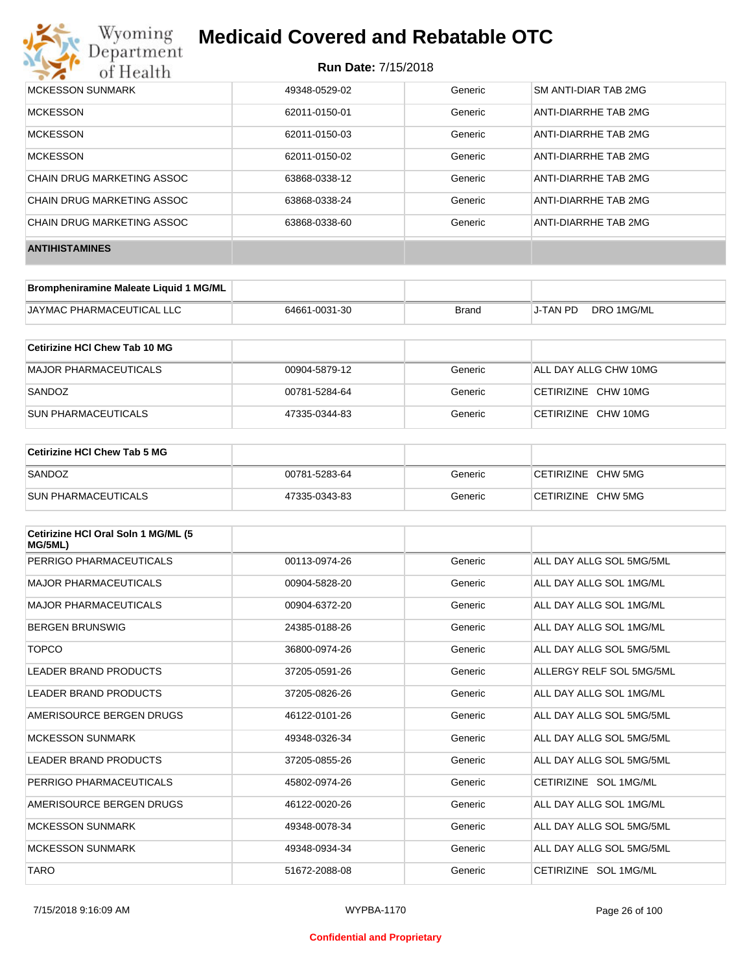

| MCKESSON SUNMARK           | 49348-0529-02 | Generic | SM ANTI-DIAR TAB 2MG |
|----------------------------|---------------|---------|----------------------|
| <b>MCKESSON</b>            | 62011-0150-01 | Generic | ANTI-DIARRHE TAB 2MG |
| <b>MCKESSON</b>            | 62011-0150-03 | Generic | ANTI-DIARRHE TAB 2MG |
| <b>MCKESSON</b>            | 62011-0150-02 | Generic | ANTI-DIARRHE TAB 2MG |
| CHAIN DRUG MARKETING ASSOC | 63868-0338-12 | Generic | ANTI-DIARRHE TAB 2MG |
| CHAIN DRUG MARKETING ASSOC | 63868-0338-24 | Generic | ANTI-DIARRHE TAB 2MG |
| CHAIN DRUG MARKETING ASSOC | 63868-0338-60 | Generic | ANTI-DIARRHE TAB 2MG |
| <b>ANTIHISTAMINES</b>      |               |         |                      |

| Brompheniramine Maleate Liquid 1 MG/ML |               |       |          |            |
|----------------------------------------|---------------|-------|----------|------------|
| JAYMAC PHARMACEUTICAL LLC              | 64661-0031-30 | Brand | J-TAN PD | DRO 1MG/ML |

| Cetirizine HCI Chew Tab 10 MG |               |         |                       |
|-------------------------------|---------------|---------|-----------------------|
| MAJOR PHARMACEUTICALS         | 00904-5879-12 | Generic | ALL DAY ALLG CHW 10MG |
| SANDOZ                        | 00781-5284-64 | Generic | CETIRIZINE CHW 10MG   |
| <b>SUN PHARMACEUTICALS</b>    | 47335-0344-83 | Generic | CETIRIZINE CHW 10MG   |

| <b>Cetirizine HCI Chew Tab 5 MG</b> |               |         |                    |
|-------------------------------------|---------------|---------|--------------------|
| SANDOZ                              | 00781-5283-64 | Generic | CETIRIZINE CHW 5MG |
| <b>SUN PHARMACEUTICALS</b>          | 47335-0343-83 | Generic | CETIRIZINE CHW 5MG |

| Cetirizine HCI Oral Soln 1 MG/ML (5<br>MG/5ML) |               |         |                          |
|------------------------------------------------|---------------|---------|--------------------------|
| PERRIGO PHARMACEUTICALS                        | 00113-0974-26 | Generic | ALL DAY ALLG SOL 5MG/5ML |
| <b>MAJOR PHARMACEUTICALS</b>                   | 00904-5828-20 | Generic | ALL DAY ALLG SOL 1MG/ML  |
| <b>MAJOR PHARMACEUTICALS</b>                   | 00904-6372-20 | Generic | ALL DAY ALLG SOL 1MG/ML  |
| <b>BERGEN BRUNSWIG</b>                         | 24385-0188-26 | Generic | ALL DAY ALLG SOL 1MG/ML  |
| <b>TOPCO</b>                                   | 36800-0974-26 | Generic | ALL DAY ALLG SOL 5MG/5ML |
| <b>LEADER BRAND PRODUCTS</b>                   | 37205-0591-26 | Generic | ALLERGY RELF SOL 5MG/5ML |
| LEADER BRAND PRODUCTS                          | 37205-0826-26 | Generic | ALL DAY ALLG SOL 1MG/ML  |
| AMERISOURCE BERGEN DRUGS                       | 46122-0101-26 | Generic | ALL DAY ALLG SOL 5MG/5ML |
| <b>MCKESSON SUNMARK</b>                        | 49348-0326-34 | Generic | ALL DAY ALLG SOL 5MG/5ML |
| LEADER BRAND PRODUCTS                          | 37205-0855-26 | Generic | ALL DAY ALLG SOL 5MG/5ML |
| PERRIGO PHARMACEUTICALS                        | 45802-0974-26 | Generic | CETIRIZINE SOL 1MG/ML    |
| AMERISOURCE BERGEN DRUGS                       | 46122-0020-26 | Generic | ALL DAY ALLG SOL 1MG/ML  |
| <b>MCKESSON SUNMARK</b>                        | 49348-0078-34 | Generic | ALL DAY ALLG SOL 5MG/5ML |
| <b>MCKESSON SUNMARK</b>                        | 49348-0934-34 | Generic | ALL DAY ALLG SOL 5MG/5ML |
| <b>TARO</b>                                    | 51672-2088-08 | Generic | CETIRIZINE SOL 1MG/ML    |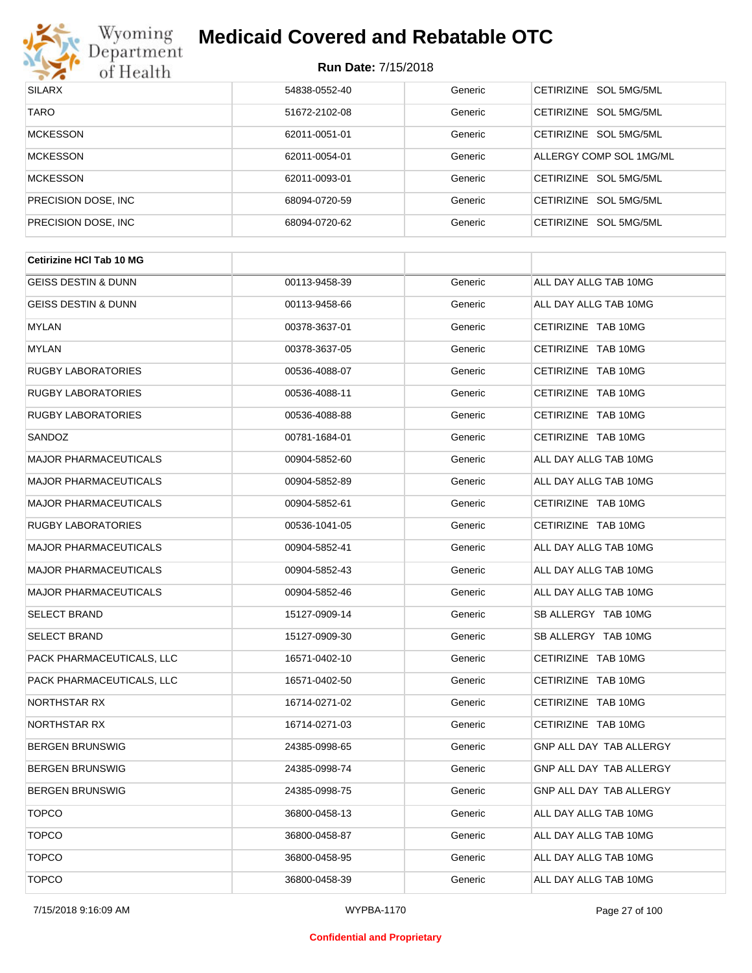

| <b>SILARX</b>        | 54838-0552-40 | Generic | CETIRIZINE SOL 5MG/5ML  |
|----------------------|---------------|---------|-------------------------|
| <b>TARO</b>          | 51672-2102-08 | Generic | CETIRIZINE SOL 5MG/5ML  |
| <b>MCKESSON</b>      | 62011-0051-01 | Generic | CETIRIZINE SOL 5MG/5ML  |
| <b>MCKESSON</b>      | 62011-0054-01 | Generic | ALLERGY COMP SOL 1MG/ML |
| <b>MCKESSON</b>      | 62011-0093-01 | Generic | CETIRIZINE SOL 5MG/5ML  |
| PRECISION DOSE, INC. | 68094-0720-59 | Generic | CETIRIZINE SOL 5MG/5ML  |
| PRECISION DOSE, INC. | 68094-0720-62 | Generic | CETIRIZINE SOL 5MG/5ML  |

| <b>Cetirizine HCI Tab 10 MG</b> |               |         |                         |
|---------------------------------|---------------|---------|-------------------------|
| <b>GEISS DESTIN &amp; DUNN</b>  | 00113-9458-39 | Generic | ALL DAY ALLG TAB 10MG   |
| GEISS DESTIN & DUNN             | 00113-9458-66 | Generic | ALL DAY ALLG TAB 10MG   |
| <b>MYLAN</b>                    | 00378-3637-01 | Generic | CETIRIZINE TAB 10MG     |
| <b>MYLAN</b>                    | 00378-3637-05 | Generic | CETIRIZINE TAB 10MG     |
| <b>RUGBY LABORATORIES</b>       | 00536-4088-07 | Generic | CETIRIZINE TAB 10MG     |
| <b>RUGBY LABORATORIES</b>       | 00536-4088-11 | Generic | CETIRIZINE TAB 10MG     |
| <b>RUGBY LABORATORIES</b>       | 00536-4088-88 | Generic | CETIRIZINE TAB 10MG     |
| SANDOZ                          | 00781-1684-01 | Generic | CETIRIZINE TAB 10MG     |
| <b>MAJOR PHARMACEUTICALS</b>    | 00904-5852-60 | Generic | ALL DAY ALLG TAB 10MG   |
| <b>MAJOR PHARMACEUTICALS</b>    | 00904-5852-89 | Generic | ALL DAY ALLG TAB 10MG   |
| <b>MAJOR PHARMACEUTICALS</b>    | 00904-5852-61 | Generic | CETIRIZINE TAB 10MG     |
| <b>RUGBY LABORATORIES</b>       | 00536-1041-05 | Generic | CETIRIZINE TAB 10MG     |
| <b>MAJOR PHARMACEUTICALS</b>    | 00904-5852-41 | Generic | ALL DAY ALLG TAB 10MG   |
| <b>MAJOR PHARMACEUTICALS</b>    | 00904-5852-43 | Generic | ALL DAY ALLG TAB 10MG   |
| <b>MAJOR PHARMACEUTICALS</b>    | 00904-5852-46 | Generic | ALL DAY ALLG TAB 10MG   |
| <b>SELECT BRAND</b>             | 15127-0909-14 | Generic | SB ALLERGY TAB 10MG     |
| <b>SELECT BRAND</b>             | 15127-0909-30 | Generic | SB ALLERGY TAB 10MG     |
| PACK PHARMACEUTICALS, LLC       | 16571-0402-10 | Generic | CETIRIZINE TAB 10MG     |
| PACK PHARMACEUTICALS, LLC       | 16571-0402-50 | Generic | CETIRIZINE TAB 10MG     |
| NORTHSTAR RX                    | 16714-0271-02 | Generic | CETIRIZINE TAB 10MG     |
| NORTHSTAR RX                    | 16714-0271-03 | Generic | CETIRIZINE TAB 10MG     |
| <b>BERGEN BRUNSWIG</b>          | 24385-0998-65 | Generic | GNP ALL DAY TAB ALLERGY |
| <b>BERGEN BRUNSWIG</b>          | 24385-0998-74 | Generic | GNP ALL DAY TAB ALLERGY |
| <b>BERGEN BRUNSWIG</b>          | 24385-0998-75 | Generic | GNP ALL DAY TAB ALLERGY |
| <b>TOPCO</b>                    | 36800-0458-13 | Generic | ALL DAY ALLG TAB 10MG   |
| <b>TOPCO</b>                    | 36800-0458-87 | Generic | ALL DAY ALLG TAB 10MG   |
| <b>TOPCO</b>                    | 36800-0458-95 | Generic | ALL DAY ALLG TAB 10MG   |
| <b>TOPCO</b>                    | 36800-0458-39 | Generic | ALL DAY ALLG TAB 10MG   |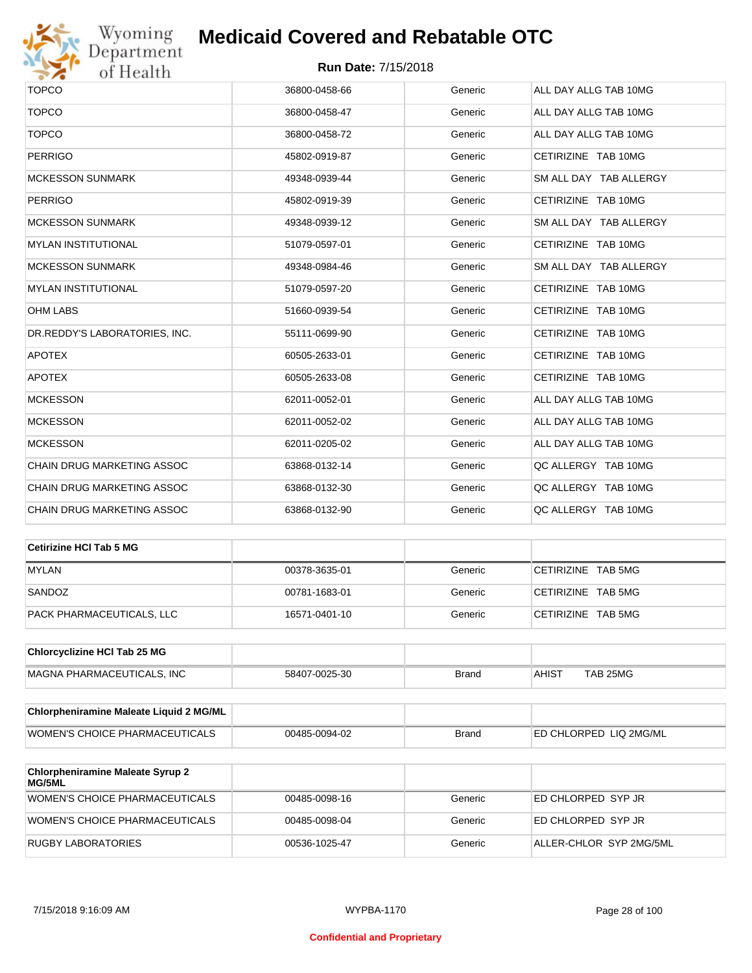

# Wyoming<br>Department<br>of Health

## **Medicaid Covered and Rebatable OTC**

| <b>TOPCO</b>                  | 36800-0458-66 | Generic | ALL DAY ALLG TAB 10MG  |
|-------------------------------|---------------|---------|------------------------|
| <b>TOPCO</b>                  | 36800-0458-47 | Generic | ALL DAY ALLG TAB 10MG  |
| <b>TOPCO</b>                  | 36800-0458-72 | Generic | ALL DAY ALLG TAB 10MG  |
| <b>PERRIGO</b>                | 45802-0919-87 | Generic | CETIRIZINE TAB 10MG    |
| <b>MCKESSON SUNMARK</b>       | 49348-0939-44 | Generic | SM ALL DAY TAB ALLERGY |
| <b>PERRIGO</b>                | 45802-0919-39 | Generic | CETIRIZINE TAB 10MG    |
| <b>MCKESSON SUNMARK</b>       | 49348-0939-12 | Generic | SM ALL DAY TAB ALLERGY |
| <b>MYLAN INSTITUTIONAL</b>    | 51079-0597-01 | Generic | CETIRIZINE TAB 10MG    |
| <b>MCKESSON SUNMARK</b>       | 49348-0984-46 | Generic | SM ALL DAY TAB ALLERGY |
| <b>MYLAN INSTITUTIONAL</b>    | 51079-0597-20 | Generic | CETIRIZINE TAB 10MG    |
| <b>OHM LABS</b>               | 51660-0939-54 | Generic | CETIRIZINE TAB 10MG    |
| DR.REDDY'S LABORATORIES, INC. | 55111-0699-90 | Generic | CETIRIZINE TAB 10MG    |
| <b>APOTEX</b>                 | 60505-2633-01 | Generic | CETIRIZINE TAB 10MG    |
| <b>APOTEX</b>                 | 60505-2633-08 | Generic | CETIRIZINE TAB 10MG    |
| <b>MCKESSON</b>               | 62011-0052-01 | Generic | ALL DAY ALLG TAB 10MG  |
| <b>MCKESSON</b>               | 62011-0052-02 | Generic | ALL DAY ALLG TAB 10MG  |
| <b>MCKESSON</b>               | 62011-0205-02 | Generic | ALL DAY ALLG TAB 10MG  |
| CHAIN DRUG MARKETING ASSOC    | 63868-0132-14 | Generic | QC ALLERGY TAB 10MG    |
| CHAIN DRUG MARKETING ASSOC    | 63868-0132-30 | Generic | QC ALLERGY TAB 10MG    |
| CHAIN DRUG MARKETING ASSOC    | 63868-0132-90 | Generic | QC ALLERGY TAB 10MG    |

| Cetirizine HCI Tab 5 MG   |               |         |                    |
|---------------------------|---------------|---------|--------------------|
| <b>MYLAN</b>              | 00378-3635-01 | Generic | CETIRIZINE TAB 5MG |
| SANDOZ                    | 00781-1683-01 | Generic | CETIRIZINE TAB 5MG |
| PACK PHARMACEUTICALS, LLC | 16571-0401-10 | Generic | CETIRIZINE TAB 5MG |

| <b>Chlorcyclizine HCI Tab 25 MG</b> |               |       |              |          |
|-------------------------------------|---------------|-------|--------------|----------|
| <b>MAGNA PHARMACEUTICALS. INC</b>   | 58407-0025-30 | Brand | <b>AHIST</b> | TAB 25MG |

| <b>Chlorpheniramine Maleate Liquid 2 MG/ML</b> |               |              |                                |
|------------------------------------------------|---------------|--------------|--------------------------------|
| <b>WOMEN'S CHOICE PHARMACEUTICALS</b>          | 00485-0094-02 | <b>Brand</b> | <b>LED CHLORPED LIQ 2MG/ML</b> |

| <b>Chlorpheniramine Maleate Syrup 2</b><br>MG/5ML |               |         |                         |
|---------------------------------------------------|---------------|---------|-------------------------|
| WOMEN'S CHOICE PHARMACEUTICALS                    | 00485-0098-16 | Generic | ED CHLORPED SYP JR      |
| WOMEN'S CHOICE PHARMACEUTICALS                    | 00485-0098-04 | Generic | ED CHLORPED SYP JR      |
| RUGBY LABORATORIES                                | 00536-1025-47 | Generic | ALLER-CHLOR SYP 2MG/5ML |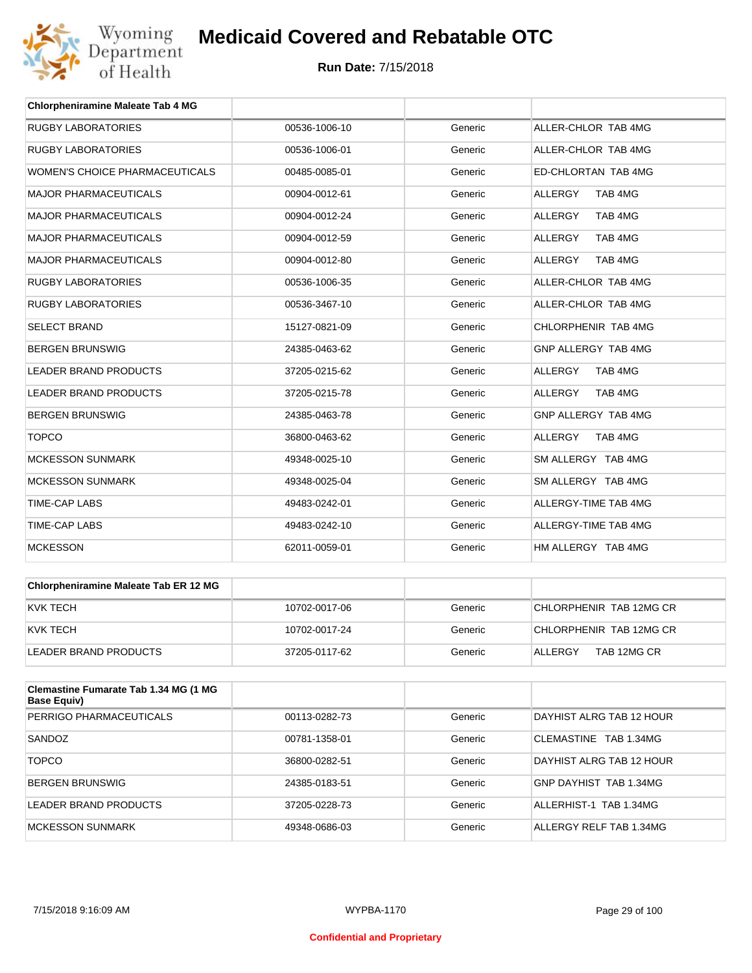

| <b>Chlorpheniramine Maleate Tab 4 MG</b> |               |         |                           |
|------------------------------------------|---------------|---------|---------------------------|
| <b>RUGBY LABORATORIES</b>                | 00536-1006-10 | Generic | ALLER-CHLOR TAB 4MG       |
| <b>RUGBY LABORATORIES</b>                | 00536-1006-01 | Generic | ALLER-CHLOR TAB 4MG       |
| <b>WOMEN'S CHOICE PHARMACEUTICALS</b>    | 00485-0085-01 | Generic | ED-CHLORTAN TAB 4MG       |
| <b>MAJOR PHARMACEUTICALS</b>             | 00904-0012-61 | Generic | TAB 4MG<br><b>ALLERGY</b> |
| <b>MAJOR PHARMACEUTICALS</b>             | 00904-0012-24 | Generic | <b>ALLERGY</b><br>TAB 4MG |
| <b>MAJOR PHARMACEUTICALS</b>             | 00904-0012-59 | Generic | <b>ALLERGY</b><br>TAB 4MG |
| <b>MAJOR PHARMACEUTICALS</b>             | 00904-0012-80 | Generic | <b>ALLERGY</b><br>TAB 4MG |
| <b>RUGBY LABORATORIES</b>                | 00536-1006-35 | Generic | ALLER-CHLOR TAB 4MG       |
| <b>RUGBY LABORATORIES</b>                | 00536-3467-10 | Generic | ALLER-CHLOR TAB 4MG       |
| <b>SELECT BRAND</b>                      | 15127-0821-09 | Generic | CHLORPHENIR TAB 4MG       |
| <b>BERGEN BRUNSWIG</b>                   | 24385-0463-62 | Generic | GNP ALLERGY TAB 4MG       |
| <b>LEADER BRAND PRODUCTS</b>             | 37205-0215-62 | Generic | TAB 4MG<br><b>ALLERGY</b> |
| <b>LEADER BRAND PRODUCTS</b>             | 37205-0215-78 | Generic | <b>ALLERGY</b><br>TAB 4MG |
| <b>BERGEN BRUNSWIG</b>                   | 24385-0463-78 | Generic | GNP ALLERGY TAB 4MG       |
| <b>TOPCO</b>                             | 36800-0463-62 | Generic | <b>ALLERGY</b><br>TAB 4MG |
| <b>MCKESSON SUNMARK</b>                  | 49348-0025-10 | Generic | SM ALLERGY TAB 4MG        |
| <b>MCKESSON SUNMARK</b>                  | 49348-0025-04 | Generic | SM ALLERGY TAB 4MG        |
| <b>TIME-CAP LABS</b>                     | 49483-0242-01 | Generic | ALLERGY-TIME TAB 4MG      |
| <b>TIME-CAP LABS</b>                     | 49483-0242-10 | Generic | ALLERGY-TIME TAB 4MG      |
| <b>MCKESSON</b>                          | 62011-0059-01 | Generic | HM ALLERGY TAB 4MG        |

| Chlorpheniramine Maleate Tab ER 12 MG |               |         |                         |
|---------------------------------------|---------------|---------|-------------------------|
| KVK TECH                              | 10702-0017-06 | Generic | CHLORPHENIR TAB 12MG CR |
| KVK TECH                              | 10702-0017-24 | Generic | CHLORPHENIR TAB 12MG CR |
| LEADER BRAND PRODUCTS                 | 37205-0117-62 | Generic | TAB 12MG CR<br>ALLERGY  |

| Clemastine Fumarate Tab 1.34 MG (1 MG<br><b>Base Equiv)</b> |               |         |                          |
|-------------------------------------------------------------|---------------|---------|--------------------------|
| PERRIGO PHARMACEUTICALS                                     | 00113-0282-73 | Generic | DAYHIST ALRG TAB 12 HOUR |
| SANDOZ                                                      | 00781-1358-01 | Generic | CLEMASTINE TAB 1.34MG    |
| <b>TOPCO</b>                                                | 36800-0282-51 | Generic | DAYHIST ALRG TAB 12 HOUR |
| <b>BERGEN BRUNSWIG</b>                                      | 24385-0183-51 | Generic | GNP DAYHIST TAB 1.34MG   |
| LEADER BRAND PRODUCTS                                       | 37205-0228-73 | Generic | ALLERHIST-1 TAB 1.34MG   |
| MCKESSON SUNMARK                                            | 49348-0686-03 | Generic | ALLERGY RELF TAB 1.34MG  |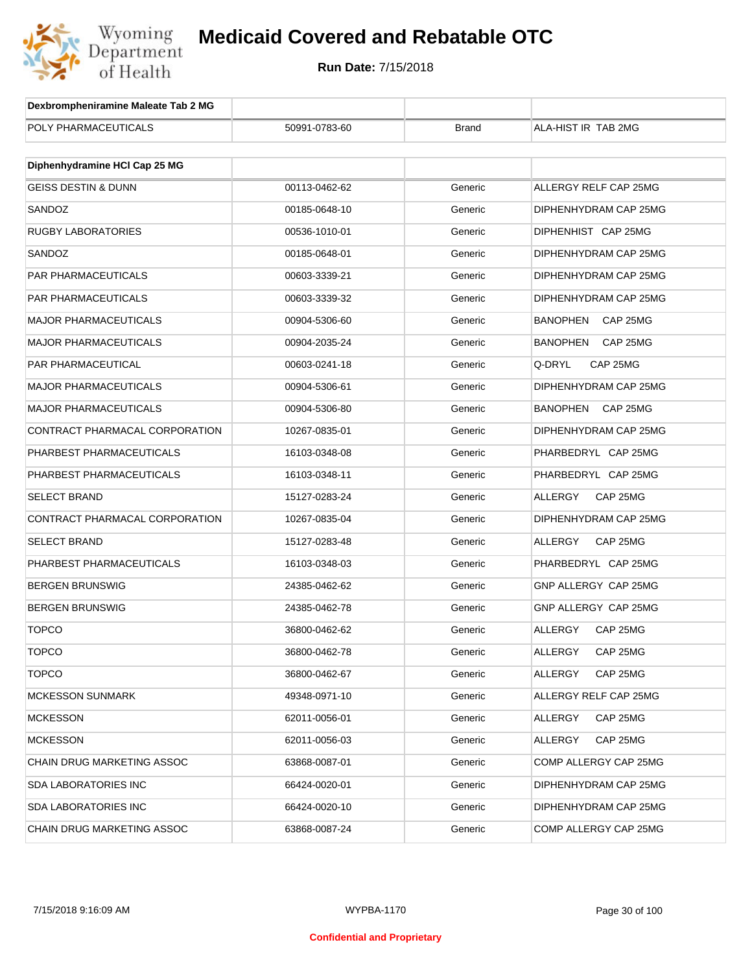

| Dexbrompheniramine Maleate Tab 2 MG |               |              |                             |
|-------------------------------------|---------------|--------------|-----------------------------|
| POLY PHARMACEUTICALS                | 50991-0783-60 | <b>Brand</b> | ALA-HIST IR TAB 2MG         |
|                                     |               |              |                             |
| Diphenhydramine HCI Cap 25 MG       |               |              |                             |
| <b>GEISS DESTIN &amp; DUNN</b>      | 00113-0462-62 | Generic      | ALLERGY RELF CAP 25MG       |
| SANDOZ                              | 00185-0648-10 | Generic      | DIPHENHYDRAM CAP 25MG       |
| <b>RUGBY LABORATORIES</b>           | 00536-1010-01 | Generic      | DIPHENHIST CAP 25MG         |
| SANDOZ                              | 00185-0648-01 | Generic      | DIPHENHYDRAM CAP 25MG       |
| <b>PAR PHARMACEUTICALS</b>          | 00603-3339-21 | Generic      | DIPHENHYDRAM CAP 25MG       |
| PAR PHARMACEUTICALS                 | 00603-3339-32 | Generic      | DIPHENHYDRAM CAP 25MG       |
| <b>MAJOR PHARMACEUTICALS</b>        | 00904-5306-60 | Generic      | <b>BANOPHEN</b><br>CAP 25MG |
| <b>MAJOR PHARMACEUTICALS</b>        | 00904-2035-24 | Generic      | BANOPHEN<br>CAP 25MG        |
| PAR PHARMACEUTICAL                  | 00603-0241-18 | Generic      | Q-DRYL<br>CAP 25MG          |
| <b>MAJOR PHARMACEUTICALS</b>        | 00904-5306-61 | Generic      | DIPHENHYDRAM CAP 25MG       |
| <b>MAJOR PHARMACEUTICALS</b>        | 00904-5306-80 | Generic      | BANOPHEN<br>CAP 25MG        |
| CONTRACT PHARMACAL CORPORATION      | 10267-0835-01 | Generic      | DIPHENHYDRAM CAP 25MG       |
| PHARBEST PHARMACEUTICALS            | 16103-0348-08 | Generic      | PHARBEDRYL CAP 25MG         |
| PHARBEST PHARMACEUTICALS            | 16103-0348-11 | Generic      | PHARBEDRYL CAP 25MG         |
| <b>SELECT BRAND</b>                 | 15127-0283-24 | Generic      | ALLERGY<br>CAP 25MG         |
| CONTRACT PHARMACAL CORPORATION      | 10267-0835-04 | Generic      | DIPHENHYDRAM CAP 25MG       |
| <b>SELECT BRAND</b>                 | 15127-0283-48 | Generic      | ALLERGY<br>CAP 25MG         |
| PHARBEST PHARMACEUTICALS            | 16103-0348-03 | Generic      | PHARBEDRYL CAP 25MG         |
| <b>BERGEN BRUNSWIG</b>              | 24385-0462-62 | Generic      | GNP ALLERGY CAP 25MG        |
| <b>BERGEN BRUNSWIG</b>              | 24385-0462-78 | Generic      | GNP ALLERGY CAP 25MG        |
| <b>TOPCO</b>                        | 36800-0462-62 | Generic      | ALLERGY<br>CAP 25MG         |
| TOPCO                               | 36800-0462-78 | Generic      | ALLERGY<br>CAP 25MG         |
| <b>TOPCO</b>                        | 36800-0462-67 | Generic      | ALLERGY<br>CAP 25MG         |
| <b>MCKESSON SUNMARK</b>             | 49348-0971-10 | Generic      | ALLERGY RELF CAP 25MG       |
| <b>MCKESSON</b>                     | 62011-0056-01 | Generic      | ALLERGY<br>CAP 25MG         |
| <b>MCKESSON</b>                     | 62011-0056-03 | Generic      | ALLERGY<br>CAP 25MG         |
| CHAIN DRUG MARKETING ASSOC          | 63868-0087-01 | Generic      | COMP ALLERGY CAP 25MG       |
| <b>SDA LABORATORIES INC</b>         | 66424-0020-01 | Generic      | DIPHENHYDRAM CAP 25MG       |
| SDA LABORATORIES INC                | 66424-0020-10 | Generic      | DIPHENHYDRAM CAP 25MG       |
| CHAIN DRUG MARKETING ASSOC          | 63868-0087-24 | Generic      | COMP ALLERGY CAP 25MG       |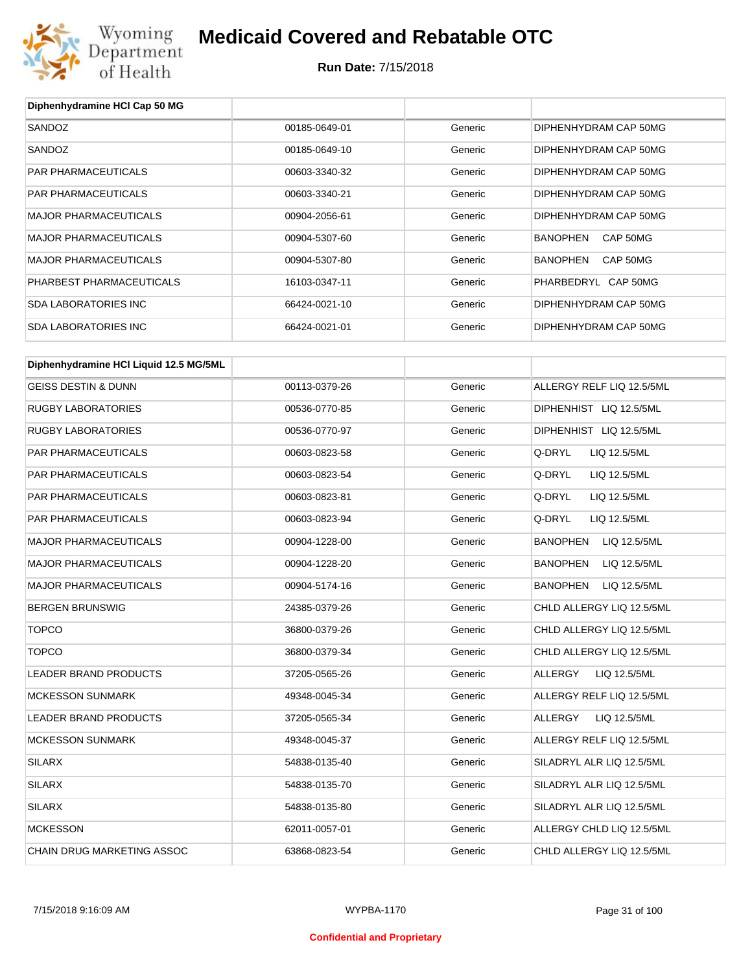

| Diphenhydramine HCI Cap 50 MG          |               |         |                                 |
|----------------------------------------|---------------|---------|---------------------------------|
| SANDOZ                                 | 00185-0649-01 | Generic | DIPHENHYDRAM CAP 50MG           |
| SANDOZ                                 | 00185-0649-10 | Generic | DIPHENHYDRAM CAP 50MG           |
| PAR PHARMACEUTICALS                    | 00603-3340-32 | Generic | DIPHENHYDRAM CAP 50MG           |
| PAR PHARMACEUTICALS                    | 00603-3340-21 | Generic | DIPHENHYDRAM CAP 50MG           |
| <b>MAJOR PHARMACEUTICALS</b>           | 00904-2056-61 | Generic | DIPHENHYDRAM CAP 50MG           |
| <b>MAJOR PHARMACEUTICALS</b>           | 00904-5307-60 | Generic | BANOPHEN<br>CAP 50MG            |
| <b>MAJOR PHARMACEUTICALS</b>           | 00904-5307-80 | Generic | <b>BANOPHEN</b><br>CAP 50MG     |
| PHARBEST PHARMACEUTICALS               | 16103-0347-11 | Generic | PHARBEDRYL CAP 50MG             |
| <b>SDA LABORATORIES INC</b>            | 66424-0021-10 | Generic | DIPHENHYDRAM CAP 50MG           |
| <b>SDA LABORATORIES INC</b>            | 66424-0021-01 | Generic | DIPHENHYDRAM CAP 50MG           |
| Diphenhydramine HCI Liquid 12.5 MG/5ML |               |         |                                 |
| <b>GEISS DESTIN &amp; DUNN</b>         | 00113-0379-26 | Generic | ALLERGY RELF LIQ 12.5/5ML       |
| <b>RUGBY LABORATORIES</b>              | 00536-0770-85 | Generic | DIPHENHIST LIQ 12.5/5ML         |
| <b>RUGBY LABORATORIES</b>              |               |         | DIPHENHIST LIQ 12.5/5ML         |
|                                        | 00536-0770-97 | Generic |                                 |
| PAR PHARMACEUTICALS                    | 00603-0823-58 | Generic | Q-DRYL<br>LIQ 12.5/5ML          |
| PAR PHARMACEUTICALS                    | 00603-0823-54 | Generic | Q-DRYL<br>LIQ 12.5/5ML          |
| PAR PHARMACEUTICALS                    | 00603-0823-81 | Generic | Q-DRYL<br>LIQ 12.5/5ML          |
| PAR PHARMACEUTICALS                    | 00603-0823-94 | Generic | Q-DRYL<br>LIQ 12.5/5ML          |
| <b>MAJOR PHARMACEUTICALS</b>           | 00904-1228-00 | Generic | <b>BANOPHEN</b><br>LIQ 12.5/5ML |
| <b>MAJOR PHARMACEUTICALS</b>           | 00904-1228-20 | Generic | <b>BANOPHEN</b><br>LIQ 12.5/5ML |
| <b>MAJOR PHARMACEUTICALS</b>           | 00904-5174-16 | Generic | <b>BANOPHEN</b><br>LIQ 12.5/5ML |
| <b>BERGEN BRUNSWIG</b>                 | 24385-0379-26 | Generic | CHLD ALLERGY LIQ 12.5/5ML       |
| <b>TOPCO</b>                           | 36800-0379-26 | Generic | CHLD ALLERGY LIQ 12.5/5ML       |
| <b>TOPCO</b>                           | 36800-0379-34 | Generic | CHLD ALLERGY LIQ 12.5/5ML       |
| LEADER BRAND PRODUCTS                  | 37205-0565-26 | Generic | ALLERGY<br>LIQ 12.5/5ML         |
| <b>MCKESSON SUNMARK</b>                | 49348-0045-34 | Generic | ALLERGY RELF LIQ 12.5/5ML       |
| LEADER BRAND PRODUCTS                  | 37205-0565-34 | Generic | ALLERGY<br>LIQ 12.5/5ML         |
| <b>MCKESSON SUNMARK</b>                | 49348-0045-37 | Generic | ALLERGY RELF LIQ 12.5/5ML       |
| SILARX                                 | 54838-0135-40 | Generic | SILADRYL ALR LIQ 12.5/5ML       |
| SILARX                                 | 54838-0135-70 | Generic | SILADRYL ALR LIQ 12.5/5ML       |
| SILARX                                 | 54838-0135-80 | Generic | SILADRYL ALR LIQ 12.5/5ML       |
| <b>MCKESSON</b>                        | 62011-0057-01 | Generic | ALLERGY CHLD LIQ 12.5/5ML       |
| CHAIN DRUG MARKETING ASSOC             | 63868-0823-54 | Generic | CHLD ALLERGY LIQ 12.5/5ML       |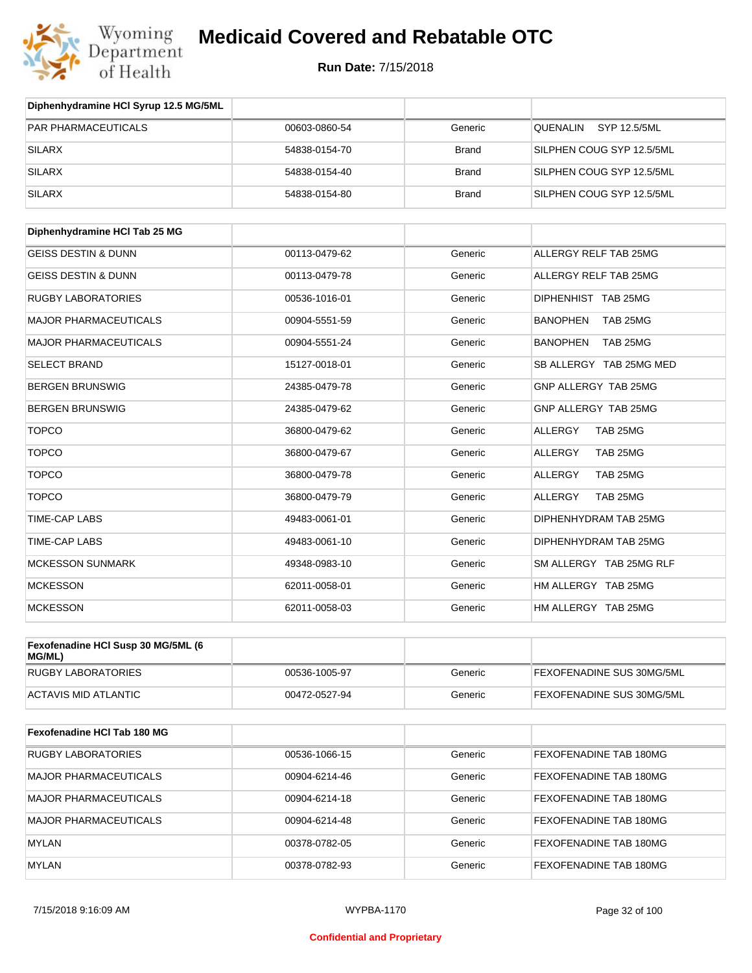

| Diphenhydramine HCI Syrup 12.5 MG/5ML        |               |              |                             |
|----------------------------------------------|---------------|--------------|-----------------------------|
| <b>PAR PHARMACEUTICALS</b>                   | 00603-0860-54 | Generic      | QUENALIN SYP 12.5/5ML       |
| <b>SILARX</b>                                | 54838-0154-70 | <b>Brand</b> | SILPHEN COUG SYP 12.5/5ML   |
| <b>SILARX</b>                                | 54838-0154-40 | <b>Brand</b> | SILPHEN COUG SYP 12.5/5ML   |
| <b>SILARX</b>                                | 54838-0154-80 | <b>Brand</b> | SILPHEN COUG SYP 12.5/5ML   |
| Diphenhydramine HCI Tab 25 MG                |               |              |                             |
| <b>GEISS DESTIN &amp; DUNN</b>               | 00113-0479-62 | Generic      | ALLERGY RELF TAB 25MG       |
| <b>GEISS DESTIN &amp; DUNN</b>               | 00113-0479-78 | Generic      | ALLERGY RELF TAB 25MG       |
| <b>RUGBY LABORATORIES</b>                    | 00536-1016-01 | Generic      | DIPHENHIST TAB 25MG         |
| MAJOR PHARMACEUTICALS                        | 00904-5551-59 | Generic      | <b>BANOPHEN</b><br>TAB 25MG |
| MAJOR PHARMACEUTICALS                        | 00904-5551-24 | Generic      | <b>BANOPHEN</b><br>TAB 25MG |
| <b>SELECT BRAND</b>                          | 15127-0018-01 | Generic      | SB ALLERGY TAB 25MG MED     |
| <b>BERGEN BRUNSWIG</b>                       | 24385-0479-78 | Generic      | GNP ALLERGY TAB 25MG        |
| <b>BERGEN BRUNSWIG</b>                       | 24385-0479-62 | Generic      | GNP ALLERGY TAB 25MG        |
| <b>TOPCO</b>                                 | 36800-0479-62 | Generic      | <b>ALLERGY</b><br>TAB 25MG  |
| <b>TOPCO</b>                                 | 36800-0479-67 | Generic      | <b>ALLERGY</b><br>TAB 25MG  |
| <b>TOPCO</b>                                 | 36800-0479-78 | Generic      | <b>ALLERGY</b><br>TAB 25MG  |
| <b>TOPCO</b>                                 | 36800-0479-79 | Generic      | <b>ALLERGY</b><br>TAB 25MG  |
| <b>TIME-CAP LABS</b>                         | 49483-0061-01 | Generic      | DIPHENHYDRAM TAB 25MG       |
| <b>TIME-CAP LABS</b>                         | 49483-0061-10 | Generic      | DIPHENHYDRAM TAB 25MG       |
| <b>MCKESSON SUNMARK</b>                      | 49348-0983-10 | Generic      | SM ALLERGY TAB 25MG RLF     |
| <b>MCKESSON</b>                              | 62011-0058-01 | Generic      | HM ALLERGY TAB 25MG         |
| <b>MCKESSON</b>                              | 62011-0058-03 | Generic      | HM ALLERGY TAB 25MG         |
| Fexofenadine HCI Susp 30 MG/5ML (6<br>MG/ML) |               |              |                             |
| <b>RUGBY LABORATORIES</b>                    | 00536-1005-97 | Generic      | FEXOFENADINE SUS 30MG/5ML   |
| <b>ACTAVIS MID ATLANTIC</b>                  | 00472-0527-94 | Generic      | FEXOFENADINE SUS 30MG/5ML   |
| <b>Fexofenadine HCI Tab 180 MG</b>           |               |              |                             |
| <b>RUGBY LABORATORIES</b>                    | 00536-1066-15 | Generic      | FEXOFENADINE TAB 180MG      |
| <b>MAJOR PHARMACEUTICALS</b>                 | 00904-6214-46 | Generic      | FEXOFENADINE TAB 180MG      |
| MAJOR PHARMACEUTICALS                        | 00904-6214-18 | Generic      | FEXOFENADINE TAB 180MG      |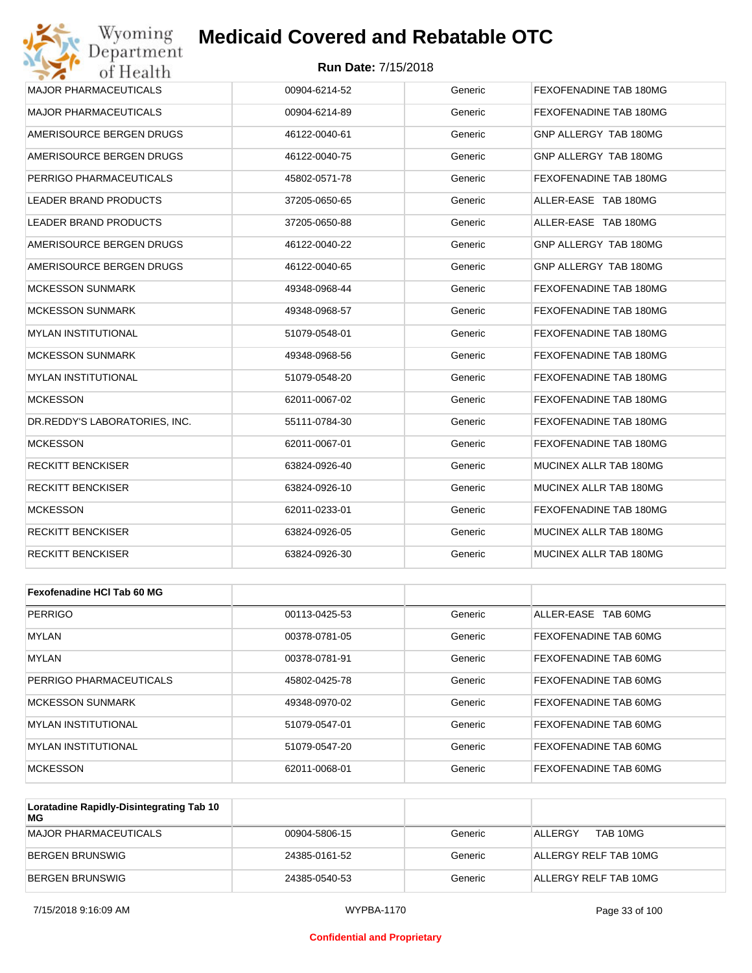### **Run Date:** 7/15/2018

| Wyoming<br>Department         | <b>Medicaid Covered and Rebatable OTC</b> |         |                        |
|-------------------------------|-------------------------------------------|---------|------------------------|
| of Health                     | <b>Run Date: 7/15/2018</b>                |         |                        |
| <b>MAJOR PHARMACEUTICALS</b>  | 00904-6214-52                             | Generic | FEXOFENADINE TAB 180MG |
| <b>MAJOR PHARMACEUTICALS</b>  | 00904-6214-89                             | Generic | FEXOFENADINE TAB 180MG |
| AMERISOURCE BERGEN DRUGS      | 46122-0040-61                             | Generic | GNP ALLERGY TAB 180MG  |
| AMERISOURCE BERGEN DRUGS      | 46122-0040-75                             | Generic | GNP ALLERGY TAB 180MG  |
| PERRIGO PHARMACEUTICALS       | 45802-0571-78                             | Generic | FEXOFENADINE TAB 180MG |
| LEADER BRAND PRODUCTS         | 37205-0650-65                             | Generic | ALLER-EASE TAB 180MG   |
| LEADER BRAND PRODUCTS         | 37205-0650-88                             | Generic | ALLER-EASE TAB 180MG   |
| AMERISOURCE BERGEN DRUGS      | 46122-0040-22                             | Generic | GNP ALLERGY TAB 180MG  |
| AMERISOURCE BERGEN DRUGS      | 46122-0040-65                             | Generic | GNP ALLERGY TAB 180MG  |
| <b>MCKESSON SUNMARK</b>       | 49348-0968-44                             | Generic | FEXOFENADINE TAB 180MG |
| <b>MCKESSON SUNMARK</b>       | 49348-0968-57                             | Generic | FEXOFENADINE TAB 180MG |
| <b>MYLAN INSTITUTIONAL</b>    | 51079-0548-01                             | Generic | FEXOFENADINE TAB 180MG |
| <b>MCKESSON SUNMARK</b>       | 49348-0968-56                             | Generic | FEXOFENADINE TAB 180MG |
| <b>MYLAN INSTITUTIONAL</b>    | 51079-0548-20                             | Generic | FEXOFENADINE TAB 180MG |
| <b>MCKESSON</b>               | 62011-0067-02                             | Generic | FEXOFENADINE TAB 180MG |
| DR.REDDY'S LABORATORIES, INC. | 55111-0784-30                             | Generic | FEXOFENADINE TAB 180MG |
| <b>MCKESSON</b>               | 62011-0067-01                             | Generic | FEXOFENADINE TAB 180MG |
| RECKITT BENCKISER             | 63824-0926-40                             | Generic | MUCINEX ALLR TAB 180MG |
| <b>RECKITT BENCKISER</b>      | 63824-0926-10                             | Generic | MUCINEX ALLR TAB 180MG |
| <b>MCKESSON</b>               | 62011-0233-01                             | Generic | FEXOFENADINE TAB 180MG |
| <b>RECKITT BENCKISER</b>      | 63824-0926-05                             | Generic | MUCINEX ALLR TAB 180MG |
| <b>RECKITT BENCKISER</b>      | 63824-0926-30                             | Generic | MUCINEX ALLR TAB 180MG |
|                               |                                           |         |                        |
| Fexofenadine HCI Tab 60 MG    |                                           |         |                        |
| <b>PERRIGO</b>                | 00113-0425-53                             | Generic | ALLER-EASE TAB 60MG    |
| MYLAN                         | 00378-0781-05                             | Generic | FEXOFENADINE TAB 60MG  |
| <b>MYLAN</b>                  | 00378-0781-91                             | Generic | FEXOFENADINE TAB 60MG  |

| MYLAN                   | 00378-0781-91 | Generic | FEXOFENADINE TAB 60MG        |
|-------------------------|---------------|---------|------------------------------|
| PERRIGO PHARMACEUTICALS | 45802-0425-78 | Generic | <b>FEXOFENADINE TAB 60MG</b> |
| MCKESSON SUNMARK        | 49348-0970-02 | Generic | <b>FEXOFENADINE TAB 60MG</b> |
| MYLAN INSTITUTIONAL     | 51079-0547-01 | Generic | <b>FEXOFENADINE TAB 60MG</b> |
| MYLAN INSTITUTIONAL     | 51079-0547-20 | Generic | <b>FEXOFENADINE TAB 60MG</b> |
| MCKESSON                | 62011-0068-01 | Generic | <b>FEXOFENADINE TAB 60MG</b> |

| Loratadine Rapidly-Disintegrating Tab 10<br>МG |               |         |                       |
|------------------------------------------------|---------------|---------|-----------------------|
| MAJOR PHARMACEUTICALS                          | 00904-5806-15 | Generic | TAB 10MG<br>ALL FRGY  |
| BERGEN BRUNSWIG                                | 24385-0161-52 | Generic | ALLERGY RELF TAB 10MG |
| BERGEN BRUNSWIG                                | 24385-0540-53 | Generic | ALLERGY RELF TAB 10MG |

#### **Confidential and Proprietary**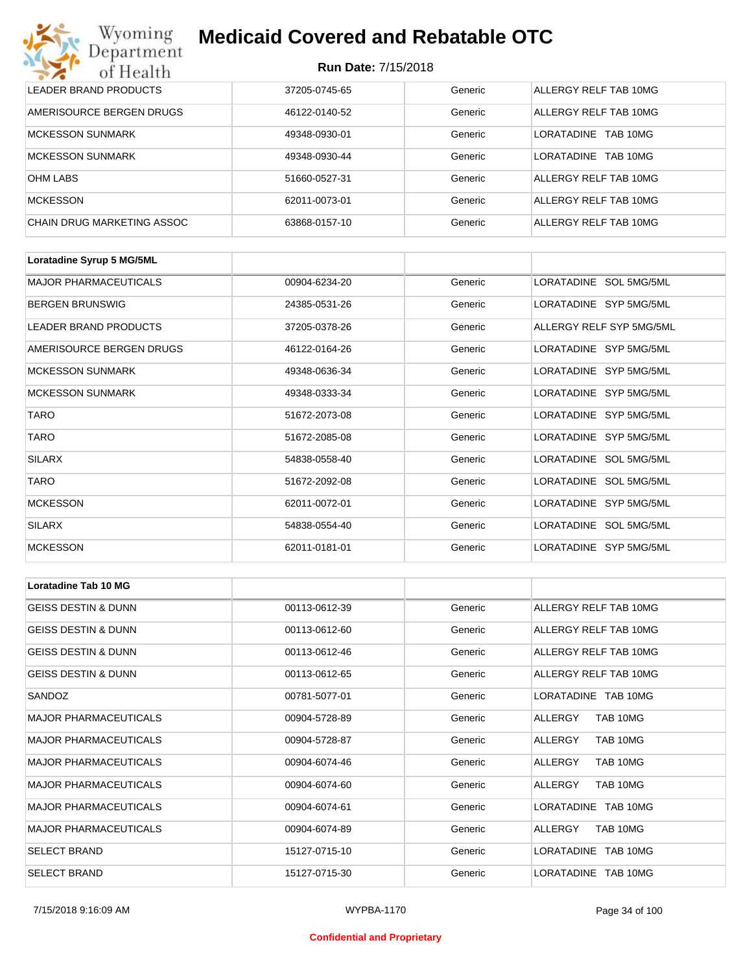### **Run Date:** 7/15/2018

| Wyoming<br><b>Medicaid Covered and Rebatable OTC</b><br>Department |                            |         |                               |  |  |
|--------------------------------------------------------------------|----------------------------|---------|-------------------------------|--|--|
| of Health                                                          | <b>Run Date: 7/15/2018</b> |         |                               |  |  |
| LEADER BRAND PRODUCTS                                              | 37205-0745-65              | Generic | ALLERGY RELF TAB 10MG         |  |  |
| AMERISOURCE BERGEN DRUGS                                           | 46122-0140-52              | Generic | ALLERGY RELF TAB 10MG         |  |  |
| <b>MCKESSON SUNMARK</b>                                            | 49348-0930-01              | Generic | <b>LORATADINE</b><br>TAB 10MG |  |  |
| <b>MCKESSON SUNMARK</b>                                            | 49348-0930-44              | Generic | <b>LORATADINE</b><br>TAB 10MG |  |  |
| <b>OHM LABS</b>                                                    | 51660-0527-31              | Generic | ALLERGY RELF TAB 10MG         |  |  |
| <b>MCKESSON</b>                                                    | 62011-0073-01              | Generic | ALLERGY RELF TAB 10MG         |  |  |
| CHAIN DRUG MARKETING ASSOC                                         | 63868-0157-10              | Generic | ALLERGY RELF TAB 10MG         |  |  |

| Loratadine Syrup 5 MG/5ML    |               |         |                          |
|------------------------------|---------------|---------|--------------------------|
| <b>MAJOR PHARMACEUTICALS</b> | 00904-6234-20 | Generic | LORATADINE SOL 5MG/5ML   |
| <b>BERGEN BRUNSWIG</b>       | 24385-0531-26 | Generic | LORATADINE SYP 5MG/5ML   |
| LEADER BRAND PRODUCTS        | 37205-0378-26 | Generic | ALLERGY RELF SYP 5MG/5ML |
| AMERISOURCE BERGEN DRUGS     | 46122-0164-26 | Generic | LORATADINE SYP 5MG/5ML   |
| <b>MCKESSON SUNMARK</b>      | 49348-0636-34 | Generic | LORATADINE SYP 5MG/5ML   |
| <b>MCKESSON SUNMARK</b>      | 49348-0333-34 | Generic | LORATADINE SYP 5MG/5ML   |
| <b>TARO</b>                  | 51672-2073-08 | Generic | LORATADINE SYP 5MG/5ML   |
| <b>TARO</b>                  | 51672-2085-08 | Generic | LORATADINE SYP 5MG/5ML   |
| <b>SILARX</b>                | 54838-0558-40 | Generic | LORATADINE SOL 5MG/5ML   |
| <b>TARO</b>                  | 51672-2092-08 | Generic | LORATADINE SOL 5MG/5ML   |
| <b>MCKESSON</b>              | 62011-0072-01 | Generic | LORATADINE SYP 5MG/5ML   |
| <b>SILARX</b>                | 54838-0554-40 | Generic | LORATADINE SOL 5MG/5ML   |
| <b>MCKESSON</b>              | 62011-0181-01 | Generic | LORATADINE SYP 5MG/5ML   |

| Loratadine Tab 10 MG           |               |         |                       |
|--------------------------------|---------------|---------|-----------------------|
| <b>GEISS DESTIN &amp; DUNN</b> | 00113-0612-39 | Generic | ALLERGY RELF TAB 10MG |
| <b>GEISS DESTIN &amp; DUNN</b> | 00113-0612-60 | Generic | ALLERGY RELF TAB 10MG |
| <b>GEISS DESTIN &amp; DUNN</b> | 00113-0612-46 | Generic | ALLERGY RELF TAB 10MG |
| <b>GEISS DESTIN &amp; DUNN</b> | 00113-0612-65 | Generic | ALLERGY RELF TAB 10MG |
| SANDOZ                         | 00781-5077-01 | Generic | LORATADINE TAB 10MG   |
| <b>MAJOR PHARMACEUTICALS</b>   | 00904-5728-89 | Generic | ALLERGY<br>TAB 10MG   |
| <b>MAJOR PHARMACEUTICALS</b>   | 00904-5728-87 | Generic | TAB 10MG<br>ALLERGY   |
| <b>MAJOR PHARMACEUTICALS</b>   | 00904-6074-46 | Generic | TAB 10MG<br>ALLERGY   |
| <b>MAJOR PHARMACEUTICALS</b>   | 00904-6074-60 | Generic | ALLERGY<br>TAB 10MG   |
| <b>MAJOR PHARMACEUTICALS</b>   | 00904-6074-61 | Generic | LORATADINE TAB 10MG   |
| <b>MAJOR PHARMACEUTICALS</b>   | 00904-6074-89 | Generic | TAB 10MG<br>ALLERGY   |
| <b>SELECT BRAND</b>            | 15127-0715-10 | Generic | LORATADINE TAB 10MG   |
| <b>SELECT BRAND</b>            | 15127-0715-30 | Generic | LORATADINE TAB 10MG   |

#### **Confidential and Proprietary**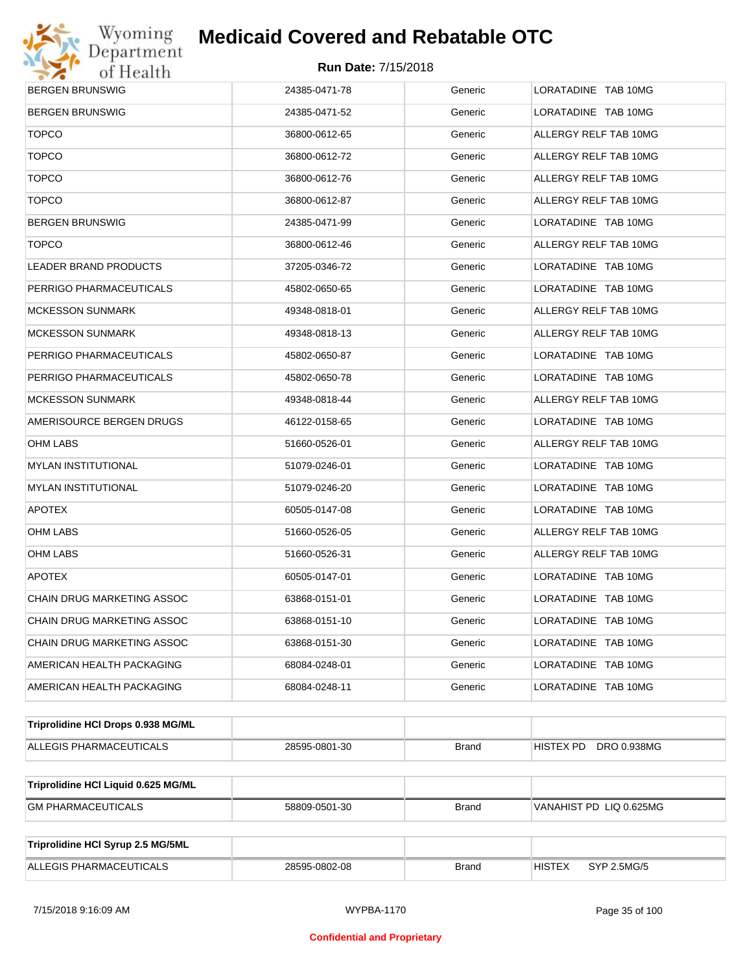

| BERGEN BRUNSWIG                     | 24385-0471-78 | Generic      | LORATADINE TAB 10MG          |  |  |
|-------------------------------------|---------------|--------------|------------------------------|--|--|
| BERGEN BRUNSWIG                     | 24385-0471-52 | Generic      | LORATADINE TAB 10MG          |  |  |
| <b>TOPCO</b>                        | 36800-0612-65 | Generic      | ALLERGY RELF TAB 10MG        |  |  |
| <b>TOPCO</b>                        | 36800-0612-72 | Generic      | ALLERGY RELF TAB 10MG        |  |  |
| <b>TOPCO</b>                        | 36800-0612-76 | Generic      | ALLERGY RELF TAB 10MG        |  |  |
| <b>TOPCO</b>                        | 36800-0612-87 | Generic      | ALLERGY RELF TAB 10MG        |  |  |
| BERGEN BRUNSWIG                     | 24385-0471-99 | Generic      | LORATADINE TAB 10MG          |  |  |
| <b>TOPCO</b>                        | 36800-0612-46 | Generic      | ALLERGY RELF TAB 10MG        |  |  |
| LEADER BRAND PRODUCTS               | 37205-0346-72 | Generic      | LORATADINE TAB 10MG          |  |  |
| PERRIGO PHARMACEUTICALS             | 45802-0650-65 | Generic      | LORATADINE TAB 10MG          |  |  |
| MCKESSON SUNMARK                    | 49348-0818-01 | Generic      | ALLERGY RELF TAB 10MG        |  |  |
| MCKESSON SUNMARK                    | 49348-0818-13 | Generic      | ALLERGY RELF TAB 10MG        |  |  |
| PERRIGO PHARMACEUTICALS             | 45802-0650-87 | Generic      | LORATADINE TAB 10MG          |  |  |
| PERRIGO PHARMACEUTICALS             | 45802-0650-78 | Generic      | LORATADINE TAB 10MG          |  |  |
| MCKESSON SUNMARK                    | 49348-0818-44 | Generic      | ALLERGY RELF TAB 10MG        |  |  |
| AMERISOURCE BERGEN DRUGS            | 46122-0158-65 | Generic      | LORATADINE TAB 10MG          |  |  |
| OHM LABS                            | 51660-0526-01 | Generic      | ALLERGY RELF TAB 10MG        |  |  |
| MYLAN INSTITUTIONAL                 | 51079-0246-01 | Generic      | LORATADINE TAB 10MG          |  |  |
| <b>MYLAN INSTITUTIONAL</b>          | 51079-0246-20 | Generic      | LORATADINE TAB 10MG          |  |  |
| <b>APOTEX</b>                       | 60505-0147-08 | Generic      | LORATADINE TAB 10MG          |  |  |
| OHM LABS                            | 51660-0526-05 | Generic      | ALLERGY RELF TAB 10MG        |  |  |
| OHM LABS                            | 51660-0526-31 | Generic      | ALLERGY RELF TAB 10MG        |  |  |
| <b>APOTEX</b>                       | 60505-0147-01 | Generic      | LORATADINE TAB 10MG          |  |  |
| CHAIN DRUG MARKETING ASSOC          | 63868-0151-01 | Generic      | LORATADINE TAB 10MG          |  |  |
| CHAIN DRUG MARKETING ASSOC          | 63868-0151-10 | Generic      | LORATADINE TAB 10MG          |  |  |
| CHAIN DRUG MARKETING ASSOC          | 63868-0151-30 | Generic      | LORATADINE TAB 10MG          |  |  |
| AMERICAN HEALTH PACKAGING           | 68084-0248-01 | Generic      | LORATADINE TAB 10MG          |  |  |
| AMERICAN HEALTH PACKAGING           | 68084-0248-11 | Generic      | LORATADINE TAB 10MG          |  |  |
| Triprolidine HCI Drops 0.938 MG/ML  |               |              |                              |  |  |
| ALLEGIS PHARMACEUTICALS             | 28595-0801-30 | <b>Brand</b> | HISTEX PD DRO 0.938MG        |  |  |
| Triprolidine HCI Liquid 0.625 MG/ML |               |              |                              |  |  |
| <b>GM PHARMACEUTICALS</b>           | 58809-0501-30 | <b>Brand</b> | VANAHIST PD LIQ 0.625MG      |  |  |
|                                     |               |              |                              |  |  |
| Triprolidine HCI Syrup 2.5 MG/5ML   |               |              |                              |  |  |
| ALLEGIS PHARMACEUTICALS             | 28595-0802-08 | <b>Brand</b> | <b>HISTEX</b><br>SYP 2.5MG/5 |  |  |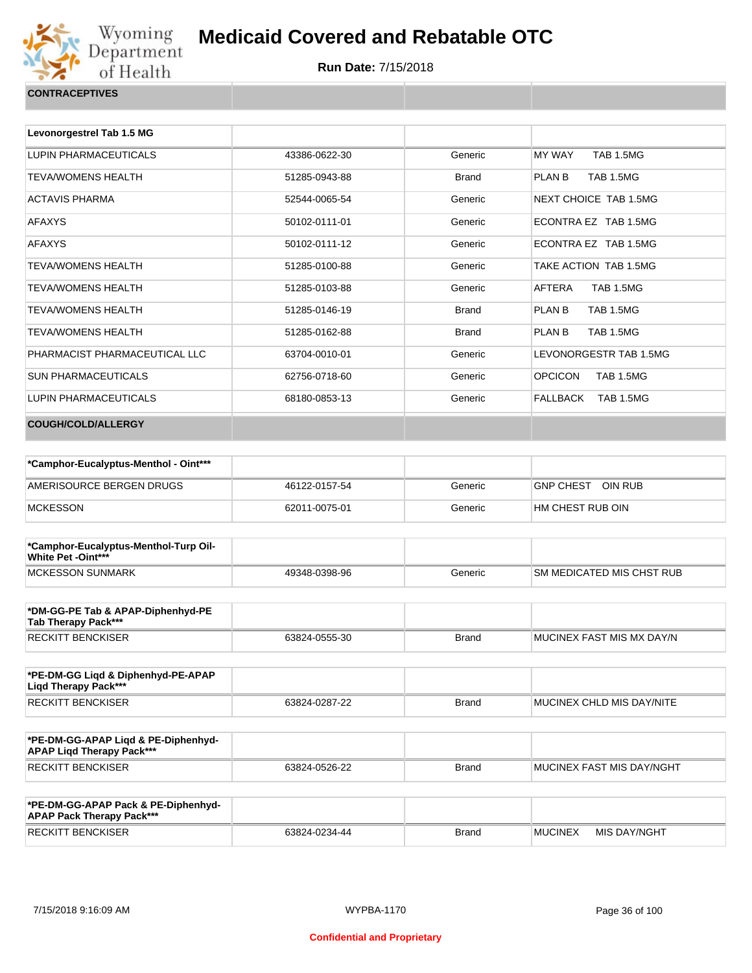

| Levonorgestrel Tab 1.5 MG     |               |              |                                    |
|-------------------------------|---------------|--------------|------------------------------------|
| LUPIN PHARMACEUTICALS         | 43386-0622-30 | Generic      | <b>TAB 1.5MG</b><br>MY WAY         |
| <b>TEVA/WOMENS HEALTH</b>     | 51285-0943-88 | <b>Brand</b> | PLAN B<br><b>TAB 1.5MG</b>         |
| <b>ACTAVIS PHARMA</b>         | 52544-0065-54 | Generic      | NEXT CHOICE TAB 1.5MG              |
| <b>AFAXYS</b>                 | 50102-0111-01 | Generic      | ECONTRA EZ TAB 1.5MG               |
| <b>AFAXYS</b>                 | 50102-0111-12 | Generic      | ECONTRA EZ TAB 1.5MG               |
| <b>TEVA/WOMENS HEALTH</b>     | 51285-0100-88 | Generic      | TAKE ACTION TAB 1.5MG              |
| <b>TEVA/WOMENS HEALTH</b>     | 51285-0103-88 | Generic      | AFTERA<br><b>TAB 1.5MG</b>         |
| <b>TEVA/WOMENS HEALTH</b>     | 51285-0146-19 | Brand        | PLAN B<br><b>TAB 1.5MG</b>         |
| <b>TEVA/WOMENS HEALTH</b>     | 51285-0162-88 | <b>Brand</b> | PLAN B<br><b>TAB 1.5MG</b>         |
| PHARMACIST PHARMACEUTICAL LLC | 63704-0010-01 | Generic      | LEVONORGESTR TAB 1.5MG             |
| <b>SUN PHARMACEUTICALS</b>    | 62756-0718-60 | Generic      | <b>OPCICON</b><br><b>TAB 1.5MG</b> |
| <b>LUPIN PHARMACEUTICALS</b>  | 68180-0853-13 | Generic      | FALLBACK<br><b>TAB 1.5MG</b>       |
| <b>COUGH/COLD/ALLERGY</b>     |               |              |                                    |

| *Camphor-Eucalyptus-Menthol - Oint*** |               |         |                             |
|---------------------------------------|---------------|---------|-----------------------------|
| AMERISOURCE BERGEN DRUGS              | 46122-0157-54 | Generic | OIN RUB<br><b>GNP CHEST</b> |
| <b>MCKESSON</b>                       | 62011-0075-01 | Generic | I HM CHEST RUB OIN          |

| *Camphor-Eucalyptus-Menthol-Turp Oil-<br><b>White Pet -Oint***</b> |               |         |                                   |
|--------------------------------------------------------------------|---------------|---------|-----------------------------------|
| MCKESSON SUNMARK                                                   | 49348-0398-96 | Generic | <b>ISM MEDICATED MIS CHST RUB</b> |

| *DM-GG-PE Tab & APAP-Diphenhyd-PE<br>Tab Therapy Pack*** |               |       |                            |
|----------------------------------------------------------|---------------|-------|----------------------------|
| RECKITT BENCKISER                                        | 63824-0555-30 | Brand | IMUCINEX FAST MIS MX DAY/N |

| *PE-DM-GG Ligd & Diphenhyd-PE-APAP<br>Ligd Therapy Pack*** |               |              |                                   |
|------------------------------------------------------------|---------------|--------------|-----------------------------------|
| <b>RECKITT BENCKISER</b>                                   | 63824-0287-22 | <b>Brand</b> | <b>IMUCINEX CHLD MIS DAY/NITE</b> |

| *PE-DM-GG-APAP Ligd & PE-Diphenhyd-<br><b>APAP Ligd Therapy Pack***</b> |               |       |                           |
|-------------------------------------------------------------------------|---------------|-------|---------------------------|
| RECKITT BENCKISER                                                       | 63824-0526-22 | Brand | MUCINEX FAST MIS DAY/NGHT |

| *PE-DM-GG-APAP Pack & PE-Diphenhyd-<br><b>APAP Pack Therapy Pack***</b> |               |              |                |              |
|-------------------------------------------------------------------------|---------------|--------------|----------------|--------------|
| <b>RECKITT BENCKISER</b>                                                | 63824-0234-44 | <b>Brand</b> | <b>MUCINEX</b> | MIS DAY/NGHT |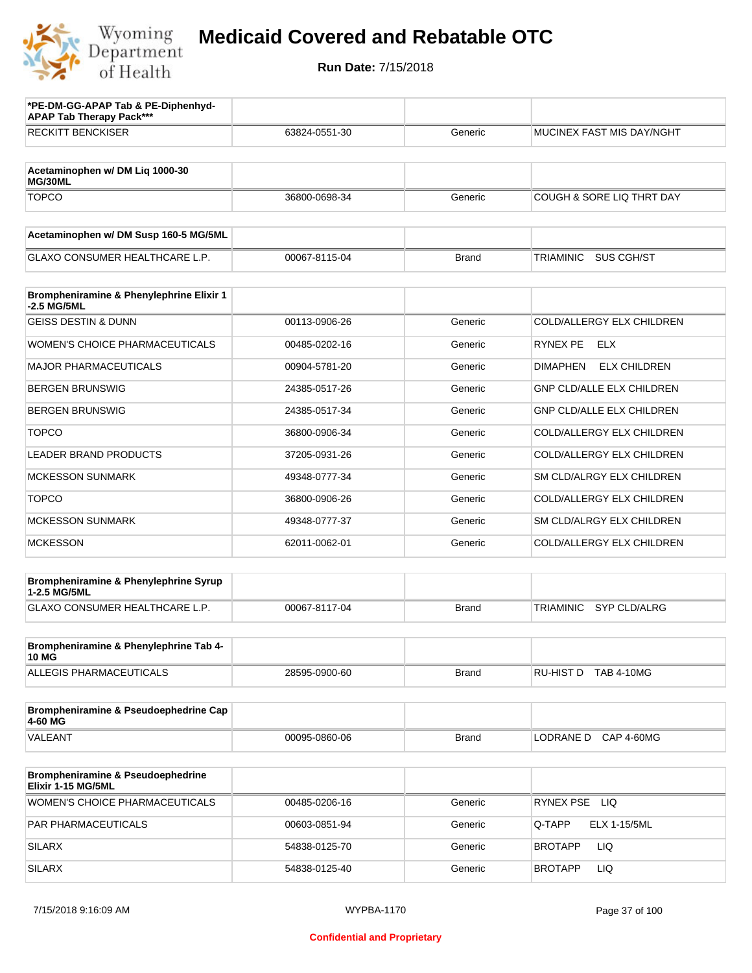

| *PE-DM-GG-APAP Tab & PE-Diphenhyd-<br><b>APAP Tab Therapy Pack***</b> |               |              |                                         |
|-----------------------------------------------------------------------|---------------|--------------|-----------------------------------------|
| <b>RECKITT BENCKISER</b>                                              | 63824-0551-30 | Generic      | <b>MUCINEX FAST MIS DAY/NGHT</b>        |
|                                                                       |               |              |                                         |
| Acetaminophen w/ DM Liq 1000-30<br>MG/30ML                            |               |              |                                         |
| <b>TOPCO</b>                                                          | 36800-0698-34 | Generic      | <b>COUGH &amp; SORE LIQ THRT DAY</b>    |
| Acetaminophen w/ DM Susp 160-5 MG/5ML                                 |               |              |                                         |
| <b>GLAXO CONSUMER HEALTHCARE L.P.</b>                                 | 00067-8115-04 | <b>Brand</b> | SUS CGH/ST<br>TRIAMINIC                 |
| Brompheniramine & Phenylephrine Elixir 1<br>-2.5 MG/5ML               |               |              |                                         |
| <b>GEISS DESTIN &amp; DUNN</b>                                        | 00113-0906-26 | Generic      | COLD/ALLERGY ELX CHILDREN               |
| <b>WOMEN'S CHOICE PHARMACEUTICALS</b>                                 | 00485-0202-16 | Generic      | RYNEX PE<br>ELX                         |
| <b>MAJOR PHARMACEUTICALS</b>                                          | 00904-5781-20 | Generic      | <b>ELX CHILDREN</b><br><b>DIMAPHEN</b>  |
| <b>BERGEN BRUNSWIG</b>                                                | 24385-0517-26 | Generic      | <b>GNP CLD/ALLE ELX CHILDREN</b>        |
| <b>BERGEN BRUNSWIG</b>                                                | 24385-0517-34 | Generic      | GNP CLD/ALLE ELX CHILDREN               |
| <b>TOPCO</b>                                                          | 36800-0906-34 | Generic      | COLD/ALLERGY ELX CHILDREN               |
| <b>LEADER BRAND PRODUCTS</b>                                          | 37205-0931-26 | Generic      | COLD/ALLERGY ELX CHILDREN               |
| <b>MCKESSON SUNMARK</b>                                               | 49348-0777-34 | Generic      | SM CLD/ALRGY ELX CHILDREN               |
| <b>TOPCO</b>                                                          | 36800-0906-26 | Generic      | COLD/ALLERGY ELX CHILDREN               |
| <b>MCKESSON SUNMARK</b>                                               | 49348-0777-37 | Generic      | SM CLD/ALRGY ELX CHILDREN               |
| <b>MCKESSON</b>                                                       | 62011-0062-01 | Generic      | COLD/ALLERGY ELX CHILDREN               |
| Brompheniramine & Phenylephrine Syrup<br>1-2.5 MG/5ML                 |               |              |                                         |
| GLAXO CONSUMER HEALTHCARE L.P.                                        | 00067-8117-04 | <b>Brand</b> | <b>TRIAMINIC</b><br><b>SYP CLD/ALRG</b> |
| Brompheniramine & Phenylephrine Tab 4-                                |               |              |                                         |
| <b>10 MG</b><br><b>ALLEGIS PHARMACEUTICALS</b>                        | 28595-0900-60 | <b>Brand</b> | RU-HIST D TAB 4-10MG                    |
|                                                                       |               |              |                                         |
| Brompheniramine & Pseudoephedrine Cap<br>4-60 MG                      |               |              |                                         |
| VALEANT                                                               | 00095-0860-06 | <b>Brand</b> | LODRANE D CAP 4-60MG                    |
| Brompheniramine & Pseudoephedrine<br>Elixir 1-15 MG/5ML               |               |              |                                         |
| WOMEN'S CHOICE PHARMACEUTICALS                                        | 00485-0206-16 | Generic      | RYNEX PSE LIQ                           |
| PAR PHARMACEUTICALS                                                   | 00603-0851-94 | Generic      | Q-TAPP<br>ELX 1-15/5ML                  |
| <b>SILARX</b>                                                         | 54838-0125-70 | Generic      | LIQ<br>BROTAPP                          |
| <b>SILARX</b>                                                         | 54838-0125-40 | Generic      | LIQ<br>BROTAPP                          |
|                                                                       |               |              |                                         |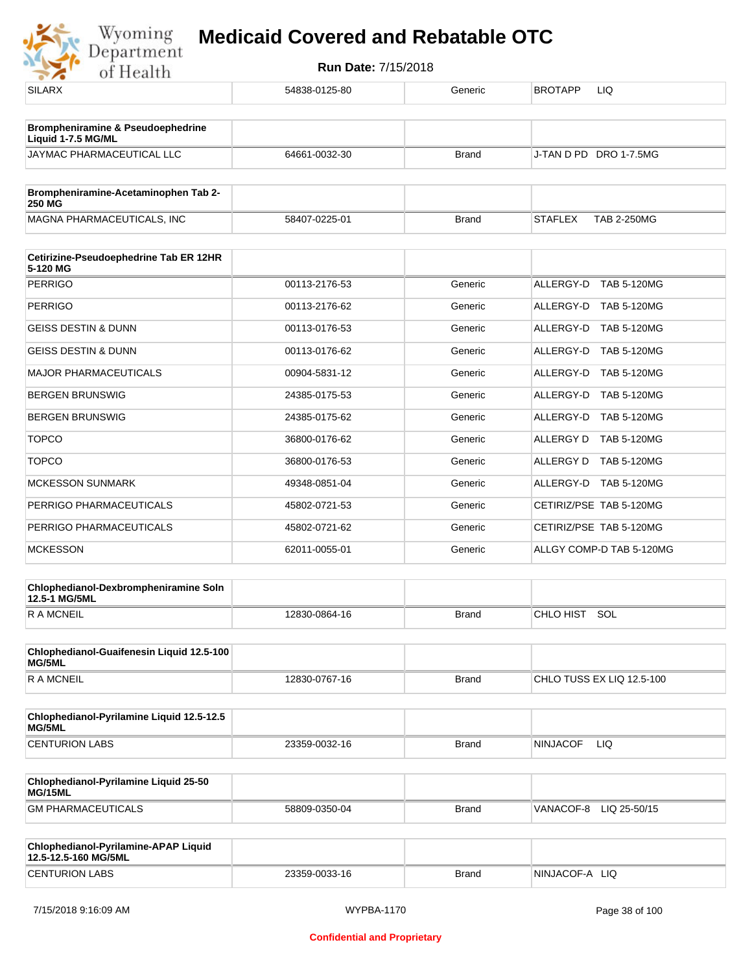

| <b>SILARX</b>                                          | 54838-0125-80 | Generic      | <b>BROTAPP</b><br>LIQ                |
|--------------------------------------------------------|---------------|--------------|--------------------------------------|
| Brompheniramine & Pseudoephedrine                      |               |              |                                      |
| Liquid 1-7.5 MG/ML                                     |               |              |                                      |
| JAYMAC PHARMACEUTICAL LLC                              | 64661-0032-30 | <b>Brand</b> | J-TAN D PD DRO 1-7.5MG               |
| Brompheniramine-Acetaminophen Tab 2-<br>250 MG         |               |              |                                      |
| MAGNA PHARMACEUTICALS, INC                             | 58407-0225-01 | <b>Brand</b> | <b>STAFLEX</b><br><b>TAB 2-250MG</b> |
| Cetirizine-Pseudoephedrine Tab ER 12HR<br>5-120 MG     |               |              |                                      |
| <b>PERRIGO</b>                                         | 00113-2176-53 | Generic      | ALLERGY-D<br>TAB 5-120MG             |
| <b>PERRIGO</b>                                         | 00113-2176-62 | Generic      | ALLERGY-D TAB 5-120MG                |
| <b>GEISS DESTIN &amp; DUNN</b>                         | 00113-0176-53 | Generic      | ALLERGY-D<br>TAB 5-120MG             |
| <b>GEISS DESTIN &amp; DUNN</b>                         | 00113-0176-62 | Generic      | ALLERGY-D TAB 5-120MG                |
| <b>MAJOR PHARMACEUTICALS</b>                           | 00904-5831-12 | Generic      | ALLERGY-D<br><b>TAB 5-120MG</b>      |
| <b>BERGEN BRUNSWIG</b>                                 | 24385-0175-53 | Generic      | ALLERGY-D TAB 5-120MG                |
| <b>BERGEN BRUNSWIG</b>                                 | 24385-0175-62 | Generic      | ALLERGY-D<br>TAB 5-120MG             |
| <b>TOPCO</b>                                           | 36800-0176-62 | Generic      | ALLERGY D<br><b>TAB 5-120MG</b>      |
| <b>TOPCO</b>                                           | 36800-0176-53 | Generic      | ALLERGY D<br><b>TAB 5-120MG</b>      |
| <b>MCKESSON SUNMARK</b>                                | 49348-0851-04 | Generic      | ALLERGY-D TAB 5-120MG                |
| PERRIGO PHARMACEUTICALS                                | 45802-0721-53 | Generic      | CETIRIZ/PSE TAB 5-120MG              |
| PERRIGO PHARMACEUTICALS                                | 45802-0721-62 | Generic      | CETIRIZ/PSE TAB 5-120MG              |
| <b>MCKESSON</b>                                        | 62011-0055-01 | Generic      | ALLGY COMP-D TAB 5-120MG             |
| Chlophedianol-Dexbrompheniramine Soln<br>12.5-1 MG/5ML |               |              |                                      |
| <b>RAMCNEIL</b>                                        | 12830-0864-16 | <b>Brand</b> | CHLO HIST SOL                        |
|                                                        |               |              |                                      |
| Chlophedianol-Guaifenesin Liquid 12.5-100<br>MG/5ML    |               |              |                                      |
| <b>RAMCNEIL</b>                                        | 12830-0767-16 | <b>Brand</b> | CHLO TUSS EX LIQ 12.5-100            |
|                                                        |               |              |                                      |
| Chlophedianol-Pyrilamine Liquid 12.5-12.5<br>MG/5ML    |               |              |                                      |
| <b>CENTURION LABS</b>                                  | 23359-0032-16 | <b>Brand</b> | LIQ<br><b>NINJACOF</b>               |
|                                                        |               |              |                                      |
| Chlophedianol-Pyrilamine Liquid 25-50<br>MG/15ML       |               |              |                                      |
| <b>GM PHARMACEUTICALS</b>                              | 58809-0350-04 | <b>Brand</b> | VANACOF-8<br>LIQ 25-50/15            |

| <b>Chlophedianol-Pyrilamine-APAP Liquid</b><br>12.5-12.5-160 MG/5ML |               |       |                     |
|---------------------------------------------------------------------|---------------|-------|---------------------|
| <b>CENTURION LABS</b>                                               | 23359-0033-16 | Brand | -LIQ<br>'NINJACOF-A |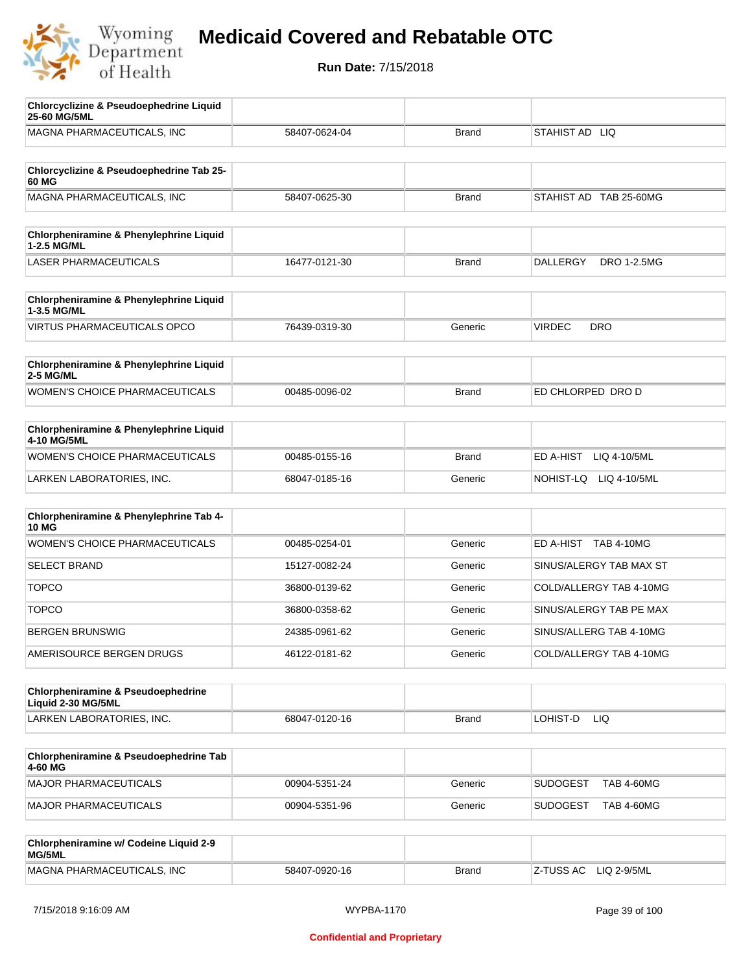

| <b>Chlorcyclizine &amp; Pseudoephedrine Liquid</b><br>25-60 MG/5ML  |               |              |                                       |
|---------------------------------------------------------------------|---------------|--------------|---------------------------------------|
| MAGNA PHARMACEUTICALS, INC                                          | 58407-0624-04 | <b>Brand</b> | STAHIST AD LIQ                        |
|                                                                     |               |              |                                       |
| Chlorcyclizine & Pseudoephedrine Tab 25-<br>60 MG                   |               |              |                                       |
| MAGNA PHARMACEUTICALS, INC                                          | 58407-0625-30 | <b>Brand</b> | STAHIST AD TAB 25-60MG                |
|                                                                     |               |              |                                       |
| Chlorpheniramine & Phenylephrine Liquid<br>1-2.5 MG/ML              |               |              |                                       |
| <b>LASER PHARMACEUTICALS</b>                                        | 16477-0121-30 | <b>Brand</b> | <b>DALLERGY</b><br><b>DRO 1-2.5MG</b> |
|                                                                     |               |              |                                       |
| Chlorpheniramine & Phenylephrine Liquid<br>1-3.5 MG/ML              |               |              |                                       |
| <b>VIRTUS PHARMACEUTICALS OPCO</b>                                  | 76439-0319-30 | Generic      | <b>VIRDEC</b><br><b>DRO</b>           |
| Chlorpheniramine & Phenylephrine Liquid                             |               |              |                                       |
| <b>2-5 MG/ML</b>                                                    |               |              |                                       |
| WOMEN'S CHOICE PHARMACEUTICALS                                      | 00485-0096-02 | <b>Brand</b> | ED CHLORPED DRO D                     |
|                                                                     |               |              |                                       |
| Chlorpheniramine & Phenylephrine Liquid<br>4-10 MG/5ML              |               |              |                                       |
| <b>WOMEN'S CHOICE PHARMACEUTICALS</b>                               | 00485-0155-16 | <b>Brand</b> | ED A-HIST<br>LIQ 4-10/5ML             |
| LARKEN LABORATORIES, INC.                                           | 68047-0185-16 | Generic      | NOHIST-LQ LIQ 4-10/5ML                |
|                                                                     |               |              |                                       |
| Chlorpheniramine & Phenylephrine Tab 4-<br><b>10 MG</b>             |               |              |                                       |
| WOMEN'S CHOICE PHARMACEUTICALS                                      | 00485-0254-01 | Generic      | ED A-HIST TAB 4-10MG                  |
| <b>SELECT BRAND</b>                                                 | 15127-0082-24 | Generic      | SINUS/ALERGY TAB MAX ST               |
| <b>TOPCO</b>                                                        | 36800-0139-62 | Generic      | COLD/ALLERGY TAB 4-10MG               |
| <b>TOPCO</b>                                                        | 36800-0358-62 | Generic      | SINUS/ALERGY TAB PE MAX               |
| <b>BERGEN BRUNSWIG</b>                                              | 24385-0961-62 | Generic      | SINUS/ALLERG TAB 4-10MG               |
| AMERISOURCE BERGEN DRUGS                                            | 46122-0181-62 | Generic      | COLD/ALLERGY TAB 4-10MG               |
|                                                                     |               |              |                                       |
| <b>Chlorpheniramine &amp; Pseudoephedrine</b><br>Liquid 2-30 MG/5ML |               |              |                                       |
| LARKEN LABORATORIES, INC.                                           | 68047-0120-16 | <b>Brand</b> | LOHIST-D<br>LIQ.                      |
|                                                                     |               |              |                                       |
| Chlorpheniramine & Pseudoephedrine Tab<br>4-60 MG                   |               |              |                                       |
| MAJOR PHARMACEUTICALS                                               | 00904-5351-24 | Generic      | <b>SUDOGEST</b><br><b>TAB 4-60MG</b>  |
| <b>MAJOR PHARMACEUTICALS</b>                                        | 00904-5351-96 | Generic      | <b>SUDOGEST</b><br><b>TAB 4-60MG</b>  |
|                                                                     |               |              |                                       |
| Chlorpheniramine w/ Codeine Liquid 2-9<br>MG/5ML                    |               |              |                                       |
| MAGNA PHARMACEUTICALS, INC                                          | 58407-0920-16 | <b>Brand</b> | Z-TUSS AC<br>LIQ 2-9/5ML              |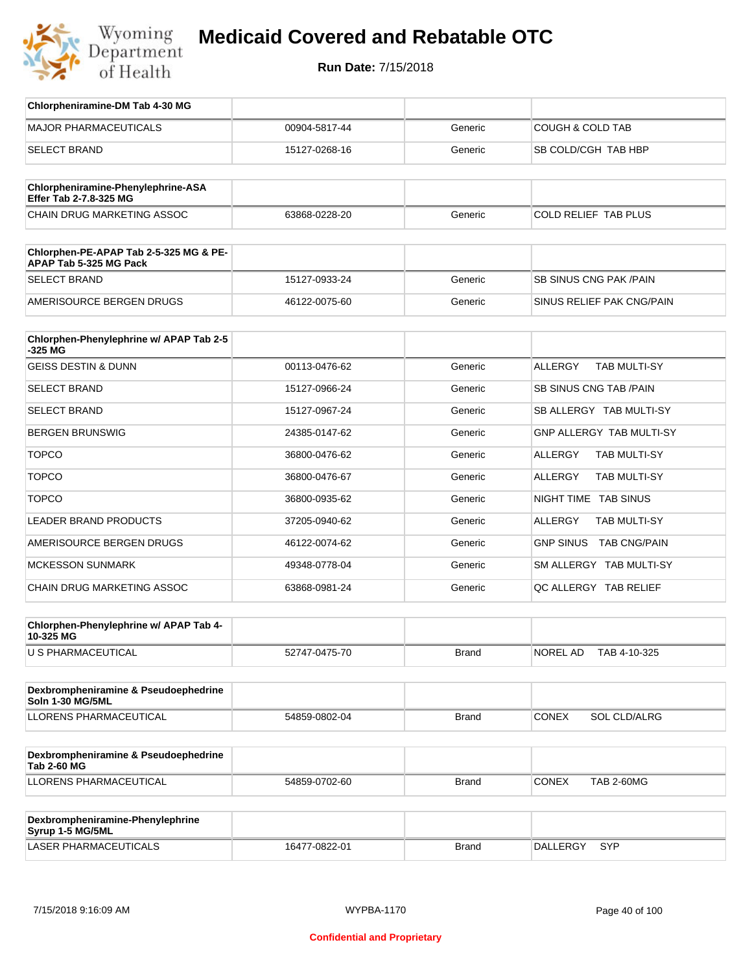

**Run Date:** 7/15/2018

| Chlorpheniramine-DM Tab 4-30 MG                                  |               |         |                                         |
|------------------------------------------------------------------|---------------|---------|-----------------------------------------|
| <b>MAJOR PHARMACEUTICALS</b>                                     | 00904-5817-44 | Generic | <b>COUGH &amp; COLD TAB</b>             |
| <b>SELECT BRAND</b>                                              | 15127-0268-16 | Generic | SB COLD/CGH TAB HBP                     |
|                                                                  |               |         |                                         |
| Chlorpheniramine-Phenylephrine-ASA<br>Effer Tab 2-7.8-325 MG     |               |         |                                         |
| <b>CHAIN DRUG MARKETING ASSOC</b>                                | 63868-0228-20 | Generic | <b>COLD RELIEF TAB PLUS</b>             |
|                                                                  |               |         |                                         |
| Chlorphen-PE-APAP Tab 2-5-325 MG & PE-<br>APAP Tab 5-325 MG Pack |               |         |                                         |
| <b>SELECT BRAND</b>                                              | 15127-0933-24 | Generic | <b>SB SINUS CNG PAK/PAIN</b>            |
| AMERISOURCE BERGEN DRUGS                                         | 46122-0075-60 | Generic | SINUS RELIEF PAK CNG/PAIN               |
|                                                                  |               |         |                                         |
| Chlorphen-Phenylephrine w/ APAP Tab 2-5<br>-325 MG               |               |         |                                         |
| <b>GEISS DESTIN &amp; DUNN</b>                                   | 00113-0476-62 | Generic | <b>ALLERGY</b><br><b>TAB MULTI-SY</b>   |
| <b>SELECT BRAND</b>                                              | 15127-0966-24 | Generic | SB SINUS CNG TAB / PAIN                 |
| <b>SELECT BRAND</b>                                              | 15127-0967-24 | Generic | SB ALLERGY TAB MULTI-SY                 |
| <b>BERGEN BRUNSWIG</b>                                           | 24385-0147-62 | Generic | <b>GNP ALLERGY TAB MULTI-SY</b>         |
| <b>TOPCO</b>                                                     | 36800-0476-62 | Generic | <b>ALLERGY</b><br>TAB MULTI-SY          |
| <b>TOPCO</b>                                                     | 36800-0476-67 | Generic | <b>ALLERGY</b><br>TAB MULTI-SY          |
| <b>TOPCO</b>                                                     | 36800-0935-62 | Generic | NIGHT TIME TAB SINUS                    |
| <b>LEADER BRAND PRODUCTS</b>                                     | 37205-0940-62 | Generic | <b>ALLERGY</b><br>TAB MULTI-SY          |
| AMERISOURCE BERGEN DRUGS                                         | 46122-0074-62 | Generic | <b>GNP SINUS</b><br><b>TAB CNG/PAIN</b> |
| <b>MCKESSON SUNMARK</b>                                          | 49348-0778-04 | Generic | SM ALLERGY TAB MULTI-SY                 |
| CHAIN DRUG MARKETING ASSOC                                       | 63868-0981-24 | Generic | QC ALLERGY TAB RELIEF                   |
|                                                                  |               |         |                                         |
| Chlorphen-Phenylephrine w/ APAP Tab 4-<br>10-325 MG              |               |         |                                         |
| U S PHARMACEUTICAL                                               | 52747-0475-70 | Brand   | NOREL AD<br>TAB 4-10-325                |
|                                                                  |               |         |                                         |
| Dexbrompheniramine & Pseudoephedrine<br>Soln 1-30 MG/5ML         |               |         |                                         |
| LLORENS PHARMACEUTICAL                                           | 54859-0802-04 | Brand   | SOL CLD/ALRG<br><b>CONEX</b>            |
|                                                                  |               |         |                                         |
| Dexbrompheniramine & Pseudoephedrine<br><b>Tab 2-60 MG</b>       |               |         |                                         |
| LLORENS PHARMACEUTICAL                                           | 54859-0702-60 | Brand   | <b>CONEX</b><br><b>TAB 2-60MG</b>       |
|                                                                  |               |         |                                         |
| Dexbrompheniramine-Phenylephrine<br>Syrup 1-5 MG/5ML             |               |         |                                         |

LASER PHARMACEUTICALS 16477-0822-01 Brand DALLERGY SYP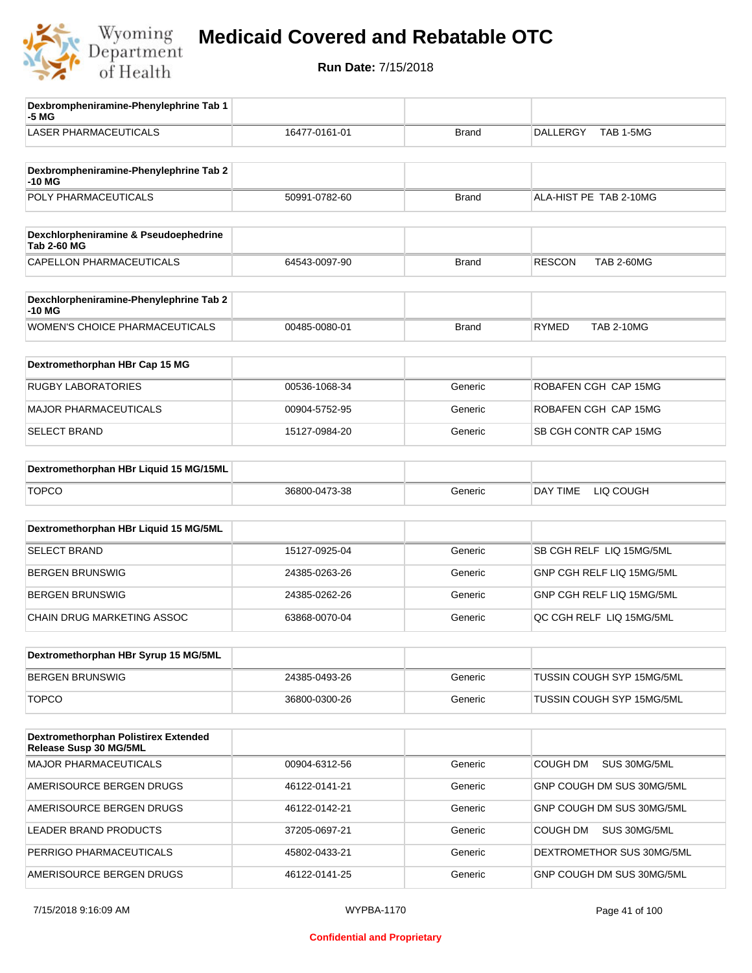

| Dexbrompheniramine-Phenylephrine Tab 1<br>-5 MG                |               |              |                                    |
|----------------------------------------------------------------|---------------|--------------|------------------------------------|
| <b>LASER PHARMACEUTICALS</b>                                   | 16477-0161-01 | <b>Brand</b> | TAB 1-5MG<br><b>DALLERGY</b>       |
| Dexbrompheniramine-Phenylephrine Tab 2<br>-10 MG               |               |              |                                    |
| POLY PHARMACEUTICALS                                           | 50991-0782-60 | <b>Brand</b> | ALA-HIST PE TAB 2-10MG             |
| Dexchlorpheniramine & Pseudoephedrine<br><b>Tab 2-60 MG</b>    |               |              |                                    |
| CAPELLON PHARMACEUTICALS                                       | 64543-0097-90 | <b>Brand</b> | <b>RESCON</b><br><b>TAB 2-60MG</b> |
| Dexchlorpheniramine-Phenylephrine Tab 2<br>-10 MG              |               |              |                                    |
| <b>WOMEN'S CHOICE PHARMACEUTICALS</b>                          | 00485-0080-01 | <b>Brand</b> | <b>TAB 2-10MG</b><br><b>RYMED</b>  |
| Dextromethorphan HBr Cap 15 MG                                 |               |              |                                    |
| <b>RUGBY LABORATORIES</b>                                      | 00536-1068-34 | Generic      | ROBAFEN CGH CAP 15MG               |
| <b>MAJOR PHARMACEUTICALS</b>                                   | 00904-5752-95 | Generic      | ROBAFEN CGH CAP 15MG               |
| <b>SELECT BRAND</b>                                            | 15127-0984-20 | Generic      | SB CGH CONTR CAP 15MG              |
| Dextromethorphan HBr Liquid 15 MG/15ML                         |               |              |                                    |
| <b>TOPCO</b>                                                   | 36800-0473-38 | Generic      | DAY TIME<br>LIQ COUGH              |
| Dextromethorphan HBr Liquid 15 MG/5ML                          |               |              |                                    |
| SELECT BRAND                                                   | 15127-0925-04 | Generic      | SB CGH RELF LIQ 15MG/5ML           |
| <b>BERGEN BRUNSWIG</b>                                         | 24385-0263-26 | Generic      | GNP CGH RELF LIQ 15MG/5ML          |
| <b>BERGEN BRUNSWIG</b>                                         | 24385-0262-26 | Generic      | GNP CGH RELF LIQ 15MG/5ML          |
| CHAIN DRUG MARKETING ASSOC                                     | 63868-0070-04 | Generic      | QC CGH RELF LIQ 15MG/5ML           |
| Dextromethorphan HBr Syrup 15 MG/5ML                           |               |              |                                    |
| <b>BERGEN BRUNSWIG</b>                                         | 24385-0493-26 | Generic      | TUSSIN COUGH SYP 15MG/5ML          |
| <b>TOPCO</b>                                                   | 36800-0300-26 | Generic      | TUSSIN COUGH SYP 15MG/5ML          |
| Dextromethorphan Polistirex Extended<br>Release Susp 30 MG/5ML |               |              |                                    |
| <b>MAJOR PHARMACEUTICALS</b>                                   | 00904-6312-56 | Generic      | COUGH DM<br>SUS 30MG/5ML           |
| AMERISOURCE BERGEN DRUGS                                       | 46122-0141-21 | Generic      | GNP COUGH DM SUS 30MG/5ML          |
| AMERISOURCE BERGEN DRUGS                                       | 46122-0142-21 | Generic      | GNP COUGH DM SUS 30MG/5ML          |
| LEADER BRAND PRODUCTS                                          | 37205-0697-21 | Generic      | COUGH DM<br>SUS 30MG/5ML           |
| PERRIGO PHARMACEUTICALS                                        | 45802-0433-21 | Generic      | DEXTROMETHOR SUS 30MG/5ML          |
| AMERISOURCE BERGEN DRUGS                                       | 46122-0141-25 | Generic      | GNP COUGH DM SUS 30MG/5ML          |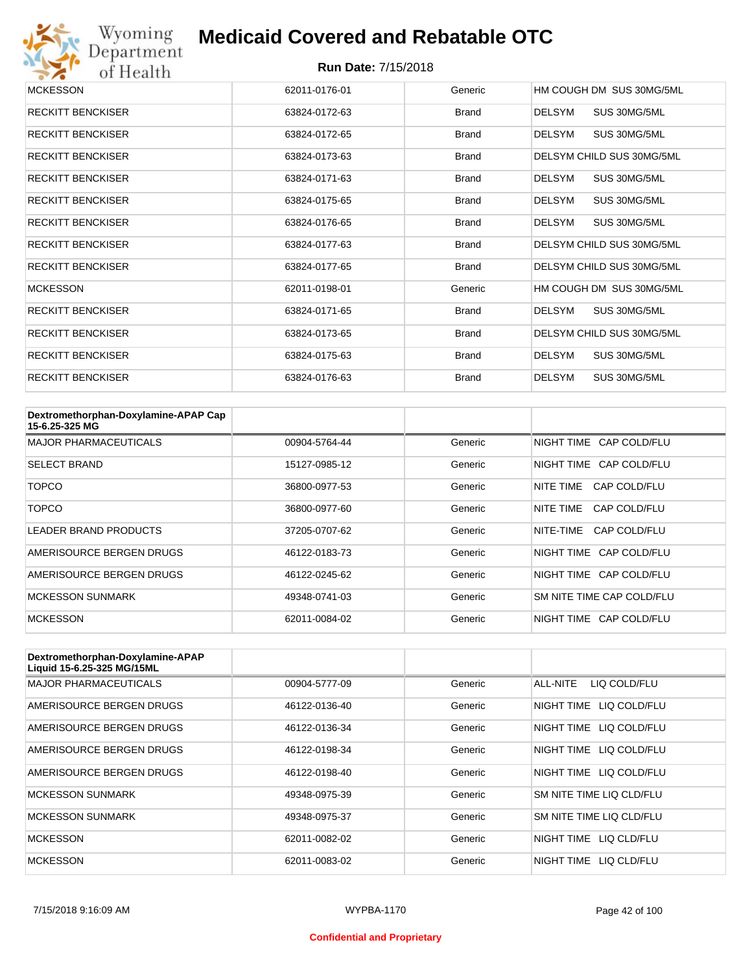

| <b>MCKESSON</b>          | 62011-0176-01 | Generic      | HM COUGH DM SUS 30MG/5ML      |
|--------------------------|---------------|--------------|-------------------------------|
| <b>RECKITT BENCKISER</b> | 63824-0172-63 | <b>Brand</b> | DELSYM<br>SUS 30MG/5ML        |
| <b>RECKITT BENCKISER</b> | 63824-0172-65 | <b>Brand</b> | DELSYM<br>SUS 30MG/5ML        |
| <b>RECKITT BENCKISER</b> | 63824-0173-63 | <b>Brand</b> | DELSYM CHILD SUS 30MG/5ML     |
| <b>RECKITT BENCKISER</b> | 63824-0171-63 | <b>Brand</b> | SUS 30MG/5ML<br>DELSYM        |
| <b>RECKITT BENCKISER</b> | 63824-0175-65 | <b>Brand</b> | DELSYM<br>SUS 30MG/5ML        |
| <b>RECKITT BENCKISER</b> | 63824-0176-65 | <b>Brand</b> | <b>DELSYM</b><br>SUS 30MG/5ML |
| <b>RECKITT BENCKISER</b> | 63824-0177-63 | <b>Brand</b> | DELSYM CHILD SUS 30MG/5ML     |
| <b>RECKITT BENCKISER</b> | 63824-0177-65 | <b>Brand</b> | DELSYM CHILD SUS 30MG/5ML     |
| <b>MCKESSON</b>          | 62011-0198-01 | Generic      | HM COUGH DM SUS 30MG/5ML      |
| <b>RECKITT BENCKISER</b> | 63824-0171-65 | <b>Brand</b> | SUS 30MG/5ML<br>DELSYM        |
| <b>RECKITT BENCKISER</b> | 63824-0173-65 | <b>Brand</b> | DELSYM CHILD SUS 30MG/5ML     |
| <b>RECKITT BENCKISER</b> | 63824-0175-63 | <b>Brand</b> | DELSYM<br>SUS 30MG/5ML        |
| <b>RECKITT BENCKISER</b> | 63824-0176-63 | <b>Brand</b> | <b>DELSYM</b><br>SUS 30MG/5ML |

| Dextromethorphan-Doxylamine-APAP Cap<br>15-6.25-325 MG |               |         |                           |
|--------------------------------------------------------|---------------|---------|---------------------------|
| <b>MAJOR PHARMACEUTICALS</b>                           | 00904-5764-44 | Generic | NIGHT TIME CAP COLD/FLU   |
| <b>SELECT BRAND</b>                                    | 15127-0985-12 | Generic | NIGHT TIME CAP COLD/FLU   |
| TOPCO                                                  | 36800-0977-53 | Generic | NITE TIME<br>CAP COLD/FLU |
| TOPCO                                                  | 36800-0977-60 | Generic | NITE TIME<br>CAP COLD/FLU |
| <b>LEADER BRAND PRODUCTS</b>                           | 37205-0707-62 | Generic | NITE-TIME<br>CAP COLD/FLU |
| AMERISOURCE BERGEN DRUGS                               | 46122-0183-73 | Generic | NIGHT TIME CAP COLD/FLU   |
| AMERISOURCE BERGEN DRUGS                               | 46122-0245-62 | Generic | NIGHT TIME CAP COLD/FLU   |
| <b>MCKESSON SUNMARK</b>                                | 49348-0741-03 | Generic | SM NITE TIME CAP COLD/FLU |
| <b>MCKESSON</b>                                        | 62011-0084-02 | Generic | NIGHT TIME CAP COLD/FLU   |

| Dextromethorphan-Doxylamine-APAP<br>Liquid 15-6.25-325 MG/15ML |               |         |                            |
|----------------------------------------------------------------|---------------|---------|----------------------------|
| <b>MAJOR PHARMACEUTICALS</b>                                   | 00904-5777-09 | Generic | ALL-NITE<br>LIQ COLD/FLU   |
| AMERISOURCE BERGEN DRUGS                                       | 46122-0136-40 | Generic | LIQ COLD/FLU<br>NIGHT TIME |
| AMERISOURCE BERGEN DRUGS                                       | 46122-0136-34 | Generic | NIGHT TIME<br>LIQ COLD/FLU |
| AMERISOURCE BERGEN DRUGS                                       | 46122-0198-34 | Generic | NIGHT TIME<br>LIQ COLD/FLU |
| AMERISOURCE BERGEN DRUGS                                       | 46122-0198-40 | Generic | NIGHT TIME LIQ COLD/FLU    |
| <b>MCKESSON SUNMARK</b>                                        | 49348-0975-39 | Generic | SM NITE TIME LIQ CLD/FLU   |
| <b>MCKESSON SUNMARK</b>                                        | 49348-0975-37 | Generic | SM NITE TIME LIQ CLD/FLU   |
| <b>MCKESSON</b>                                                | 62011-0082-02 | Generic | NIGHT TIME LIQ CLD/FLU     |
| <b>MCKESSON</b>                                                | 62011-0083-02 | Generic | NIGHT TIME<br>LIQ CLD/FLU  |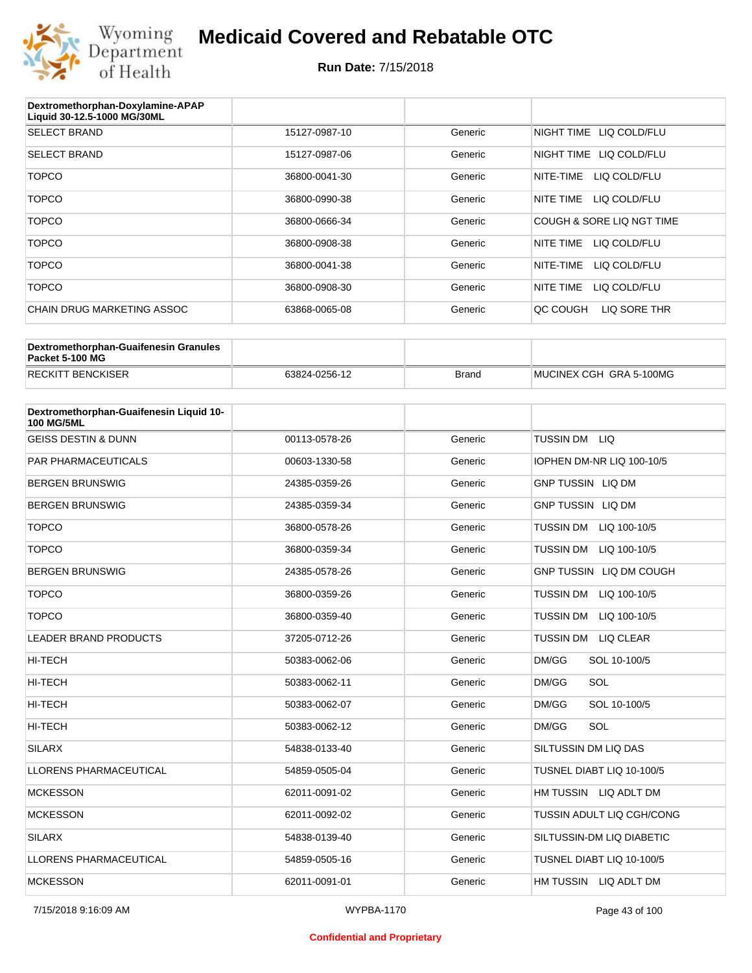

| Dextromethorphan-Doxylamine-APAP<br>Liquid 30-12.5-1000 MG/30ML |               |         |                            |
|-----------------------------------------------------------------|---------------|---------|----------------------------|
| <b>SELECT BRAND</b>                                             | 15127-0987-10 | Generic | NIGHT TIME<br>LIQ COLD/FLU |
| <b>SELECT BRAND</b>                                             | 15127-0987-06 | Generic | NIGHT TIME<br>LIQ COLD/FLU |
| <b>TOPCO</b>                                                    | 36800-0041-30 | Generic | LIQ COLD/FLU<br>NITE-TIME  |
| <b>TOPCO</b>                                                    | 36800-0990-38 | Generic | NITE TIME<br>LIQ COLD/FLU  |
| <b>TOPCO</b>                                                    | 36800-0666-34 | Generic | COUGH & SORE LIQ NGT TIME  |
| <b>TOPCO</b>                                                    | 36800-0908-38 | Generic | LIQ COLD/FLU<br>NITE TIME  |
| <b>TOPCO</b>                                                    | 36800-0041-38 | Generic | NITE-TIME<br>LIQ COLD/FLU  |
| <b>TOPCO</b>                                                    | 36800-0908-30 | Generic | NITE TIME<br>LIQ COLD/FLU  |
| CHAIN DRUG MARKETING ASSOC                                      | 63868-0065-08 | Generic | LIQ SORE THR<br>QC COUGH   |

| Dextromethorphan-Guaifenesin Granules<br>Packet 5-100 MG |               |              |                         |
|----------------------------------------------------------|---------------|--------------|-------------------------|
| <b>RECKITT BENCKISER</b>                                 | 63824-0256-12 | <b>Brand</b> | MUCINEX CGH GRA 5-100MG |

| Dextromethorphan-Guaifenesin Liquid 10-<br><b>100 MG/5ML</b> |               |         |                                      |
|--------------------------------------------------------------|---------------|---------|--------------------------------------|
| <b>GEISS DESTIN &amp; DUNN</b>                               | 00113-0578-26 | Generic | TUSSIN DM LIQ                        |
| <b>PAR PHARMACEUTICALS</b>                                   | 00603-1330-58 | Generic | IOPHEN DM-NR LIQ 100-10/5            |
| <b>BERGEN BRUNSWIG</b>                                       | 24385-0359-26 | Generic | <b>GNP TUSSIN LIQ DM</b>             |
| <b>BERGEN BRUNSWIG</b>                                       | 24385-0359-34 | Generic | <b>GNP TUSSIN LIQ DM</b>             |
| <b>TOPCO</b>                                                 | 36800-0578-26 | Generic | TUSSIN DM LIQ 100-10/5               |
| <b>TOPCO</b>                                                 | 36800-0359-34 | Generic | <b>TUSSIN DM</b><br>LIQ 100-10/5     |
| <b>BERGEN BRUNSWIG</b>                                       | 24385-0578-26 | Generic | GNP TUSSIN LIQ DM COUGH              |
| <b>TOPCO</b>                                                 | 36800-0359-26 | Generic | <b>TUSSIN DM</b><br>LIQ 100-10/5     |
| <b>TOPCO</b>                                                 | 36800-0359-40 | Generic | <b>TUSSIN DM</b><br>LIQ 100-10/5     |
| <b>LEADER BRAND PRODUCTS</b>                                 | 37205-0712-26 | Generic | <b>TUSSIN DM</b><br><b>LIQ CLEAR</b> |
| HI-TECH                                                      | 50383-0062-06 | Generic | DM/GG<br>SOL 10-100/5                |
| <b>HI-TECH</b>                                               | 50383-0062-11 | Generic | SOL<br>DM/GG                         |
| <b>HI-TECH</b>                                               | 50383-0062-07 | Generic | SOL 10-100/5<br>DM/GG                |
| <b>HI-TECH</b>                                               | 50383-0062-12 | Generic | DM/GG<br>SOL                         |
| <b>SILARX</b>                                                | 54838-0133-40 | Generic | SILTUSSIN DM LIQ DAS                 |
| LLORENS PHARMACEUTICAL                                       | 54859-0505-04 | Generic | TUSNEL DIABT LIQ 10-100/5            |
| <b>MCKESSON</b>                                              | 62011-0091-02 | Generic | HM TUSSIN LIQ ADLT DM                |
| <b>MCKESSON</b>                                              | 62011-0092-02 | Generic | TUSSIN ADULT LIQ CGH/CONG            |
| <b>SILARX</b>                                                | 54838-0139-40 | Generic | SILTUSSIN-DM LIQ DIABETIC            |
| <b>LLORENS PHARMACEUTICAL</b>                                | 54859-0505-16 | Generic | TUSNEL DIABT LIQ 10-100/5            |
| <b>MCKESSON</b>                                              | 62011-0091-01 | Generic | HM TUSSIN LIQ ADLT DM                |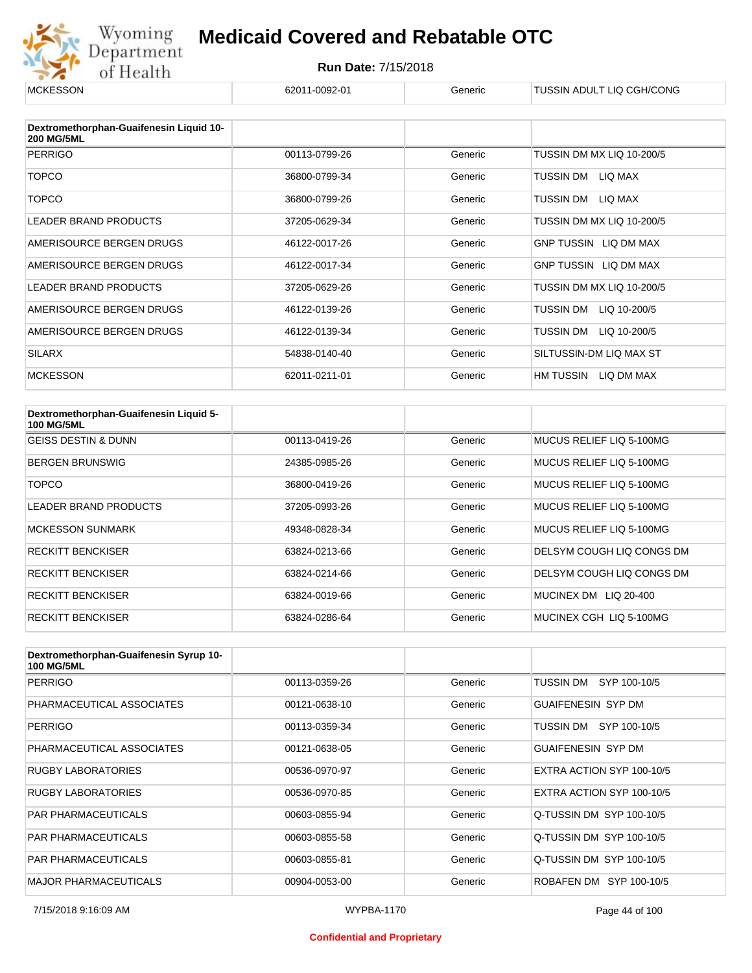

| <b>MCKESSON</b>                                              | 62011-0092-01 | Generic | TUSSIN ADULT LIQ CGH/CONG    |
|--------------------------------------------------------------|---------------|---------|------------------------------|
|                                                              |               |         |                              |
| Dextromethorphan-Guaifenesin Liquid 10-<br><b>200 MG/5ML</b> |               |         |                              |
| <b>PERRIGO</b>                                               | 00113-0799-26 | Generic | TUSSIN DM MX LIQ 10-200/5    |
| <b>TOPCO</b>                                                 | 36800-0799-34 | Generic | TUSSIN DM<br>LIQ MAX         |
| <b>TOPCO</b>                                                 | 36800-0799-26 | Generic | TUSSIN DM<br>LIQ MAX         |
| <b>LEADER BRAND PRODUCTS</b>                                 | 37205-0629-34 | Generic | TUSSIN DM MX LIQ 10-200/5    |
| AMERISOURCE BERGEN DRUGS                                     | 46122-0017-26 | Generic | <b>GNP TUSSIN LIQ DM MAX</b> |
| AMERISOURCE BERGEN DRUGS                                     | 46122-0017-34 | Generic | GNP TUSSIN LIQ DM MAX        |
| <b>LEADER BRAND PRODUCTS</b>                                 | 37205-0629-26 | Generic | TUSSIN DM MX LIQ 10-200/5    |
| AMERISOURCE BERGEN DRUGS                                     | 46122-0139-26 | Generic | TUSSIN DM<br>LIQ 10-200/5    |
| AMERISOURCE BERGEN DRUGS                                     | 46122-0139-34 | Generic | TUSSIN DM<br>LIQ 10-200/5    |
| <b>SILARX</b>                                                | 54838-0140-40 | Generic | SILTUSSIN-DM LIQ MAX ST      |
| <b>MCKESSON</b>                                              | 62011-0211-01 | Generic | HM TUSSIN<br>LIQ DM MAX      |

| Dextromethorphan-Guaifenesin Liquid 5-<br><b>100 MG/5ML</b> |               |         |                           |
|-------------------------------------------------------------|---------------|---------|---------------------------|
| <b>GEISS DESTIN &amp; DUNN</b>                              | 00113-0419-26 | Generic | MUCUS RELIEF LIQ 5-100MG  |
| <b>BERGEN BRUNSWIG</b>                                      | 24385-0985-26 | Generic | MUCUS RELIEF LIQ 5-100MG  |
| TOPCO                                                       | 36800-0419-26 | Generic | MUCUS RELIEF LIQ 5-100MG  |
| LEADER BRAND PRODUCTS                                       | 37205-0993-26 | Generic | MUCUS RELIEF LIQ 5-100MG  |
| <b>MCKESSON SUNMARK</b>                                     | 49348-0828-34 | Generic | MUCUS RELIEF LIQ 5-100MG  |
| <b>RECKITT BENCKISER</b>                                    | 63824-0213-66 | Generic | DELSYM COUGH LIQ CONGS DM |
| <b>RECKITT BENCKISER</b>                                    | 63824-0214-66 | Generic | DELSYM COUGH LIQ CONGS DM |
| <b>RECKITT BENCKISER</b>                                    | 63824-0019-66 | Generic | MUCINEX DM<br>LIQ 20-400  |
| <b>RECKITT BENCKISER</b>                                    | 63824-0286-64 | Generic | MUCINEX CGH LIQ 5-100MG   |

| Dextromethorphan-Guaifenesin Syrup 10-<br><b>100 MG/5ML</b> |               |         |                           |
|-------------------------------------------------------------|---------------|---------|---------------------------|
| <b>PERRIGO</b>                                              | 00113-0359-26 | Generic | TUSSIN DM<br>SYP 100-10/5 |
| PHARMACEUTICAL ASSOCIATES                                   | 00121-0638-10 | Generic | <b>GUAIFENESIN SYP DM</b> |
| <b>PERRIGO</b>                                              | 00113-0359-34 | Generic | SYP 100-10/5<br>TUSSIN DM |
| PHARMACEUTICAL ASSOCIATES                                   | 00121-0638-05 | Generic | <b>GUAIFENESIN SYP DM</b> |
| <b>RUGBY LABORATORIES</b>                                   | 00536-0970-97 | Generic | EXTRA ACTION SYP 100-10/5 |
| <b>RUGBY LABORATORIES</b>                                   | 00536-0970-85 | Generic | EXTRA ACTION SYP 100-10/5 |
| <b>PAR PHARMACEUTICALS</b>                                  | 00603-0855-94 | Generic | Q-TUSSIN DM SYP 100-10/5  |
| <b>PAR PHARMACEUTICALS</b>                                  | 00603-0855-58 | Generic | Q-TUSSIN DM SYP 100-10/5  |
| <b>PAR PHARMACEUTICALS</b>                                  | 00603-0855-81 | Generic | Q-TUSSIN DM SYP 100-10/5  |
| <b>MAJOR PHARMACEUTICALS</b>                                | 00904-0053-00 | Generic | ROBAFEN DM SYP 100-10/5   |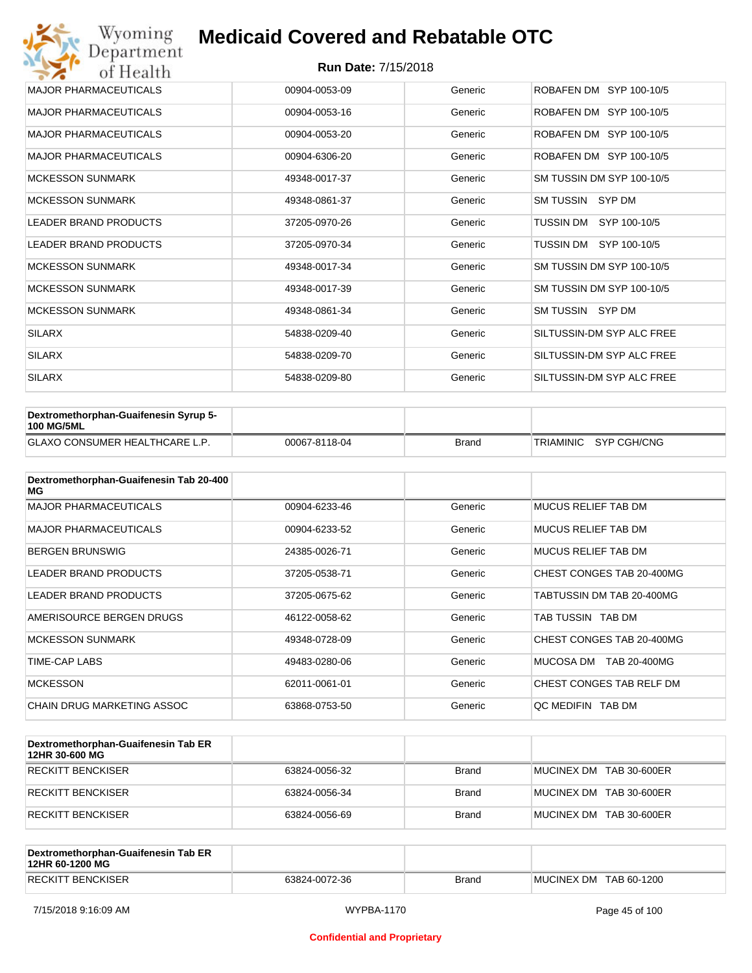| Wyoming<br>Department        | <b>Medicaid Covered and Rebatable OTC</b> |         |                           |  |  |  |
|------------------------------|-------------------------------------------|---------|---------------------------|--|--|--|
| of Health                    | <b>Run Date: 7/15/2018</b>                |         |                           |  |  |  |
| <b>MAJOR PHARMACEUTICALS</b> | 00904-0053-09                             | Generic | ROBAFEN DM SYP 100-10/5   |  |  |  |
| <b>MAJOR PHARMACEUTICALS</b> | 00904-0053-16                             | Generic | ROBAFEN DM SYP 100-10/5   |  |  |  |
| <b>MAJOR PHARMACEUTICALS</b> | 00904-0053-20                             | Generic | ROBAFEN DM SYP 100-10/5   |  |  |  |
| <b>MAJOR PHARMACEUTICALS</b> | 00904-6306-20                             | Generic | ROBAFEN DM SYP 100-10/5   |  |  |  |
| <b>MCKESSON SUNMARK</b>      | 49348-0017-37                             | Generic | SM TUSSIN DM SYP 100-10/5 |  |  |  |
| <b>MCKESSON SUNMARK</b>      | 49348-0861-37                             | Generic | SM TUSSIN<br>SYP DM       |  |  |  |
| <b>LEADER BRAND PRODUCTS</b> | 37205-0970-26                             | Generic | TUSSIN DM SYP 100-10/5    |  |  |  |
| <b>LEADER BRAND PRODUCTS</b> | 37205-0970-34                             | Generic | TUSSIN DM<br>SYP 100-10/5 |  |  |  |
| <b>MCKESSON SUNMARK</b>      | 49348-0017-34                             | Generic | SM TUSSIN DM SYP 100-10/5 |  |  |  |
| <b>MCKESSON SUNMARK</b>      | 49348-0017-39                             | Generic | SM TUSSIN DM SYP 100-10/5 |  |  |  |
| <b>MCKESSON SUNMARK</b>      | 49348-0861-34                             | Generic | SM TUSSIN SYP DM          |  |  |  |
| <b>SILARX</b>                | 54838-0209-40                             | Generic | SILTUSSIN-DM SYP ALC FREE |  |  |  |
| <b>SILARX</b>                | 54838-0209-70                             | Generic | SILTUSSIN-DM SYP ALC FREE |  |  |  |
| <b>SILARX</b>                | 54838-0209-80                             | Generic | SILTUSSIN-DM SYP ALC FREE |  |  |  |

| Dextromethorphan-Guaifenesin Syrup 5-<br><b>100 MG/5ML</b> |               |              |                       |
|------------------------------------------------------------|---------------|--------------|-----------------------|
| <b>GLAXO CONSUMER HEALTHCARE L.P.</b>                      | 00067-8118-04 | <b>Brand</b> | TRIAMINIC SYP CGH/CNG |

| Dextromethorphan-Guaifenesin Tab 20-400<br>MG |               |         |                            |
|-----------------------------------------------|---------------|---------|----------------------------|
| <b>MAJOR PHARMACEUTICALS</b>                  | 00904-6233-46 | Generic | <b>MUCUS RELIEF TAB DM</b> |
| <b>MAJOR PHARMACEUTICALS</b>                  | 00904-6233-52 | Generic | <b>MUCUS RELIEF TAB DM</b> |
| <b>BERGEN BRUNSWIG</b>                        | 24385-0026-71 | Generic | <b>MUCUS RELIEF TAB DM</b> |
| <b>LEADER BRAND PRODUCTS</b>                  | 37205-0538-71 | Generic | CHEST CONGES TAB 20-400MG  |
| <b>LEADER BRAND PRODUCTS</b>                  | 37205-0675-62 | Generic | TABTUSSIN DM TAB 20-400MG  |
| AMERISOURCE BERGEN DRUGS                      | 46122-0058-62 | Generic | TAB TUSSIN TAB DM          |
| <b>MCKESSON SUNMARK</b>                       | 49348-0728-09 | Generic | CHEST CONGES TAB 20-400MG  |
| TIME-CAP LABS                                 | 49483-0280-06 | Generic | MUCOSA DM<br>TAB 20-400MG  |
| <b>MCKESSON</b>                               | 62011-0061-01 | Generic | CHEST CONGES TAB RELF DM   |
| CHAIN DRUG MARKETING ASSOC                    | 63868-0753-50 | Generic | QC MEDIFIN TAB DM          |

| Dextromethorphan-Guaifenesin Tab ER<br>12HR 30-600 MG |               |              |                         |
|-------------------------------------------------------|---------------|--------------|-------------------------|
| RECKITT BENCKISER                                     | 63824-0056-32 | <b>Brand</b> | MUCINEX DM TAB 30-600ER |
| RECKITT BENCKISER                                     | 63824-0056-34 | <b>Brand</b> | MUCINEX DM TAB 30-600ER |
| RECKITT BENCKISER                                     | 63824-0056-69 | <b>Brand</b> | MUCINEX DM TAB 30-600ER |

| Dextromethorphan-Guaifenesin Tab ER<br>12HR 60-1200 MG |               |       |                        |
|--------------------------------------------------------|---------------|-------|------------------------|
| <b>RECKITT BENCKISER</b>                               | 63824-0072-36 | Brand | MUCINEX DM TAB 60-1200 |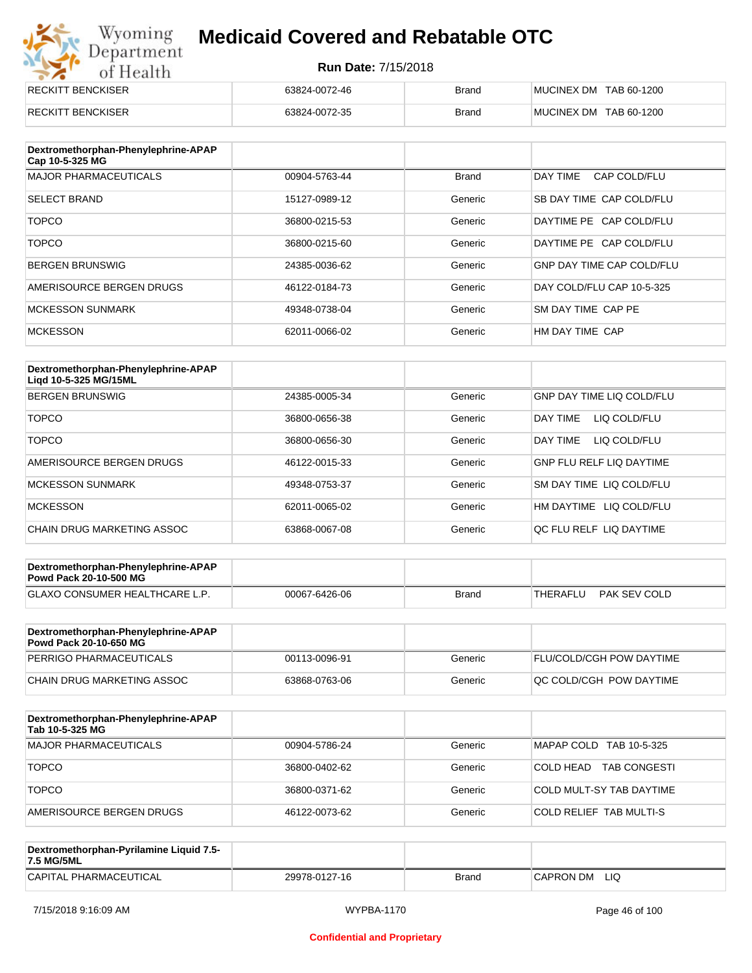# Wyoming<br>Department<br>of Health

## **Medicaid Covered and Rebatable OTC**

| RECKITT BENCKISER | 63824-0072-46 | <b>Brand</b> | MUCINEX DM TAB 60-1200 |
|-------------------|---------------|--------------|------------------------|
| RECKITT BENCKISER | 63824-0072-35 | <b>Brand</b> | MUCINEX DM TAB 60-1200 |

| Dextromethorphan-Phenylephrine-APAP<br>Cap 10-5-325 MG |               |              |                                  |
|--------------------------------------------------------|---------------|--------------|----------------------------------|
| <b>MAJOR PHARMACEUTICALS</b>                           | 00904-5763-44 | <b>Brand</b> | DAY TIME<br>CAP COLD/FLU         |
| <b>SELECT BRAND</b>                                    | 15127-0989-12 | Generic      | SB DAY TIME CAP COLD/FLU         |
| <b>TOPCO</b>                                           | 36800-0215-53 | Generic      | DAYTIME PE CAP COLD/FLU          |
| <b>TOPCO</b>                                           | 36800-0215-60 | Generic      | DAYTIME PE CAP COLD/FLU          |
| <b>BERGEN BRUNSWIG</b>                                 | 24385-0036-62 | Generic      | <b>GNP DAY TIME CAP COLD/FLU</b> |
| AMERISOURCE BERGEN DRUGS                               | 46122-0184-73 | Generic      | DAY COLD/FLU CAP 10-5-325        |
| <b>MCKESSON SUNMARK</b>                                | 49348-0738-04 | Generic      | SM DAY TIME CAP PE               |
| <b>MCKESSON</b>                                        | 62011-0066-02 | Generic      | HM DAY TIME CAP                  |

| Dextromethorphan-Phenylephrine-APAP<br>Ligd 10-5-325 MG/15ML |               |         |                                  |
|--------------------------------------------------------------|---------------|---------|----------------------------------|
| <b>BERGEN BRUNSWIG</b>                                       | 24385-0005-34 | Generic | <b>GNP DAY TIME LIQ COLD/FLU</b> |
| <b>TOPCO</b>                                                 | 36800-0656-38 | Generic | LIQ COLD/FLU<br>DAY TIMF         |
| <b>TOPCO</b>                                                 | 36800-0656-30 | Generic | LIQ COLD/FLU<br>DAY TIME         |
| AMERISOURCE BERGEN DRUGS                                     | 46122-0015-33 | Generic | <b>GNP FLU RELF LIQ DAYTIME</b>  |
| <b>MCKESSON SUNMARK</b>                                      | 49348-0753-37 | Generic | SM DAY TIME LIQ COLD/FLU         |
| <b>MCKESSON</b>                                              | 62011-0065-02 | Generic | HM DAYTIME<br>LIQ COLD/FLU       |
| CHAIN DRUG MARKETING ASSOC                                   | 63868-0067-08 | Generic | OC FLU RELF LIO DAYTIME          |

| Dextromethorphan-Phenylephrine-APAP<br><b>Powd Pack 20-10-500 MG</b> |               |       |                          |
|----------------------------------------------------------------------|---------------|-------|--------------------------|
| <b>GLAXO CONSUMER HEALTHCARE L.P.</b>                                | 00067-6426-06 | Brand | PAK SEV COLD<br>THERAFLU |
|                                                                      |               |       |                          |

| Dextromethorphan-Phenylephrine-APAP<br><b>Powd Pack 20-10-650 MG</b> |               |         |                                 |
|----------------------------------------------------------------------|---------------|---------|---------------------------------|
| PERRIGO PHARMACEUTICALS                                              | 00113-0096-91 | Generic | <b>FLU/COLD/CGH POW DAYTIME</b> |
| CHAIN DRUG MARKETING ASSOC                                           | 63868-0763-06 | Generic | IQC COLD/CGH POW DAYTIME        |

| Dextromethorphan-Phenylephrine-APAP<br>Tab 10-5-325 MG |               |         |                                  |
|--------------------------------------------------------|---------------|---------|----------------------------------|
| MAJOR PHARMACEUTICALS                                  | 00904-5786-24 | Generic | MAPAP COLD TAB 10-5-325          |
| <b>TOPCO</b>                                           | 36800-0402-62 | Generic | <b>TAB CONGESTI</b><br>COLD HEAD |
| <b>TOPCO</b>                                           | 36800-0371-62 | Generic | COLD MULT-SY TAB DAYTIME         |
| AMERISOURCE BERGEN DRUGS                               | 46122-0073-62 | Generic | <b>COLD RELIEF TAB MULTI-S</b>   |

| Dextromethorphan-Pyrilamine Liquid 7.5-<br>7.5 MG/5ML |               |       |                  |
|-------------------------------------------------------|---------------|-------|------------------|
| CAPITAL PHARMACEUTICAL                                | 29978-0127-16 | Brand | LIQ<br>CAPRON DM |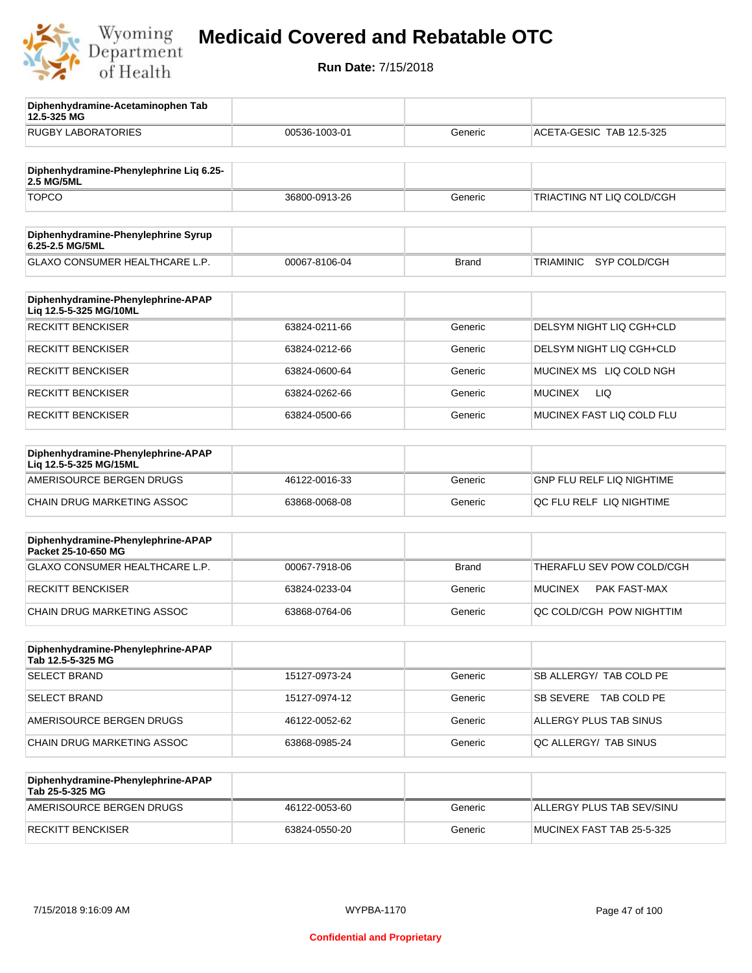

**12.5-325 MG**

**Diphenhydramine-Acetaminophen Tab** 

## **Medicaid Covered and Rebatable OTC**

| <b>RUGBY LABORATORIES</b>                                    | 00536-1003-01 | Generic      | ACETA-GESIC TAB 12.5-325       |
|--------------------------------------------------------------|---------------|--------------|--------------------------------|
| Diphenhydramine-Phenylephrine Lig 6.25-<br>2.5 MG/5ML        |               |              |                                |
| <b>TOPCO</b>                                                 | 36800-0913-26 | Generic      | TRIACTING NT LIQ COLD/CGH      |
| Diphenhydramine-Phenylephrine Syrup<br>6.25-2.5 MG/5ML       |               |              |                                |
| GLAXO CONSUMER HEALTHCARE L.P.                               | 00067-8106-04 | <b>Brand</b> | SYP COLD/CGH<br>TRIAMINIC      |
| Diphenhydramine-Phenylephrine-APAP<br>Liq 12.5-5-325 MG/10ML |               |              |                                |
| <b>RECKITT BENCKISER</b>                                     | 63824-0211-66 | Generic      | DELSYM NIGHT LIQ CGH+CLD       |
| <b>RECKITT BENCKISER</b>                                     | 63824-0212-66 | Generic      | DELSYM NIGHT LIQ CGH+CLD       |
| <b>RECKITT BENCKISER</b>                                     | 63824-0600-64 | Generic      | MUCINEX MS LIQ COLD NGH        |
| <b>RECKITT BENCKISER</b>                                     | 63824-0262-66 | Generic      | LIQ<br><b>MUCINEX</b>          |
| <b>RECKITT BENCKISER</b>                                     | 63824-0500-66 | Generic      | MUCINEX FAST LIQ COLD FLU      |
| Diphenhydramine-Phenylephrine-APAP<br>Liq 12.5-5-325 MG/15ML |               |              |                                |
| AMERISOURCE BERGEN DRUGS                                     | 46122-0016-33 | Generic      | GNP FLU RELF LIQ NIGHTIME      |
| CHAIN DRUG MARKETING ASSOC                                   | 63868-0068-08 | Generic      | QC FLU RELF LIQ NIGHTIME       |
| Diphenhydramine-Phenylephrine-APAP<br>Packet 25-10-650 MG    |               |              |                                |
| GLAXO CONSUMER HEALTHCARE L.P.                               | 00067-7918-06 | <b>Brand</b> | THERAFLU SEV POW COLD/CGH      |
| <b>RECKITT BENCKISER</b>                                     | 63824-0233-04 | Generic      | <b>MUCINEX</b><br>PAK FAST-MAX |
| CHAIN DRUG MARKETING ASSOC                                   | 63868-0764-06 | Generic      | QC COLD/CGH POW NIGHTTIM       |
| Diphenhydramine-Phenylephrine-APAP<br>Tab 12.5-5-325 MG      |               |              |                                |
| <b>SELECT BRAND</b>                                          | 15127-0973-24 | Generic      | SB ALLERGY/ TAB COLD PE        |
| <b>SELECT BRAND</b>                                          | 15127-0974-12 | Generic      | SB SEVERE TAB COLD PE          |
| AMERISOURCE BERGEN DRUGS                                     | 46122-0052-62 | Generic      | ALLERGY PLUS TAB SINUS         |
| CHAIN DRUG MARKETING ASSOC                                   | 63868-0985-24 | Generic      | QC ALLERGY/ TAB SINUS          |
| Diphenhydramine-Phenylephrine-APAP<br>Tab 25-5-325 MG        |               |              |                                |
| AMERISOURCE BERGEN DRUGS                                     | 46122-0053-60 | Generic      | ALLERGY PLUS TAB SEV/SINU      |
| <b>RECKITT BENCKISER</b>                                     | 63824-0550-20 | Generic      | MUCINEX FAST TAB 25-5-325      |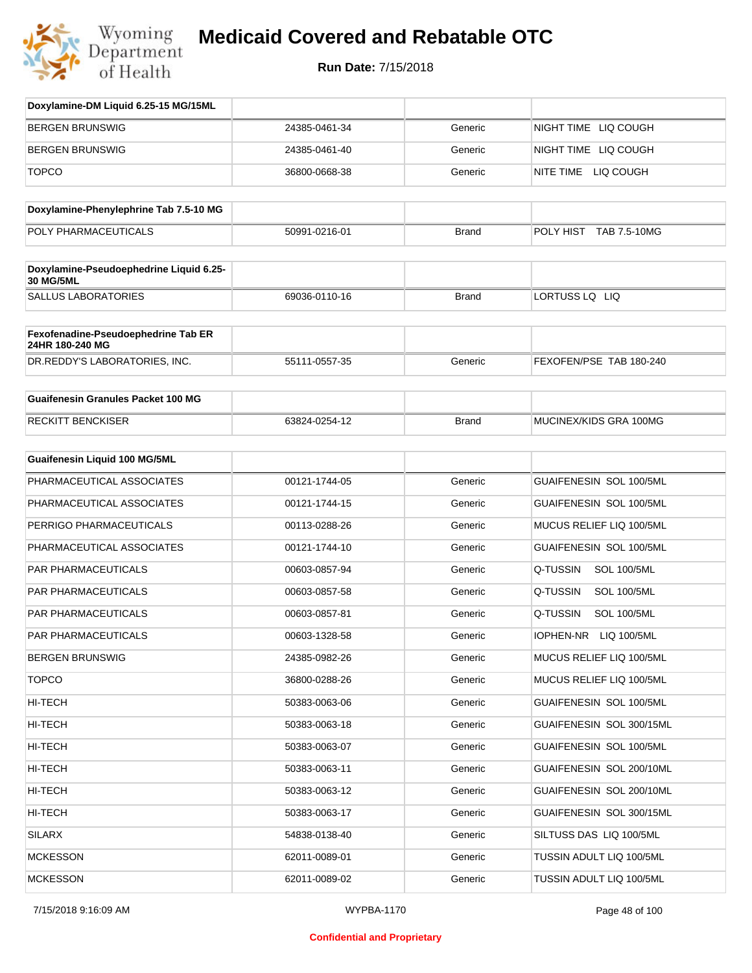

| Doxylamine-DM Liquid 6.25-15 MG/15ML      |               |              |                                |
|-------------------------------------------|---------------|--------------|--------------------------------|
| <b>BERGEN BRUNSWIG</b>                    | 24385-0461-34 | Generic      | NIGHT TIME LIQ COUGH           |
| <b>BERGEN BRUNSWIG</b>                    | 24385-0461-40 | Generic      | NIGHT TIME LIQ COUGH           |
| <b>TOPCO</b>                              | 36800-0668-38 | Generic      | NITE TIME LIQ COUGH            |
|                                           |               |              |                                |
| Doxylamine-Phenylephrine Tab 7.5-10 MG    |               |              |                                |
| POLY PHARMACEUTICALS                      | 50991-0216-01 | <b>Brand</b> | POLY HIST TAB 7.5-10MG         |
| Doxylamine-Pseudoephedrine Liquid 6.25-   |               |              |                                |
| <b>30 MG/5ML</b>                          |               |              |                                |
| <b>SALLUS LABORATORIES</b>                | 69036-0110-16 | <b>Brand</b> | LORTUSS LQ LIQ                 |
| Fexofenadine-Pseudoephedrine Tab ER       |               |              |                                |
| 24HR 180-240 MG                           | 55111-0557-35 |              | FEXOFEN/PSE TAB 180-240        |
| DR.REDDY'S LABORATORIES, INC.             |               | Generic      |                                |
| <b>Guaifenesin Granules Packet 100 MG</b> |               |              |                                |
| <b>RECKITT BENCKISER</b>                  | 63824-0254-12 | <b>Brand</b> | MUCINEX/KIDS GRA 100MG         |
|                                           |               |              |                                |
| Guaifenesin Liquid 100 MG/5ML             |               |              |                                |
| PHARMACEUTICAL ASSOCIATES                 | 00121-1744-05 | Generic      | GUAIFENESIN SOL 100/5ML        |
| PHARMACEUTICAL ASSOCIATES                 | 00121-1744-15 | Generic      | GUAIFENESIN SOL 100/5ML        |
| PERRIGO PHARMACEUTICALS                   | 00113-0288-26 | Generic      | MUCUS RELIEF LIQ 100/5ML       |
| PHARMACEUTICAL ASSOCIATES                 | 00121-1744-10 | Generic      | GUAIFENESIN SOL 100/5ML        |
| <b>PAR PHARMACEUTICALS</b>                | 00603-0857-94 | Generic      | Q-TUSSIN<br><b>SOL 100/5ML</b> |
| PAR PHARMACEUTICALS                       | 00603-0857-58 | Generic      | Q-TUSSIN<br><b>SOL 100/5ML</b> |
| PAR PHARMACEUTICALS                       | 00603-0857-81 | Generic      | Q-TUSSIN<br><b>SOL 100/5ML</b> |
| PAR PHARMACEUTICALS                       | 00603-1328-58 | Generic      | IOPHEN-NR<br>LIQ 100/5ML       |
| <b>BERGEN BRUNSWIG</b>                    | 24385-0982-26 | Generic      | MUCUS RELIEF LIQ 100/5ML       |
| <b>TOPCO</b>                              | 36800-0288-26 | Generic      | MUCUS RELIEF LIQ 100/5ML       |
| HI-TECH                                   | 50383-0063-06 | Generic      | GUAIFENESIN SOL 100/5ML        |
| HI-TECH                                   | 50383-0063-18 | Generic      | GUAIFENESIN SOL 300/15ML       |
| HI-TECH                                   | 50383-0063-07 | Generic      | GUAIFENESIN SOL 100/5ML        |
| HI-TECH                                   | 50383-0063-11 | Generic      | GUAIFENESIN SOL 200/10ML       |
| HI-TECH                                   | 50383-0063-12 | Generic      | GUAIFENESIN SOL 200/10ML       |
| HI-TECH                                   | 50383-0063-17 | Generic      | GUAIFENESIN SOL 300/15ML       |
| SILARX                                    | 54838-0138-40 | Generic      | SILTUSS DAS LIQ 100/5ML        |
| <b>MCKESSON</b>                           | 62011-0089-01 | Generic      | TUSSIN ADULT LIQ 100/5ML       |
| <b>MCKESSON</b>                           | 62011-0089-02 | Generic      | TUSSIN ADULT LIQ 100/5ML       |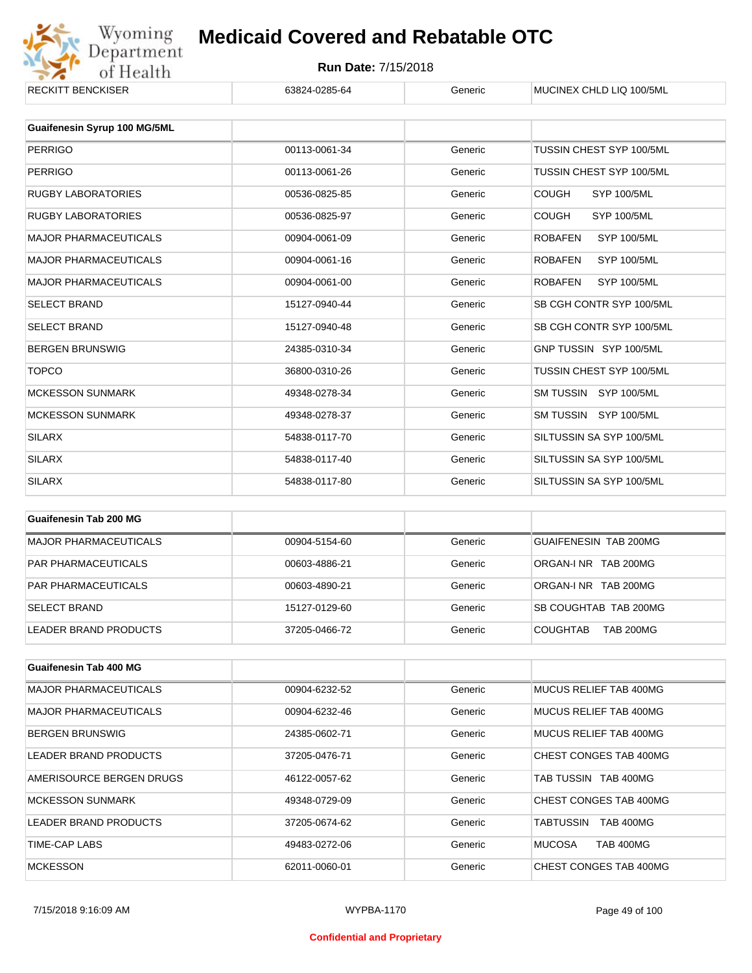

## Wyoming **Medicaid Covered and Rebatable OTC**<br>
Of Health **Run Date:** 7/15/2018<br>
ENCKISER G3824-0285-64 Generic MUCINEX CHLD LIQ 100/5ML **Medicaid Covered and Rebatable OTC**

| KEUNII I BENUNDER            | 03824-0285-04 | Generic | <b>MUUINEA UHLD LIU 100/5ML</b>      |
|------------------------------|---------------|---------|--------------------------------------|
|                              |               |         |                                      |
| Guaifenesin Syrup 100 MG/5ML |               |         |                                      |
| <b>PERRIGO</b>               | 00113-0061-34 | Generic | TUSSIN CHEST SYP 100/5ML             |
| <b>PERRIGO</b>               | 00113-0061-26 | Generic | TUSSIN CHEST SYP 100/5ML             |
| <b>RUGBY LABORATORIES</b>    | 00536-0825-85 | Generic | <b>COUGH</b><br><b>SYP 100/5ML</b>   |
| <b>RUGBY LABORATORIES</b>    | 00536-0825-97 | Generic | <b>COUGH</b><br><b>SYP 100/5ML</b>   |
| <b>MAJOR PHARMACEUTICALS</b> | 00904-0061-09 | Generic | <b>SYP 100/5ML</b><br><b>ROBAFEN</b> |
| <b>MAJOR PHARMACEUTICALS</b> | 00904-0061-16 | Generic | <b>ROBAFEN</b><br><b>SYP 100/5ML</b> |
| <b>MAJOR PHARMACEUTICALS</b> | 00904-0061-00 | Generic | <b>ROBAFEN</b><br><b>SYP 100/5ML</b> |
| <b>SELECT BRAND</b>          | 15127-0940-44 | Generic | SB CGH CONTR SYP 100/5ML             |
| <b>SELECT BRAND</b>          | 15127-0940-48 | Generic | SB CGH CONTR SYP 100/5ML             |
| <b>BERGEN BRUNSWIG</b>       | 24385-0310-34 | Generic | GNP TUSSIN SYP 100/5ML               |
| <b>TOPCO</b>                 | 36800-0310-26 | Generic | TUSSIN CHEST SYP 100/5ML             |
| <b>MCKESSON SUNMARK</b>      | 49348-0278-34 | Generic | SM TUSSIN SYP 100/5ML                |
| <b>MCKESSON SUNMARK</b>      | 49348-0278-37 | Generic | SM TUSSIN SYP 100/5ML                |
| <b>SILARX</b>                | 54838-0117-70 | Generic | SILTUSSIN SA SYP 100/5ML             |
| <b>SILARX</b>                | 54838-0117-40 | Generic | SILTUSSIN SA SYP 100/5ML             |
| <b>SILARX</b>                | 54838-0117-80 | Generic | SILTUSSIN SA SYP 100/5ML             |
|                              |               |         |                                      |

| Guaifenesin Tab 200 MG       |               |         |                                     |
|------------------------------|---------------|---------|-------------------------------------|
| <b>MAJOR PHARMACEUTICALS</b> | 00904-5154-60 | Generic | GUAIFENESIN TAB 200MG               |
| <b>PAR PHARMACEUTICALS</b>   | 00603-4886-21 | Generic | ORGAN-INR TAB 200MG                 |
| <b>PAR PHARMACEUTICALS</b>   | 00603-4890-21 | Generic | ORGAN-INR TAB 200MG                 |
| <b>SELECT BRAND</b>          | 15127-0129-60 | Generic | SB COUGHTAB TAB 200MG               |
| LEADER BRAND PRODUCTS        | 37205-0466-72 | Generic | <b>COUGHTAB</b><br><b>TAB 200MG</b> |

| Guaifenesin Tab 400 MG       |               |         |                                   |
|------------------------------|---------------|---------|-----------------------------------|
| <b>MAJOR PHARMACEUTICALS</b> | 00904-6232-52 | Generic | MUCUS RELIEF TAB 400MG            |
| <b>MAJOR PHARMACEUTICALS</b> | 00904-6232-46 | Generic | MUCUS RELIEF TAB 400MG            |
| <b>BERGEN BRUNSWIG</b>       | 24385-0602-71 | Generic | MUCUS RELIEF TAB 400MG            |
| <b>LEADER BRAND PRODUCTS</b> | 37205-0476-71 | Generic | CHEST CONGES TAB 400MG            |
| AMERISOURCE BERGEN DRUGS     | 46122-0057-62 | Generic | TAB TUSSIN TAB 400MG              |
| <b>MCKESSON SUNMARK</b>      | 49348-0729-09 | Generic | CHEST CONGES TAB 400MG            |
| LEADER BRAND PRODUCTS        | 37205-0674-62 | Generic | TABTUSSIN<br><b>TAB 400MG</b>     |
| TIME-CAP LABS                | 49483-0272-06 | Generic | <b>MUCOSA</b><br><b>TAB 400MG</b> |
| <b>MCKESSON</b>              | 62011-0060-01 | Generic | CHEST CONGES TAB 400MG            |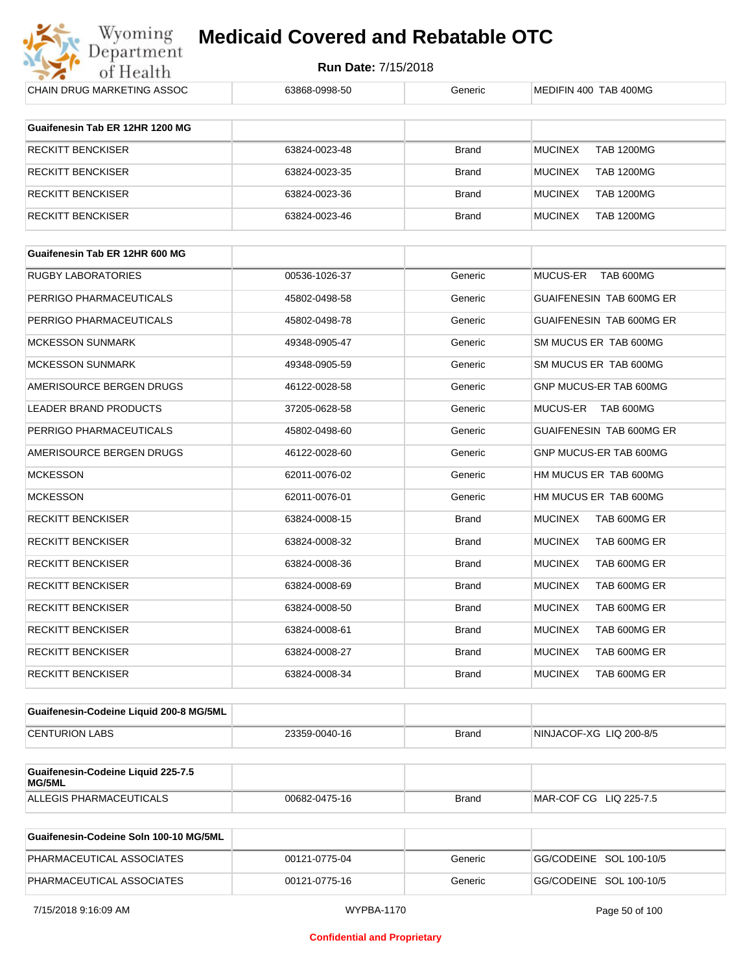

| CHAIN DRUG MARKETING ASSOC                   | 63868-0998-50 | Generic      | MEDIFIN 400 TAB 400MG               |
|----------------------------------------------|---------------|--------------|-------------------------------------|
| Guaifenesin Tab ER 12HR 1200 MG              |               |              |                                     |
|                                              |               |              |                                     |
| <b>RECKITT BENCKISER</b>                     | 63824-0023-48 | <b>Brand</b> | <b>MUCINEX</b><br><b>TAB 1200MG</b> |
| <b>RECKITT BENCKISER</b>                     | 63824-0023-35 | <b>Brand</b> | <b>MUCINEX</b><br><b>TAB 1200MG</b> |
| <b>RECKITT BENCKISER</b>                     | 63824-0023-36 | <b>Brand</b> | <b>MUCINEX</b><br><b>TAB 1200MG</b> |
| RECKITT BENCKISER                            | 63824-0023-46 | <b>Brand</b> | <b>MUCINEX</b><br><b>TAB 1200MG</b> |
| Guaifenesin Tab ER 12HR 600 MG               |               |              |                                     |
|                                              |               |              |                                     |
| <b>RUGBY LABORATORIES</b>                    | 00536-1026-37 | Generic      | MUCUS-ER<br>TAB 600MG               |
| PERRIGO PHARMACEUTICALS                      | 45802-0498-58 | Generic      | GUAIFENESIN TAB 600MG ER            |
| PERRIGO PHARMACEUTICALS                      | 45802-0498-78 | Generic      | GUAIFENESIN TAB 600MG ER            |
| <b>MCKESSON SUNMARK</b>                      | 49348-0905-47 | Generic      | SM MUCUS ER TAB 600MG               |
| <b>MCKESSON SUNMARK</b>                      | 49348-0905-59 | Generic      | SM MUCUS ER TAB 600MG               |
| AMERISOURCE BERGEN DRUGS                     | 46122-0028-58 | Generic      | GNP MUCUS-ER TAB 600MG              |
| LEADER BRAND PRODUCTS                        | 37205-0628-58 | Generic      | MUCUS-ER TAB 600MG                  |
| PERRIGO PHARMACEUTICALS                      | 45802-0498-60 | Generic      | <b>GUAIFENESIN TAB 600MG ER</b>     |
| AMERISOURCE BERGEN DRUGS                     | 46122-0028-60 | Generic      | GNP MUCUS-ER TAB 600MG              |
| <b>MCKESSON</b>                              | 62011-0076-02 | Generic      | HM MUCUS ER TAB 600MG               |
| <b>MCKESSON</b>                              | 62011-0076-01 | Generic      | HM MUCUS ER TAB 600MG               |
| RECKITT BENCKISER                            | 63824-0008-15 | Brand        | <b>MUCINEX</b><br>TAB 600MG ER      |
| RECKITT BENCKISER                            | 63824-0008-32 | <b>Brand</b> | <b>MUCINEX</b><br>TAB 600MG ER      |
| RECKITT BENCKISER                            | 63824-0008-36 | Brand        | <b>MUCINEX</b><br>TAB 600MG ER      |
| <b>RECKITT BENCKISER</b>                     | 63824-0008-69 | <b>Brand</b> | <b>MUCINEX</b><br>TAB 600MG ER      |
| RECKITT BENCKISER                            | 63824-0008-50 | Brand        | <b>MUCINEX</b><br>TAB 600MG ER      |
| RECKITT BENCKISER                            | 63824-0008-61 | Brand        | <b>MUCINEX</b><br>TAB 600MG ER      |
| RECKITT BENCKISER                            | 63824-0008-27 | Brand        | <b>MUCINEX</b><br>TAB 600MG ER      |
| <b>RECKITT BENCKISER</b>                     | 63824-0008-34 | Brand        | <b>MUCINEX</b><br>TAB 600MG ER      |
| Guaifenesin-Codeine Liquid 200-8 MG/5ML      |               |              |                                     |
|                                              |               |              |                                     |
| <b>CENTURION LABS</b>                        | 23359-0040-16 | <b>Brand</b> | NINJACOF-XG LIQ 200-8/5             |
| Guaifenesin-Codeine Liquid 225-7.5<br>MG/5ML |               |              |                                     |
| <b>ALLEGIS PHARMACEUTICALS</b>               | 00682-0475-16 | Brand        | MAR-COF CG LIQ 225-7.5              |
|                                              |               |              |                                     |

| Guaifenesin-Codeine Soln 100-10 MG/5ML |               |         |                         |
|----------------------------------------|---------------|---------|-------------------------|
| PHARMACEUTICAL ASSOCIATES              | 00121-0775-04 | Generic | GG/CODEINE SOL 100-10/5 |
| PHARMACEUTICAL ASSOCIATES              | 00121-0775-16 | Generic | GG/CODEINE SOL 100-10/5 |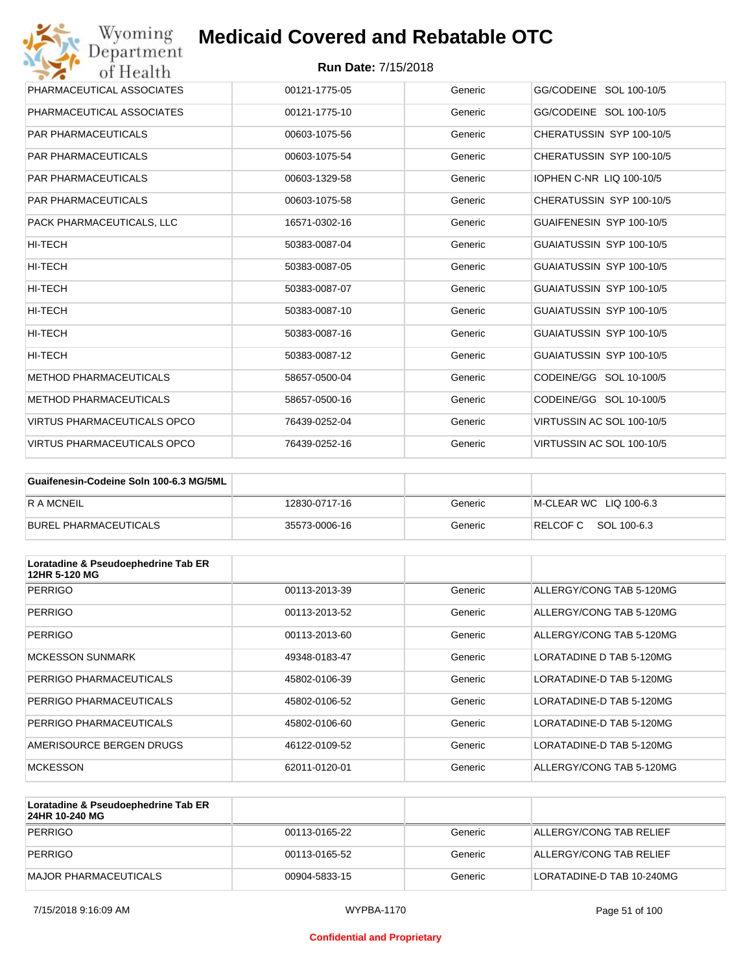| Wyoming<br>Department              | <b>Medicaid Covered and Rebatable OTC</b> |         |                           |
|------------------------------------|-------------------------------------------|---------|---------------------------|
| of Health                          | <b>Run Date: 7/15/2018</b>                |         |                           |
| PHARMACEUTICAL ASSOCIATES          | 00121-1775-05                             | Generic | GG/CODEINE SOL 100-10/5   |
| PHARMACEUTICAL ASSOCIATES          | 00121-1775-10                             | Generic | GG/CODEINE SOL 100-10/5   |
| <b>PAR PHARMACEUTICALS</b>         | 00603-1075-56                             | Generic | CHERATUSSIN SYP 100-10/5  |
| <b>PAR PHARMACEUTICALS</b>         | 00603-1075-54                             | Generic | CHERATUSSIN SYP 100-10/5  |
| <b>PAR PHARMACEUTICALS</b>         | 00603-1329-58                             | Generic | IOPHEN C-NR LIQ 100-10/5  |
| <b>PAR PHARMACEUTICALS</b>         | 00603-1075-58                             | Generic | CHERATUSSIN SYP 100-10/5  |
| PACK PHARMACEUTICALS. LLC          | 16571-0302-16                             | Generic | GUAIFENESIN SYP 100-10/5  |
| HI-TECH                            | 50383-0087-04                             | Generic | GUAIATUSSIN SYP 100-10/5  |
| HI-TECH                            | 50383-0087-05                             | Generic | GUAIATUSSIN SYP 100-10/5  |
| HI-TECH                            | 50383-0087-07                             | Generic | GUAIATUSSIN SYP 100-10/5  |
| HI-TECH                            | 50383-0087-10                             | Generic | GUAIATUSSIN SYP 100-10/5  |
| <b>HI-TECH</b>                     | 50383-0087-16                             | Generic | GUAIATUSSIN SYP 100-10/5  |
| HI-TECH                            | 50383-0087-12                             | Generic | GUAIATUSSIN SYP 100-10/5  |
| <b>METHOD PHARMACEUTICALS</b>      | 58657-0500-04                             | Generic | CODEINE/GG SOL 10-100/5   |
| <b>METHOD PHARMACEUTICALS</b>      | 58657-0500-16                             | Generic | CODEINE/GG SOL 10-100/5   |
| <b>VIRTUS PHARMACEUTICALS OPCO</b> | 76439-0252-04                             | Generic | VIRTUSSIN AC SOL 100-10/5 |
| VIRTUS PHARMACEUTICALS OPCO        | 76439-0252-16                             | Generic | VIRTUSSIN AC SOL 100-10/5 |

| Guaifenesin-Codeine Soln 100-6.3 MG/5ML |               |         |                        |
|-----------------------------------------|---------------|---------|------------------------|
| <b>RAMCNEIL</b>                         | 12830-0717-16 | Generic | M-CLEAR WC LIQ 100-6.3 |
| BUREL PHARMACEUTICALS                   | 35573-0006-16 | Generic | RELCOFC SOL 100-6.3    |

| Loratadine & Pseudoephedrine Tab ER<br>12HR 5-120 MG |               |         |                          |
|------------------------------------------------------|---------------|---------|--------------------------|
| <b>PERRIGO</b>                                       | 00113-2013-39 | Generic | ALLERGY/CONG TAB 5-120MG |
| <b>PERRIGO</b>                                       | 00113-2013-52 | Generic | ALLERGY/CONG TAB 5-120MG |
| <b>PERRIGO</b>                                       | 00113-2013-60 | Generic | ALLERGY/CONG TAB 5-120MG |
| <b>MCKESSON SUNMARK</b>                              | 49348-0183-47 | Generic | LORATADINE D TAB 5-120MG |
| PERRIGO PHARMACEUTICALS                              | 45802-0106-39 | Generic | LORATADINE-D TAB 5-120MG |
| PERRIGO PHARMACEUTICALS                              | 45802-0106-52 | Generic | LORATADINE-D TAB 5-120MG |
| PERRIGO PHARMACEUTICALS                              | 45802-0106-60 | Generic | LORATADINE-D TAB 5-120MG |
| AMERISOURCE BERGEN DRUGS                             | 46122-0109-52 | Generic | LORATADINE-D TAB 5-120MG |
| <b>MCKESSON</b>                                      | 62011-0120-01 | Generic | ALLERGY/CONG TAB 5-120MG |

| Loratadine & Pseudoephedrine Tab ER<br>24HR 10-240 MG |               |         |                           |
|-------------------------------------------------------|---------------|---------|---------------------------|
| PERRIGO                                               | 00113-0165-22 | Generic | ALLERGY/CONG TAB RELIEF   |
| PERRIGO                                               | 00113-0165-52 | Generic | ALLERGY/CONG TAB RELIEF   |
| MAJOR PHARMACEUTICALS                                 | 00904-5833-15 | Generic | LORATADINE-D TAB 10-240MG |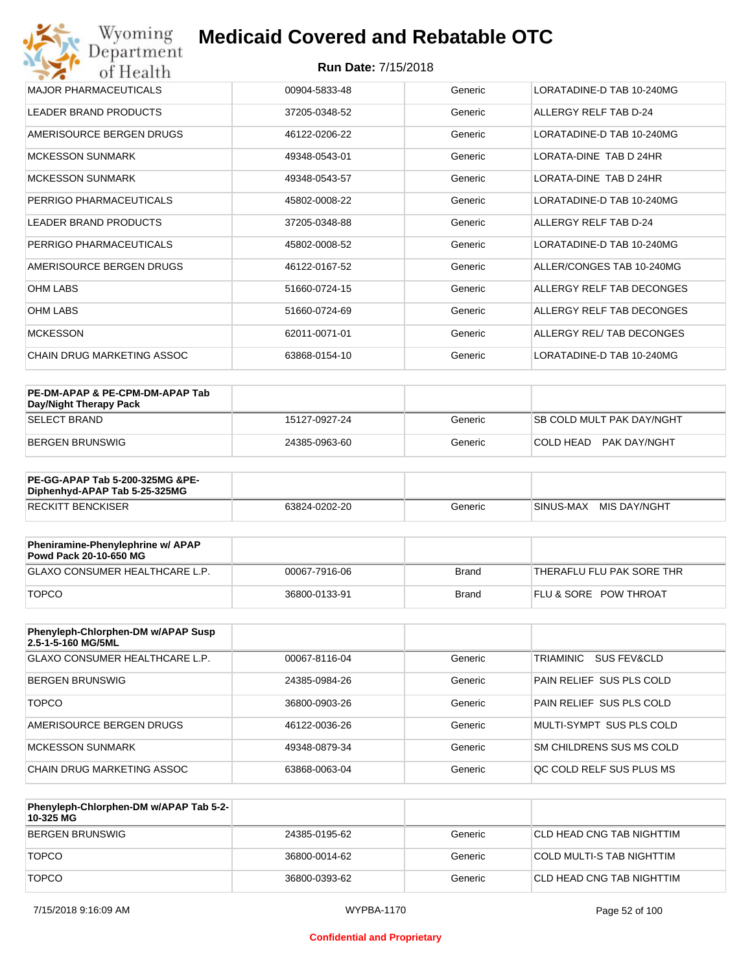#### **Run Date:** 7/15/2018

| MAJOR PHARMACEUTICALS             | 00904-5833-48 | Generic | LORATADINE-D TAB 10-240MG |
|-----------------------------------|---------------|---------|---------------------------|
| LEADER BRAND PRODUCTS             | 37205-0348-52 | Generic | ALLERGY RELF TAB D-24     |
| AMERISOURCE BERGEN DRUGS          | 46122-0206-22 | Generic | LORATADINE-D TAB 10-240MG |
| <b>MCKESSON SUNMARK</b>           | 49348-0543-01 | Generic | LORATA-DINE TAB D 24HR    |
| <b>MCKESSON SUNMARK</b>           | 49348-0543-57 | Generic | LORATA-DINE TAB D 24HR    |
| PERRIGO PHARMACEUTICALS           | 45802-0008-22 | Generic | LORATADINE-D TAB 10-240MG |
| <b>LEADER BRAND PRODUCTS</b>      | 37205-0348-88 | Generic | ALLERGY RELF TAB D-24     |
| PERRIGO PHARMACEUTICALS           | 45802-0008-52 | Generic | LORATADINE-D TAB 10-240MG |
| AMERISOURCE BERGEN DRUGS          | 46122-0167-52 | Generic | ALLER/CONGES TAB 10-240MG |
| <b>OHM LABS</b>                   | 51660-0724-15 | Generic | ALLERGY RELF TAB DECONGES |
| <b>OHM LABS</b>                   | 51660-0724-69 | Generic | ALLERGY RELF TAB DECONGES |
| <b>MCKESSON</b>                   | 62011-0071-01 | Generic | ALLERGY REL/ TAB DECONGES |
| <b>CHAIN DRUG MARKETING ASSOC</b> | 63868-0154-10 | Generic | LORATADINE-D TAB 10-240MG |

| PE-DM-APAP & PE-CPM-DM-APAP Tab<br>Day/Night Therapy Pack |               |         |                                  |
|-----------------------------------------------------------|---------------|---------|----------------------------------|
| ISELECT BRAND                                             | 15127-0927-24 | Generic | <b>SB COLD MULT PAK DAY/NGHT</b> |
| BERGEN BRUNSWIG                                           | 24385-0963-60 | Generic | COLD HEAD PAK DAY/NGHT           |

| <b>PE-GG-APAP Tab 5-200-325MG &amp;PE-</b><br>Diphenhyd-APAP Tab 5-25-325MG |               |         |                           |
|-----------------------------------------------------------------------------|---------------|---------|---------------------------|
| <b>RECKITT BENCKISER</b>                                                    | 63824-0202-20 | Generic | MIS DAY/NGHT<br>SINUS-MAX |

| Pheniramine-Phenylephrine w/ APAP<br>Powd Pack 20-10-650 MG |               |       |                                  |
|-------------------------------------------------------------|---------------|-------|----------------------------------|
| GLAXO CONSUMER HEALTHCARE L.P.                              | 00067-7916-06 | Brand | 'THERAFLU FLU PAK SORE THR       |
| <b>TOPCO</b>                                                | 36800-0133-91 | Brand | <b>FLU &amp; SORE POW THROAT</b> |

| Phenyleph-Chlorphen-DM w/APAP Susp<br>2.5-1-5-160 MG/5ML |               |         |                                 |
|----------------------------------------------------------|---------------|---------|---------------------------------|
| <b>GLAXO CONSUMER HEALTHCARE L.P.</b>                    | 00067-8116-04 | Generic | TRIAMINIC<br>SUS FEV&CLD        |
| BERGEN BRUNSWIG                                          | 24385-0984-26 | Generic | <b>PAIN RELIEF SUS PLS COLD</b> |
| <b>TOPCO</b>                                             | 36800-0903-26 | Generic | <b>PAIN RELIEF SUS PLS COLD</b> |
| AMERISOURCE BERGEN DRUGS                                 | 46122-0036-26 | Generic | MULTI-SYMPT SUS PLS COLD        |
| <b>MCKESSON SUNMARK</b>                                  | 49348-0879-34 | Generic | SM CHILDRENS SUS MS COLD        |
| CHAIN DRUG MARKETING ASSOC                               | 63868-0063-04 | Generic | OC COLD RELF SUS PLUS MS        |

| Phenyleph-Chlorphen-DM w/APAP Tab 5-2-<br>10-325 MG |               |         |                            |
|-----------------------------------------------------|---------------|---------|----------------------------|
| BERGEN BRUNSWIG                                     | 24385-0195-62 | Generic | ICLD HEAD CNG TAB NIGHTTIM |
| <b>TOPCO</b>                                        | 36800-0014-62 | Generic | COLD MULTI-S TAB NIGHTTIM  |
| <b>TOPCO</b>                                        | 36800-0393-62 | Generic | CLD HEAD CNG TAB NIGHTTIM  |

#### **Confidential and Proprietary**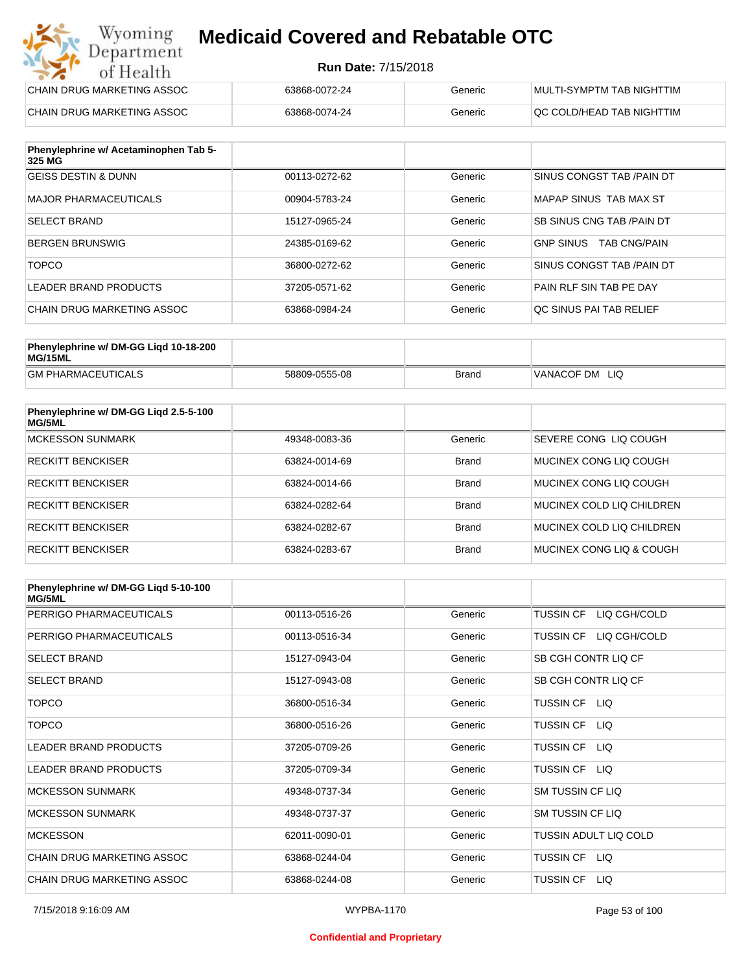#### **Run Date:** 7/15/2018

| Wyoming<br><b>Medicaid Covered and Rebatable OTC</b><br>Department |                            |         |                           |  |
|--------------------------------------------------------------------|----------------------------|---------|---------------------------|--|
| of Health                                                          | <b>Run Date: 7/15/2018</b> |         |                           |  |
| CHAIN DRUG MARKETING ASSOC                                         | 63868-0072-24              | Generic | MULTI-SYMPTM TAB NIGHTTIM |  |
| CHAIN DRUG MARKETING ASSOC                                         | 63868-0074-24              | Generic | QC COLD/HEAD TAB NIGHTTIM |  |

| Phenylephrine w/ Acetaminophen Tab 5-<br>325 MG |               |         |                                         |
|-------------------------------------------------|---------------|---------|-----------------------------------------|
| <b>GEISS DESTIN &amp; DUNN</b>                  | 00113-0272-62 | Generic | SINUS CONGST TAB /PAIN DT               |
| MAJOR PHARMACEUTICALS                           | 00904-5783-24 | Generic | MAPAP SINUS TAB MAX ST                  |
| <b>SELECT BRAND</b>                             | 15127-0965-24 | Generic | SB SINUS CNG TAB / PAIN DT              |
| BERGEN BRUNSWIG                                 | 24385-0169-62 | Generic | <b>GNP SINUS</b><br><b>TAB CNG/PAIN</b> |
| <b>TOPCO</b>                                    | 36800-0272-62 | Generic | SINUS CONGST TAB /PAIN DT               |
| LEADER BRAND PRODUCTS                           | 37205-0571-62 | Generic | PAIN RLF SIN TAB PE DAY                 |
| CHAIN DRUG MARKETING ASSOC                      | 63868-0984-24 | Generic | OC SINUS PAI TAB RELIEF                 |

| Phenylephrine w/ DM-GG Ligd 10-18-200<br>MG/15ML |               |              |                      |
|--------------------------------------------------|---------------|--------------|----------------------|
| <b>GM PHARMACEUTICALS</b>                        | 58809-0555-08 | <b>Brand</b> | 'VANACOF DM<br>- LIQ |

| Phenylephrine w/ DM-GG Ligd 2.5-5-100<br>MG/5ML |               |              |                           |
|-------------------------------------------------|---------------|--------------|---------------------------|
| MCKESSON SUNMARK                                | 49348-0083-36 | Generic      | SEVERE CONG LIQ COUGH     |
| <b>RECKITT BENCKISER</b>                        | 63824-0014-69 | <b>Brand</b> | MUCINEX CONG LIO COUGH    |
| <b>RECKITT BENCKISER</b>                        | 63824-0014-66 | <b>Brand</b> | MUCINEX CONG LIO COUGH    |
| <b>RECKITT BENCKISER</b>                        | 63824-0282-64 | <b>Brand</b> | MUCINEX COLD LIQ CHILDREN |
| <b>RECKITT BENCKISER</b>                        | 63824-0282-67 | <b>Brand</b> | MUCINEX COLD LIQ CHILDREN |
| <b>RECKITT BENCKISER</b>                        | 63824-0283-67 | <b>Brand</b> | MUCINEX CONG LIO & COUGH  |

| Phenylephrine w/ DM-GG Ligd 5-10-100<br><b>MG/5ML</b> |               |         |                                  |
|-------------------------------------------------------|---------------|---------|----------------------------------|
| PERRIGO PHARMACEUTICALS                               | 00113-0516-26 | Generic | <b>TUSSIN CF</b><br>LIQ CGH/COLD |
| PERRIGO PHARMACEUTICALS                               | 00113-0516-34 | Generic | LIQ CGH/COLD<br><b>TUSSIN CF</b> |
| <b>SELECT BRAND</b>                                   | 15127-0943-04 | Generic | SB CGH CONTR LIQ CF              |
| <b>SELECT BRAND</b>                                   | 15127-0943-08 | Generic | SB CGH CONTR LIQ CF              |
| <b>TOPCO</b>                                          | 36800-0516-34 | Generic | TUSSIN CF<br>LIQ.                |
| <b>TOPCO</b>                                          | 36800-0516-26 | Generic | <b>TUSSIN CF</b><br>LIQ.         |
| <b>LEADER BRAND PRODUCTS</b>                          | 37205-0709-26 | Generic | TUSSIN CF<br>LIQ.                |
| <b>LEADER BRAND PRODUCTS</b>                          | 37205-0709-34 | Generic | <b>TUSSIN CF</b><br>LIQ.         |
| <b>MCKESSON SUNMARK</b>                               | 49348-0737-34 | Generic | <b>SM TUSSIN CF LIQ</b>          |
| <b>MCKESSON SUNMARK</b>                               | 49348-0737-37 | Generic | SM TUSSIN CF LIQ                 |
| <b>MCKESSON</b>                                       | 62011-0090-01 | Generic | TUSSIN ADULT LIQ COLD            |
| CHAIN DRUG MARKETING ASSOC                            | 63868-0244-04 | Generic | <b>TUSSIN CF</b><br>LIQ.         |
| CHAIN DRUG MARKETING ASSOC                            | 63868-0244-08 | Generic | <b>TUSSIN CF</b><br>LIQ.         |

#### **Confidential and Proprietary**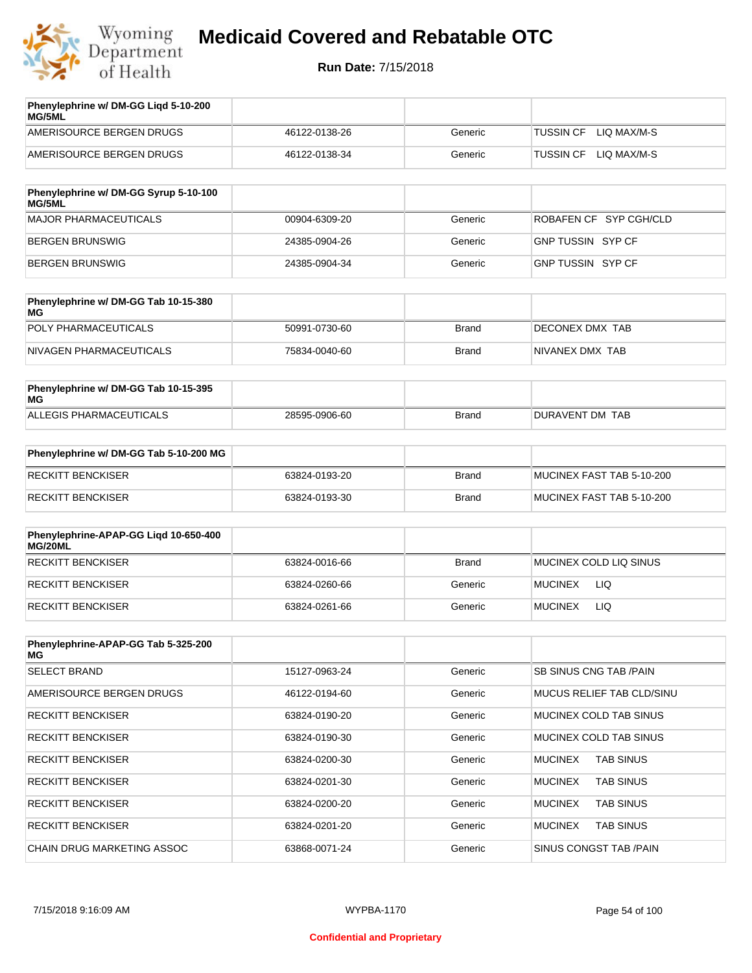

| Phenylephrine w/ DM-GG Ligd 5-10-200<br><b>MG/5ML</b> |               |         |                                 |
|-------------------------------------------------------|---------------|---------|---------------------------------|
| AMERISOURCE BERGEN DRUGS                              | 46122-0138-26 | Generic | LIO MAX/M-S<br><b>TUSSIN CF</b> |
| AMERISOURCE BERGEN DRUGS                              | 46122-0138-34 | Generic | LIO MAX/M-S<br><b>TUSSIN CF</b> |

| Phenylephrine w/ DM-GG Syrup 5-10-100<br>MG/5ML |               |         |                          |
|-------------------------------------------------|---------------|---------|--------------------------|
| MAJOR PHARMACEUTICALS                           | 00904-6309-20 | Generic | ROBAFEN CF SYP CGH/CLD   |
| BERGEN BRUNSWIG                                 | 24385-0904-26 | Generic | <b>GNP TUSSIN SYP CF</b> |
| BERGEN BRUNSWIG                                 | 24385-0904-34 | Generic | GNP TUSSIN SYP CF        |

| Phenylephrine w/ DM-GG Tab 10-15-380<br>MG |               |              |                 |
|--------------------------------------------|---------------|--------------|-----------------|
| POLY PHARMACEUTICALS                       | 50991-0730-60 | <b>Brand</b> | DECONEX DMX TAB |
| NIVAGEN PHARMACEUTICALS                    | 75834-0040-60 | Brand        | NIVANEX DMX TAB |

| Phenylephrine w/ DM-GG Tab 10-15-395<br>MG |               |       |                 |
|--------------------------------------------|---------------|-------|-----------------|
| ALLEGIS PHARMACEUTICALS                    | 28595-0906-60 | Brand | DURAVENT DM TAB |

| Phenylephrine w/ DM-GG Tab 5-10-200 MG |               |       |                           |
|----------------------------------------|---------------|-------|---------------------------|
| RECKITT BENCKISER                      | 63824-0193-20 | Brand | MUCINEX FAST TAB 5-10-200 |
| RECKITT BENCKISER                      | 63824-0193-30 | Brand | MUCINEX FAST TAB 5-10-200 |

| Phenylephrine-APAP-GG Ligd 10-650-400<br>MG/20ML |               |              |                        |
|--------------------------------------------------|---------------|--------------|------------------------|
| RECKITT BENCKISER                                | 63824-0016-66 | <b>Brand</b> | MUCINEX COLD LIQ SINUS |
| RECKITT BENCKISER                                | 63824-0260-66 | Generic      | <b>MUCINEX</b><br>LIQ  |
| RECKITT BENCKISER                                | 63824-0261-66 | Generic      | LIQ<br><b>MUCINEX</b>  |

| Phenylephrine-APAP-GG Tab 5-325-200<br>MG |               |         |                                    |
|-------------------------------------------|---------------|---------|------------------------------------|
| <b>SELECT BRAND</b>                       | 15127-0963-24 | Generic | SB SINUS CNG TAB / PAIN            |
| AMERISOURCE BERGEN DRUGS                  | 46122-0194-60 | Generic | <b>MUCUS RELIEF TAB CLD/SINU</b>   |
| <b>RECKITT BENCKISER</b>                  | 63824-0190-20 | Generic | MUCINEX COLD TAB SINUS             |
| <b>RECKITT BENCKISER</b>                  | 63824-0190-30 | Generic | MUCINEX COLD TAB SINUS             |
| <b>RECKITT BENCKISER</b>                  | 63824-0200-30 | Generic | <b>TAB SINUS</b><br>MUCINEX        |
| <b>RECKITT BENCKISER</b>                  | 63824-0201-30 | Generic | <b>MUCINEX</b><br><b>TAB SINUS</b> |
| <b>RECKITT BENCKISER</b>                  | 63824-0200-20 | Generic | <b>MUCINEX</b><br><b>TAB SINUS</b> |
| <b>RECKITT BENCKISER</b>                  | 63824-0201-20 | Generic | <b>TAB SINUS</b><br><b>MUCINEX</b> |
| <b>CHAIN DRUG MARKETING ASSOC</b>         | 63868-0071-24 | Generic | SINUS CONGST TAB /PAIN             |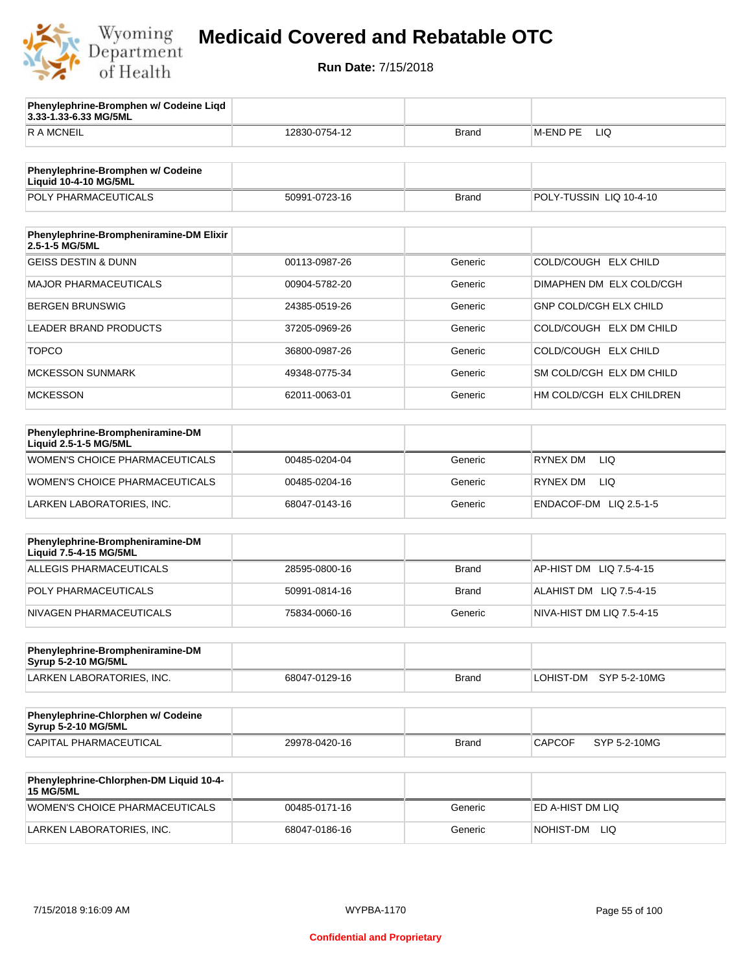

**3.33-1.33-6.33 MG/5ML**

**Phenylephrine-Bromphen w/ Codeine Liqd** 

## **Medicaid Covered and Rebatable OTC**

| <b>RAMCNEIL</b>                                                   | 12830-0754-12 | <b>Brand</b> | M-END PE<br>LIQ               |
|-------------------------------------------------------------------|---------------|--------------|-------------------------------|
|                                                                   |               |              |                               |
| Phenylephrine-Bromphen w/ Codeine<br><b>Liquid 10-4-10 MG/5ML</b> |               |              |                               |
| POLY PHARMACEUTICALS                                              | 50991-0723-16 | <b>Brand</b> | POLY-TUSSIN LIQ 10-4-10       |
|                                                                   |               |              |                               |
| Phenylephrine-Brompheniramine-DM Elixir<br>2.5-1-5 MG/5ML         |               |              |                               |
| <b>GEISS DESTIN &amp; DUNN</b>                                    | 00113-0987-26 | Generic      | COLD/COUGH ELX CHILD          |
| <b>MAJOR PHARMACEUTICALS</b>                                      | 00904-5782-20 | Generic      | DIMAPHEN DM ELX COLD/CGH      |
| <b>BERGEN BRUNSWIG</b>                                            | 24385-0519-26 | Generic      | <b>GNP COLD/CGH ELX CHILD</b> |
| LEADER BRAND PRODUCTS                                             | 37205-0969-26 | Generic      | COLD/COUGH ELX DM CHILD       |
| <b>TOPCO</b>                                                      | 36800-0987-26 | Generic      | COLD/COUGH ELX CHILD          |
| <b>MCKESSON SUNMARK</b>                                           | 49348-0775-34 | Generic      | SM COLD/CGH ELX DM CHILD      |
| <b>MCKESSON</b>                                                   | 62011-0063-01 | Generic      | HM COLD/CGH ELX CHILDREN      |
|                                                                   |               |              |                               |
| Phenylephrine-Brompheniramine-DM<br>Liquid 2.5-1-5 MG/5ML         |               |              |                               |
| <b>WOMEN'S CHOICE PHARMACEUTICALS</b>                             | 00485-0204-04 | Generic      | RYNEX DM<br>LIQ.              |
| WOMEN'S CHOICE PHARMACEUTICALS                                    | 00485-0204-16 | Generic      | RYNEX DM<br>LIQ.              |
| LARKEN LABORATORIES, INC.                                         | 68047-0143-16 | Generic      | ENDACOF-DM LIQ 2.5-1-5        |
|                                                                   |               |              |                               |
| Phenylephrine-Brompheniramine-DM<br>Liquid 7.5-4-15 MG/5ML        |               |              |                               |
| ALLEGIS PHARMACEUTICALS                                           | 28595-0800-16 | <b>Brand</b> | AP-HIST DM LIQ 7.5-4-15       |
| POLY PHARMACEUTICALS                                              | 50991-0814-16 | <b>Brand</b> | ALAHIST DM LIQ 7.5-4-15       |
| NIVAGEN PHARMACEUTICALS                                           | 75834-0060-16 | Generic      | NIVA-HIST DM LIQ 7.5-4-15     |
|                                                                   |               |              |                               |
| Phenylephrine-Brompheniramine-DM<br><b>Syrup 5-2-10 MG/5ML</b>    |               |              |                               |
| LARKEN LABORATORIES, INC.                                         | 68047-0129-16 | <b>Brand</b> | SYP 5-2-10MG<br>LOHIST-DM     |
|                                                                   |               |              |                               |
| Phenylephrine-Chlorphen w/ Codeine<br><b>Syrup 5-2-10 MG/5ML</b>  |               |              |                               |
| CAPITAL PHARMACEUTICAL                                            | 29978-0420-16 | <b>Brand</b> | <b>CAPCOF</b><br>SYP 5-2-10MG |
|                                                                   |               |              |                               |
| Phenylephrine-Chlorphen-DM Liquid 10-4-<br><b>15 MG/5ML</b>       |               |              |                               |
| WOMEN'S CHOICE PHARMACEUTICALS                                    | 00485-0171-16 | Generic      | ED A-HIST DM LIQ              |
| LARKEN LABORATORIES, INC.                                         | 68047-0186-16 | Generic      | NOHIST-DM LIQ                 |
|                                                                   |               |              |                               |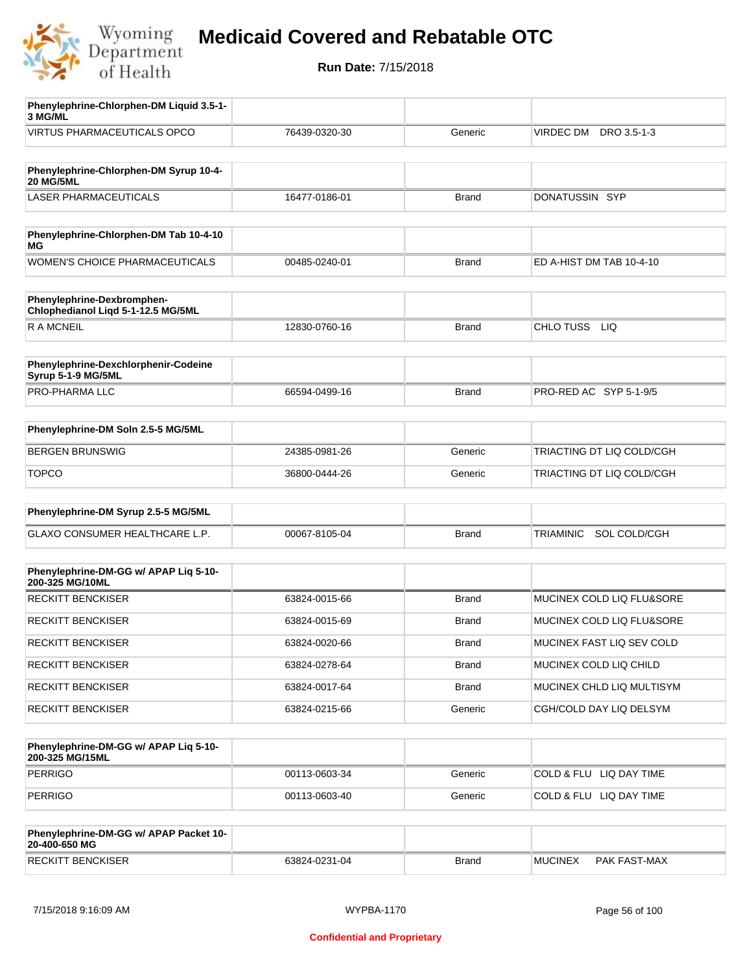

**Run Date:** 7/15/2018

| Phenylephrine-Chlorphen-DM Liquid 3.5-1-<br>3 MG/ML              |               |              |                                  |
|------------------------------------------------------------------|---------------|--------------|----------------------------------|
| <b>VIRTUS PHARMACEUTICALS OPCO</b>                               | 76439-0320-30 | Generic      | VIRDEC DM<br>DRO 3.5-1-3         |
|                                                                  |               |              |                                  |
| Phenylephrine-Chlorphen-DM Syrup 10-4-<br><b>20 MG/5ML</b>       |               |              |                                  |
| <b>LASER PHARMACEUTICALS</b>                                     | 16477-0186-01 | <b>Brand</b> | DONATUSSIN SYP                   |
|                                                                  |               |              |                                  |
| Phenylephrine-Chlorphen-DM Tab 10-4-10<br>МG                     |               |              |                                  |
| <b>WOMEN'S CHOICE PHARMACEUTICALS</b>                            | 00485-0240-01 | <b>Brand</b> | ED A-HIST DM TAB 10-4-10         |
| Phenylephrine-Dexbromphen-<br>Chlophedianol Liqd 5-1-12.5 MG/5ML |               |              |                                  |
| <b>RAMCNEIL</b>                                                  | 12830-0760-16 | <b>Brand</b> | CHLO TUSS<br>LIQ                 |
|                                                                  |               |              |                                  |
| Phenylephrine-Dexchlorphenir-Codeine<br>Syrup 5-1-9 MG/5ML       |               |              |                                  |
| PRO-PHARMA LLC                                                   | 66594-0499-16 | <b>Brand</b> | PRO-RED AC SYP 5-1-9/5           |
|                                                                  |               |              |                                  |
| Phenylephrine-DM Soln 2.5-5 MG/5ML                               |               |              |                                  |
| <b>BERGEN BRUNSWIG</b>                                           | 24385-0981-26 | Generic      | TRIACTING DT LIQ COLD/CGH        |
| <b>TOPCO</b>                                                     | 36800-0444-26 | Generic      | TRIACTING DT LIQ COLD/CGH        |
| Phenylephrine-DM Syrup 2.5-5 MG/5ML                              |               |              |                                  |
|                                                                  |               |              |                                  |
| GLAXO CONSUMER HEALTHCARE L.P.                                   | 00067-8105-04 | <b>Brand</b> | <b>TRIAMINIC</b><br>SOL COLD/CGH |
|                                                                  |               |              |                                  |
| Phenylephrine-DM-GG w/ APAP Liq 5-10-<br>200-325 MG/10ML         |               |              |                                  |
| <b>RECKITT BENCKISER</b>                                         | 63824-0015-66 | <b>Brand</b> | MUCINEX COLD LIQ FLU&SORE        |
| <b>RECKITT BENCKISER</b>                                         | 63824-0015-69 | <b>Brand</b> | MUCINEX COLD LIQ FLU&SORE        |
| <b>RECKITT BENCKISER</b>                                         | 63824-0020-66 | Brand        | MUCINEX FAST LIQ SEV COLD        |
| <b>RECKITT BENCKISER</b>                                         | 63824-0278-64 | <b>Brand</b> | MUCINEX COLD LIQ CHILD           |
| <b>RECKITT BENCKISER</b>                                         | 63824-0017-64 | <b>Brand</b> | MUCINEX CHLD LIQ MULTISYM        |
| <b>RECKITT BENCKISER</b>                                         | 63824-0215-66 | Generic      | CGH/COLD DAY LIQ DELSYM          |
|                                                                  |               |              |                                  |
| Phenylephrine-DM-GG w/ APAP Liq 5-10-<br>200-325 MG/15ML         |               |              |                                  |
| <b>PERRIGO</b>                                                   | 00113-0603-34 | Generic      | COLD & FLU LIQ DAY TIME          |
| <b>PERRIGO</b>                                                   | 00113-0603-40 | Generic      | COLD & FLU LIQ DAY TIME          |
|                                                                  |               |              |                                  |
| Phenylephrine-DM-GG w/ APAP Packet 10-<br>20-400-650 MG          |               |              |                                  |

RECKITT BENCKISER 63824-0231-04 Brand MUCINEX PAK FAST-MAX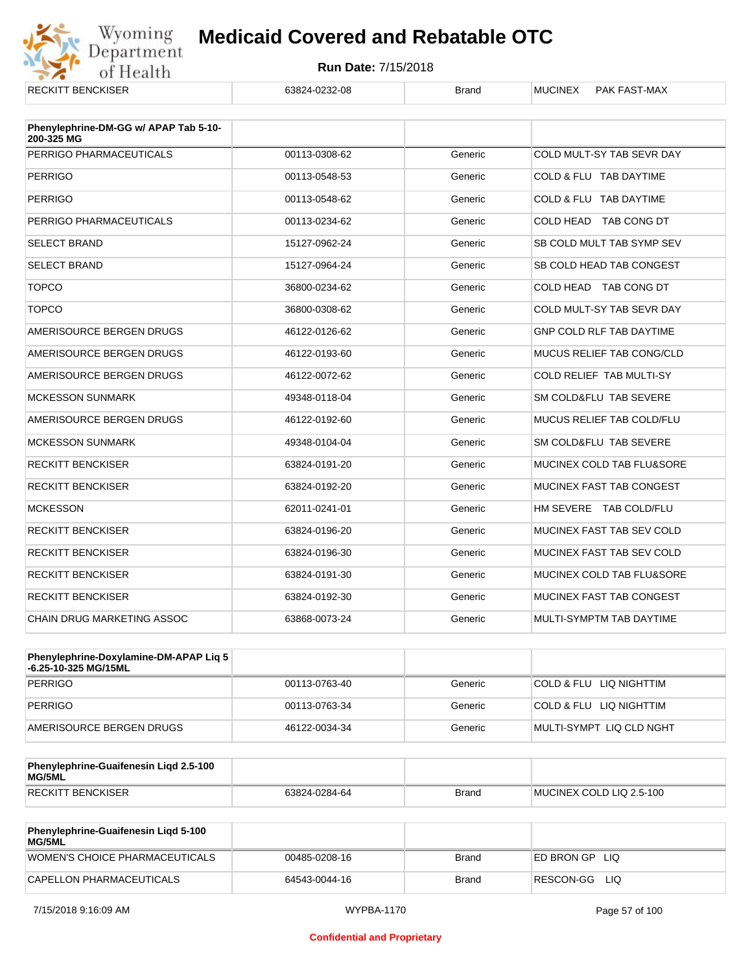

| <b>RECKITT BENCKISER</b>                            | 63824-0232-08 | <b>Brand</b> | <b>MUCINEX</b><br><b>PAK FAST-MAX</b> |
|-----------------------------------------------------|---------------|--------------|---------------------------------------|
| Phenylephrine-DM-GG w/ APAP Tab 5-10-<br>200-325 MG |               |              |                                       |
| PERRIGO PHARMACEUTICALS                             | 00113-0308-62 | Generic      | COLD MULT-SY TAB SEVR DAY             |
| <b>PERRIGO</b>                                      | 00113-0548-53 | Generic      | COLD & FLU TAB DAYTIME                |
| <b>PERRIGO</b>                                      | 00113-0548-62 | Generic      | COLD & FLU TAB DAYTIME                |
| PERRIGO PHARMACEUTICALS                             | 00113-0234-62 | Generic      | COLD HEAD TAB CONG DT                 |
| <b>SELECT BRAND</b>                                 | 15127-0962-24 | Generic      | SB COLD MULT TAB SYMP SEV             |
| <b>SELECT BRAND</b>                                 | 15127-0964-24 | Generic      | SB COLD HEAD TAB CONGEST              |
| <b>TOPCO</b>                                        | 36800-0234-62 | Generic      | COLD HEAD TAB CONG DT                 |
| <b>TOPCO</b>                                        | 36800-0308-62 | Generic      | COLD MULT-SY TAB SEVR DAY             |
| AMERISOURCE BERGEN DRUGS                            | 46122-0126-62 | Generic      | <b>GNP COLD RLF TAB DAYTIME</b>       |
| AMERISOURCE BERGEN DRUGS                            | 46122-0193-60 | Generic      | MUCUS RELIEF TAB CONG/CLD             |
| AMERISOURCE BERGEN DRUGS                            | 46122-0072-62 | Generic      | <b>COLD RELIEF TAB MULTI-SY</b>       |
| <b>MCKESSON SUNMARK</b>                             | 49348-0118-04 | Generic      | SM COLD&FLU TAB SEVERE                |
| AMERISOURCE BERGEN DRUGS                            | 46122-0192-60 | Generic      | MUCUS RELIEF TAB COLD/FLU             |
| <b>MCKESSON SUNMARK</b>                             | 49348-0104-04 | Generic      | SM COLD&FLU TAB SEVERE                |
| <b>RECKITT BENCKISER</b>                            | 63824-0191-20 | Generic      | MUCINEX COLD TAB FLU&SORE             |
| <b>RECKITT BENCKISER</b>                            | 63824-0192-20 | Generic      | MUCINEX FAST TAB CONGEST              |
| <b>MCKESSON</b>                                     | 62011-0241-01 | Generic      | HM SEVERE TAB COLD/FLU                |
| <b>RECKITT BENCKISER</b>                            | 63824-0196-20 | Generic      | MUCINEX FAST TAB SEV COLD             |
| <b>RECKITT BENCKISER</b>                            | 63824-0196-30 | Generic      | MUCINEX FAST TAB SEV COLD             |
| <b>RECKITT BENCKISER</b>                            | 63824-0191-30 | Generic      | MUCINEX COLD TAB FLU&SORE             |
| <b>RECKITT BENCKISER</b>                            | 63824-0192-30 | Generic      | MUCINEX FAST TAB CONGEST              |
| <b>CHAIN DRUG MARKETING ASSOC</b>                   | 63868-0073-24 | Generic      | MULTI-SYMPTM TAB DAYTIME              |

| <b>Phenylephrine-Doxylamine-DM-APAP Lig 5</b><br>-6.25-10-325 MG/15ML |               |         |                          |
|-----------------------------------------------------------------------|---------------|---------|--------------------------|
| PERRIGO                                                               | 00113-0763-40 | Generic | COLD & FLU LIQ NIGHTTIM  |
| PERRIGO                                                               | 00113-0763-34 | Generic | COLD & FLU LIQ NIGHTTIM  |
| AMERISOURCE BERGEN DRUGS                                              | 46122-0034-34 | Generic | MULTI-SYMPT LIQ CLD NGHT |

| <b>Phenylephrine-Guaifenesin Ligd 2.5-100</b><br>MG/5ML |               |       |                          |
|---------------------------------------------------------|---------------|-------|--------------------------|
| RECKITT BENCKISER                                       | 63824-0284-64 | Brand | MUCINEX COLD LIQ 2.5-100 |

| <b>Phenylephrine-Guaifenesin Ligd 5-100</b><br><b>MG/5ML</b> |               |              |                    |
|--------------------------------------------------------------|---------------|--------------|--------------------|
| WOMEN'S CHOICE PHARMACEUTICALS                               | 00485-0208-16 | <b>Brand</b> | ED BRON GP<br>-LIQ |
| CAPELLON PHARMACEUTICALS                                     | 64543-0044-16 | Brand        | RESCON-GG<br>-LIQ  |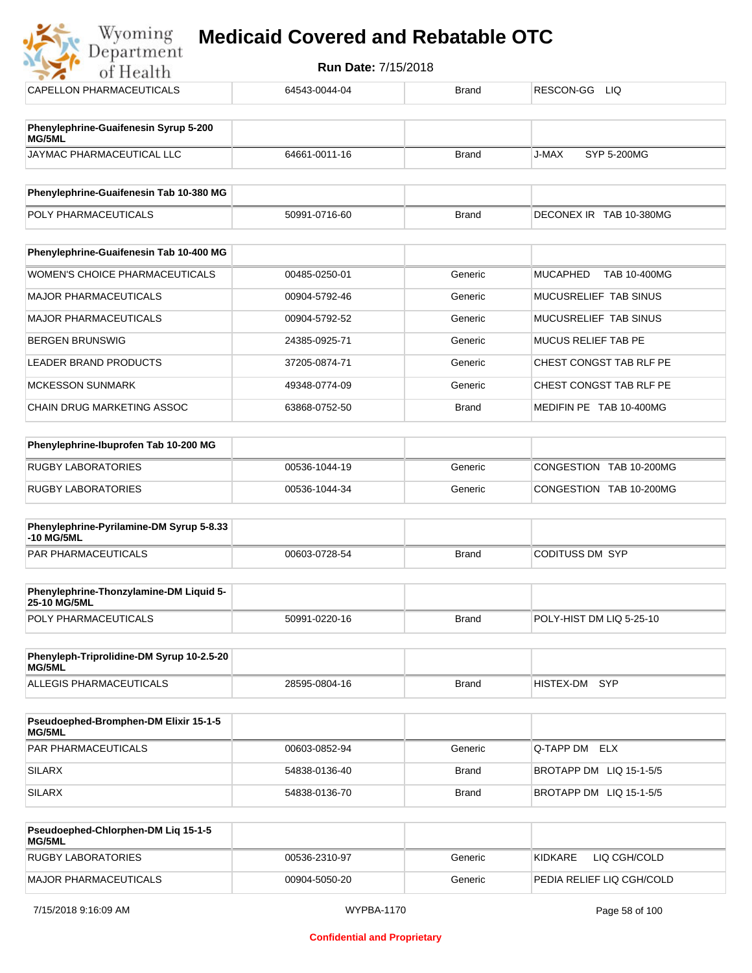| <b>Run Date: 7/15/2018</b><br>of Health         |               |              |                                 |  |
|-------------------------------------------------|---------------|--------------|---------------------------------|--|
| CAPELLON PHARMACEUTICALS                        | 64543-0044-04 | <b>Brand</b> | RESCON-GG<br>LIQ.               |  |
| Phenylephrine-Guaifenesin Syrup 5-200<br>MG/5ML |               |              |                                 |  |
| JAYMAC PHARMACEUTICAL LLC                       | 64661-0011-16 | <b>Brand</b> | J-MAX<br>SYP 5-200MG            |  |
| Phenylephrine-Guaifenesin Tab 10-380 MG         |               |              |                                 |  |
| POLY PHARMACEUTICALS                            | 50991-0716-60 | <b>Brand</b> | DECONEX IR TAB 10-380MG         |  |
|                                                 |               |              |                                 |  |
| Phenylephrine-Guaifenesin Tab 10-400 MG         |               |              |                                 |  |
| <b>WOMEN'S CHOICE PHARMACEUTICALS</b>           | 00485-0250-01 | Generic      | <b>MUCAPHED</b><br>TAB 10-400MG |  |
| <b>MAJOR PHARMACEUTICALS</b>                    | 00904-5792-46 | Generic      | MUCUSRELIEF TAB SINUS           |  |
| <b>MAJOR PHARMACEUTICALS</b>                    | 00904-5792-52 | Generic      | MUCUSRELIEF TAB SINUS           |  |
| <b>BERGEN BRUNSWIG</b>                          | 24385-0925-71 | Generic      | <b>MUCUS RELIEF TAB PE</b>      |  |
| <b>LEADER BRAND PRODUCTS</b>                    | 37205-0874-71 | Generic      | CHEST CONGST TAB RLF PE         |  |
| <b>MCKESSON SUNMARK</b>                         | 49348-0774-09 | Generic      | CHEST CONGST TAB RLF PE         |  |
| <b>CHAIN DRUG MARKETING ASSOC</b>               | 63868-0752-50 | <b>Brand</b> | MEDIFIN PE TAB 10-400MG         |  |
|                                                 |               |              |                                 |  |
| Phenylephrine-Ibuprofen Tab 10-200 MG           |               |              |                                 |  |
| <b>RUGBY LABORATORIES</b>                       | 00536-1044-19 | Generic      | CONGESTION TAB 10-200MG         |  |
| <b>RUGBY LABORATORIES</b>                       | 00536-1044-34 | Generic      | CONGESTION TAB 10-200MG         |  |

| <b>Phenylephrine-Pyrilamine-DM Syrup 5-8.33</b><br>-10 MG/5ML |               |       |                 |
|---------------------------------------------------------------|---------------|-------|-----------------|
| <b>PAR PHARMACEUTICALS</b>                                    | 00603-0728-54 | Brand | CODITUSS DM_SYP |

| <b>Phenylephrine-Thonzylamine-DM Liquid 5-</b><br><b>25-10 MG/5ML</b> |               |              |                           |
|-----------------------------------------------------------------------|---------------|--------------|---------------------------|
| <b>POLY PHARMACEUTICALS</b>                                           | 50991-0220-16 | <b>Brand</b> | IPOLY-HIST DM LIQ 5-25-10 |

| Phenyleph-Triprolidine-DM Syrup 10-2.5-20<br>MG/5ML |               |       |               |  |
|-----------------------------------------------------|---------------|-------|---------------|--|
| ALLEGIS PHARMACEUTICALS                             | 28595-0804-16 | Brand | HISTEX-DM SYP |  |

| <b>Pseudoephed-Bromphen-DM Elixir 15-1-5</b><br><b>MG/5ML</b> |               |         |                         |
|---------------------------------------------------------------|---------------|---------|-------------------------|
| <b>PAR PHARMACEUTICALS</b>                                    | 00603-0852-94 | Generic | <b>Q-TAPP DM ELX</b>    |
| <b>SILARX</b>                                                 | 54838-0136-40 | Brand   | BROTAPP DM LIQ 15-1-5/5 |
| <b>SILARX</b>                                                 | 54838-0136-70 | Brand   | BROTAPP DM LIQ 15-1-5/5 |

| <b>Pseudoephed-Chlorphen-DM Lig 15-1-5</b><br>MG/5ML |               |         |                           |
|------------------------------------------------------|---------------|---------|---------------------------|
| RUGBY LABORATORIES                                   | 00536-2310-97 | Generic | LIO CGH/COLD<br>KIDKARE   |
| MAJOR PHARMACEUTICALS                                | 00904-5050-20 | Generic | PEDIA RELIEF LIQ CGH/COLD |

 $\frac{1}{2}$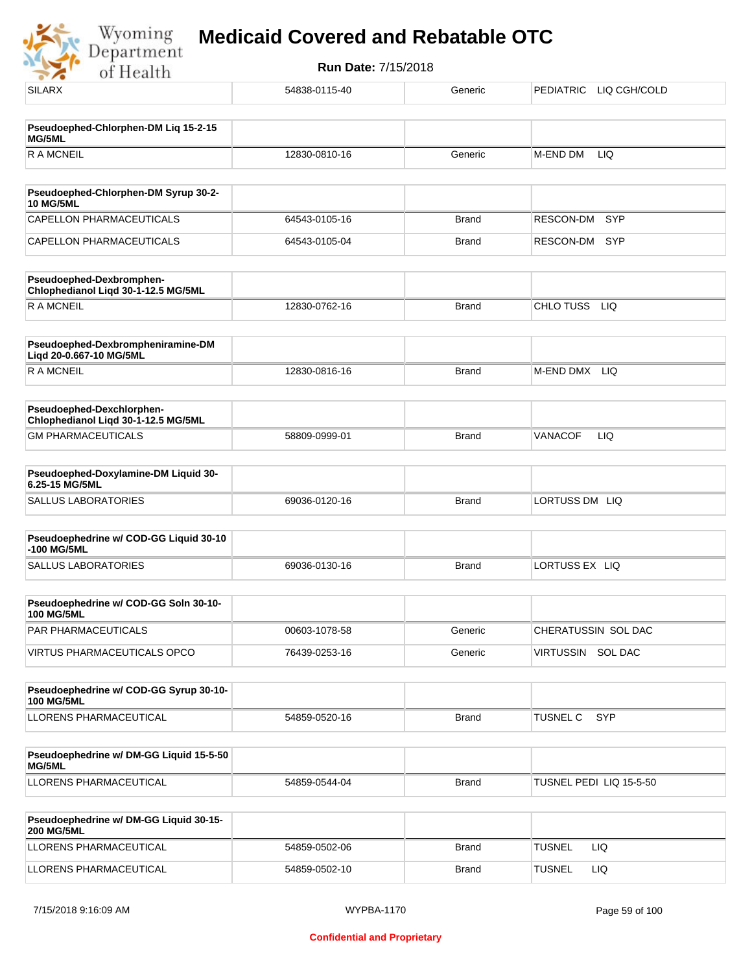

| <b>SILARX</b>                                                    | 54838-0115-40 | Generic      | PEDIATRIC LIQ CGH/COLD  |
|------------------------------------------------------------------|---------------|--------------|-------------------------|
| Pseudoephed-Chlorphen-DM Liq 15-2-15<br><b>MG/5ML</b>            |               |              |                         |
| <b>RAMCNEIL</b>                                                  | 12830-0810-16 | Generic      | M-END DM<br>LIQ         |
|                                                                  |               |              |                         |
| Pseudoephed-Chlorphen-DM Syrup 30-2-<br><b>10 MG/5ML</b>         |               |              |                         |
| CAPELLON PHARMACEUTICALS                                         | 64543-0105-16 | <b>Brand</b> | <b>SYP</b><br>RESCON-DM |
| CAPELLON PHARMACEUTICALS                                         | 64543-0105-04 | <b>Brand</b> | RESCON-DM<br>SYP        |
| Pseudoephed-Dexbromphen-<br>Chlophedianol Liqd 30-1-12.5 MG/5ML  |               |              |                         |
| <b>RAMCNEIL</b>                                                  | 12830-0762-16 | <b>Brand</b> | CHLO TUSS<br>LIQ        |
| Pseudoephed-Dexbrompheniramine-DM<br>Liqd 20-0.667-10 MG/5ML     |               |              |                         |
| R A MCNEIL                                                       | 12830-0816-16 | <b>Brand</b> | M-END DMX LIQ           |
| Pseudoephed-Dexchlorphen-<br>Chlophedianol Liqd 30-1-12.5 MG/5ML |               |              |                         |
| <b>GM PHARMACEUTICALS</b>                                        | 58809-0999-01 | <b>Brand</b> | <b>VANACOF</b><br>LIQ   |
| Pseudoephed-Doxylamine-DM Liquid 30-<br>6.25-15 MG/5ML           |               |              |                         |
| SALLUS LABORATORIES                                              | 69036-0120-16 | <b>Brand</b> | LORTUSS DM LIQ          |
| Pseudoephedrine w/ COD-GG Liquid 30-10<br>-100 MG/5ML            |               |              |                         |
| SALLUS LABORATORIES                                              | 69036-0130-16 | <b>Brand</b> | LORTUSS EX LIQ          |
| Pseudoephedrine w/ COD-GG Soln 30-10-<br><b>100 MG/5ML</b>       |               |              |                         |
| PAR PHARMACEUTICALS                                              | 00603-1078-58 | Generic      | CHERATUSSIN SOL DAC     |
| VIRTUS PHARMACEUTICALS OPCO                                      | 76439-0253-16 | Generic      | VIRTUSSIN SOL DAC       |
| Pseudoephedrine w/ COD-GG Syrup 30-10-<br><b>100 MG/5ML</b>      |               |              |                         |
| LLORENS PHARMACEUTICAL                                           | 54859-0520-16 | <b>Brand</b> | SYP<br><b>TUSNEL C</b>  |
| Pseudoephedrine w/ DM-GG Liquid 15-5-50<br>MG/5ML                |               |              |                         |
| LLORENS PHARMACEUTICAL                                           | 54859-0544-04 | <b>Brand</b> | TUSNEL PEDI LIQ 15-5-50 |
| Pseudoephedrine w/ DM-GG Liquid 30-15-<br><b>200 MG/5ML</b>      |               |              |                         |
| LLORENS PHARMACEUTICAL                                           | 54859-0502-06 | <b>Brand</b> | <b>TUSNEL</b><br>LIQ.   |
| LLORENS PHARMACEUTICAL                                           | 54859-0502-10 | <b>Brand</b> | <b>TUSNEL</b><br>LIQ.   |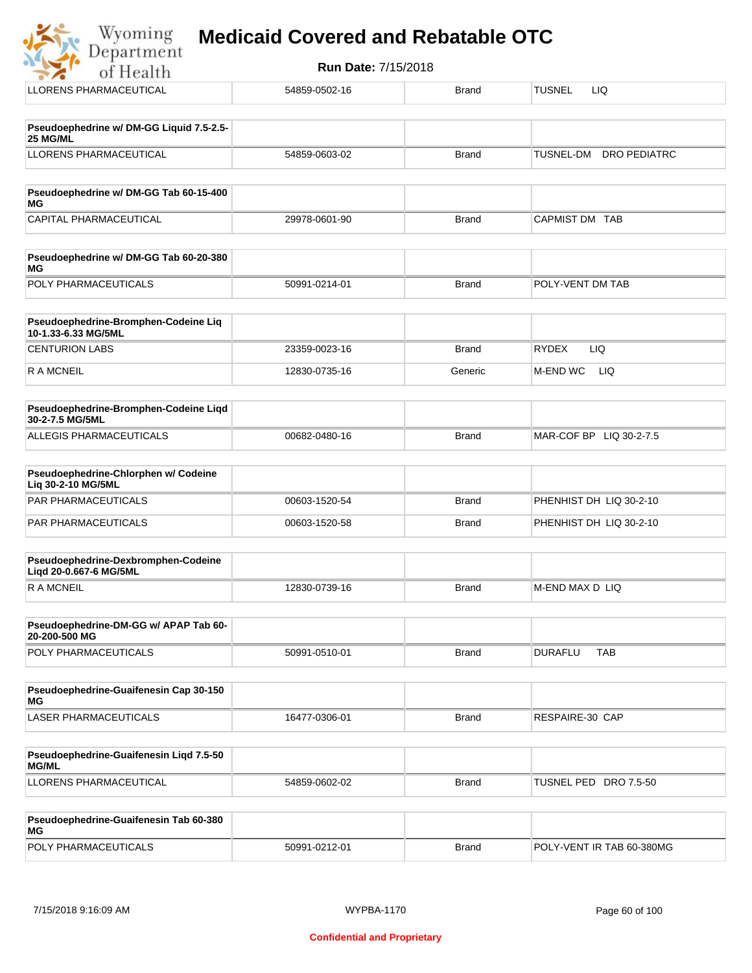| ses de | <b>Medicaid Covered and Rebatable OTC</b> |  |
|--------|-------------------------------------------|--|
|        |                                           |  |

| Department<br>of Health                                       | <b>Run Date: 7/15/2018</b> |              |                                  |
|---------------------------------------------------------------|----------------------------|--------------|----------------------------------|
| LLORENS PHARMACEUTICAL                                        | 54859-0502-16              | <b>Brand</b> | <b>TUSNEL</b><br><b>LIQ</b>      |
| Pseudoephedrine w/ DM-GG Liquid 7.5-2.5-                      |                            |              |                                  |
| 25 MG/ML<br><b>LLORENS PHARMACEUTICAL</b>                     | 54859-0603-02              | <b>Brand</b> | TUSNEL-DM<br><b>DRO PEDIATRC</b> |
| Pseudoephedrine w/ DM-GG Tab 60-15-400                        |                            |              |                                  |
| ΜG<br>CAPITAL PHARMACEUTICAL                                  | 29978-0601-90              | <b>Brand</b> | CAPMIST DM TAB                   |
| Pseudoephedrine w/ DM-GG Tab 60-20-380<br>ΜG                  |                            |              |                                  |
| POLY PHARMACEUTICALS                                          | 50991-0214-01              | <b>Brand</b> | POLY-VENT DM TAB                 |
| Pseudoephedrine-Bromphen-Codeine Liq<br>10-1.33-6.33 MG/5ML   |                            |              |                                  |
| <b>CENTURION LABS</b>                                         | 23359-0023-16              | <b>Brand</b> | <b>RYDEX</b><br><b>LIQ</b>       |
| <b>RAMCNEIL</b>                                               | 12830-0735-16              | Generic      | M-END WC<br>LIQ.                 |
| Pseudoephedrine-Bromphen-Codeine Liqd<br>30-2-7.5 MG/5ML      |                            |              |                                  |
| ALLEGIS PHARMACEUTICALS                                       | 00682-0480-16              | <b>Brand</b> | MAR-COF BP LIQ 30-2-7.5          |
| Pseudoephedrine-Chlorphen w/ Codeine<br>Liq 30-2-10 MG/5ML    |                            |              |                                  |
| <b>PAR PHARMACEUTICALS</b>                                    | 00603-1520-54              | <b>Brand</b> | PHENHIST DH LIQ 30-2-10          |
| PAR PHARMACEUTICALS                                           | 00603-1520-58              | <b>Brand</b> | PHENHIST DH LIQ 30-2-10          |
| Pseudoephedrine-Dexbromphen-Codeine<br>Ligd 20-0.667-6 MG/5ML |                            |              |                                  |
| R A MCNEIL                                                    | 12830-0739-16              | <b>Brand</b> | M-END MAX D LIQ                  |
| Pseudoephedrine-DM-GG w/ APAP Tab 60-<br>20-200-500 MG        |                            |              |                                  |
| POLY PHARMACEUTICALS                                          | 50991-0510-01              | <b>Brand</b> | <b>TAB</b><br><b>DURAFLU</b>     |
| Pseudoephedrine-Guaifenesin Cap 30-150<br>МG                  |                            |              |                                  |
| LASER PHARMACEUTICALS                                         | 16477-0306-01              | <b>Brand</b> | RESPAIRE-30 CAP                  |
| <b>Deaudeanhodring Cupifonogin Lind 7 E ED</b>                |                            |              |                                  |

| <b>Pseudoephedrine-Guaifenesin Ligd 7.5-50</b><br>MG/ML |               |              |                       |
|---------------------------------------------------------|---------------|--------------|-----------------------|
| LLORENS PHARMACEUTICAL                                  | 54859-0602-02 | <b>Brand</b> | TUSNEL PED DRO 7.5-50 |

| Pseudoephedrine-Guaifenesin Tab 60-380<br>MG |               |              |                           |
|----------------------------------------------|---------------|--------------|---------------------------|
| <b>POLY PHARMACEUTICALS</b>                  | 50991-0212-01 | <b>Brand</b> | POLY-VENT IR TAB 60-380MG |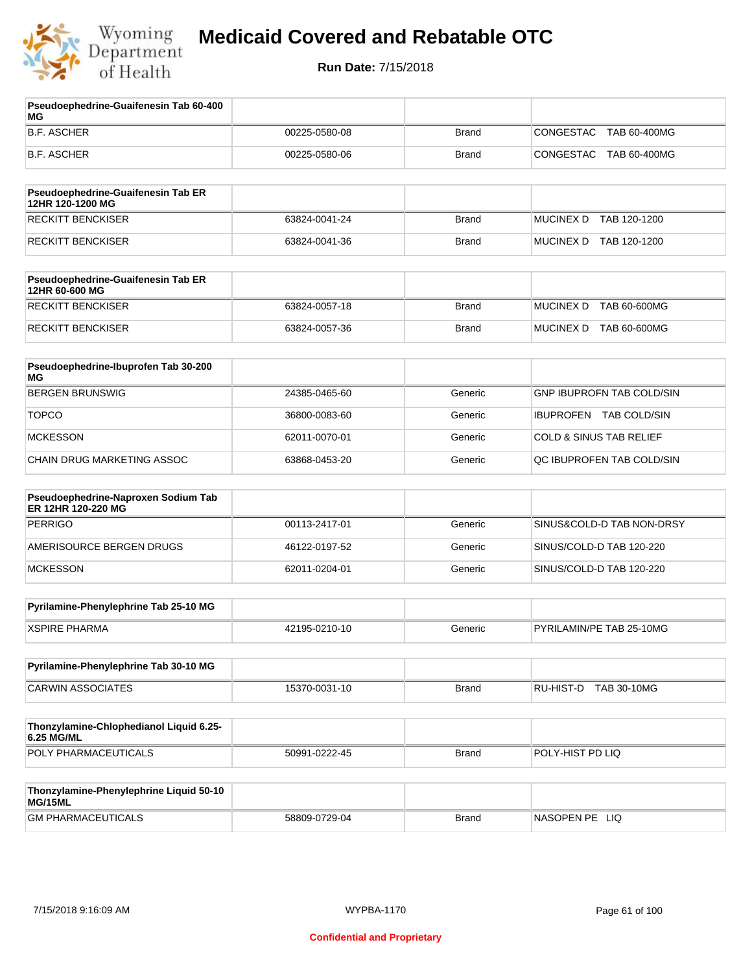

| Pseudoephedrine-Guaifenesin Tab 60-400<br>МG              |               |              |                                    |
|-----------------------------------------------------------|---------------|--------------|------------------------------------|
| <b>B.F. ASCHER</b>                                        | 00225-0580-08 | <b>Brand</b> | CONGESTAC<br>TAB 60-400MG          |
| B.F. ASCHER                                               | 00225-0580-06 | <b>Brand</b> | CONGESTAC<br>TAB 60-400MG          |
| Pseudoephedrine-Guaifenesin Tab ER<br>12HR 120-1200 MG    |               |              |                                    |
| <b>RECKITT BENCKISER</b>                                  | 63824-0041-24 | <b>Brand</b> | MUCINEX D TAB 120-1200             |
| <b>RECKITT BENCKISER</b>                                  | 63824-0041-36 | <b>Brand</b> | MUCINEX D TAB 120-1200             |
| Pseudoephedrine-Guaifenesin Tab ER<br>12HR 60-600 MG      |               |              |                                    |
| <b>RECKITT BENCKISER</b>                                  | 63824-0057-18 | <b>Brand</b> | <b>MUCINEX D</b><br>TAB 60-600MG   |
| RECKITT BENCKISER                                         | 63824-0057-36 | <b>Brand</b> | MUCINEX D TAB 60-600MG             |
| Pseudoephedrine-Ibuprofen Tab 30-200<br>ΜG                |               |              |                                    |
| <b>BERGEN BRUNSWIG</b>                                    | 24385-0465-60 | Generic      | <b>GNP IBUPROFN TAB COLD/SIN</b>   |
| <b>TOPCO</b>                                              | 36800-0083-60 | Generic      | IBUPROFEN TAB COLD/SIN             |
| <b>MCKESSON</b>                                           | 62011-0070-01 | Generic      | <b>COLD &amp; SINUS TAB RELIEF</b> |
| CHAIN DRUG MARKETING ASSOC                                | 63868-0453-20 | Generic      | QC IBUPROFEN TAB COLD/SIN          |
| Pseudoephedrine-Naproxen Sodium Tab<br>ER 12HR 120-220 MG |               |              |                                    |
| <b>PERRIGO</b>                                            | 00113-2417-01 | Generic      | SINUS&COLD-D TAB NON-DRSY          |
| AMERISOURCE BERGEN DRUGS                                  | 46122-0197-52 | Generic      | SINUS/COLD-D TAB 120-220           |
| <b>MCKESSON</b>                                           | 62011-0204-01 | Generic      | SINUS/COLD-D TAB 120-220           |
| Pyrilamine-Phenylephrine Tab 25-10 MG                     |               |              |                                    |
| <b>XSPIRE PHARMA</b>                                      | 42195-0210-10 | Generic      | PYRILAMIN/PE TAB 25-10MG           |
| Pyrilamine-Phenylephrine Tab 30-10 MG                     |               |              |                                    |
| <b>CARWIN ASSOCIATES</b>                                  | 15370-0031-10 | <b>Brand</b> | RU-HIST-D TAB 30-10MG              |
| Thonzylamine-Chlophedianol Liquid 6.25-<br>6.25 MG/ML     |               |              |                                    |
| POLY PHARMACEUTICALS                                      | 50991-0222-45 | <b>Brand</b> | POLY-HIST PD LIQ                   |
| Thonzylamine-Phenylephrine Liquid 50-10<br>MG/15ML        |               |              |                                    |
| <b>GM PHARMACEUTICALS</b>                                 | 58809-0729-04 | <b>Brand</b> | NASOPEN PE LIQ                     |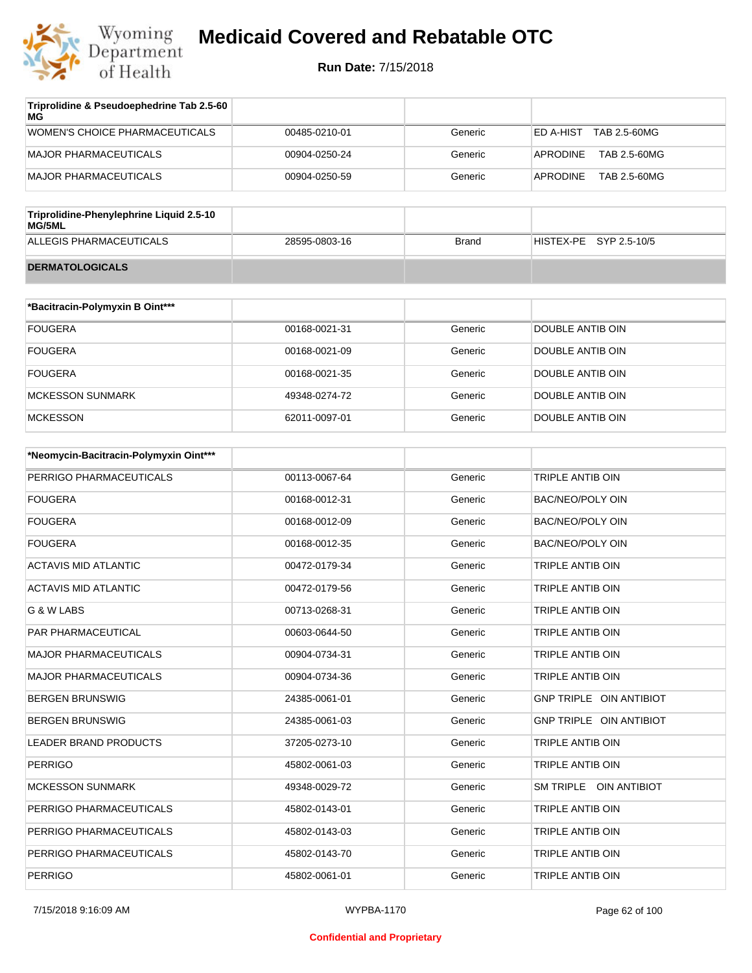

| Triprolidine & Pseudoephedrine Tab 2.5-60<br>MG |               |         |                           |
|-------------------------------------------------|---------------|---------|---------------------------|
| WOMEN'S CHOICE PHARMACEUTICALS                  | 00485-0210-01 | Generic | TAB 2.5-60MG<br>ED A-HIST |
| <b>MAJOR PHARMACEUTICALS</b>                    | 00904-0250-24 | Generic | APRODINE<br>TAB 2.5-60MG  |
| MAJOR PHARMACEUTICALS                           | 00904-0250-59 | Generic | TAB 2.5-60MG<br>APRODINE  |
|                                                 |               |         |                           |

| Triprolidine-Phenylephrine Liquid 2.5-10<br>MG/5ML |               |       |                        |
|----------------------------------------------------|---------------|-------|------------------------|
| ALLEGIS PHARMACEUTICALS                            | 28595-0803-16 | Brand | HISTEX-PE SYP 2.5-10/5 |
| <b>DERMATOLOGICALS</b>                             |               |       |                        |

| *Bacitracin-Polymyxin B Oint*** |               |         |                  |
|---------------------------------|---------------|---------|------------------|
| <b>FOUGERA</b>                  | 00168-0021-31 | Generic | DOUBLE ANTIB OIN |
| <b>FOUGERA</b>                  | 00168-0021-09 | Generic | DOUBLE ANTIB OIN |
| <b>FOUGERA</b>                  | 00168-0021-35 | Generic | DOUBLE ANTIB OIN |
| MCKESSON SUNMARK                | 49348-0274-72 | Generic | DOUBLE ANTIB OIN |
| <b>MCKESSON</b>                 | 62011-0097-01 | Generic | DOUBLE ANTIB OIN |

| *Neomycin-Bacitracin-Polymyxin Oint*** |               |         |                         |
|----------------------------------------|---------------|---------|-------------------------|
| PERRIGO PHARMACEUTICALS                | 00113-0067-64 | Generic | <b>TRIPLE ANTIB OIN</b> |
| <b>FOUGERA</b>                         | 00168-0012-31 | Generic | <b>BAC/NEO/POLY OIN</b> |
| <b>FOUGERA</b>                         | 00168-0012-09 | Generic | <b>BAC/NEO/POLY OIN</b> |
| <b>FOUGERA</b>                         | 00168-0012-35 | Generic | <b>BAC/NEO/POLY OIN</b> |
| <b>ACTAVIS MID ATLANTIC</b>            | 00472-0179-34 | Generic | <b>TRIPLE ANTIB OIN</b> |
| <b>ACTAVIS MID ATLANTIC</b>            | 00472-0179-56 | Generic | <b>TRIPLE ANTIB OIN</b> |
| G & W LABS                             | 00713-0268-31 | Generic | <b>TRIPLE ANTIB OIN</b> |
| PAR PHARMACEUTICAL                     | 00603-0644-50 | Generic | TRIPLE ANTIB OIN        |
| <b>MAJOR PHARMACEUTICALS</b>           | 00904-0734-31 | Generic | TRIPLE ANTIB OIN        |
| <b>MAJOR PHARMACEUTICALS</b>           | 00904-0734-36 | Generic | TRIPLE ANTIB OIN        |
| <b>BERGEN BRUNSWIG</b>                 | 24385-0061-01 | Generic | GNP TRIPLE OIN ANTIBIOT |
| <b>BERGEN BRUNSWIG</b>                 | 24385-0061-03 | Generic | GNP TRIPLE OIN ANTIBIOT |
| <b>LEADER BRAND PRODUCTS</b>           | 37205-0273-10 | Generic | TRIPLE ANTIB OIN        |
| <b>PERRIGO</b>                         | 45802-0061-03 | Generic | TRIPLE ANTIB OIN        |
| <b>MCKESSON SUNMARK</b>                | 49348-0029-72 | Generic | SM TRIPLE OIN ANTIBIOT  |
| PERRIGO PHARMACEUTICALS                | 45802-0143-01 | Generic | TRIPLE ANTIB OIN        |
| PERRIGO PHARMACEUTICALS                | 45802-0143-03 | Generic | TRIPLE ANTIB OIN        |
| PERRIGO PHARMACEUTICALS                | 45802-0143-70 | Generic | TRIPLE ANTIB OIN        |
| <b>PERRIGO</b>                         | 45802-0061-01 | Generic | TRIPLE ANTIB OIN        |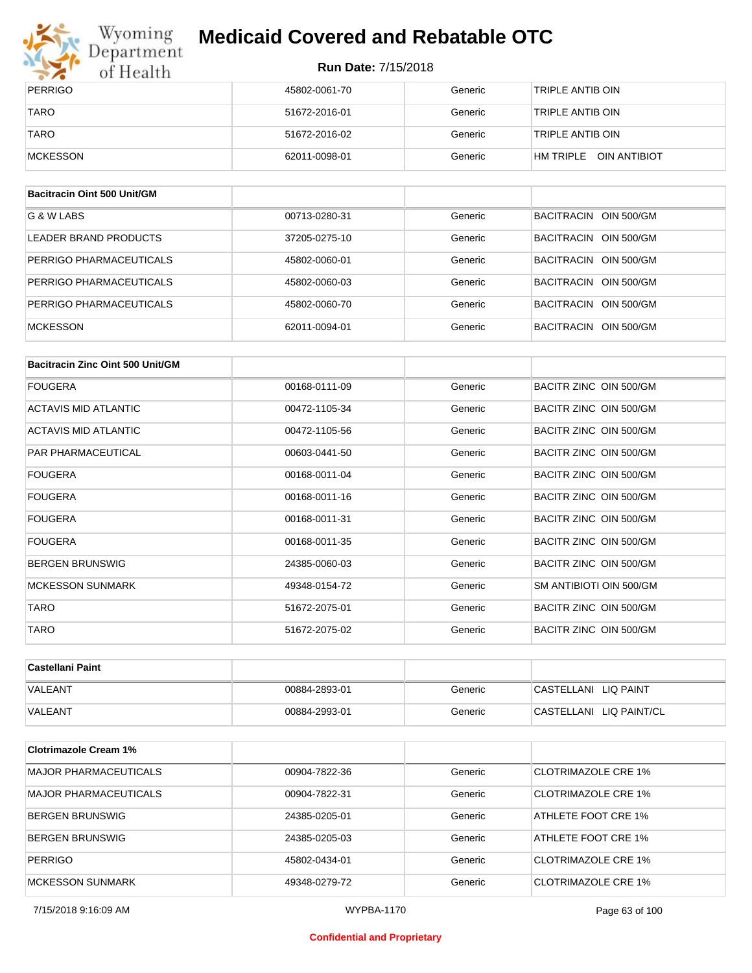

## Wyoming<br>Department<br>of Health

## **Medicaid Covered and Rebatable OTC**

| PERRIGO     | 45802-0061-70 | Generic | TRIPLE ANTIB OIN       |
|-------------|---------------|---------|------------------------|
| <b>TARO</b> | 51672-2016-01 | Generic | TRIPLE ANTIB OIN       |
| <b>TARO</b> | 51672-2016-02 | Generic | TRIPLE ANTIB OIN       |
| MCKESSON    | 62011-0098-01 | Generic | HM TRIPLE OIN ANTIBIOT |

| Bacitracin Oint 500 Unit/GM |               |         |                       |
|-----------------------------|---------------|---------|-----------------------|
| G & W LABS                  | 00713-0280-31 | Generic | BACITRACIN OIN 500/GM |
| LEADER BRAND PRODUCTS       | 37205-0275-10 | Generic | BACITRACIN OIN 500/GM |
| PERRIGO PHARMACEUTICALS     | 45802-0060-01 | Generic | BACITRACIN OIN 500/GM |
| PERRIGO PHARMACEUTICALS     | 45802-0060-03 | Generic | BACITRACIN OIN 500/GM |
| PERRIGO PHARMACEUTICALS     | 45802-0060-70 | Generic | BACITRACIN OIN 500/GM |
| <b>MCKESSON</b>             | 62011-0094-01 | Generic | BACITRACIN OIN 500/GM |

| Bacitracin Zinc Oint 500 Unit/GM |               |         |                         |
|----------------------------------|---------------|---------|-------------------------|
| <b>FOUGERA</b>                   | 00168-0111-09 | Generic | BACITR ZINC OIN 500/GM  |
| ACTAVIS MID ATLANTIC             | 00472-1105-34 | Generic | BACITR ZINC OIN 500/GM  |
| ACTAVIS MID ATLANTIC             | 00472-1105-56 | Generic | BACITR ZINC OIN 500/GM  |
| PAR PHARMACEUTICAL               | 00603-0441-50 | Generic | BACITR ZINC OIN 500/GM  |
| <b>FOUGERA</b>                   | 00168-0011-04 | Generic | BACITR ZINC OIN 500/GM  |
| <b>FOUGERA</b>                   | 00168-0011-16 | Generic | BACITR ZINC OIN 500/GM  |
| <b>FOUGERA</b>                   | 00168-0011-31 | Generic | BACITR ZINC OIN 500/GM  |
| <b>FOUGERA</b>                   | 00168-0011-35 | Generic | BACITR ZINC OIN 500/GM  |
| <b>BERGEN BRUNSWIG</b>           | 24385-0060-03 | Generic | BACITR ZINC OIN 500/GM  |
| <b>MCKESSON SUNMARK</b>          | 49348-0154-72 | Generic | SM ANTIBIOTI OIN 500/GM |
| <b>TARO</b>                      | 51672-2075-01 | Generic | BACITR ZINC OIN 500/GM  |
| <b>TARO</b>                      | 51672-2075-02 | Generic | BACITR ZINC OIN 500/GM  |

| ∣Castellani Paint |               |         |                         |
|-------------------|---------------|---------|-------------------------|
| <b>VALEANT</b>    | 00884-2893-01 | Generic | CASTELLANI LIQ PAINT    |
| <b>VALEANT</b>    | 00884-2993-01 | Generic | CASTELLANI LIQ PAINT/CL |

| <b>Clotrimazole Cream 1%</b> |               |         |                            |
|------------------------------|---------------|---------|----------------------------|
| <b>MAJOR PHARMACEUTICALS</b> | 00904-7822-36 | Generic | CLOTRIMAZOLE CRE 1%        |
| MAJOR PHARMACEUTICALS        | 00904-7822-31 | Generic | CLOTRIMAZOLE CRE 1%        |
| BERGEN BRUNSWIG              | 24385-0205-01 | Generic | ATHLETE FOOT CRE 1%        |
| BERGEN BRUNSWIG              | 24385-0205-03 | Generic | ATHLETE FOOT CRE 1%        |
| <b>PERRIGO</b>               | 45802-0434-01 | Generic | CLOTRIMAZOLE CRE 1%        |
| MCKESSON SUNMARK             | 49348-0279-72 | Generic | <b>CLOTRIMAZOLE CRE 1%</b> |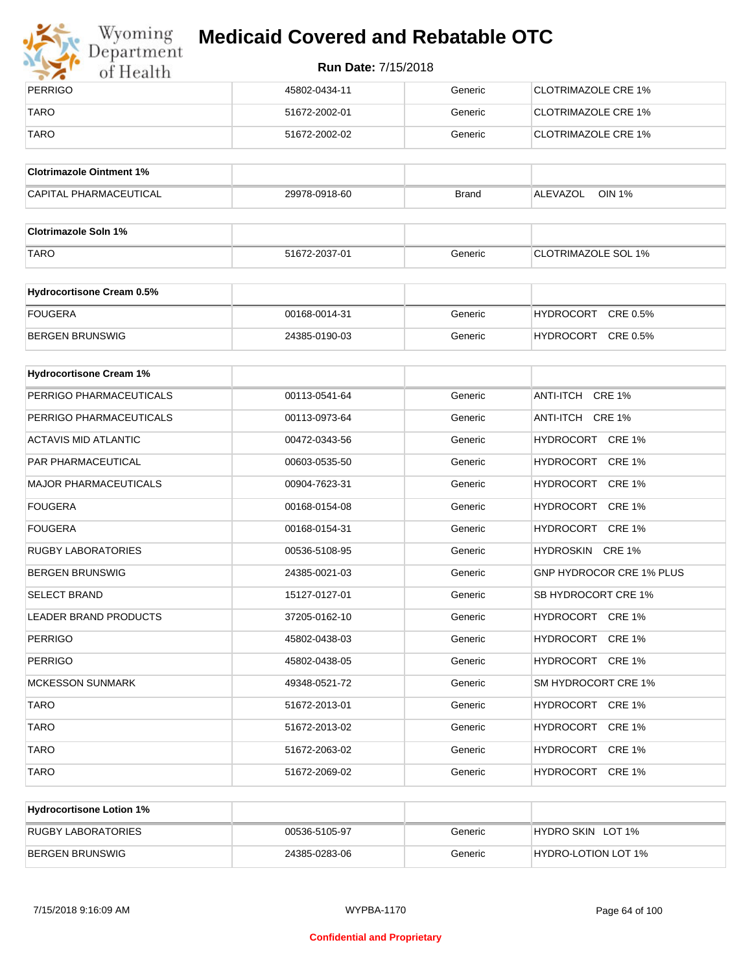

## Wyoming<br>Department<br>of Health

## **Medicaid Covered and Rebatable OTC**

| PERRIGO     | 45802-0434-11 | Generic | CLOTRIMAZOLE CRE 1%  |
|-------------|---------------|---------|----------------------|
| TARO        | 51672-2002-01 | Generic | CLOTRIMAZOLE CRE 1%  |
| <b>TARO</b> | 51672-2002-02 | Generic | ICLOTRIMAZOLE CRE 1% |

| <b>Clotrimazole Ointment 1%</b> |               |              |                    |
|---------------------------------|---------------|--------------|--------------------|
| <b>CAPITAL PHARMACEUTICAL</b>   | 29978-0918-60 | <b>Brand</b> | OIN 1%<br>ALEVAZOL |

| <b>Clotrimazole Soln 1%</b> |               |         |                     |
|-----------------------------|---------------|---------|---------------------|
| <b>TARO</b>                 | 51672-2037-01 | Generic | CLOTRIMAZOLE SOL 1% |

| <b>Hydrocortisone Cream 0.5%</b> |               |         |                              |
|----------------------------------|---------------|---------|------------------------------|
| FOUGERA                          | 00168-0014-31 | Generic | CRE 0.5%<br><b>HYDROCORT</b> |
| BERGEN BRUNSWIG                  | 24385-0190-03 | Generic | CRE 0.5%<br><b>HYDROCORT</b> |

| <b>Hydrocortisone Cream 1%</b> |               |         |                                 |
|--------------------------------|---------------|---------|---------------------------------|
| PERRIGO PHARMACEUTICALS        | 00113-0541-64 | Generic | ANTI-ITCH CRE 1%                |
| PERRIGO PHARMACEUTICALS        | 00113-0973-64 | Generic | ANTI-ITCH CRE 1%                |
| <b>ACTAVIS MID ATLANTIC</b>    | 00472-0343-56 | Generic | HYDROCORT CRE 1%                |
| <b>PAR PHARMACEUTICAL</b>      | 00603-0535-50 | Generic | HYDROCORT CRE 1%                |
| <b>MAJOR PHARMACEUTICALS</b>   | 00904-7623-31 | Generic | HYDROCORT CRE 1%                |
| <b>FOUGERA</b>                 | 00168-0154-08 | Generic | HYDROCORT CRE 1%                |
| <b>FOUGERA</b>                 | 00168-0154-31 | Generic | HYDROCORT CRE 1%                |
| <b>RUGBY LABORATORIES</b>      | 00536-5108-95 | Generic | HYDROSKIN CRE 1%                |
| <b>BERGEN BRUNSWIG</b>         | 24385-0021-03 | Generic | <b>GNP HYDROCOR CRE 1% PLUS</b> |
| <b>SELECT BRAND</b>            | 15127-0127-01 | Generic | SB HYDROCORT CRE 1%             |
| <b>LEADER BRAND PRODUCTS</b>   | 37205-0162-10 | Generic | HYDROCORT CRE 1%                |
| <b>PERRIGO</b>                 | 45802-0438-03 | Generic | HYDROCORT CRE 1%                |
| <b>PERRIGO</b>                 | 45802-0438-05 | Generic | HYDROCORT CRE 1%                |
| <b>MCKESSON SUNMARK</b>        | 49348-0521-72 | Generic | SM HYDROCORT CRE 1%             |
| <b>TARO</b>                    | 51672-2013-01 | Generic | HYDROCORT CRE 1%                |
| <b>TARO</b>                    | 51672-2013-02 | Generic | HYDROCORT CRE 1%                |
| <b>TARO</b>                    | 51672-2063-02 | Generic | HYDROCORT CRE 1%                |
| <b>TARO</b>                    | 51672-2069-02 | Generic | HYDROCORT CRE 1%                |

| <b>Hydrocortisone Lotion 1%</b> |               |         |                     |
|---------------------------------|---------------|---------|---------------------|
| <b>RUGBY LABORATORIES</b>       | 00536-5105-97 | Generic | HYDRO SKIN LOT 1%   |
| BERGEN BRUNSWIG                 | 24385-0283-06 | Generic | HYDRO-LOTION LOT 1% |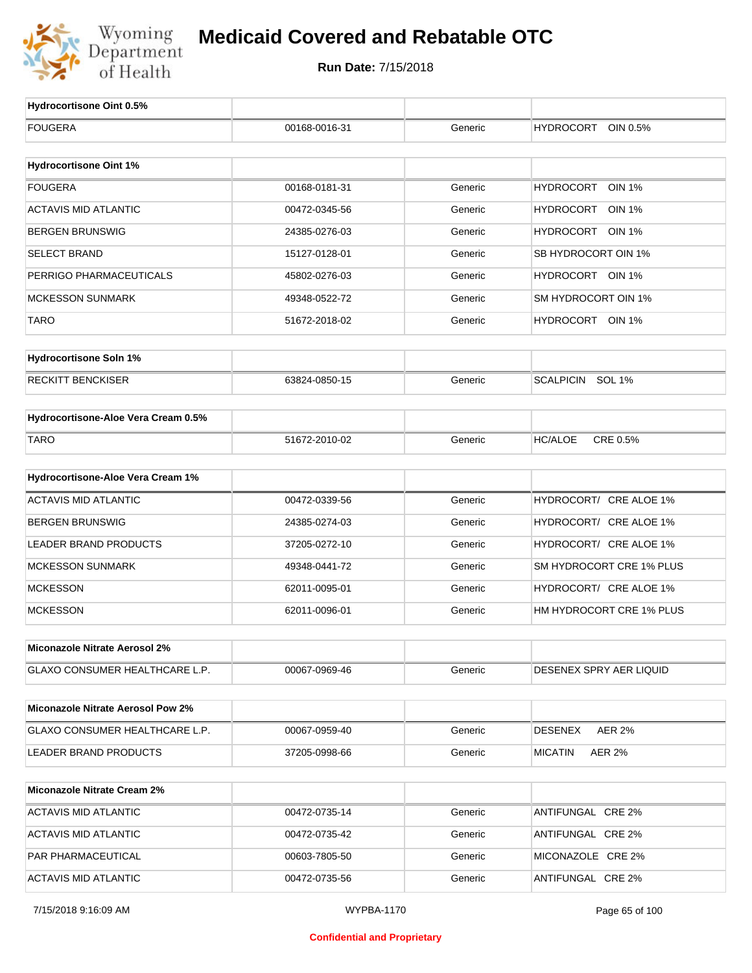

| <b>Hydrocortisone Oint 0.5%</b>          |               |         |                                   |
|------------------------------------------|---------------|---------|-----------------------------------|
| <b>FOUGERA</b>                           | 00168-0016-31 | Generic | <b>HYDROCORT</b><br>OIN 0.5%      |
|                                          |               |         |                                   |
| <b>Hydrocortisone Oint 1%</b>            |               |         |                                   |
| <b>FOUGERA</b>                           | 00168-0181-31 | Generic | <b>HYDROCORT</b><br><b>OIN 1%</b> |
| <b>ACTAVIS MID ATLANTIC</b>              | 00472-0345-56 | Generic | HYDROCORT OIN 1%                  |
| <b>BERGEN BRUNSWIG</b>                   | 24385-0276-03 | Generic | HYDROCORT OIN 1%                  |
| <b>SELECT BRAND</b>                      | 15127-0128-01 | Generic | SB HYDROCORT OIN 1%               |
| PERRIGO PHARMACEUTICALS                  | 45802-0276-03 | Generic | HYDROCORT OIN 1%                  |
| <b>MCKESSON SUNMARK</b>                  | 49348-0522-72 | Generic | SM HYDROCORT OIN 1%               |
| <b>TARO</b>                              | 51672-2018-02 | Generic | HYDROCORT OIN 1%                  |
| <b>Hydrocortisone Soln 1%</b>            |               |         |                                   |
| <b>RECKITT BENCKISER</b>                 | 63824-0850-15 | Generic | SCALPICIN SOL 1%                  |
|                                          |               |         |                                   |
| Hydrocortisone-Aloe Vera Cream 0.5%      |               |         |                                   |
| <b>TARO</b>                              | 51672-2010-02 | Generic | CRE 0.5%<br><b>HC/ALOE</b>        |
|                                          |               |         |                                   |
| Hydrocortisone-Aloe Vera Cream 1%        |               |         |                                   |
| <b>ACTAVIS MID ATLANTIC</b>              | 00472-0339-56 | Generic | HYDROCORT/ CRE ALOE 1%            |
| <b>BERGEN BRUNSWIG</b>                   | 24385-0274-03 | Generic | HYDROCORT/ CRE ALOE 1%            |
| <b>LEADER BRAND PRODUCTS</b>             | 37205-0272-10 | Generic | HYDROCORT/ CRE ALOE 1%            |
| <b>MCKESSON SUNMARK</b>                  | 49348-0441-72 | Generic | SM HYDROCORT CRE 1% PLUS          |
| <b>MCKESSON</b>                          | 62011-0095-01 | Generic | HYDROCORT/ CRE ALOE 1%            |
| <b>MCKESSON</b>                          | 62011-0096-01 | Generic | HM HYDROCORT CRE 1% PLUS          |
| Miconazole Nitrate Aerosol 2%            |               |         |                                   |
| GLAXO CONSUMER HEALTHCARE L.P.           | 00067-0969-46 | Generic | DESENEX SPRY AER LIQUID           |
|                                          |               |         |                                   |
| <b>Miconazole Nitrate Aerosol Pow 2%</b> |               |         |                                   |
| GLAXO CONSUMER HEALTHCARE L.P.           | 00067-0959-40 | Generic | <b>DESENEX</b><br><b>AER 2%</b>   |
| LEADER BRAND PRODUCTS                    | 37205-0998-66 | Generic | <b>MICATIN</b><br><b>AER 2%</b>   |
|                                          |               |         |                                   |
| <b>Miconazole Nitrate Cream 2%</b>       |               |         |                                   |
| <b>ACTAVIS MID ATLANTIC</b>              | 00472-0735-14 | Generic | ANTIFUNGAL CRE 2%                 |
| <b>ACTAVIS MID ATLANTIC</b>              | 00472-0735-42 | Generic | ANTIFUNGAL CRE 2%                 |
| PAR PHARMACEUTICAL                       | 00603-7805-50 | Generic | MICONAZOLE CRE 2%                 |
| <b>ACTAVIS MID ATLANTIC</b>              | 00472-0735-56 | Generic | ANTIFUNGAL CRE 2%                 |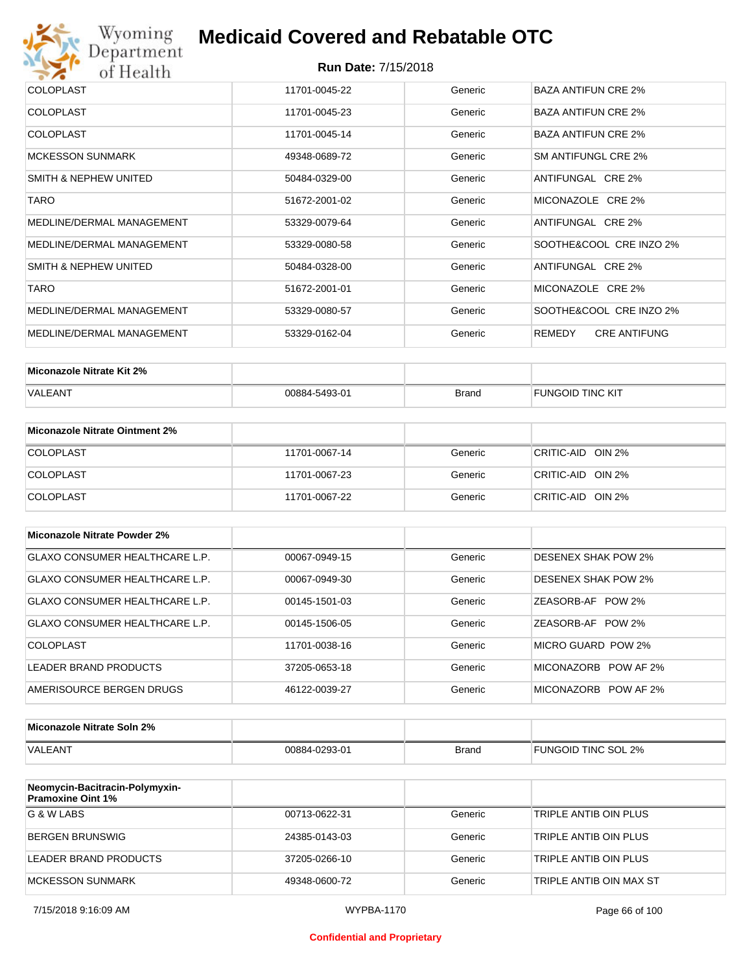

| <b>COLOPLAST</b>          | 11701-0045-22 | Generic | BAZA ANTIFUN CRE 2%           |
|---------------------------|---------------|---------|-------------------------------|
| <b>COLOPLAST</b>          | 11701-0045-23 | Generic | <b>BAZA ANTIFUN CRE 2%</b>    |
| <b>COLOPLAST</b>          | 11701-0045-14 | Generic | <b>BAZA ANTIFUN CRE 2%</b>    |
| <b>MCKESSON SUNMARK</b>   | 49348-0689-72 | Generic | SM ANTIFUNGL CRE 2%           |
| SMITH & NEPHEW UNITED     | 50484-0329-00 | Generic | ANTIFUNGAL CRE 2%             |
| <b>TARO</b>               | 51672-2001-02 | Generic | MICONAZOLE CRE 2%             |
| MEDLINE/DERMAL MANAGEMENT | 53329-0079-64 | Generic | ANTIFUNGAL CRE 2%             |
| MEDLINE/DERMAL MANAGEMENT | 53329-0080-58 | Generic | SOOTHE&COOL CRE INZO 2%       |
| SMITH & NEPHEW UNITED     | 50484-0328-00 | Generic | ANTIFUNGAL CRE 2%             |
| <b>TARO</b>               | 51672-2001-01 | Generic | MICONAZOLE CRE 2%             |
| MEDLINE/DERMAL MANAGEMENT | 53329-0080-57 | Generic | SOOTHE&COOL CRE INZO 2%       |
| MEDLINE/DERMAL MANAGEMENT | 53329-0162-04 | Generic | REMEDY<br><b>CRE ANTIFUNG</b> |

| Miconazole Nitrate Kit 2% |               |              |                         |
|---------------------------|---------------|--------------|-------------------------|
| VALEANT                   | 00884-5493-01 | <b>Brand</b> | <b>FUNGOID TINC KIT</b> |

| Miconazole Nitrate Ointment 2% |               |         |                   |
|--------------------------------|---------------|---------|-------------------|
| <b>COLOPLAST</b>               | 11701-0067-14 | Generic | CRITIC-AID OIN 2% |
| <b>COLOPLAST</b>               | 11701-0067-23 | Generic | CRITIC-AID OIN 2% |
| <b>COLOPLAST</b>               | 11701-0067-22 | Generic | CRITIC-AID OIN 2% |

| Miconazole Nitrate Powder 2%          |               |         |                            |
|---------------------------------------|---------------|---------|----------------------------|
| <b>GLAXO CONSUMER HEALTHCARE L.P.</b> | 00067-0949-15 | Generic | DESENEX SHAK POW 2%        |
| GLAXO CONSUMER HEALTHCARE L.P.        | 00067-0949-30 | Generic | <b>DESENEX SHAK POW 2%</b> |
| GLAXO CONSUMER HEALTHCARE L.P.        | 00145-1501-03 | Generic | ZEASORB-AF POW 2%          |
| GLAXO CONSUMER HEALTHCARE L.P.        | 00145-1506-05 | Generic | ZEASORB-AF POW 2%          |
| COLOPLAST                             | 11701-0038-16 | Generic | MICRO GUARD POW 2%         |
| LEADER BRAND PRODUCTS                 | 37205-0653-18 | Generic | MICONAZORB POW AF 2%       |
| AMERISOURCE BERGEN DRUGS              | 46122-0039-27 | Generic | MICONAZORB POW AF 2%       |

| Miconazole Nitrate Soln 2% |               |              |                     |
|----------------------------|---------------|--------------|---------------------|
| <b>VALEANT</b>             | 00884-0293-01 | <b>Brand</b> | FUNGOID TINC SOL 2% |

| Neomycin-Bacitracin-Polymyxin-<br><b>Pramoxine Oint 1%</b> |               |         |                         |
|------------------------------------------------------------|---------------|---------|-------------------------|
| G & W LABS                                                 | 00713-0622-31 | Generic | TRIPLE ANTIB OIN PLUS   |
| <b>BERGEN BRUNSWIG</b>                                     | 24385-0143-03 | Generic | TRIPLE ANTIB OIN PLUS   |
| LEADER BRAND PRODUCTS                                      | 37205-0266-10 | Generic | TRIPLE ANTIB OIN PLUS   |
| MCKESSON SUNMARK                                           | 49348-0600-72 | Generic | TRIPLE ANTIB OIN MAX ST |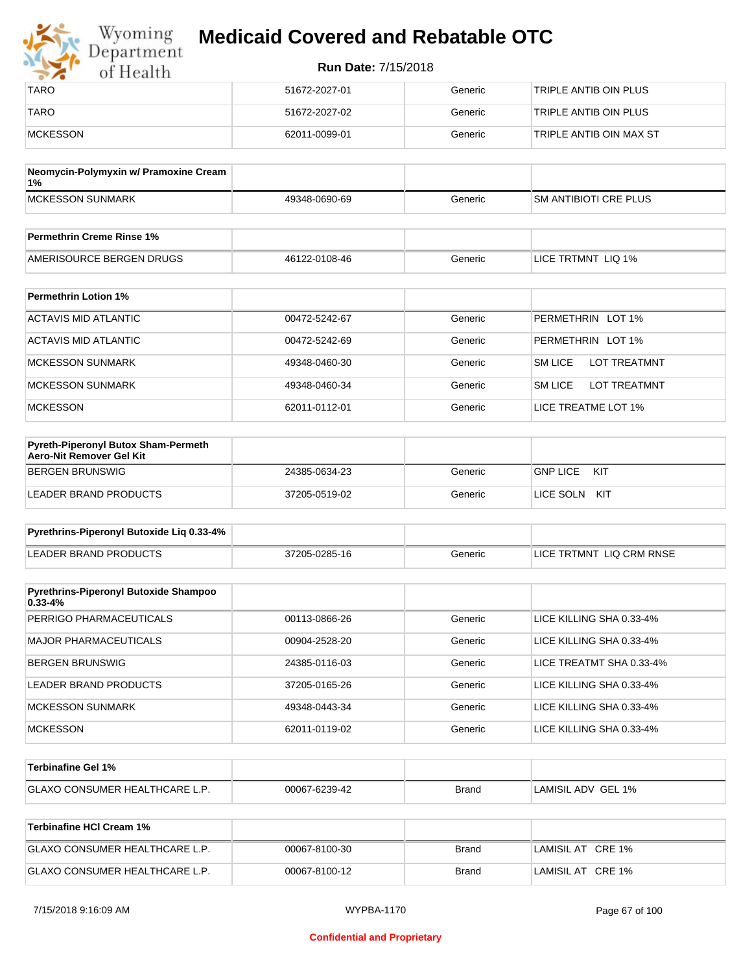| Wyoming<br>Department | <b>Medicaid Covered and Rebatable OTC</b> |         |                         |  |
|-----------------------|-------------------------------------------|---------|-------------------------|--|
| of Health             | <b>Run Date: 7/15/2018</b>                |         |                         |  |
| <b>TARO</b>           | 51672-2027-01                             | Generic | TRIPLE ANTIB OIN PLUS   |  |
| <b>TARO</b>           | 51672-2027-02                             | Generic | TRIPLE ANTIB OIN PLUS   |  |
| <b>MCKESSON</b>       | 62011-0099-01                             | Generic | TRIPLE ANTIB OIN MAX ST |  |

| Neomycin-Polymyxin w/ Pramoxine Cream<br>1% |               |         |                              |
|---------------------------------------------|---------------|---------|------------------------------|
| MCKESSON SUNMARK                            | 49348-0690-69 | Generic | <b>SM ANTIBIOTI CRE PLUS</b> |
|                                             |               |         |                              |
| <b>Permethrin Creme Rinse 1%</b>            |               |         |                              |

| Fermethin Creme Rinse 176 |               |         |                           |
|---------------------------|---------------|---------|---------------------------|
| AMERISOURCE BERGEN DRUGS  | 46122-0108-46 | 3eneric | LIQ 1%<br>TRTMNT<br>LICE. |

| <b>Permethrin Lotion 1%</b> |               |         |                                       |
|-----------------------------|---------------|---------|---------------------------------------|
| ACTAVIS MID ATLANTIC        | 00472-5242-67 | Generic | PERMETHRIN LOT 1%                     |
| ACTAVIS MID ATLANTIC        | 00472-5242-69 | Generic | PERMETHRIN LOT 1%                     |
| <b>MCKESSON SUNMARK</b>     | 49348-0460-30 | Generic | <b>LOT TREATMNT</b><br><b>SM LICE</b> |
| <b>MCKESSON SUNMARK</b>     | 49348-0460-34 | Generic | <b>SM LICE</b><br><b>LOT TREATMNT</b> |
| <b>MCKESSON</b>             | 62011-0112-01 | Generic | LICE TREATME LOT 1%                   |

| <b>Pyreth-Piperonyl Butox Sham-Permeth</b><br>Aero-Nit Remover Gel Kit |               |         |                        |
|------------------------------------------------------------------------|---------------|---------|------------------------|
| BERGEN BRUNSWIG                                                        | 24385-0634-23 | Generic | <b>GNP LICE</b><br>KIT |
| LEADER BRAND PRODUCTS                                                  | 37205-0519-02 | Generic | LICE SOLN KIT          |

| Pyrethrins-Piperonyl Butoxide Lig 0.33-4% |               |         |                          |
|-------------------------------------------|---------------|---------|--------------------------|
| LEADER BRAND PRODUCTS                     | 37205-0285-16 | Generic | LICE TRTMNT LIQ CRM RNSE |

| <b>Pyrethrins-Piperonyl Butoxide Shampoo</b><br>$0.33 - 4%$ |               |         |                          |
|-------------------------------------------------------------|---------------|---------|--------------------------|
| PERRIGO PHARMACEUTICALS                                     | 00113-0866-26 | Generic | LICE KILLING SHA 0.33-4% |
| MAJOR PHARMACEUTICALS                                       | 00904-2528-20 | Generic | LICE KILLING SHA 0.33-4% |
| BERGEN BRUNSWIG                                             | 24385-0116-03 | Generic | LICE TREATMT SHA 0.33-4% |
| LEADER BRAND PRODUCTS                                       | 37205-0165-26 | Generic | LICE KILLING SHA 0.33-4% |
| <b>MCKESSON SUNMARK</b>                                     | 49348-0443-34 | Generic | LICE KILLING SHA 0.33-4% |
| <b>MCKESSON</b>                                             | 62011-0119-02 | Generic | LICE KILLING SHA 0.33-4% |

| <b>⊺Terbinafine Gel 1%</b>           |               |              |                    |
|--------------------------------------|---------------|--------------|--------------------|
| <b>GLAXO CONSUMER HEALTHCARE L.P</b> | 00067-6239-42 | <b>Brand</b> | LAMISIL ADV GEL 1% |

| Terbinafine HCI Cream 1%              |               |       |                   |
|---------------------------------------|---------------|-------|-------------------|
| <b>GLAXO CONSUMER HEALTHCARE L.P.</b> | 00067-8100-30 | Brand | LAMISIL AT CRE 1% |
| <b>GLAXO CONSUMER HEALTHCARE L.P.</b> | 00067-8100-12 | Brand | LAMISIL AT CRE 1% |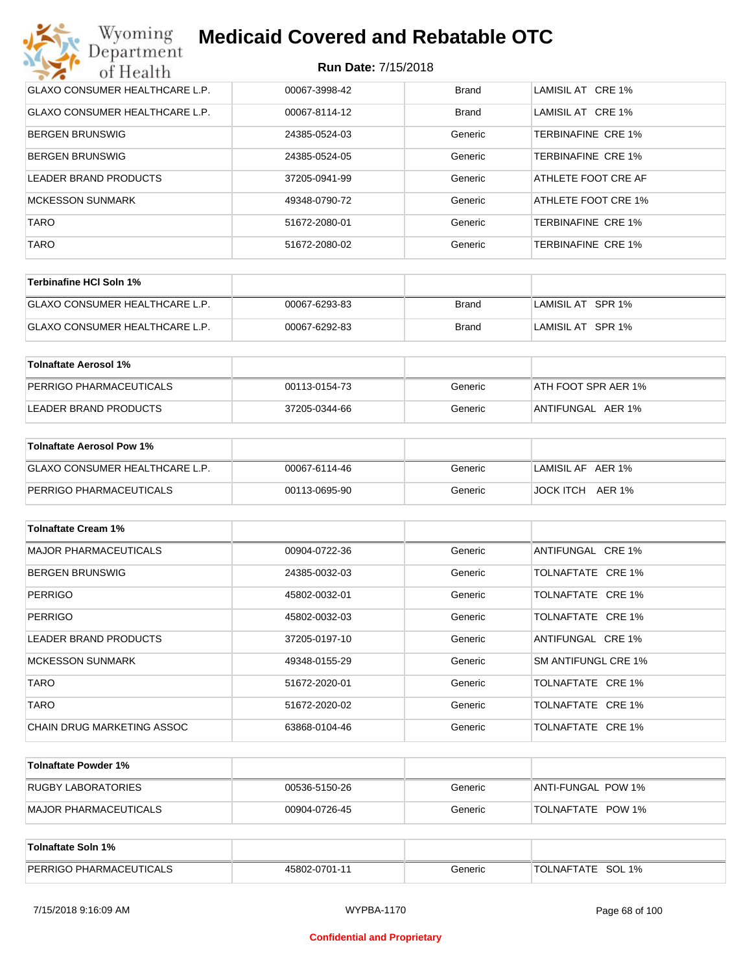| Wyoming<br><b>Medicaid Covered and Rebatable OTC</b><br>Department |                            |              |                           |  |
|--------------------------------------------------------------------|----------------------------|--------------|---------------------------|--|
| of Health                                                          | <b>Run Date: 7/15/2018</b> |              |                           |  |
| <b>GLAXO CONSUMER HEALTHCARE L.P.</b>                              | 00067-3998-42              | <b>Brand</b> | LAMISIL AT CRE 1%         |  |
| <b>GLAXO CONSUMER HEALTHCARE L.P.</b>                              | 00067-8114-12              | Brand        | LAMISIL AT CRE 1%         |  |
| <b>BERGEN BRUNSWIG</b>                                             | 24385-0524-03              | Generic      | TERBINAFINE CRE 1%        |  |
| <b>BERGEN BRUNSWIG</b>                                             | 24385-0524-05              | Generic      | <b>TERBINAFINE CRE 1%</b> |  |
| LEADER BRAND PRODUCTS                                              | 37205-0941-99              | Generic      | ATHLETE FOOT CRE AF       |  |
| <b>MCKESSON SUNMARK</b>                                            | 49348-0790-72              | Generic      | ATHLETE FOOT CRE 1%       |  |
| <b>TARO</b>                                                        | 51672-2080-01              | Generic      | TERBINAFINE CRE 1%        |  |
| <b>TARO</b>                                                        | 51672-2080-02              | Generic      | <b>TERBINAFINE CRE 1%</b> |  |

| Terbinafine HCI Soln 1%               |               |       |                   |
|---------------------------------------|---------------|-------|-------------------|
| <b>GLAXO CONSUMER HEALTHCARE L.P.</b> | 00067-6293-83 | Brand | LAMISIL AT SPR 1% |
| <b>GLAXO CONSUMER HEALTHCARE L.P.</b> | 00067-6292-83 | Brand | LAMISIL AT SPR 1% |

| Tolnaftate Aerosol 1%   |               |         |                     |
|-------------------------|---------------|---------|---------------------|
| PERRIGO PHARMACEUTICALS | 00113-0154-73 | Generic | ATH FOOT SPR AER 1% |
| LEADER BRAND PRODUCTS   | 37205-0344-66 | Generic | ANTIFUNGAL AER 1%   |

| Tolnaftate Aerosol Pow 1%      |               |         |                   |
|--------------------------------|---------------|---------|-------------------|
| GLAXO CONSUMER HEALTHCARE L.P. | 00067-6114-46 | Generic | LAMISIL AF AER 1% |
| PERRIGO PHARMACEUTICALS        | 00113-0695-90 | Generic | JOCK ITCH AER 1%  |

| <b>Tolnaftate Cream 1%</b>   |               |         |                     |
|------------------------------|---------------|---------|---------------------|
| <b>MAJOR PHARMACEUTICALS</b> | 00904-0722-36 | Generic | ANTIFUNGAL CRE 1%   |
| <b>BERGEN BRUNSWIG</b>       | 24385-0032-03 | Generic | TOLNAFTATE CRE 1%   |
| <b>PERRIGO</b>               | 45802-0032-01 | Generic | TOLNAFTATE CRE 1%   |
| <b>PERRIGO</b>               | 45802-0032-03 | Generic | TOLNAFTATE CRE 1%   |
| LEADER BRAND PRODUCTS        | 37205-0197-10 | Generic | ANTIFUNGAL CRE 1%   |
| <b>MCKESSON SUNMARK</b>      | 49348-0155-29 | Generic | SM ANTIFUNGL CRE 1% |
| <b>TARO</b>                  | 51672-2020-01 | Generic | TOLNAFTATE CRE 1%   |
| <b>TARO</b>                  | 51672-2020-02 | Generic | TOLNAFTATE CRE 1%   |
| CHAIN DRUG MARKETING ASSOC   | 63868-0104-46 | Generic | TOLNAFTATE CRE 1%   |

| Tolnaftate Powder 1%  |               |         |                     |
|-----------------------|---------------|---------|---------------------|
| RUGBY LABORATORIES    | 00536-5150-26 | Generic | IANTI-FUNGAL POW 1% |
| MAJOR PHARMACEUTICALS | 00904-0726-45 | Generic | TOLNAFTATE POW 1%   |

| Tolnaftate Soln 1%             |               |         |                      |
|--------------------------------|---------------|---------|----------------------|
| <b>PERRIGO PHARMACEUTICALS</b> | 45802-0701-11 | Generic | SOL 1%<br>TOLNAFTATE |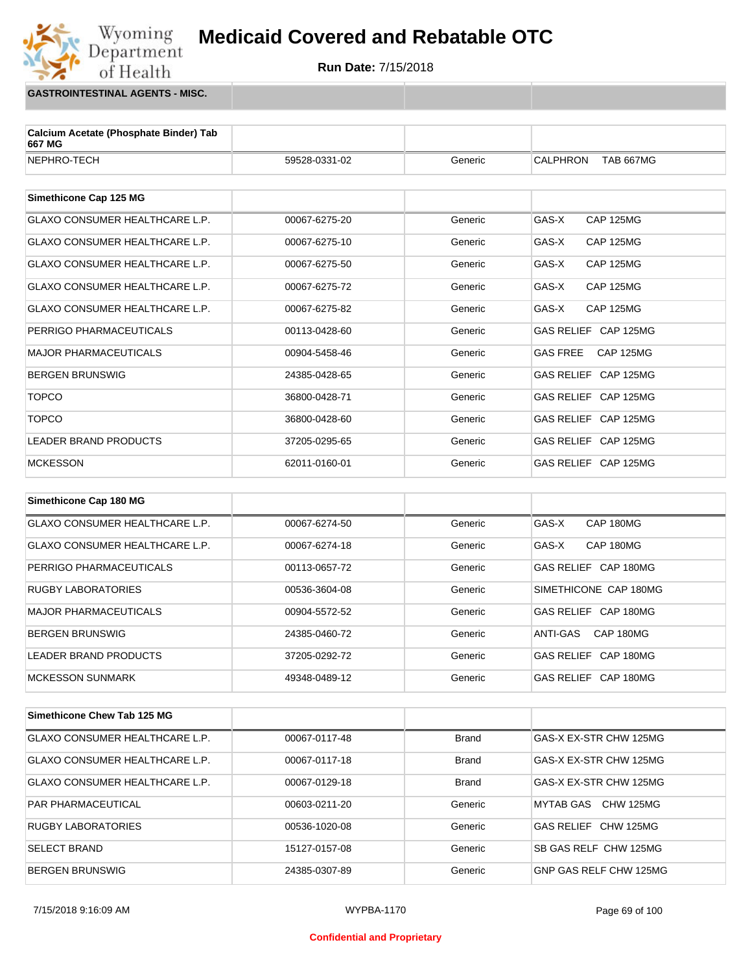

**GASTROINTESTINAL AGENTS - MISC.**

Wyoming<br>Department

of Health

| Calcium Acetate (Phosphate Binder) Tab<br>667 MG |               |              |                              |
|--------------------------------------------------|---------------|--------------|------------------------------|
| NEPHRO-TECH                                      | 59528-0331-02 | Generic      | <b>CALPHRON</b><br>TAB 667MG |
|                                                  |               |              |                              |
| Simethicone Cap 125 MG                           |               |              |                              |
| <b>GLAXO CONSUMER HEALTHCARE L.P.</b>            | 00067-6275-20 | Generic      | GAS-X<br><b>CAP 125MG</b>    |
| GLAXO CONSUMER HEALTHCARE L.P.                   | 00067-6275-10 | Generic      | GAS-X<br><b>CAP 125MG</b>    |
| GLAXO CONSUMER HEALTHCARE L.P.                   | 00067-6275-50 | Generic      | GAS-X<br><b>CAP 125MG</b>    |
| GLAXO CONSUMER HEALTHCARE L.P.                   | 00067-6275-72 | Generic      | GAS-X<br><b>CAP 125MG</b>    |
| <b>GLAXO CONSUMER HEALTHCARE L.P.</b>            | 00067-6275-82 | Generic      | GAS-X<br><b>CAP 125MG</b>    |
| PERRIGO PHARMACEUTICALS                          | 00113-0428-60 | Generic      | GAS RELIEF CAP 125MG         |
| <b>MAJOR PHARMACEUTICALS</b>                     | 00904-5458-46 | Generic      | <b>GAS FREE</b><br>CAP 125MG |
| <b>BERGEN BRUNSWIG</b>                           | 24385-0428-65 | Generic      | GAS RELIEF CAP 125MG         |
| <b>TOPCO</b>                                     | 36800-0428-71 | Generic      | GAS RELIEF CAP 125MG         |
| <b>TOPCO</b>                                     | 36800-0428-60 | Generic      | GAS RELIEF CAP 125MG         |
| LEADER BRAND PRODUCTS                            | 37205-0295-65 | Generic      | GAS RELIEF CAP 125MG         |
| <b>MCKESSON</b>                                  | 62011-0160-01 | Generic      | GAS RELIEF CAP 125MG         |
|                                                  |               |              |                              |
| Simethicone Cap 180 MG                           |               |              |                              |
| GLAXO CONSUMER HEALTHCARE L.P.                   | 00067-6274-50 | Generic      | GAS-X<br>CAP 180MG           |
| GLAXO CONSUMER HEALTHCARE L.P.                   | 00067-6274-18 | Generic      | GAS-X<br>CAP 180MG           |
| PERRIGO PHARMACEUTICALS                          | 00113-0657-72 | Generic      | GAS RELIEF CAP 180MG         |
| <b>RUGBY LABORATORIES</b>                        | 00536-3604-08 | Generic      | SIMETHICONE CAP 180MG        |
| <b>MAJOR PHARMACEUTICALS</b>                     | 00904-5572-52 | Generic      | GAS RELIEF CAP 180MG         |
| <b>BERGEN BRUNSWIG</b>                           | 24385-0460-72 | Generic      | CAP 180MG<br>ANTI-GAS        |
| LEADER BRAND PRODUCTS                            | 37205-0292-72 | Generic      | GAS RELIEF CAP 180MG         |
| <b>MCKESSON SUNMARK</b>                          | 49348-0489-12 | Generic      | GAS RELIEF CAP 180MG         |
|                                                  |               |              |                              |
| Simethicone Chew Tab 125 MG                      |               |              |                              |
| GLAXO CONSUMER HEALTHCARE L.P.                   | 00067-0117-48 | <b>Brand</b> | GAS-X EX-STR CHW 125MG       |
| GLAXO CONSUMER HEALTHCARE L.P.                   | 00067-0117-18 | <b>Brand</b> | GAS-X EX-STR CHW 125MG       |
| GLAXO CONSUMER HEALTHCARE L.P.                   | 00067-0129-18 | <b>Brand</b> | GAS-X EX-STR CHW 125MG       |

7/15/2018 9:16:09 AM WYPBA-1170 Page 69 of 100

PAR PHARMACEUTICAL **DOG03-0211-20** OS03-0211-20 Generic MYTAB GAS CHW 125MG RUGBY LABORATORIES 
and the oots36-1020-08 (Generic CHW 125MG USBN 125MG SELECT BRAND 15127-0157-08 Generic SB GAS RELF CHW 125MG BERGEN BRUNSWIG <br>24385-0307-89 Generic GNP GAS RELF CHW 125MG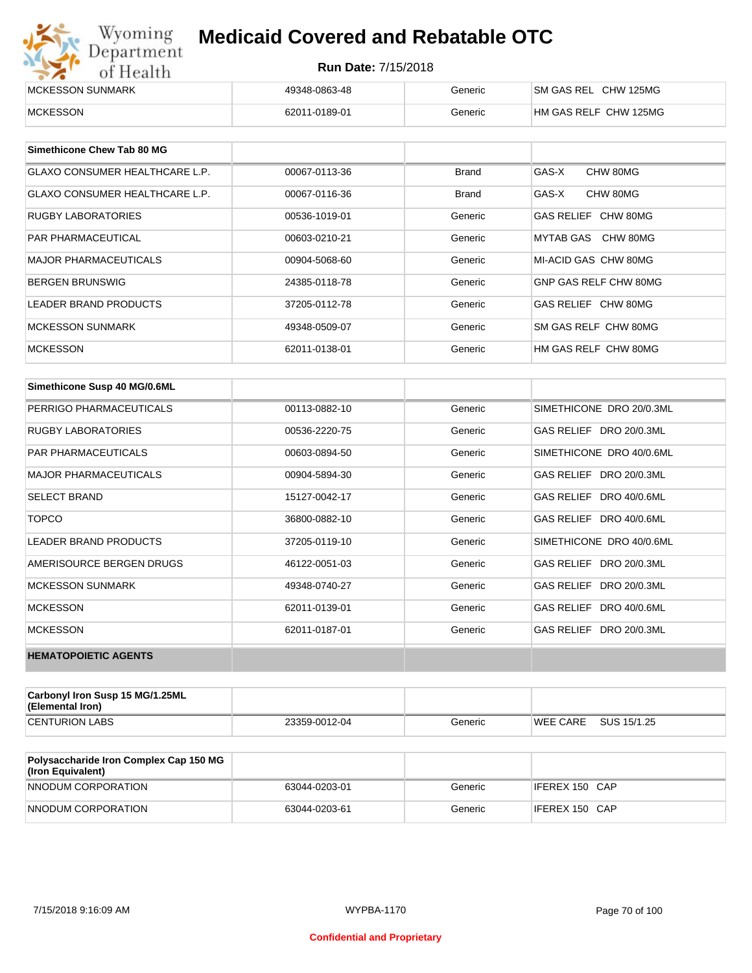| Wyoming<br><b>Medicaid Covered and Rebatable OTC</b><br>Department |                            |         |                       |  |
|--------------------------------------------------------------------|----------------------------|---------|-----------------------|--|
| of Health                                                          | <b>Run Date: 7/15/2018</b> |         |                       |  |
| MCKESSON SUNMARK                                                   | 49348-0863-48              | Generic | SM GAS REL CHW 125MG  |  |
| <b>MCKESSON</b>                                                    | 62011-0189-01              | Generic | HM GAS RELF CHW 125MG |  |

| Simethicone Chew Tab 80 MG            |               |              |                       |
|---------------------------------------|---------------|--------------|-----------------------|
| <b>GLAXO CONSUMER HEALTHCARE L.P.</b> | 00067-0113-36 | <b>Brand</b> | GAS-X<br>CHW 80MG     |
| <b>GLAXO CONSUMER HEALTHCARE L.P.</b> | 00067-0116-36 | <b>Brand</b> | GAS-X<br>CHW 80MG     |
| <b>RUGBY LABORATORIES</b>             | 00536-1019-01 | Generic      | GAS RELIEF CHW 80MG   |
| <b>PAR PHARMACEUTICAL</b>             | 00603-0210-21 | Generic      | MYTAB GAS CHW 80MG    |
| <b>MAJOR PHARMACEUTICALS</b>          | 00904-5068-60 | Generic      | MI-ACID GAS CHW 80MG  |
| <b>BERGEN BRUNSWIG</b>                | 24385-0118-78 | Generic      | GNP GAS RELF CHW 80MG |
| <b>LEADER BRAND PRODUCTS</b>          | 37205-0112-78 | Generic      | GAS RELIEF CHW 80MG   |
| MCKESSON SUNMARK                      | 49348-0509-07 | Generic      | SM GAS RELF CHW 80MG  |
| <b>MCKESSON</b>                       | 62011-0138-01 | Generic      | HM GAS RELF CHW 80MG  |

| Simethicone Susp 40 MG/0.6ML |               |         |                          |
|------------------------------|---------------|---------|--------------------------|
| PERRIGO PHARMACEUTICALS      | 00113-0882-10 | Generic | SIMETHICONE DRO 20/0.3ML |
| <b>RUGBY LABORATORIES</b>    | 00536-2220-75 | Generic | GAS RELIEF DRO 20/0.3ML  |
| <b>PAR PHARMACEUTICALS</b>   | 00603-0894-50 | Generic | SIMETHICONE DRO 40/0.6ML |
| <b>MAJOR PHARMACEUTICALS</b> | 00904-5894-30 | Generic | GAS RELIEF DRO 20/0.3ML  |
| <b>SELECT BRAND</b>          | 15127-0042-17 | Generic | GAS RELIEF DRO 40/0.6ML  |
| <b>TOPCO</b>                 | 36800-0882-10 | Generic | GAS RELIEF DRO 40/0.6ML  |
| <b>LEADER BRAND PRODUCTS</b> | 37205-0119-10 | Generic | SIMETHICONE DRO 40/0.6ML |
| AMERISOURCE BERGEN DRUGS     | 46122-0051-03 | Generic | GAS RELIEF DRO 20/0.3ML  |
| <b>MCKESSON SUNMARK</b>      | 49348-0740-27 | Generic | GAS RELIEF DRO 20/0.3ML  |
| <b>MCKESSON</b>              | 62011-0139-01 | Generic | GAS RELIEF DRO 40/0.6ML  |
| <b>MCKESSON</b>              | 62011-0187-01 | Generic | GAS RELIEF DRO 20/0.3ML  |
| <b>HEMATOPOIETIC AGENTS</b>  |               |         |                          |

| Carbonyl Iron Susp 15 MG/1.25ML<br>(Elemental Iron) |               |         |                 |             |
|-----------------------------------------------------|---------------|---------|-----------------|-------------|
| <b>CENTURION LABS</b>                               | 23359-0012-04 | Generic | <b>WEE CARE</b> | SUS 15/1.25 |

| <b>Polysaccharide Iron Complex Cap 150 MG</b><br>(Iron Equivalent) |               |         |                |
|--------------------------------------------------------------------|---------------|---------|----------------|
| NNODUM CORPORATION                                                 | 63044-0203-01 | Generic | IFEREX 150 CAP |
| NNODUM CORPORATION                                                 | 63044-0203-61 | Generic | IFEREX 150 CAP |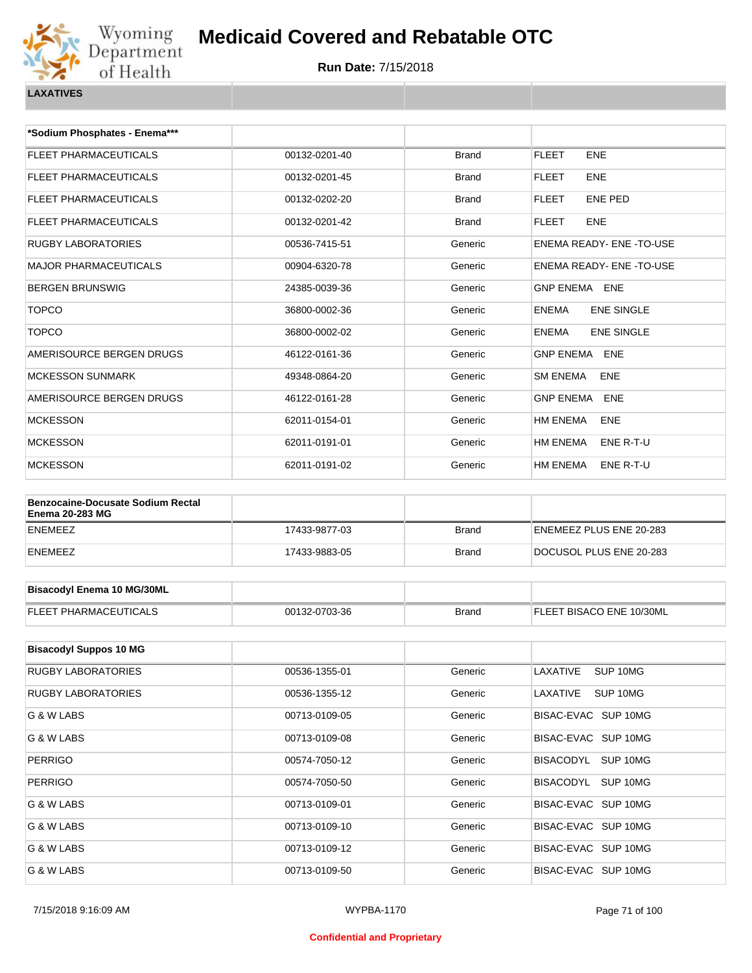

**Run Date:** 7/15/2018

| *Sodium Phosphates - Enema***                                      |               |              |                                   |
|--------------------------------------------------------------------|---------------|--------------|-----------------------------------|
| FLEET PHARMACEUTICALS                                              | 00132-0201-40 | <b>Brand</b> | <b>FLEET</b><br><b>ENE</b>        |
| FLEET PHARMACEUTICALS                                              | 00132-0201-45 | Brand        | <b>FLEET</b><br><b>ENE</b>        |
| FLEET PHARMACEUTICALS                                              | 00132-0202-20 | Brand        | <b>FLEET</b><br><b>ENE PED</b>    |
| FLEET PHARMACEUTICALS                                              | 00132-0201-42 | <b>Brand</b> | <b>FLEET</b><br><b>ENE</b>        |
| RUGBY LABORATORIES                                                 | 00536-7415-51 | Generic      | ENEMA READY- ENE-TO-USE           |
| <b>MAJOR PHARMACEUTICALS</b>                                       | 00904-6320-78 | Generic      | ENEMA READY- ENE-TO-USE           |
| BERGEN BRUNSWIG                                                    | 24385-0039-36 | Generic      | GNP ENEMA ENE                     |
| <b>TOPCO</b>                                                       | 36800-0002-36 | Generic      | <b>ENEMA</b><br><b>ENE SINGLE</b> |
| <b>TOPCO</b>                                                       | 36800-0002-02 | Generic      | <b>ENEMA</b><br><b>ENE SINGLE</b> |
| AMERISOURCE BERGEN DRUGS                                           | 46122-0161-36 | Generic      | <b>GNP ENEMA ENE</b>              |
| <b>MCKESSON SUNMARK</b>                                            | 49348-0864-20 | Generic      | <b>SM ENEMA</b><br>ENE            |
| AMERISOURCE BERGEN DRUGS                                           | 46122-0161-28 | Generic      | <b>GNP ENEMA</b><br><b>ENE</b>    |
| <b>MCKESSON</b>                                                    | 62011-0154-01 | Generic      | HM ENEMA<br>ENE                   |
| <b>MCKESSON</b>                                                    | 62011-0191-01 | Generic      | HM ENEMA<br>ENE R-T-U             |
| <b>MCKESSON</b>                                                    | 62011-0191-02 | Generic      | HM ENEMA<br>ENE R-T-U             |
|                                                                    |               |              |                                   |
| <b>Benzocaine-Docusate Sodium Rectal</b><br><b>Enema 20-283 MG</b> |               |              |                                   |
| ENEMEEZ                                                            | 17433-9877-03 | <b>Brand</b> | ENEMEEZ PLUS ENE 20-283           |
| ENEMEEZ                                                            | 17433-9883-05 | Brand        | DOCUSOL PLUS ENE 20-283           |
|                                                                    |               |              |                                   |
| <b>Bisacodyl Enema 10 MG/30ML</b>                                  |               |              |                                   |
| FLEET PHARMACEUTICALS                                              | 00132-0703-36 | <b>Brand</b> | FLEET BISACO ENE 10/30ML          |
|                                                                    |               |              |                                   |
| <b>Bisacodyl Suppos 10 MG</b>                                      |               |              |                                   |
| RUGBY LABORATORIES                                                 | 00536-1355-01 | Generic      | LAXATIVE<br>SUP 10MG              |
| RUGBY LABORATORIES                                                 | 00536-1355-12 | Generic      | LAXATIVE<br>SUP 10MG              |
| G & W LABS                                                         | 00713-0109-05 | Generic      | BISAC-EVAC SUP 10MG               |
| G & W LABS                                                         | 00713-0109-08 | Generic      | BISAC-EVAC SUP 10MG               |
| <b>PERRIGO</b>                                                     | 00574-7050-12 | Generic      | BISACODYL<br>SUP 10MG             |
| <b>PERRIGO</b>                                                     | 00574-7050-50 | Generic      | BISACODYL<br>SUP 10MG             |

G & W LABS **COMPUTER COMPUTER SIDE CONTROL** CONTROL OUT-13-0109-01 Generic BISAC-EVAC SUP 10MG G & W LABS **COMPLETE SETS** ON THE CONTRACTOR OF THE CONTRACTOR OF THE GENERAL BISAC-EVAC SUP 10MG G & W LABS **CONFIDENT CONTROL** 00713-0109-12 **Generic** BISAC-EVAC SUP 10MG G & W LABS **CONFERENT CONTRACTS** CONTRACTS AND CONTROL OUT 10 ON GENERAL GENERAL CONTRACTS GENERAL GENERAL CONTR<br>
Generic BISAC-EVAC SUP 10 MG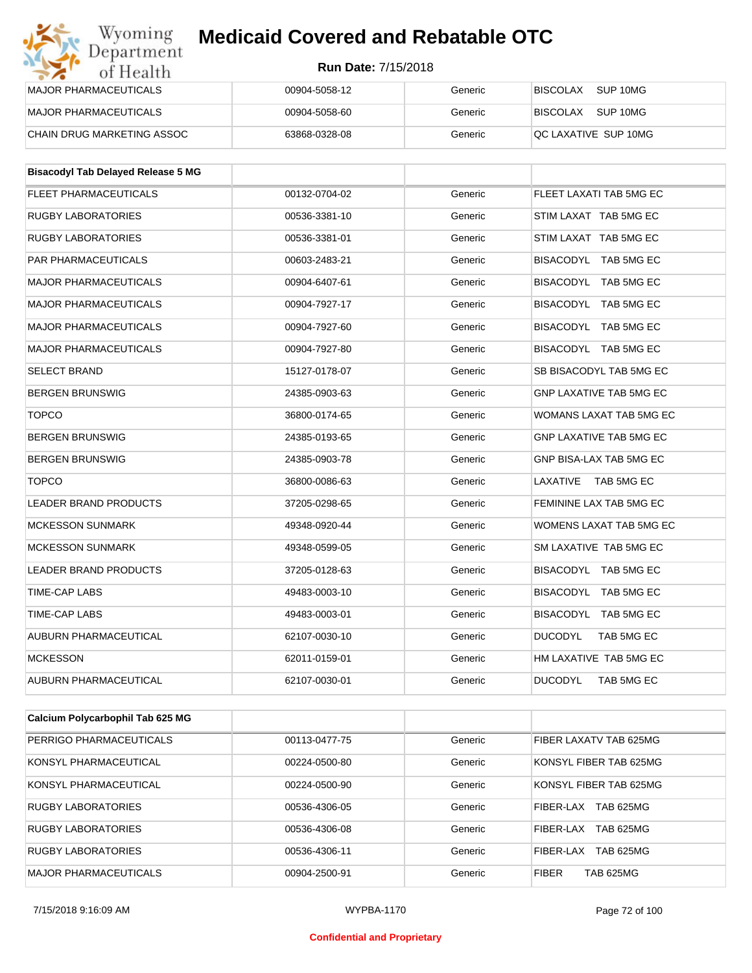#### **Run Date:** 7/15/2018

| Wyoming<br>Department      | <b>Medicaid Covered and Rebatable OTC</b> |         |                             |  |  |
|----------------------------|-------------------------------------------|---------|-----------------------------|--|--|
| of Health                  | <b>Run Date: 7/15/2018</b>                |         |                             |  |  |
| MAJOR PHARMACEUTICALS      | 00904-5058-12                             | Generic | <b>BISCOLAX</b><br>SUP 10MG |  |  |
| MAJOR PHARMACEUTICALS      | 00904-5058-60                             | Generic | SUP 10MG<br><b>BISCOLAX</b> |  |  |
| CHAIN DRUG MARKETING ASSOC | 63868-0328-08                             | Generic | QC LAXATIVE SUP 10MG        |  |  |

| <b>Bisacodyl Tab Delayed Release 5 MG</b> |               |         |                                |
|-------------------------------------------|---------------|---------|--------------------------------|
| <b>FLEET PHARMACEUTICALS</b>              | 00132-0704-02 | Generic | FLEET LAXATI TAB 5MG EC        |
| <b>RUGBY LABORATORIES</b>                 | 00536-3381-10 | Generic | STIM LAXAT TAB 5MG EC          |
| <b>RUGBY LABORATORIES</b>                 | 00536-3381-01 | Generic | STIM LAXAT TAB 5MG EC          |
| <b>PAR PHARMACEUTICALS</b>                | 00603-2483-21 | Generic | BISACODYL TAB 5MG EC           |
| <b>MAJOR PHARMACEUTICALS</b>              | 00904-6407-61 | Generic | BISACODYL TAB 5MG EC           |
| <b>MAJOR PHARMACEUTICALS</b>              | 00904-7927-17 | Generic | BISACODYL TAB 5MG EC           |
| <b>MAJOR PHARMACEUTICALS</b>              | 00904-7927-60 | Generic | BISACODYL TAB 5MG EC           |
| <b>MAJOR PHARMACEUTICALS</b>              | 00904-7927-80 | Generic | BISACODYL TAB 5MG EC           |
| <b>SELECT BRAND</b>                       | 15127-0178-07 | Generic | SB BISACODYL TAB 5MG EC        |
| <b>BERGEN BRUNSWIG</b>                    | 24385-0903-63 | Generic | <b>GNP LAXATIVE TAB 5MG EC</b> |
| <b>TOPCO</b>                              | 36800-0174-65 | Generic | WOMANS LAXAT TAB 5MG EC        |
| <b>BERGEN BRUNSWIG</b>                    | 24385-0193-65 | Generic | <b>GNP LAXATIVE TAB 5MG EC</b> |
| <b>BERGEN BRUNSWIG</b>                    | 24385-0903-78 | Generic | GNP BISA-LAX TAB 5MG EC        |
| <b>TOPCO</b>                              | 36800-0086-63 | Generic | LAXATIVE<br>TAB 5MG EC         |
| <b>LEADER BRAND PRODUCTS</b>              | 37205-0298-65 | Generic | FEMININE LAX TAB 5MG EC        |
| <b>MCKESSON SUNMARK</b>                   | 49348-0920-44 | Generic | WOMENS LAXAT TAB 5MG EC        |
| <b>MCKESSON SUNMARK</b>                   | 49348-0599-05 | Generic | SM LAXATIVE TAB 5MG EC         |
| <b>LEADER BRAND PRODUCTS</b>              | 37205-0128-63 | Generic | BISACODYL TAB 5MG EC           |
| <b>TIME-CAP LABS</b>                      | 49483-0003-10 | Generic | BISACODYL TAB 5MG EC           |
| <b>TIME-CAP LABS</b>                      | 49483-0003-01 | Generic | BISACODYL TAB 5MG EC           |
| <b>AUBURN PHARMACEUTICAL</b>              | 62107-0030-10 | Generic | <b>DUCODYL</b><br>TAB 5MG EC   |
| <b>MCKESSON</b>                           | 62011-0159-01 | Generic | HM LAXATIVE TAB 5MG EC         |
| <b>AUBURN PHARMACEUTICAL</b>              | 62107-0030-01 | Generic | <b>DUCODYL</b><br>TAB 5MG EC   |

| Calcium Polycarbophil Tab 625 MG |               |         |                                      |
|----------------------------------|---------------|---------|--------------------------------------|
| PERRIGO PHARMACEUTICALS          | 00113-0477-75 | Generic | FIBER LAXATV TAB 625MG               |
| KONSYL PHARMACEUTICAL            | 00224-0500-80 | Generic | KONSYL FIBER TAB 625MG               |
| KONSYL PHARMACEUTICAL            | 00224-0500-90 | Generic | KONSYL FIBER TAB 625MG               |
| <b>RUGBY LABORATORIES</b>        | 00536-4306-05 | Generic | <b>TAB 625MG</b><br>FIBER-LAX        |
| <b>RUGBY LABORATORIES</b>        | 00536-4306-08 | Generic | <b>TAB 625MG</b><br>FIBER-LAX        |
| RUGBY LABORATORIES               | 00536-4306-11 | Generic | <b>TAB 625MG</b><br><b>FIBER-LAX</b> |
| <b>MAJOR PHARMACEUTICALS</b>     | 00904-2500-91 | Generic | <b>FIBER</b><br><b>TAB 625MG</b>     |

#### **Confidential and Proprietary**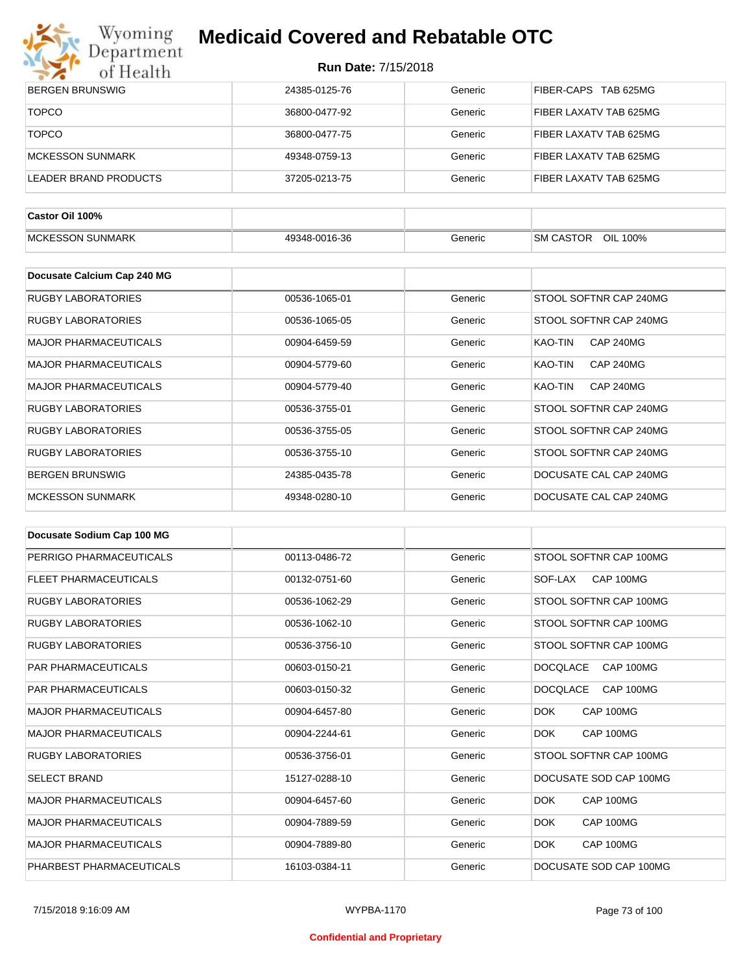

| $\bullet$ $\bullet$<br>0111001111 |               |         |                             |
|-----------------------------------|---------------|---------|-----------------------------|
| <b>BERGEN BRUNSWIG</b>            | 24385-0125-76 | Generic | FIBER-CAPS TAB 625MG        |
| <b>TOPCO</b>                      | 36800-0477-92 | Generic | FIBER LAXATV TAB 625MG      |
| <b>TOPCO</b>                      | 36800-0477-75 | Generic | FIBER LAXATV TAB 625MG      |
| <b>MCKESSON SUNMARK</b>           | 49348-0759-13 | Generic | FIBER LAXATV TAB 625MG      |
| <b>LEADER BRAND PRODUCTS</b>      | 37205-0213-75 | Generic | FIBER LAXATV TAB 625MG      |
| Castor Oil 100%                   |               |         |                             |
| <b>MCKESSON SUNMARK</b>           | 49348-0016-36 | Generic | SM CASTOR OIL 100%          |
| Docusate Calcium Cap 240 MG       |               |         |                             |
| <b>RUGBY LABORATORIES</b>         | 00536-1065-01 | Generic | STOOL SOFTNR CAP 240MG      |
| <b>RUGBY LABORATORIES</b>         | 00536-1065-05 | Generic | STOOL SOFTNR CAP 240MG      |
| <b>MAJOR PHARMACEUTICALS</b>      | 00904-6459-59 | Generic | KAO-TIN<br>CAP 240MG        |
| <b>MAJOR PHARMACEUTICALS</b>      | 00904-5779-60 | Generic | KAO-TIN<br>CAP 240MG        |
| <b>MAJOR PHARMACEUTICALS</b>      | 00904-5779-40 | Generic | KAO-TIN<br><b>CAP 240MG</b> |
| <b>RUGBY LABORATORIES</b>         | 00536-3755-01 | Generic | STOOL SOFTNR CAP 240MG      |
| <b>RUGBY LABORATORIES</b>         | 00536-3755-05 | Generic | STOOL SOFTNR CAP 240MG      |
| <b>RUGBY LABORATORIES</b>         | 00536-3755-10 | Generic | STOOL SOFTNR CAP 240MG      |
| <b>BERGEN BRUNSWIG</b>            | 24385-0435-78 | Generic | DOCUSATE CAL CAP 240MG      |
| <b>MCKESSON SUNMARK</b>           | 49348-0280-10 | Generic | DOCUSATE CAL CAP 240MG      |

| Docusate Sodium Cap 100 MG   |               |         |                              |
|------------------------------|---------------|---------|------------------------------|
| PERRIGO PHARMACEUTICALS      | 00113-0486-72 | Generic | STOOL SOFTNR CAP 100MG       |
| <b>FLEET PHARMACEUTICALS</b> | 00132-0751-60 | Generic | CAP 100MG<br>SOF-LAX         |
| <b>RUGBY LABORATORIES</b>    | 00536-1062-29 | Generic | STOOL SOFTNR CAP 100MG       |
| <b>RUGBY LABORATORIES</b>    | 00536-1062-10 | Generic | STOOL SOFTNR CAP 100MG       |
| <b>RUGBY LABORATORIES</b>    | 00536-3756-10 | Generic | STOOL SOFTNR CAP 100MG       |
| <b>PAR PHARMACEUTICALS</b>   | 00603-0150-21 | Generic | <b>DOCQLACE</b><br>CAP 100MG |
| <b>PAR PHARMACEUTICALS</b>   | 00603-0150-32 | Generic | <b>DOCQLACE</b><br>CAP 100MG |
| <b>MAJOR PHARMACEUTICALS</b> | 00904-6457-80 | Generic | CAP 100MG<br><b>DOK</b>      |
| <b>MAJOR PHARMACEUTICALS</b> | 00904-2244-61 | Generic | <b>DOK</b><br>CAP 100MG      |
| <b>RUGBY LABORATORIES</b>    | 00536-3756-01 | Generic | STOOL SOFTNR CAP 100MG       |
| <b>SELECT BRAND</b>          | 15127-0288-10 | Generic | DOCUSATE SOD CAP 100MG       |
| <b>MAJOR PHARMACEUTICALS</b> | 00904-6457-60 | Generic | <b>DOK</b><br>CAP 100MG      |
| <b>MAJOR PHARMACEUTICALS</b> | 00904-7889-59 | Generic | <b>DOK</b><br>CAP 100MG      |
| <b>MAJOR PHARMACEUTICALS</b> | 00904-7889-80 | Generic | CAP 100MG<br>DOK.            |
| PHARBEST PHARMACEUTICALS     | 16103-0384-11 | Generic | DOCUSATE SOD CAP 100MG       |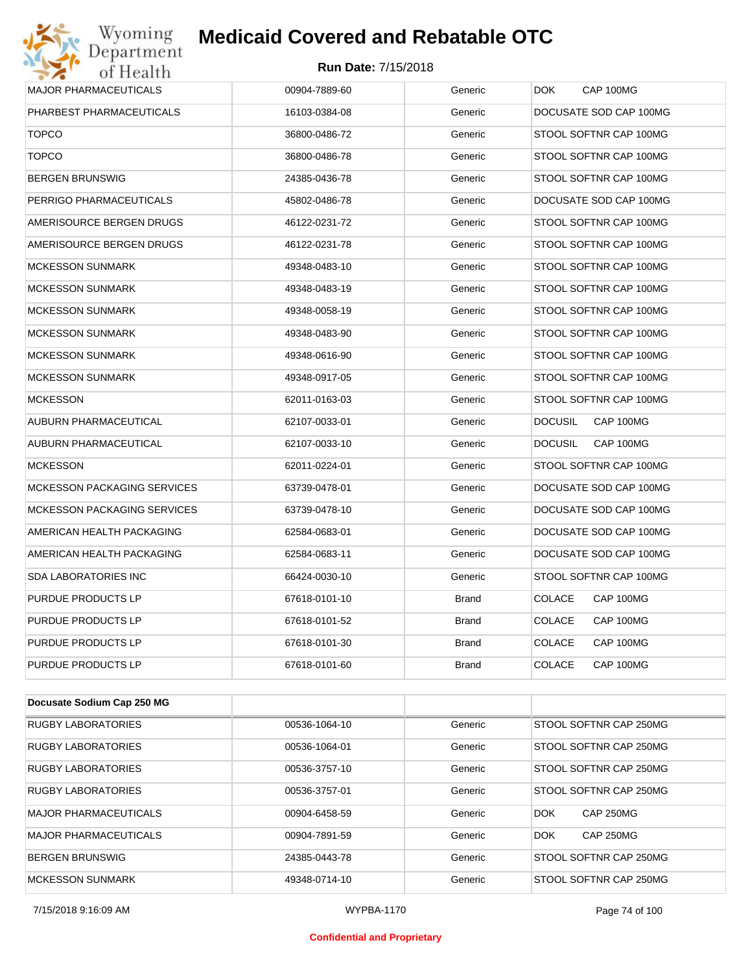#### **Run Date:** 7/15/2018

| Wyoming<br><b>Medicaid Covered and Rebatable OTC</b><br>Department |                            |              |                             |  |
|--------------------------------------------------------------------|----------------------------|--------------|-----------------------------|--|
| of Health                                                          | <b>Run Date: 7/15/2018</b> |              |                             |  |
| <b>MAJOR PHARMACEUTICALS</b>                                       | 00904-7889-60              | Generic      | DOK.<br>CAP 100MG           |  |
| PHARBEST PHARMACEUTICALS                                           | 16103-0384-08              | Generic      | DOCUSATE SOD CAP 100MG      |  |
| <b>TOPCO</b>                                                       | 36800-0486-72              | Generic      | STOOL SOFTNR CAP 100MG      |  |
| <b>TOPCO</b>                                                       | 36800-0486-78              | Generic      | STOOL SOFTNR CAP 100MG      |  |
| <b>BERGEN BRUNSWIG</b>                                             | 24385-0436-78              | Generic      | STOOL SOFTNR CAP 100MG      |  |
| PERRIGO PHARMACEUTICALS                                            | 45802-0486-78              | Generic      | DOCUSATE SOD CAP 100MG      |  |
| AMERISOURCE BERGEN DRUGS                                           | 46122-0231-72              | Generic      | STOOL SOFTNR CAP 100MG      |  |
| AMERISOURCE BERGEN DRUGS                                           | 46122-0231-78              | Generic      | STOOL SOFTNR CAP 100MG      |  |
| <b>MCKESSON SUNMARK</b>                                            | 49348-0483-10              | Generic      | STOOL SOFTNR CAP 100MG      |  |
| <b>MCKESSON SUNMARK</b>                                            | 49348-0483-19              | Generic      | STOOL SOFTNR CAP 100MG      |  |
| <b>MCKESSON SUNMARK</b>                                            | 49348-0058-19              | Generic      | STOOL SOFTNR CAP 100MG      |  |
| <b>MCKESSON SUNMARK</b>                                            | 49348-0483-90              | Generic      | STOOL SOFTNR CAP 100MG      |  |
| <b>MCKESSON SUNMARK</b>                                            | 49348-0616-90              | Generic      | STOOL SOFTNR CAP 100MG      |  |
| <b>MCKESSON SUNMARK</b>                                            | 49348-0917-05              | Generic      | STOOL SOFTNR CAP 100MG      |  |
| <b>MCKESSON</b>                                                    | 62011-0163-03              | Generic      | STOOL SOFTNR CAP 100MG      |  |
| AUBURN PHARMACEUTICAL                                              | 62107-0033-01              | Generic      | <b>DOCUSIL</b><br>CAP 100MG |  |
| AUBURN PHARMACEUTICAL                                              | 62107-0033-10              | Generic      | <b>DOCUSIL</b><br>CAP 100MG |  |
| <b>MCKESSON</b>                                                    | 62011-0224-01              | Generic      | STOOL SOFTNR CAP 100MG      |  |
| <b>MCKESSON PACKAGING SERVICES</b>                                 | 63739-0478-01              | Generic      | DOCUSATE SOD CAP 100MG      |  |
| <b>MCKESSON PACKAGING SERVICES</b>                                 | 63739-0478-10              | Generic      | DOCUSATE SOD CAP 100MG      |  |
| AMERICAN HEALTH PACKAGING                                          | 62584-0683-01              | Generic      | DOCUSATE SOD CAP 100MG      |  |
| AMERICAN HEALTH PACKAGING                                          | 62584-0683-11              | Generic      | DOCUSATE SOD CAP 100MG      |  |
| SDA LABORATORIES INC                                               | 66424-0030-10              | Generic      | STOOL SOFTNR CAP 100MG      |  |
| PURDUE PRODUCTS LP                                                 | 67618-0101-10              | <b>Brand</b> | <b>COLACE</b><br>CAP 100MG  |  |
| PURDUE PRODUCTS LP                                                 | 67618-0101-52              | <b>Brand</b> | <b>COLACE</b><br>CAP 100MG  |  |
| PURDUE PRODUCTS LP                                                 | 67618-0101-30              | <b>Brand</b> | COLACE<br>CAP 100MG         |  |
| PURDUE PRODUCTS LP                                                 | 67618-0101-60              | Brand        | <b>COLACE</b><br>CAP 100MG  |  |

| Docusate Sodium Cap 250 MG   |               |         |                                |
|------------------------------|---------------|---------|--------------------------------|
| <b>RUGBY LABORATORIES</b>    | 00536-1064-10 | Generic | STOOL SOFTNR CAP 250MG         |
| <b>RUGBY LABORATORIES</b>    | 00536-1064-01 | Generic | STOOL SOFTNR CAP 250MG         |
| <b>RUGBY LABORATORIES</b>    | 00536-3757-10 | Generic | STOOL SOFTNR CAP 250MG         |
| <b>RUGBY LABORATORIES</b>    | 00536-3757-01 | Generic | STOOL SOFTNR CAP 250MG         |
| <b>MAJOR PHARMACEUTICALS</b> | 00904-6458-59 | Generic | <b>CAP 250MG</b><br><b>DOK</b> |
| <b>MAJOR PHARMACEUTICALS</b> | 00904-7891-59 | Generic | <b>DOK</b><br><b>CAP 250MG</b> |
| <b>BERGEN BRUNSWIG</b>       | 24385-0443-78 | Generic | STOOL SOFTNR CAP 250MG         |
| <b>MCKESSON SUNMARK</b>      | 49348-0714-10 | Generic | STOOL SOFTNR CAP 250MG         |

#### **Confidential and Proprietary**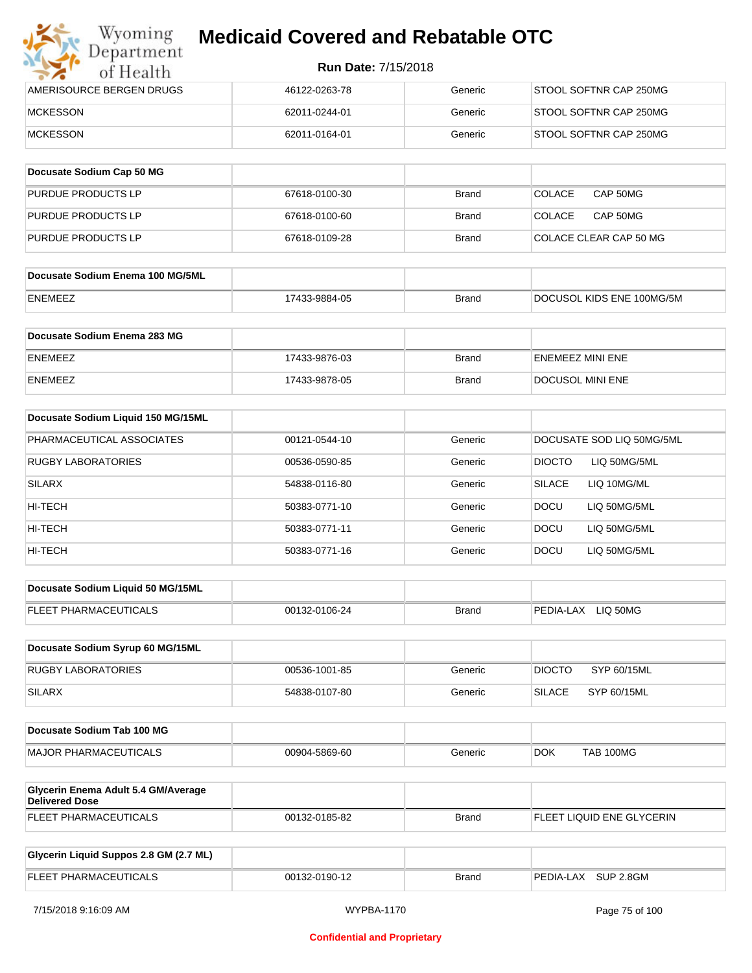| Wyoming<br>Department    | <b>Medicaid Covered and Rebatable OTC</b> |         |                        |  |  |
|--------------------------|-------------------------------------------|---------|------------------------|--|--|
| of Health                | <b>Run Date: 7/15/2018</b>                |         |                        |  |  |
| AMERISOURCE BERGEN DRUGS | 46122-0263-78                             | Generic | STOOL SOFTNR CAP 250MG |  |  |
| <b>MCKESSON</b>          | 62011-0244-01                             | Generic | STOOL SOFTNR CAP 250MG |  |  |
| <b>MCKESSON</b>          | 62011-0164-01                             | Generic | STOOL SOFTNR CAP 250MG |  |  |

| Docusate Sodium Cap 50 MG |               |              |                           |
|---------------------------|---------------|--------------|---------------------------|
| <b>PURDUE PRODUCTS LP</b> | 67618-0100-30 | Brand        | CAP 50MG<br><b>COLACE</b> |
| <b>PURDUE PRODUCTS LP</b> | 67618-0100-60 | Brand        | CAP 50MG<br>COLACE        |
| PURDUE PRODUCTS LP        | 67618-0109-28 | <b>Brand</b> | COLACE CLEAR CAP 50 MG    |

| Docusate Sodium Enema 100 MG/5ML |               |              |                           |
|----------------------------------|---------------|--------------|---------------------------|
| ENEMEEZ                          | 17433-9884-05 | <b>Brand</b> | DOCUSOL KIDS ENE 100MG/5M |

| Docusate Sodium Enema 283 MG |               |              |                         |
|------------------------------|---------------|--------------|-------------------------|
| ENEMEEZ                      | 17433-9876-03 | Brand        | <b>ENEMEEZ MINI ENE</b> |
| <b>ENEMEEZ</b>               | 17433-9878-05 | <b>Brand</b> | DOCUSOL MINI ENE        |

| Docusate Sodium Liquid 150 MG/15ML |               |         |                              |
|------------------------------------|---------------|---------|------------------------------|
| PHARMACEUTICAL ASSOCIATES          | 00121-0544-10 | Generic | DOCUSATE SOD LIQ 50MG/5ML    |
| <b>RUGBY LABORATORIES</b>          | 00536-0590-85 | Generic | DIOCTO<br>LIQ 50MG/5ML       |
| SILARX                             | 54838-0116-80 | Generic | LIQ 10MG/ML<br><b>SILACE</b> |
| HI-TECH                            | 50383-0771-10 | Generic | <b>DOCU</b><br>LIQ 50MG/5ML  |
| HI-TECH                            | 50383-0771-11 | Generic | LIQ 50MG/5ML<br><b>DOCU</b>  |
| HI-TECH                            | 50383-0771-16 | Generic | <b>DOCU</b><br>LIQ 50MG/5ML  |

| Docusate Sodium Liquid 50 MG/15ML |               |       |                       |
|-----------------------------------|---------------|-------|-----------------------|
| <b>FLEET PHARMACEUTICALS</b>      | 00132-0106-24 | Brand | LIO 50MG<br>PEDIA-LAX |

| Docusate Sodium Syrup 60 MG/15ML |               |         |               |             |
|----------------------------------|---------------|---------|---------------|-------------|
| <b>RUGBY LABORATORIES</b>        | 00536-1001-85 | Generic | <b>DIOCTO</b> | SYP 60/15ML |
| <b>SILARX</b>                    | 54838-0107-80 | Generic | <b>SILACE</b> | SYP 60/15ML |

| Docusate Sodium Tab 100 MG    |               |         |     |           |
|-------------------------------|---------------|---------|-----|-----------|
| <b>IMAJOR PHARMACEUTICALS</b> | 00904-5869-60 | Generic | DOK | TAB 100MG |

| <b>Glycerin Enema Adult 5.4 GM/Average</b><br>Delivered Dose |               |       |                           |
|--------------------------------------------------------------|---------------|-------|---------------------------|
| <b>FLEET PHARMACEUTICALS</b>                                 | 00132-0185-82 | Brand | FLEET LIQUID ENE GLYCERIN |

| Glycerin Liquid Suppos 2.8 GM (2.7 ML) |               |              |                     |
|----------------------------------------|---------------|--------------|---------------------|
| <b>FLEET PHARMACEUTICALS</b>           | 00132-0190-12 | <b>Brand</b> | PEDIA-LAX SUP 2.8GM |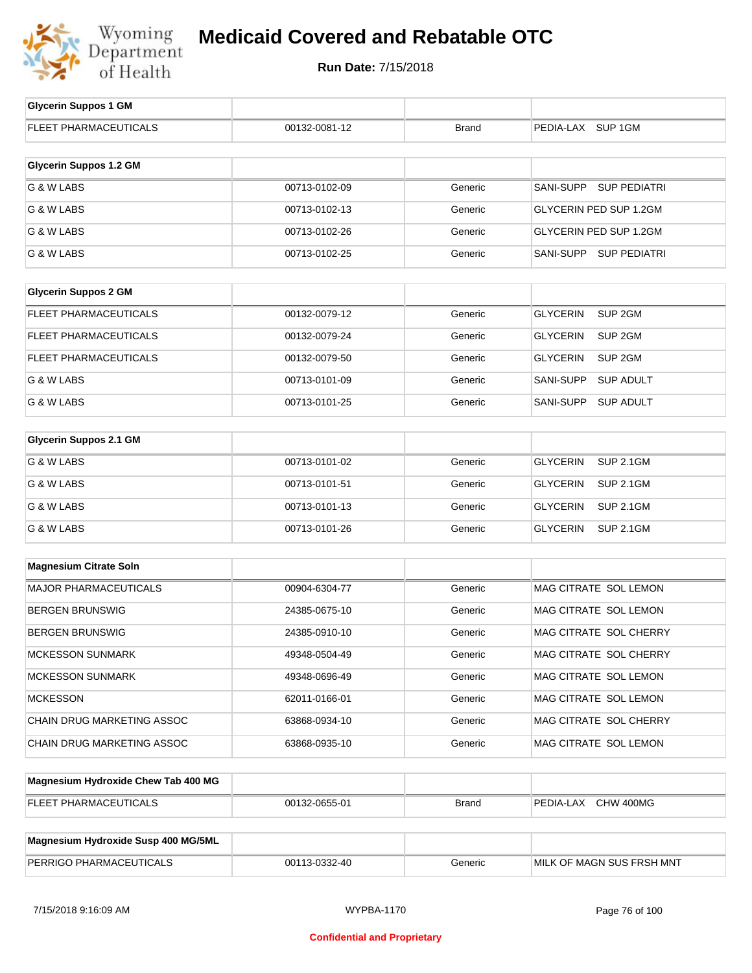

| <b>Glycerin Suppos 1 GM</b>         |               |              |                                       |
|-------------------------------------|---------------|--------------|---------------------------------------|
| FLEET PHARMACEUTICALS               | 00132-0081-12 | <b>Brand</b> | PEDIA-LAX SUP 1GM                     |
|                                     |               |              |                                       |
| <b>Glycerin Suppos 1.2 GM</b>       |               |              |                                       |
| G & W LABS                          | 00713-0102-09 | Generic      | SANI-SUPP SUP PEDIATRI                |
| G & W LABS                          | 00713-0102-13 | Generic      | GLYCERIN PED SUP 1.2GM                |
| G & W LABS                          | 00713-0102-26 | Generic      | GLYCERIN PED SUP 1.2GM                |
| G & W LABS                          | 00713-0102-25 | Generic      | SANI-SUPP SUP PEDIATRI                |
|                                     |               |              |                                       |
| <b>Glycerin Suppos 2 GM</b>         |               |              |                                       |
| FLEET PHARMACEUTICALS               | 00132-0079-12 | Generic      | SUP <sub>2GM</sub><br><b>GLYCERIN</b> |
| FLEET PHARMACEUTICALS               | 00132-0079-24 | Generic      | SUP <sub>2GM</sub><br><b>GLYCERIN</b> |
| <b>FLEET PHARMACEUTICALS</b>        | 00132-0079-50 | Generic      | <b>GLYCERIN</b><br>SUP <sub>2GM</sub> |
| G & W LABS                          | 00713-0101-09 | Generic      | SANI-SUPP<br><b>SUP ADULT</b>         |
| G & W LABS                          | 00713-0101-25 | Generic      | SANI-SUPP<br><b>SUP ADULT</b>         |
|                                     |               |              |                                       |
| <b>Glycerin Suppos 2.1 GM</b>       |               |              |                                       |
| G & W LABS                          | 00713-0101-02 | Generic      | <b>GLYCERIN</b><br><b>SUP 2.1GM</b>   |
| G & W LABS                          | 00713-0101-51 | Generic      | <b>GLYCERIN</b><br><b>SUP 2.1GM</b>   |
| G & W LABS                          | 00713-0101-13 | Generic      | <b>GLYCERIN</b><br><b>SUP 2.1GM</b>   |
| G & W LABS                          | 00713-0101-26 | Generic      | <b>GLYCERIN</b><br><b>SUP 2.1GM</b>   |
|                                     |               |              |                                       |
| <b>Magnesium Citrate Soln</b>       |               |              |                                       |
| MAJOR PHARMACEUTICALS               | 00904-6304-77 | Generic      | MAG CITRATE SOL LEMON                 |
| <b>BERGEN BRUNSWIG</b>              | 24385-0675-10 | Generic      | MAG CITRATE SOL LEMON                 |
| <b>BERGEN BRUNSWIG</b>              | 24385-0910-10 | Generic      | MAG CITRATE SOL CHERRY                |
| <b>MCKESSON SUNMARK</b>             | 49348-0504-49 | Generic      | MAG CITRATE SOL CHERRY                |
| <b>MCKESSON SUNMARK</b>             | 49348-0696-49 | Generic      | MAG CITRATE SOL LEMON                 |
| <b>MCKESSON</b>                     | 62011-0166-01 | Generic      | MAG CITRATE SOL LEMON                 |
| CHAIN DRUG MARKETING ASSOC          | 63868-0934-10 | Generic      | MAG CITRATE SOL CHERRY                |
| CHAIN DRUG MARKETING ASSOC          | 63868-0935-10 | Generic      | MAG CITRATE SOL LEMON                 |
|                                     |               |              |                                       |
| Magnesium Hydroxide Chew Tab 400 MG |               |              |                                       |

| <b>FLEET PHARMACEUTICALS</b>        | 00132-0655-01 | Brand   | CHW 400MG<br>PEDIA-LAX    |
|-------------------------------------|---------------|---------|---------------------------|
|                                     |               |         |                           |
| Magnesium Hydroxide Susp 400 MG/5ML |               |         |                           |
| PERRIGO PHARMACEUTICALS             | 00113-0332-40 | Generic | MILK OF MAGN SUS FRSH MNT |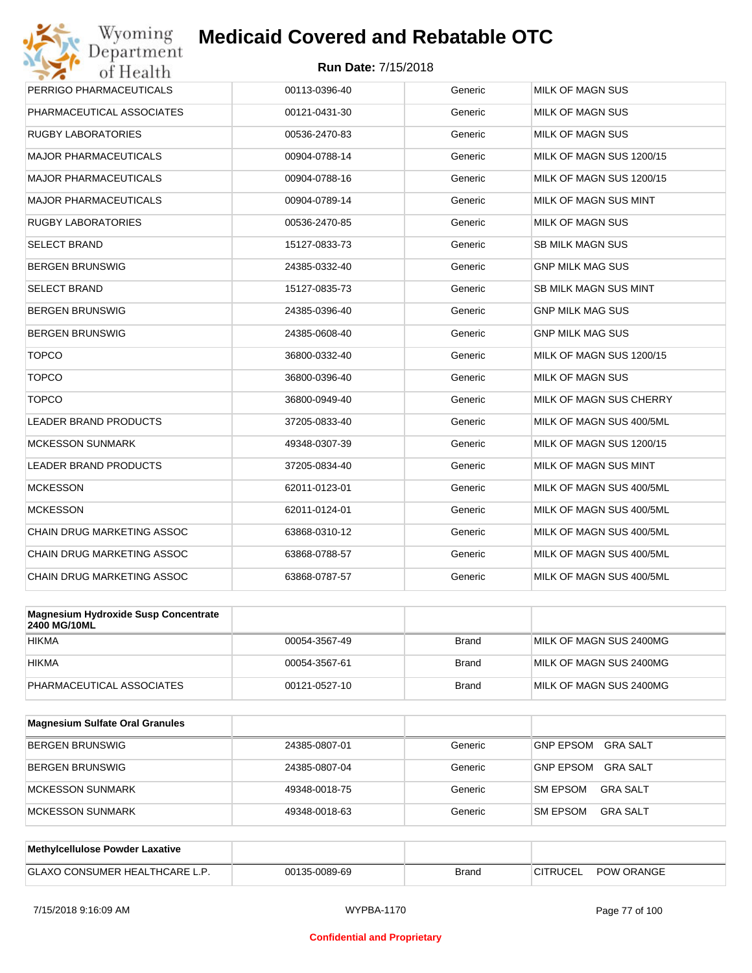

| Wyoming<br>Department                                       | <b>Medicaid Covered and Rebatable OTC</b> |              |                          |
|-------------------------------------------------------------|-------------------------------------------|--------------|--------------------------|
| of Health                                                   | <b>Run Date: 7/15/2018</b>                |              |                          |
| PERRIGO PHARMACEUTICALS                                     | 00113-0396-40                             | Generic      | MILK OF MAGN SUS         |
| PHARMACEUTICAL ASSOCIATES                                   | 00121-0431-30                             | Generic      | MILK OF MAGN SUS         |
| <b>RUGBY LABORATORIES</b>                                   | 00536-2470-83                             | Generic      | MILK OF MAGN SUS         |
| <b>MAJOR PHARMACEUTICALS</b>                                | 00904-0788-14                             | Generic      | MILK OF MAGN SUS 1200/15 |
| <b>MAJOR PHARMACEUTICALS</b>                                | 00904-0788-16                             | Generic      | MILK OF MAGN SUS 1200/15 |
| <b>MAJOR PHARMACEUTICALS</b>                                | 00904-0789-14                             | Generic      | MILK OF MAGN SUS MINT    |
| <b>RUGBY LABORATORIES</b>                                   | 00536-2470-85                             | Generic      | <b>MILK OF MAGN SUS</b>  |
| <b>SELECT BRAND</b>                                         | 15127-0833-73                             | Generic      | <b>SB MILK MAGN SUS</b>  |
| <b>BERGEN BRUNSWIG</b>                                      | 24385-0332-40                             | Generic      | <b>GNP MILK MAG SUS</b>  |
| <b>SELECT BRAND</b>                                         | 15127-0835-73                             | Generic      | SB MILK MAGN SUS MINT    |
| <b>BERGEN BRUNSWIG</b>                                      | 24385-0396-40                             | Generic      | <b>GNP MILK MAG SUS</b>  |
| <b>BERGEN BRUNSWIG</b>                                      | 24385-0608-40                             | Generic      | <b>GNP MILK MAG SUS</b>  |
| <b>TOPCO</b>                                                | 36800-0332-40                             | Generic      | MILK OF MAGN SUS 1200/15 |
| <b>TOPCO</b>                                                | 36800-0396-40                             | Generic      | MILK OF MAGN SUS         |
| <b>TOPCO</b>                                                | 36800-0949-40                             | Generic      | MILK OF MAGN SUS CHERRY  |
| LEADER BRAND PRODUCTS                                       | 37205-0833-40                             | Generic      | MILK OF MAGN SUS 400/5ML |
| <b>MCKESSON SUNMARK</b>                                     | 49348-0307-39                             | Generic      | MILK OF MAGN SUS 1200/15 |
| LEADER BRAND PRODUCTS                                       | 37205-0834-40                             | Generic      | MILK OF MAGN SUS MINT    |
| <b>MCKESSON</b>                                             | 62011-0123-01                             | Generic      | MILK OF MAGN SUS 400/5ML |
| <b>MCKESSON</b>                                             | 62011-0124-01                             | Generic      | MILK OF MAGN SUS 400/5ML |
| CHAIN DRUG MARKETING ASSOC                                  | 63868-0310-12                             | Generic      | MILK OF MAGN SUS 400/5ML |
| <b>CHAIN DRUG MARKETING ASSOC</b>                           | 63868-0788-57                             | Generic      | MILK OF MAGN SUS 400/5ML |
| CHAIN DRUG MARKETING ASSOC                                  | 63868-0787-57                             | Generic      | MILK OF MAGN SUS 400/5ML |
|                                                             |                                           |              |                          |
| <b>Magnesium Hydroxide Susp Concentrate</b><br>2400 MG/10ML |                                           |              |                          |
| <b>HIKMA</b>                                                | 00054-3567-49                             | <b>Brand</b> | MILK OF MAGN SUS 2400MG  |
| <b>HIKMA</b>                                                | 00054-3567-61                             | <b>Brand</b> | MILK OF MAGN SUS 2400MG  |
| PHARMACEUTICAL ASSOCIATES                                   | 00121-0527-10                             | <b>Brand</b> | MILK OF MAGN SUS 2400MG  |
| Magnesium Sulfate Oral Granules                             |                                           |              |                          |

| <b>Magnesium Sunate Oral Granules</b> |               |         |                                    |
|---------------------------------------|---------------|---------|------------------------------------|
| <b>BERGEN BRUNSWIG</b>                | 24385-0807-01 | Generic | GNP EPSOM<br>GRA SALT              |
| BERGEN BRUNSWIG                       | 24385-0807-04 | Generic | GRA SALT<br><b>GNP EPSOM</b>       |
| <b>IMCKESSON SUNMARK</b>              | 49348-0018-75 | Generic | <b>SM EPSOM</b><br>GRA SALT        |
| <b>IMCKESSON SUNMARK</b>              | 49348-0018-63 | Generic | <b>SM EPSOM</b><br><b>GRA SALT</b> |

| Methylcellulose Powder Laxative      |               |              |                                      |
|--------------------------------------|---------------|--------------|--------------------------------------|
| <b>GLAXO CONSUMER HEALTHCARE L.P</b> | 00135-0089-69 | <b>Brand</b> | <b>POW ORANGE</b><br><b>CITRUCEL</b> |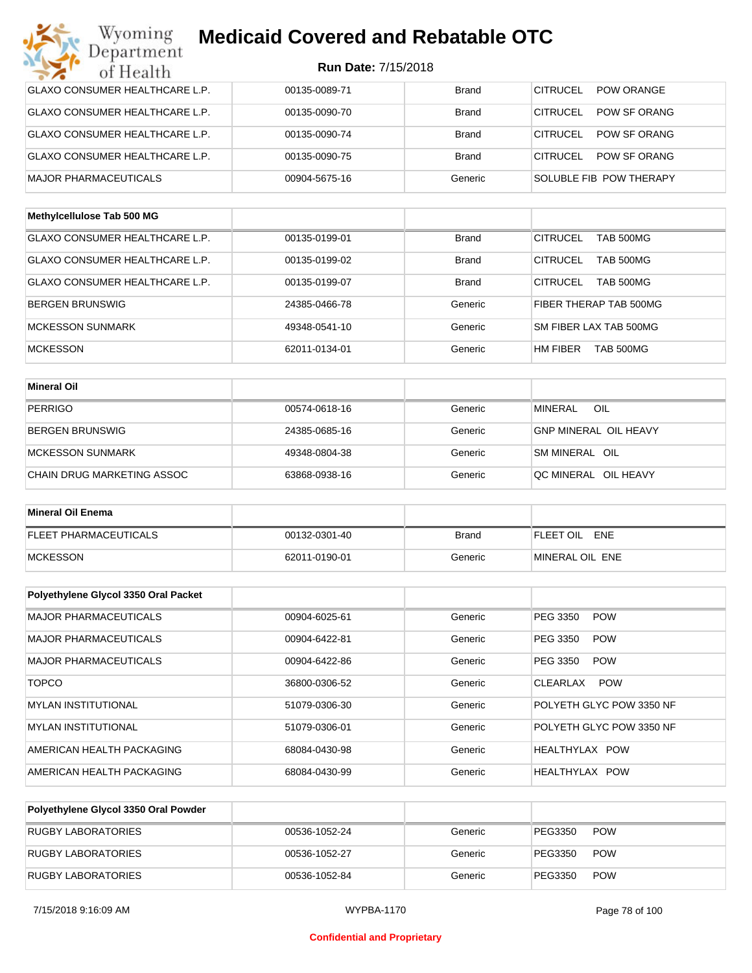| Wyoming<br>Department                 | <b>Medicaid Covered and Rebatable OTC</b> |              |                                     |
|---------------------------------------|-------------------------------------------|--------------|-------------------------------------|
| of Health                             | Run Date: 7/15/2018                       |              |                                     |
| <b>GLAXO CONSUMER HEALTHCARE L.P.</b> | 00135-0089-71                             | <b>Brand</b> | <b>CITRUCEL</b><br>POW ORANGE       |
| <b>GLAXO CONSUMER HEALTHCARE L.P.</b> | 00135-0090-70                             | <b>Brand</b> | CITRUCEL<br>POW SF ORANG            |
| <b>GLAXO CONSUMER HEALTHCARE L.P.</b> | 00135-0090-74                             | <b>Brand</b> | CITRUCEL<br>POW SF ORANG            |
| <b>GLAXO CONSUMER HEALTHCARE L.P.</b> | 00135-0090-75                             | <b>Brand</b> | CITRUCEL<br>POW SF ORANG            |
| <b>MAJOR PHARMACEUTICALS</b>          | 00904-5675-16                             | Generic      | SOLUBLE FIB POW THERAPY             |
| Methylcellulose Tab 500 MG            |                                           |              |                                     |
| <b>GLAXO CONSUMER HEALTHCARE L.P.</b> | 00135-0199-01                             | <b>Brand</b> | <b>CITRUCEL</b><br><b>TAB 500MG</b> |
| <b>GLAXO CONSUMER HEALTHCARE L.P.</b> | 00135-0199-02                             | <b>Brand</b> | <b>CITRUCEL</b><br><b>TAB 500MG</b> |
| GLAXO CONSUMER HEALTHCARE L.P.        | 00135-0199-07                             | <b>Brand</b> | CITRUCEL<br><b>TAB 500MG</b>        |
| <b>BERGEN BRUNSWIG</b>                | 24385-0466-78                             | Generic      | FIBER THERAP TAB 500MG              |
| <b>MCKESSON SUNMARK</b>               | 49348-0541-10                             | Generic      | SM FIBER LAX TAB 500MG              |
| <b>MCKESSON</b>                       | 62011-0134-01                             | Generic      | HM FIBER<br>TAB 500MG               |
| <b>Mineral Oil</b>                    |                                           |              |                                     |
| <b>PERRIGO</b>                        | 00574-0618-16                             | Generic      | <b>MINERAL</b><br>OIL               |
| <b>BERGEN BRUNSWIG</b>                | 24385-0685-16                             | Generic      | <b>GNP MINERAL OIL HEAVY</b>        |
| <b>MCKESSON SUNMARK</b>               | 49348-0804-38                             | Generic      | SM MINERAL OIL                      |
| CHAIN DRUG MARKETING ASSOC            | 63868-0938-16                             | Generic      | QC MINERAL OIL HEAVY                |
|                                       |                                           |              |                                     |
| <b>Mineral Oil Enema</b>              |                                           |              |                                     |
| <b>FLEET PHARMACEUTICALS</b>          | 00132-0301-40                             | <b>Brand</b> | FLEET OIL<br>ENE                    |
| <b>MCKESSON</b>                       | 62011-0190-01                             | Generic      | MINERAL OIL ENE                     |
| Polyethylene Glycol 3350 Oral Packet  |                                           |              |                                     |
| MAJOR PHARMACEUTICALS                 | 00904-6025-61                             | Generic      | <b>POW</b><br>PEG 3350              |
| MAJOR PHARMACEUTICALS                 | 00904-6422-81                             | Generic      | PEG 3350<br><b>POW</b>              |
| MAJOR PHARMACEUTICALS                 | 00904-6422-86                             | Generic      | PEG 3350<br><b>POW</b>              |
| <b>TOPCO</b>                          | 36800-0306-52                             | Generic      | <b>POW</b><br>CLEARLAX              |
| <b>MYLAN INSTITUTIONAL</b>            | 51079-0306-30                             | Generic      | POLYETH GLYC POW 3350 NF            |
| <b>MYLAN INSTITUTIONAL</b>            | 51079-0306-01                             | Generic      | POLYETH GLYC POW 3350 NF            |
| AMERICAN HEALTH PACKAGING             | 68084-0430-98                             | Generic      | HEALTHYLAX POW                      |
| AMERICAN HEALTH PACKAGING             | 68084-0430-99                             | Generic      | HEALTHYLAX POW                      |

| Polyethylene Glycol 3350 Oral Powder |               |         |         |            |
|--------------------------------------|---------------|---------|---------|------------|
| RUGBY LABORATORIES                   | 00536-1052-24 | Generic | PEG3350 | <b>POW</b> |
| RUGBY LABORATORIES                   | 00536-1052-27 | Generic | PEG3350 | <b>POW</b> |
| RUGBY LABORATORIES                   | 00536-1052-84 | Generic | PEG3350 | <b>POW</b> |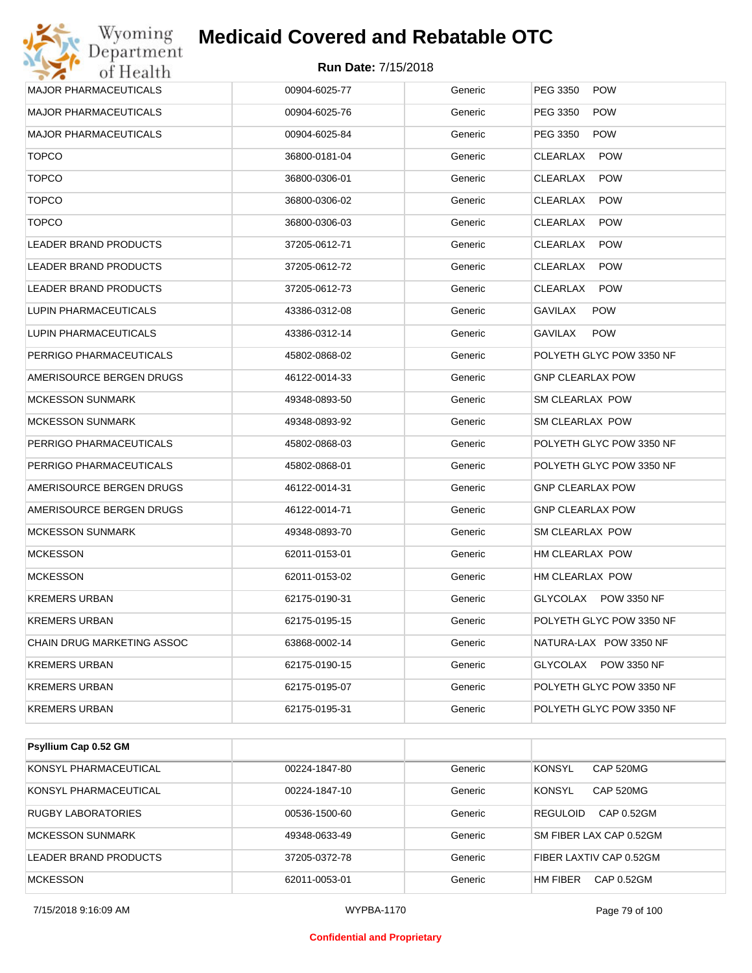

| <b>MAJOR PHARMACEUTICALS</b>   | 00904-6025-77 | Generic | PEG 3350<br><b>POW</b>         |
|--------------------------------|---------------|---------|--------------------------------|
| <b>MAJOR PHARMACEUTICALS</b>   | 00904-6025-76 | Generic | PEG 3350<br><b>POW</b>         |
| <b>MAJOR PHARMACEUTICALS</b>   | 00904-6025-84 | Generic | PEG 3350<br><b>POW</b>         |
| <b>TOPCO</b>                   | 36800-0181-04 | Generic | <b>POW</b><br>CLEARLAX         |
| <b>TOPCO</b>                   | 36800-0306-01 | Generic | CLEARLAX<br><b>POW</b>         |
| <b>TOPCO</b>                   | 36800-0306-02 | Generic | CLEARLAX<br><b>POW</b>         |
| <b>TOPCO</b>                   | 36800-0306-03 | Generic | CLEARLAX<br><b>POW</b>         |
| <b>LEADER BRAND PRODUCTS</b>   | 37205-0612-71 | Generic | CLEARLAX<br><b>POW</b>         |
| LEADER BRAND PRODUCTS          | 37205-0612-72 | Generic | CLEARLAX<br><b>POW</b>         |
| LEADER BRAND PRODUCTS          | 37205-0612-73 | Generic | CLEARLAX<br><b>POW</b>         |
| LUPIN PHARMACEUTICALS          | 43386-0312-08 | Generic | GAVILAX<br><b>POW</b>          |
| <b>LUPIN PHARMACEUTICALS</b>   | 43386-0312-14 | Generic | GAVILAX<br><b>POW</b>          |
| PERRIGO PHARMACEUTICALS        | 45802-0868-02 | Generic | POLYETH GLYC POW 3350 NF       |
| AMERISOURCE BERGEN DRUGS       | 46122-0014-33 | Generic | <b>GNP CLEARLAX POW</b>        |
| <b>MCKESSON SUNMARK</b>        | 49348-0893-50 | Generic | SM CLEARLAX POW                |
| <b>MCKESSON SUNMARK</b>        | 49348-0893-92 | Generic | SM CLEARLAX POW                |
| PERRIGO PHARMACEUTICALS        | 45802-0868-03 | Generic | POLYETH GLYC POW 3350 NF       |
| PERRIGO PHARMACEUTICALS        | 45802-0868-01 | Generic | POLYETH GLYC POW 3350 NF       |
| AMERISOURCE BERGEN DRUGS       | 46122-0014-31 | Generic | <b>GNP CLEARLAX POW</b>        |
| AMERISOURCE BERGEN DRUGS       | 46122-0014-71 | Generic | <b>GNP CLEARLAX POW</b>        |
| <b>MCKESSON SUNMARK</b>        | 49348-0893-70 | Generic | SM CLEARLAX POW                |
| <b>MCKESSON</b>                | 62011-0153-01 | Generic | HM CLEARLAX POW                |
| <b>MCKESSON</b>                | 62011-0153-02 | Generic | HM CLEARLAX POW                |
| <b>KREMERS URBAN</b>           | 62175-0190-31 | Generic | GLYCOLAX POW 3350 NF           |
| <b>KREMERS URBAN</b>           | 62175-0195-15 | Generic | POLYETH GLYC POW 3350 NF       |
| CHAIN DRUG MARKETING ASSOC     | 63868-0002-14 | Generic | NATURA-LAX POW 3350 NF         |
| <b>KREMERS URBAN</b>           | 62175-0190-15 | Generic | GLYCOLAX<br><b>POW 3350 NF</b> |
| <b>KREMERS URBAN</b>           | 62175-0195-07 | Generic | POLYETH GLYC POW 3350 NF       |
| <b>KREMERS URBAN</b>           | 62175-0195-31 | Generic | POLYETH GLYC POW 3350 NF       |
|                                |               |         |                                |
| Psyllium Cap 0.52 GM           |               |         |                                |
| KONSYL PHARMACEUTICAL          | 00224-1847-80 | Generic | <b>KONSYL</b><br>CAP 520MG     |
| <b>CONCYLIDITIADMACTUTICAL</b> | 00001101710   |         | <b>VONCYL</b><br>CADEOMC       |

| <b>NUNOTE FIJANWAGEUTIGAL</b> | <u>00224-1047-00</u> | uumu    | <b>INVINO I L</b><br><b>UAF JZUIVIU</b> |
|-------------------------------|----------------------|---------|-----------------------------------------|
| KONSYL PHARMACEUTICAL         | 00224-1847-10        | Generic | <b>KONSYL</b><br><b>CAP 520MG</b>       |
| <b>RUGBY LABORATORIES</b>     | 00536-1500-60        | Generic | REGULOID<br>CAP 0.52GM                  |
| <b>MCKESSON SUNMARK</b>       | 49348-0633-49        | Generic | SM FIBER LAX CAP 0.52GM                 |
| LEADER BRAND PRODUCTS         | 37205-0372-78        | Generic | FIBER LAXTIV CAP 0.52GM                 |
| <b>MCKESSON</b>               | 62011-0053-01        | Generic | <b>HM FIBER</b><br>CAP 0.52GM           |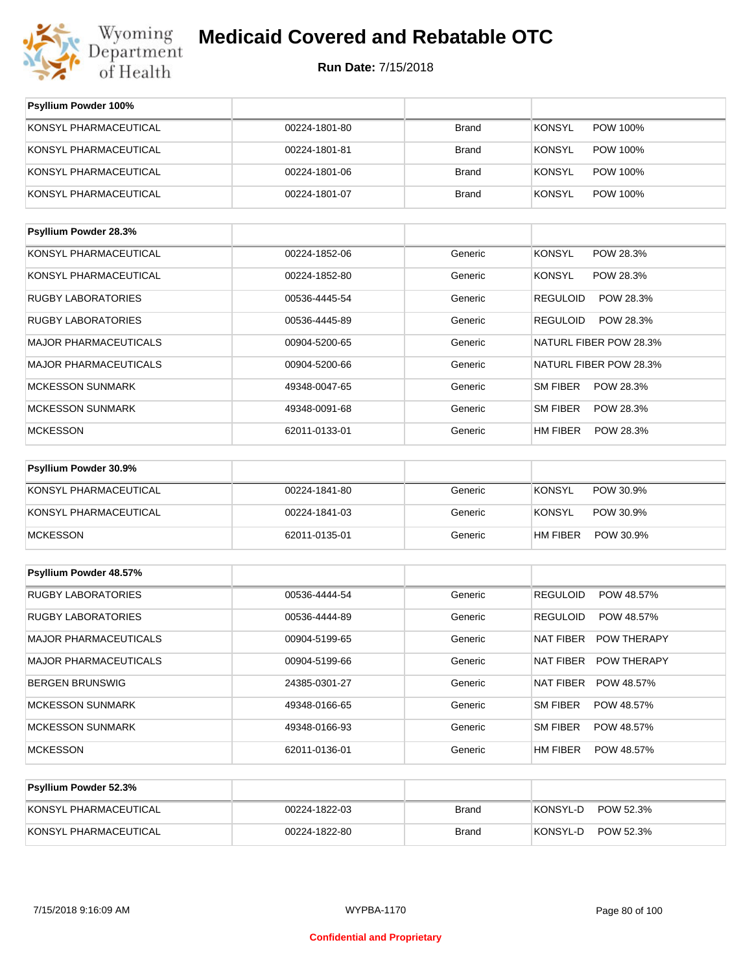

| <b>Psyllium Powder 100%</b>  |               |              |                                  |
|------------------------------|---------------|--------------|----------------------------------|
| KONSYL PHARMACEUTICAL        | 00224-1801-80 | <b>Brand</b> | <b>KONSYL</b><br><b>POW 100%</b> |
| KONSYL PHARMACEUTICAL        | 00224-1801-81 | Brand        | <b>KONSYL</b><br><b>POW 100%</b> |
| KONSYL PHARMACEUTICAL        | 00224-1801-06 | Brand        | <b>KONSYL</b><br><b>POW 100%</b> |
| KONSYL PHARMACEUTICAL        | 00224-1801-07 | <b>Brand</b> | <b>POW 100%</b><br><b>KONSYL</b> |
|                              |               |              |                                  |
| <b>Psyllium Powder 28.3%</b> |               |              |                                  |
| KONSYL PHARMACEUTICAL        | 00224-1852-06 | Generic      | <b>KONSYL</b><br>POW 28.3%       |
| KONSYL PHARMACEUTICAL        | 00224-1852-80 | Generic      | <b>KONSYL</b><br>POW 28.3%       |
| <b>RUGBY LABORATORIES</b>    | 00536-4445-54 | Generic      | POW 28.3%<br><b>REGULOID</b>     |
| <b>RUGBY LABORATORIES</b>    | 00536-4445-89 | Generic      | <b>REGULOID</b><br>POW 28.3%     |
| <b>MAJOR PHARMACEUTICALS</b> | 00904-5200-65 | Generic      | NATURL FIBER POW 28.3%           |
| <b>MAJOR PHARMACEUTICALS</b> | 00904-5200-66 | Generic      | NATURL FIBER POW 28.3%           |
| MORECCONI CLINIMADIZ         | 10210001725   | Conorio      | CM EIDED<br>00 ספי 00/∩ח         |

| MAJOR PHARMACEUTICALS    | 00904-5200-66 | Generic | NATURL FIBER POW 28.3% |
|--------------------------|---------------|---------|------------------------|
| <b>IMCKESSON SUNMARK</b> | 49348-0047-65 | Generic | ISM FIBER<br>POW 28.3% |
| MCKESSON SUNMARK         | 49348-0091-68 | Generic | ISM FIBER<br>POW 28.3% |
| <b>MCKESSON</b>          | 62011-0133-01 | Generic | POW 28.3%<br>HM FIBER  |

| <b>Psyllium Powder 30.9%</b> |               |         |                       |
|------------------------------|---------------|---------|-----------------------|
| KONSYL PHARMACEUTICAL        | 00224-1841-80 | Generic | KONSYL<br>POW 30.9%   |
| KONSYL PHARMACEUTICAL        | 00224-1841-03 | Generic | KONSYL<br>POW 30.9%   |
| MCKESSON                     | 62011-0135-01 | Generic | POW 30.9%<br>HM FIBER |

| Psyllium Powder 48.57%       |               |         |                                        |
|------------------------------|---------------|---------|----------------------------------------|
| <b>RUGBY LABORATORIES</b>    | 00536-4444-54 | Generic | <b>REGULOID</b><br>POW 48.57%          |
| <b>RUGBY LABORATORIES</b>    | 00536-4444-89 | Generic | POW 48.57%<br><b>REGULOID</b>          |
| <b>MAJOR PHARMACEUTICALS</b> | 00904-5199-65 | Generic | <b>NAT FIBER</b><br><b>POW THERAPY</b> |
| <b>MAJOR PHARMACEUTICALS</b> | 00904-5199-66 | Generic | <b>POW THERAPY</b><br>NAT FIBER        |
| <b>BERGEN BRUNSWIG</b>       | 24385-0301-27 | Generic | NAT FIBER<br>POW 48.57%                |
| <b>MCKESSON SUNMARK</b>      | 49348-0166-65 | Generic | <b>SM FIBER</b><br>POW 48.57%          |
| <b>MCKESSON SUNMARK</b>      | 49348-0166-93 | Generic | <b>SM FIBER</b><br>POW 48.57%          |
| <b>MCKESSON</b>              | 62011-0136-01 | Generic | <b>HM FIBER</b><br>POW 48.57%          |

| <b>Psyllium Powder 52.3%</b> |               |       |                       |
|------------------------------|---------------|-------|-----------------------|
| KONSYL PHARMACEUTICAL        | 00224-1822-03 | Brand | POW 52.3%<br>KONSYL-D |
| KONSYL PHARMACEUTICAL        | 00224-1822-80 | Brand | KONSYL-D<br>POW 52.3% |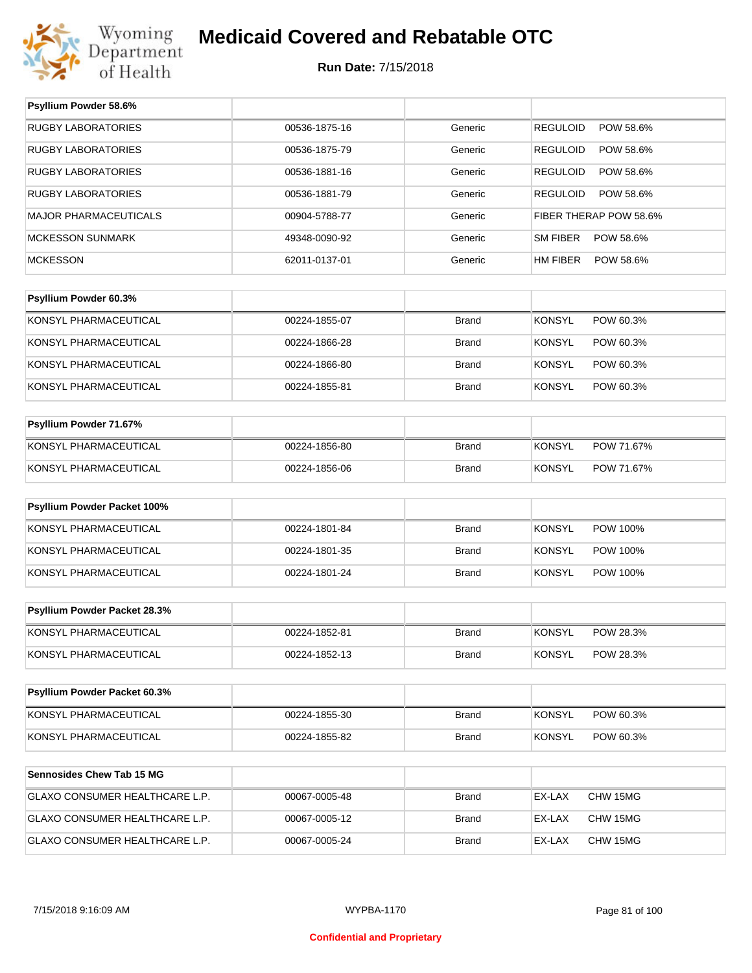

#### **Run Date:** 7/15/2018

| Psyllium Powder 58.6%            |               |              |                              |
|----------------------------------|---------------|--------------|------------------------------|
| <b>RUGBY LABORATORIES</b>        | 00536-1875-16 | Generic      | <b>REGULOID</b><br>POW 58.6% |
| <b>RUGBY LABORATORIES</b>        | 00536-1875-79 | Generic      | POW 58.6%<br><b>REGULOID</b> |
| <b>RUGBY LABORATORIES</b>        | 00536-1881-16 | Generic      | <b>REGULOID</b><br>POW 58.6% |
| <b>RUGBY LABORATORIES</b>        | 00536-1881-79 | Generic      | <b>REGULOID</b><br>POW 58.6% |
| <b>MAJOR PHARMACEUTICALS</b>     | 00904-5788-77 | Generic      | FIBER THERAP POW 58.6%       |
| <b>MCKESSON SUNMARK</b>          | 49348-0090-92 | Generic      | <b>SM FIBER</b><br>POW 58.6% |
| <b>MCKESSON</b>                  | 62011-0137-01 | Generic      | HM FIBER<br>POW 58.6%        |
|                                  |               |              |                              |
| Psyllium Powder 60.3%            |               |              |                              |
| KONSYL PHARMACEUTICAL            | 00224-1855-07 | <b>Brand</b> | <b>KONSYL</b><br>POW 60.3%   |
| KONSYL PHARMACEUTICAL            | 00224-1866-28 | <b>Brand</b> | <b>KONSYL</b><br>POW 60.3%   |
| KONSYL PHARMACEUTICAL            | 00224-1866-80 | <b>Brand</b> | <b>KONSYL</b><br>POW 60.3%   |
| KONSYL PHARMACEUTICAL            | 00224-1855-81 | <b>Brand</b> | <b>KONSYL</b><br>POW 60.3%   |
|                                  |               |              |                              |
| Psyllium Powder 71.67%           |               |              |                              |
| KONSYL PHARMACEUTICAL            | 00224-1856-80 | <b>Brand</b> | <b>KONSYL</b><br>POW 71.67%  |
| KONSYL PHARMACEUTICAL            | 00224-1856-06 | <b>Brand</b> | <b>KONSYL</b><br>POW 71.67%  |
| Psyllium Powder Packet 100%      |               |              |                              |
|                                  |               |              |                              |
| KONSYL PHARMACEUTICAL            | 00224-1801-84 | <b>Brand</b> | <b>KONSYL</b><br>POW 100%    |
| KONSYL PHARMACEUTICAL            | 00224-1801-35 | <b>Brand</b> | <b>KONSYL</b><br>POW 100%    |
| KONSYL PHARMACEUTICAL            | 00224-1801-24 | <b>Brand</b> | <b>KONSYL</b><br>POW 100%    |
| Psyllium Powder Packet 28.3%     |               |              |                              |
| KONSYL PHARMACEUTICAL            | 00224-1852-81 | <b>Brand</b> | <b>KONSYL</b><br>POW 28.3%   |
| KONSYL PHARMACEUTICAL            | 00224-1852-13 | Brand        | <b>KONSYL</b><br>POW 28.3%   |
|                                  |               |              |                              |
| Psyllium Powder Packet 60.3%     |               |              |                              |
| KONSYL PHARMACEUTICAL            | 00224-1855-30 | Brand        | POW 60.3%<br><b>KONSYL</b>   |
| KONSYL PHARMACEUTICAL            | 00224-1855-82 | <b>Brand</b> | <b>KONSYL</b><br>POW 60.3%   |
|                                  |               |              |                              |
| <b>Sennosides Chew Tab 15 MG</b> |               |              |                              |
| GLAXO CONSUMER HEALTHCARE L.P.   | 00067-0005-48 | <b>Brand</b> | EX-LAX<br>CHW 15MG           |
| GLAXO CONSUMER HEALTHCARE L.P.   | 00067-0005-12 | Brand        | EX-LAX<br>CHW 15MG           |
| GLAXO CONSUMER HEALTHCARE L.P.   | 00067-0005-24 | <b>Brand</b> | EX-LAX<br>CHW 15MG           |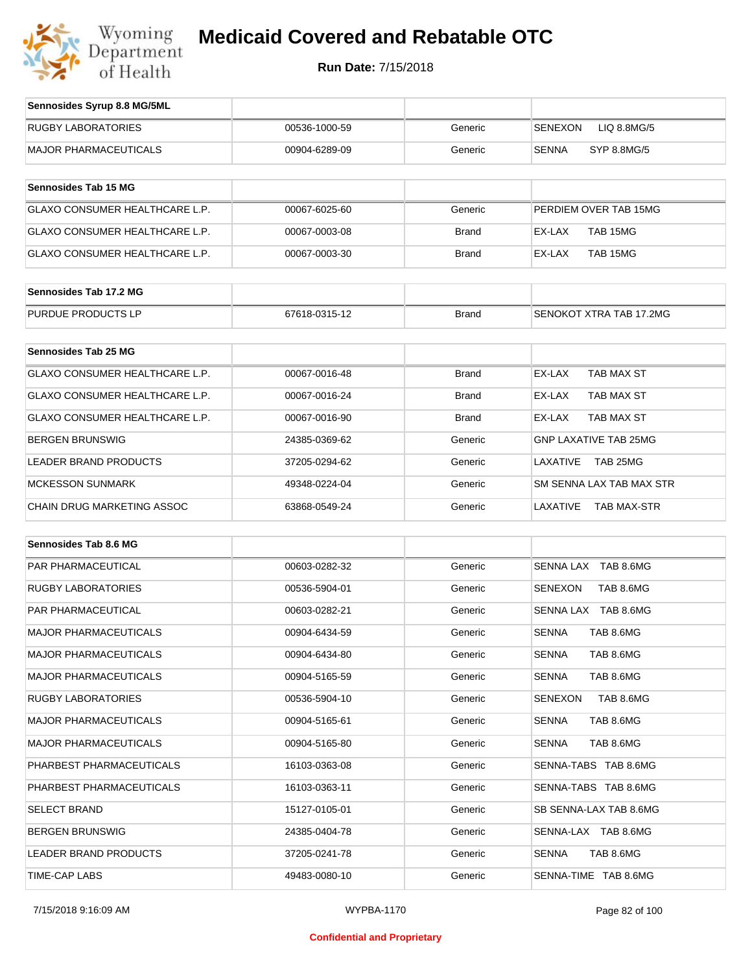

| Sennosides Syrup 8.8 MG/5ML           |               |              |                                |
|---------------------------------------|---------------|--------------|--------------------------------|
| <b>RUGBY LABORATORIES</b>             | 00536-1000-59 | Generic      | <b>SENEXON</b><br>LIQ 8.8MG/5  |
| <b>MAJOR PHARMACEUTICALS</b>          | 00904-6289-09 | Generic      | <b>SENNA</b><br>SYP 8.8MG/5    |
| <b>Sennosides Tab 15 MG</b>           |               |              |                                |
|                                       |               |              |                                |
| <b>GLAXO CONSUMER HEALTHCARE L.P.</b> | 00067-6025-60 | Generic      | PERDIEM OVER TAB 15MG          |
| GLAXO CONSUMER HEALTHCARE L.P.        | 00067-0003-08 | <b>Brand</b> | EX-LAX<br>TAB 15MG             |
| <b>GLAXO CONSUMER HEALTHCARE L.P.</b> | 00067-0003-30 | <b>Brand</b> | EX-LAX<br>TAB 15MG             |
| Sennosides Tab 17.2 MG                |               |              |                                |
| PURDUE PRODUCTS LP                    | 67618-0315-12 | <b>Brand</b> | SENOKOT XTRA TAB 17.2MG        |
|                                       |               |              |                                |
| <b>Sennosides Tab 25 MG</b>           |               |              |                                |
| <b>GLAXO CONSUMER HEALTHCARE L.P.</b> | 00067-0016-48 | <b>Brand</b> | EX-LAX<br>TAB MAX ST           |
| GLAXO CONSUMER HEALTHCARE L.P.        | 00067-0016-24 | <b>Brand</b> | EX-LAX<br>TAB MAX ST           |
| GLAXO CONSUMER HEALTHCARE L.P.        | 00067-0016-90 | <b>Brand</b> | EX-LAX<br>TAB MAX ST           |
| <b>BERGEN BRUNSWIG</b>                | 24385-0369-62 | Generic      | <b>GNP LAXATIVE TAB 25MG</b>   |
| <b>LEADER BRAND PRODUCTS</b>          | 37205-0294-62 | Generic      | LAXATIVE<br>TAB 25MG           |
| <b>MCKESSON SUNMARK</b>               | 49348-0224-04 | Generic      | SM SENNA LAX TAB MAX STR       |
| <b>CHAIN DRUG MARKETING ASSOC</b>     | 63868-0549-24 | Generic      | LAXATIVE<br><b>TAB MAX-STR</b> |
| <b>Sennosides Tab 8.6 MG</b>          |               |              |                                |
|                                       |               |              |                                |
| PAR PHARMACEUTICAL                    | 00603-0282-32 | Generic      | SENNA LAX TAB 8.6MG            |
| <b>RUGBY LABORATORIES</b>             | 00536-5904-01 | Generic      | <b>SENEXON</b><br>TAB 8.6MG    |
| PAR PHARMACEUTICAL                    | 00603-0282-21 | Generic      | SENNA LAX TAB 8.6MG            |
| <b>MAJOR PHARMACEUTICALS</b>          | 00904-6434-59 | Generic      | <b>SENNA</b><br>TAB 8.6MG      |
| <b>MAJOR PHARMACEUTICALS</b>          | 00904-6434-80 | Generic      | <b>SENNA</b><br>TAB 8.6MG      |

| <b>MAJOR PHARMACEUTICALS</b> | 00904-6434-59 | Generic | <b>SENNA</b><br>TAB 8.6MG |
|------------------------------|---------------|---------|---------------------------|
| <b>MAJOR PHARMACEUTICALS</b> | 00904-6434-80 | Generic | <b>SENNA</b><br>TAB 8.6MG |
| <b>MAJOR PHARMACEUTICALS</b> | 00904-5165-59 | Generic | <b>SENNA</b><br>TAB 8.6MG |
| RUGBY LABORATORIES           | 00536-5904-10 | Generic | SENEXON<br>TAB 8.6MG      |
| <b>MAJOR PHARMACEUTICALS</b> | 00904-5165-61 | Generic | <b>SENNA</b><br>TAB 8.6MG |
| <b>MAJOR PHARMACEUTICALS</b> | 00904-5165-80 | Generic | SENNA<br>TAB 8.6MG        |
| PHARBEST PHARMACEUTICALS     | 16103-0363-08 | Generic | SENNA-TABS TAB 8.6MG      |
| PHARBEST PHARMACEUTICALS     | 16103-0363-11 | Generic | SENNA-TABS TAB 8.6MG      |
| <b>SELECT BRAND</b>          | 15127-0105-01 | Generic | SB SENNA-LAX TAB 8.6MG    |
| <b>BERGEN BRUNSWIG</b>       | 24385-0404-78 | Generic | SENNA-LAX TAB 8.6MG       |
| <b>LEADER BRAND PRODUCTS</b> | 37205-0241-78 | Generic | <b>SENNA</b><br>TAB 8.6MG |
| TIME-CAP LABS                | 49483-0080-10 | Generic | SENNA-TIME TAB 8.6MG      |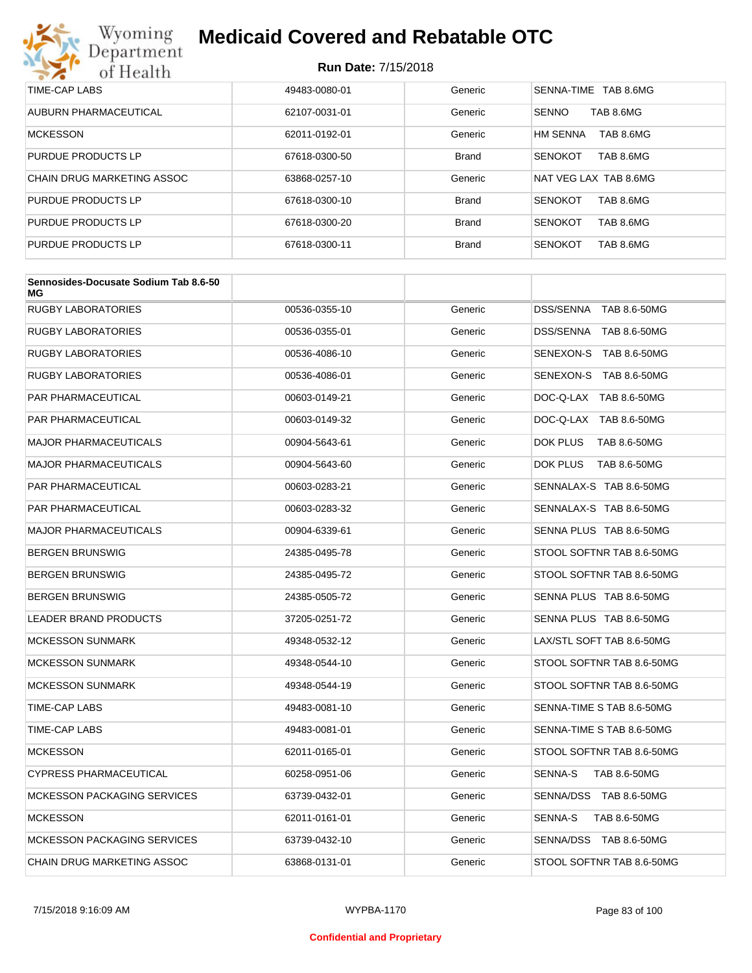

| TIME-CAP LABS              | 49483-0080-01 | Generic      | SENNA-TIME TAB 8.6MG         |
|----------------------------|---------------|--------------|------------------------------|
| AUBURN PHARMACEUTICAL      | 62107-0031-01 | Generic      | <b>SENNO</b><br>TAB 8.6MG    |
| <b>MCKESSON</b>            | 62011-0192-01 | Generic      | <b>HM SENNA</b><br>TAB 8.6MG |
| PURDUE PRODUCTS LP         | 67618-0300-50 | <b>Brand</b> | TAB 8.6MG<br><b>SENOKOT</b>  |
| CHAIN DRUG MARKETING ASSOC | 63868-0257-10 | Generic      | NAT VEG LAX TAB 8.6MG        |
| PURDUE PRODUCTS LP         | 67618-0300-10 | <b>Brand</b> | <b>SENOKOT</b><br>TAB 8.6MG  |
| PURDUE PRODUCTS LP         | 67618-0300-20 | <b>Brand</b> | <b>SENOKOT</b><br>TAB 8.6MG  |
| PURDUE PRODUCTS LP         | 67618-0300-11 | <b>Brand</b> | <b>SENOKOT</b><br>TAB 8.6MG  |

| Sennosides-Docusate Sodium Tab 8.6-50<br>ΜG |               |         |                           |
|---------------------------------------------|---------------|---------|---------------------------|
| <b>RUGBY LABORATORIES</b>                   | 00536-0355-10 | Generic | DSS/SENNA TAB 8.6-50MG    |
| <b>RUGBY LABORATORIES</b>                   | 00536-0355-01 | Generic | DSS/SENNA TAB 8.6-50MG    |
| <b>RUGBY LABORATORIES</b>                   | 00536-4086-10 | Generic | SENEXON-S TAB 8.6-50MG    |
| <b>RUGBY LABORATORIES</b>                   | 00536-4086-01 | Generic | SENEXON-S TAB 8.6-50MG    |
| <b>PAR PHARMACEUTICAL</b>                   | 00603-0149-21 | Generic | DOC-Q-LAX TAB 8.6-50MG    |
| <b>PAR PHARMACEUTICAL</b>                   | 00603-0149-32 | Generic | DOC-Q-LAX TAB 8.6-50MG    |
| <b>MAJOR PHARMACEUTICALS</b>                | 00904-5643-61 | Generic | DOK PLUS<br>TAB 8.6-50MG  |
| <b>MAJOR PHARMACEUTICALS</b>                | 00904-5643-60 | Generic | DOK PLUS<br>TAB 8.6-50MG  |
| <b>PAR PHARMACEUTICAL</b>                   | 00603-0283-21 | Generic | SENNALAX-S TAB 8.6-50MG   |
| PAR PHARMACEUTICAL                          | 00603-0283-32 | Generic | SENNALAX-S TAB 8.6-50MG   |
| <b>MAJOR PHARMACEUTICALS</b>                | 00904-6339-61 | Generic | SENNA PLUS TAB 8.6-50MG   |
| <b>BERGEN BRUNSWIG</b>                      | 24385-0495-78 | Generic | STOOL SOFTNR TAB 8.6-50MG |
| <b>BERGEN BRUNSWIG</b>                      | 24385-0495-72 | Generic | STOOL SOFTNR TAB 8.6-50MG |
| <b>BERGEN BRUNSWIG</b>                      | 24385-0505-72 | Generic | SENNA PLUS TAB 8.6-50MG   |
| LEADER BRAND PRODUCTS                       | 37205-0251-72 | Generic | SENNA PLUS TAB 8.6-50MG   |
| <b>MCKESSON SUNMARK</b>                     | 49348-0532-12 | Generic | LAX/STL SOFT TAB 8.6-50MG |
| <b>MCKESSON SUNMARK</b>                     | 49348-0544-10 | Generic | STOOL SOFTNR TAB 8.6-50MG |
| <b>MCKESSON SUNMARK</b>                     | 49348-0544-19 | Generic | STOOL SOFTNR TAB 8.6-50MG |
| TIME-CAP LABS                               | 49483-0081-10 | Generic | SENNA-TIME S TAB 8.6-50MG |
| <b>TIME-CAP LABS</b>                        | 49483-0081-01 | Generic | SENNA-TIME S TAB 8.6-50MG |
| <b>MCKESSON</b>                             | 62011-0165-01 | Generic | STOOL SOFTNR TAB 8.6-50MG |
| <b>CYPRESS PHARMACEUTICAL</b>               | 60258-0951-06 | Generic | TAB 8.6-50MG<br>SENNA-S   |
| <b>MCKESSON PACKAGING SERVICES</b>          | 63739-0432-01 | Generic | SENNA/DSS TAB 8.6-50MG    |
| <b>MCKESSON</b>                             | 62011-0161-01 | Generic | SENNA-S<br>TAB 8.6-50MG   |
| <b>MCKESSON PACKAGING SERVICES</b>          | 63739-0432-10 | Generic | SENNA/DSS TAB 8.6-50MG    |
| <b>CHAIN DRUG MARKETING ASSOC</b>           | 63868-0131-01 | Generic | STOOL SOFTNR TAB 8.6-50MG |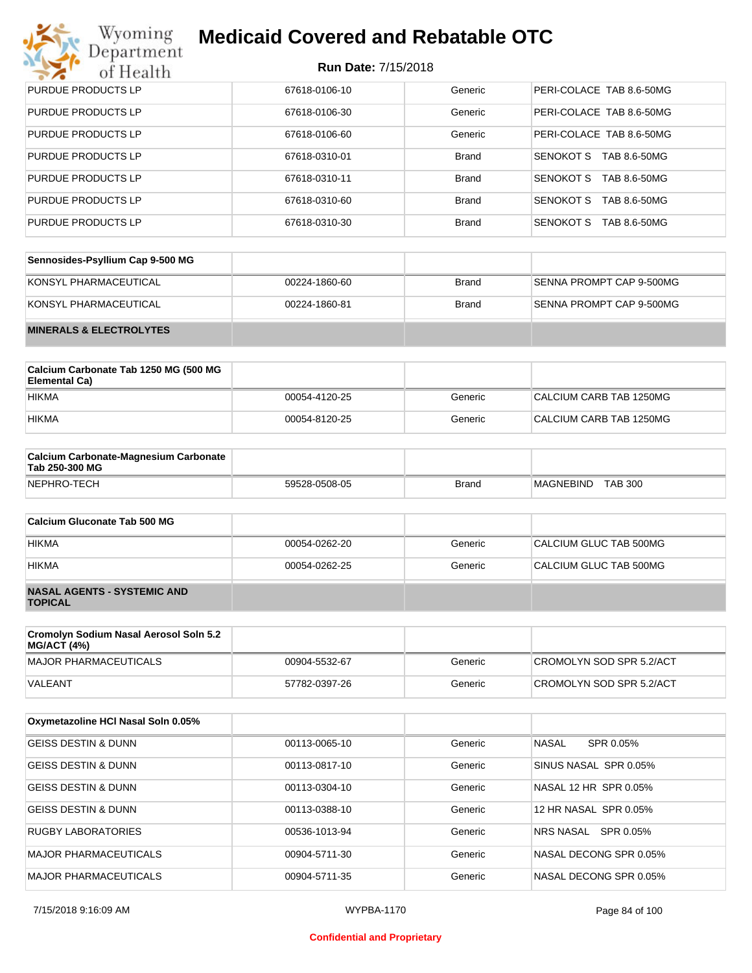# Wyoming<br>Department<br>of Health

# **Medicaid Covered and Rebatable OTC**

| <b>PURDUE PRODUCTS LP</b> | 67618-0106-10 | Generic      | PERI-COLACE TAB 8.6-50MG  |
|---------------------------|---------------|--------------|---------------------------|
| <b>PURDUE PRODUCTS LP</b> | 67618-0106-30 | Generic      | PERI-COLACE TAB 8.6-50MG  |
| <b>PURDUE PRODUCTS LP</b> | 67618-0106-60 | Generic      | PERI-COLACE TAB 8.6-50MG  |
| <b>PURDUE PRODUCTS LP</b> | 67618-0310-01 | <b>Brand</b> | SENOKOT S<br>TAB 8.6-50MG |
| <b>PURDUE PRODUCTS LP</b> | 67618-0310-11 | <b>Brand</b> | SENOKOT S<br>TAB 8.6-50MG |
| <b>PURDUE PRODUCTS LP</b> | 67618-0310-60 | <b>Brand</b> | SENOKOT S<br>TAB 8.6-50MG |
| <b>PURDUE PRODUCTS LP</b> | 67618-0310-30 | <b>Brand</b> | SENOKOT S<br>TAB 8.6-50MG |

| Sennosides-Psyllium Cap 9-500 MG   |               |       |                          |
|------------------------------------|---------------|-------|--------------------------|
| KONSYL PHARMACEUTICAL              | 00224-1860-60 | Brand | SENNA PROMPT CAP 9-500MG |
| KONSYL PHARMACEUTICAL              | 00224-1860-81 | Brand | SENNA PROMPT CAP 9-500MG |
| <b>MINERALS &amp; ELECTROLYTES</b> |               |       |                          |

| Calcium Carbonate Tab 1250 MG (500 MG<br>Elemental Ca) |               |         |                         |
|--------------------------------------------------------|---------------|---------|-------------------------|
| <b>HIKMA</b>                                           | 00054-4120-25 | Generic | CALCIUM CARB TAB 1250MG |
| <b>HIKMA</b>                                           | 00054-8120-25 | Generic | CALCIUM CARB TAB 1250MG |

| <b>Calcium Carbonate-Magnesium Carbonate</b><br>Tab 250-300 MG |               |       |                                    |  |
|----------------------------------------------------------------|---------------|-------|------------------------------------|--|
| NEPHRO-TECH                                                    | 59528-0508-05 | Brand | <b>TAB 300</b><br><b>MAGNEBIND</b> |  |

| Calcium Gluconate Tab 500 MG                         |               |         |                        |
|------------------------------------------------------|---------------|---------|------------------------|
| <b>HIKMA</b>                                         | 00054-0262-20 | Generic | CALCIUM GLUC TAB 500MG |
| <b>HIKMA</b>                                         | 00054-0262-25 | Generic | CALCIUM GLUC TAB 500MG |
| <b>NASAL AGENTS - SYSTEMIC AND</b><br><b>TOPICAL</b> |               |         |                        |

| Cromolyn Sodium Nasal Aerosol Soln 5.2<br>MG/ACT (4%) |               |         |                          |
|-------------------------------------------------------|---------------|---------|--------------------------|
| MAJOR PHARMACEUTICALS                                 | 00904-5532-67 | Generic | CROMOLYN SOD SPR 5.2/ACT |
| VALEANT                                               | 57782-0397-26 | Generic | CROMOLYN SOD SPR 5.2/ACT |

| Oxymetazoline HCI Nasal Soln 0.05% |               |         |                           |
|------------------------------------|---------------|---------|---------------------------|
| <b>GEISS DESTIN &amp; DUNN</b>     | 00113-0065-10 | Generic | <b>NASAL</b><br>SPR 0.05% |
| <b>GEISS DESTIN &amp; DUNN</b>     | 00113-0817-10 | Generic | SINUS NASAL SPR 0.05%     |
| <b>GEISS DESTIN &amp; DUNN</b>     | 00113-0304-10 | Generic | NASAL 12 HR SPR 0.05%     |
| <b>GEISS DESTIN &amp; DUNN</b>     | 00113-0388-10 | Generic | 12 HR NASAL SPR 0.05%     |
| RUGBY LABORATORIES                 | 00536-1013-94 | Generic | SPR 0.05%<br>NRS NASAL    |
| <b>MAJOR PHARMACEUTICALS</b>       | 00904-5711-30 | Generic | NASAL DECONG SPR 0.05%    |
| MAJOR PHARMACEUTICALS              | 00904-5711-35 | Generic | NASAL DECONG SPR 0.05%    |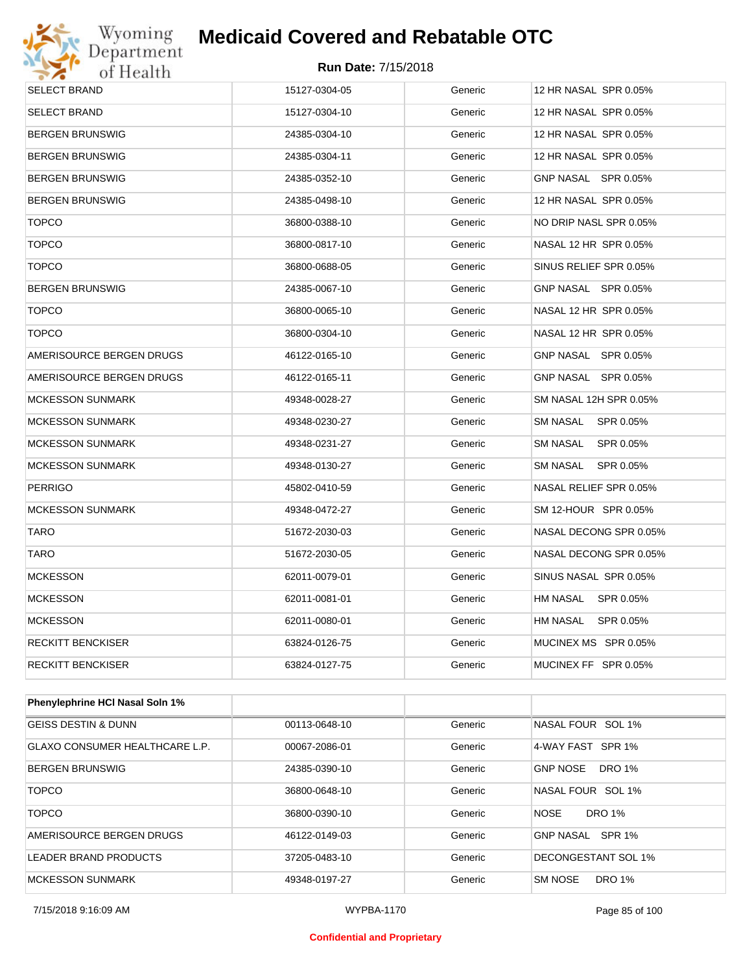

| <b>SELECT BRAND</b>             | 15127-0304-05 | Generic | 12 HR NASAL SPR 0.05%  |
|---------------------------------|---------------|---------|------------------------|
| <b>SELECT BRAND</b>             | 15127-0304-10 | Generic | 12 HR NASAL SPR 0.05%  |
| <b>BERGEN BRUNSWIG</b>          | 24385-0304-10 | Generic | 12 HR NASAL SPR 0.05%  |
| <b>BERGEN BRUNSWIG</b>          | 24385-0304-11 | Generic | 12 HR NASAL SPR 0.05%  |
| <b>BERGEN BRUNSWIG</b>          | 24385-0352-10 | Generic | GNP NASAL SPR 0.05%    |
| <b>BERGEN BRUNSWIG</b>          | 24385-0498-10 | Generic | 12 HR NASAL SPR 0.05%  |
| <b>TOPCO</b>                    | 36800-0388-10 | Generic | NO DRIP NASL SPR 0.05% |
| <b>TOPCO</b>                    | 36800-0817-10 | Generic | NASAL 12 HR SPR 0.05%  |
| <b>TOPCO</b>                    | 36800-0688-05 | Generic | SINUS RELIEF SPR 0.05% |
| <b>BERGEN BRUNSWIG</b>          | 24385-0067-10 | Generic | GNP NASAL SPR 0.05%    |
| <b>TOPCO</b>                    | 36800-0065-10 | Generic | NASAL 12 HR SPR 0.05%  |
| <b>TOPCO</b>                    | 36800-0304-10 | Generic | NASAL 12 HR SPR 0.05%  |
| AMERISOURCE BERGEN DRUGS        | 46122-0165-10 | Generic | GNP NASAL SPR 0.05%    |
| AMERISOURCE BERGEN DRUGS        | 46122-0165-11 | Generic | GNP NASAL SPR 0.05%    |
| <b>MCKESSON SUNMARK</b>         | 49348-0028-27 | Generic | SM NASAL 12H SPR 0.05% |
| <b>MCKESSON SUNMARK</b>         | 49348-0230-27 | Generic | SM NASAL SPR 0.05%     |
| <b>MCKESSON SUNMARK</b>         | 49348-0231-27 | Generic | SM NASAL<br>SPR 0.05%  |
| <b>MCKESSON SUNMARK</b>         | 49348-0130-27 | Generic | SM NASAL<br>SPR 0.05%  |
| <b>PERRIGO</b>                  | 45802-0410-59 | Generic | NASAL RELIEF SPR 0.05% |
| <b>MCKESSON SUNMARK</b>         | 49348-0472-27 | Generic | SM 12-HOUR SPR 0.05%   |
| <b>TARO</b>                     | 51672-2030-03 | Generic | NASAL DECONG SPR 0.05% |
| <b>TARO</b>                     | 51672-2030-05 | Generic | NASAL DECONG SPR 0.05% |
| <b>MCKESSON</b>                 | 62011-0079-01 | Generic | SINUS NASAL SPR 0.05%  |
| <b>MCKESSON</b>                 | 62011-0081-01 | Generic | HM NASAL SPR 0.05%     |
| <b>MCKESSON</b>                 | 62011-0080-01 | Generic | HM NASAL SPR 0.05%     |
| <b>RECKITT BENCKISER</b>        | 63824-0126-75 | Generic | MUCINEX MS SPR 0.05%   |
| <b>RECKITT BENCKISER</b>        | 63824-0127-75 | Generic | MUCINEX FF SPR 0.05%   |
|                                 |               |         |                        |
| Phenylephrine HCI Nasal Soln 1% |               |         |                        |
| <b>GEISS DESTIN &amp; DUNN</b>  | 00113-0648-10 | Generic | NASAL FOUR SOL 1%      |
| CLAVO CONSUMED HEALTHCADE LD    | 00067-2086-01 | Canaric | 1. MAY FAST SDD 104    |

| <b>GEISS DESTIN &amp; DUNN</b>        | 00113-0648-10 | Generic | NASAL FOUR SOL 1%                |
|---------------------------------------|---------------|---------|----------------------------------|
| <b>GLAXO CONSUMER HEALTHCARE L.P.</b> | 00067-2086-01 | Generic | 4-WAY FAST SPR 1%                |
| <b>BERGEN BRUNSWIG</b>                | 24385-0390-10 | Generic | <b>DRO 1%</b><br><b>GNP NOSE</b> |
| <b>TOPCO</b>                          | 36800-0648-10 | Generic | NASAL FOUR SOL 1%                |
| TOPCO                                 | 36800-0390-10 | Generic | <b>NOSE</b><br><b>DRO 1%</b>     |
| AMERISOURCE BERGEN DRUGS              | 46122-0149-03 | Generic | SPR 1%<br>GNP NASAL              |
| LEADER BRAND PRODUCTS                 | 37205-0483-10 | Generic | DECONGESTANT SOL 1%              |
| <b>MCKESSON SUNMARK</b>               | 49348-0197-27 | Generic | <b>SM NOSE</b><br><b>DRO 1%</b>  |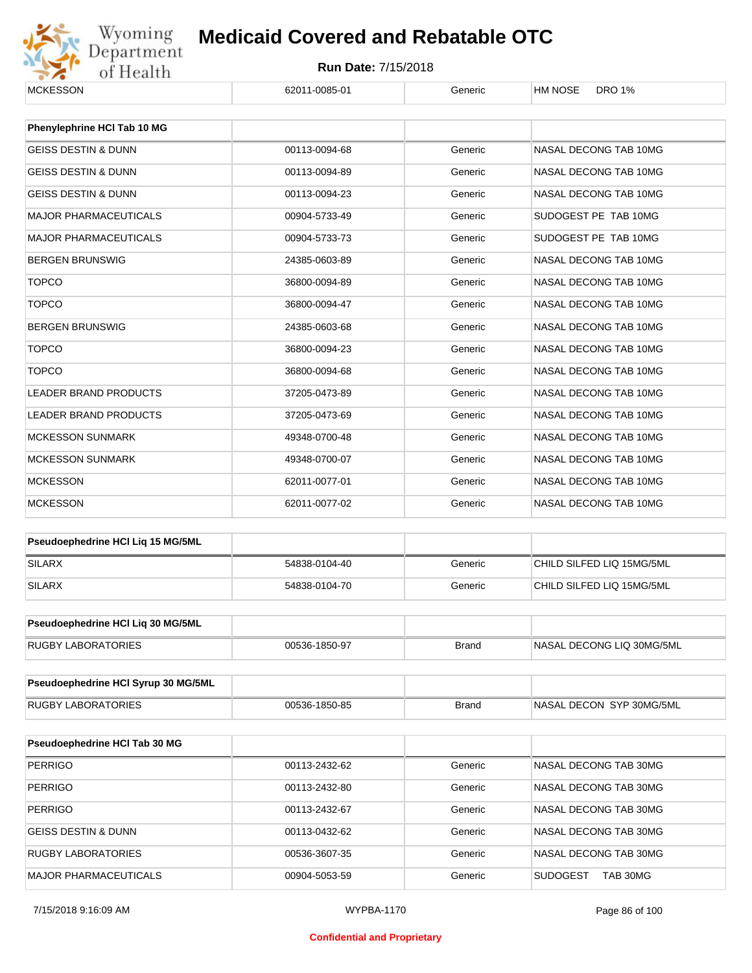

#### **Run Date:** 7/15/2018

| <b>MCKESSON</b>                     | 62011-0085-01 | Generic      | <b>HM NOSE</b><br><b>DRO 1%</b> |  |  |
|-------------------------------------|---------------|--------------|---------------------------------|--|--|
| Phenylephrine HCI Tab 10 MG         |               |              |                                 |  |  |
|                                     |               |              |                                 |  |  |
| <b>GEISS DESTIN &amp; DUNN</b>      | 00113-0094-68 | Generic      | NASAL DECONG TAB 10MG           |  |  |
| <b>GEISS DESTIN &amp; DUNN</b>      | 00113-0094-89 | Generic      | NASAL DECONG TAB 10MG           |  |  |
| <b>GEISS DESTIN &amp; DUNN</b>      | 00113-0094-23 | Generic      | NASAL DECONG TAB 10MG           |  |  |
| <b>MAJOR PHARMACEUTICALS</b>        | 00904-5733-49 | Generic      | SUDOGEST PE TAB 10MG            |  |  |
| <b>MAJOR PHARMACEUTICALS</b>        | 00904-5733-73 | Generic      | SUDOGEST PE TAB 10MG            |  |  |
| <b>BERGEN BRUNSWIG</b>              | 24385-0603-89 | Generic      | NASAL DECONG TAB 10MG           |  |  |
| <b>TOPCO</b>                        | 36800-0094-89 | Generic      | NASAL DECONG TAB 10MG           |  |  |
| <b>TOPCO</b>                        | 36800-0094-47 | Generic      | NASAL DECONG TAB 10MG           |  |  |
| <b>BERGEN BRUNSWIG</b>              | 24385-0603-68 | Generic      | NASAL DECONG TAB 10MG           |  |  |
| <b>TOPCO</b>                        | 36800-0094-23 | Generic      | NASAL DECONG TAB 10MG           |  |  |
| <b>TOPCO</b>                        | 36800-0094-68 | Generic      | NASAL DECONG TAB 10MG           |  |  |
| <b>LEADER BRAND PRODUCTS</b>        | 37205-0473-89 | Generic      | NASAL DECONG TAB 10MG           |  |  |
| LEADER BRAND PRODUCTS               | 37205-0473-69 | Generic      | NASAL DECONG TAB 10MG           |  |  |
| <b>MCKESSON SUNMARK</b>             | 49348-0700-48 | Generic      | NASAL DECONG TAB 10MG           |  |  |
| <b>MCKESSON SUNMARK</b>             | 49348-0700-07 | Generic      | NASAL DECONG TAB 10MG           |  |  |
| <b>MCKESSON</b>                     | 62011-0077-01 | Generic      | NASAL DECONG TAB 10MG           |  |  |
| <b>MCKESSON</b>                     | 62011-0077-02 | Generic      | NASAL DECONG TAB 10MG           |  |  |
|                                     |               |              |                                 |  |  |
| Pseudoephedrine HCI Liq 15 MG/5ML   |               |              |                                 |  |  |
| <b>SILARX</b>                       | 54838-0104-40 | Generic      | CHILD SILFED LIQ 15MG/5ML       |  |  |
| <b>SILARX</b>                       | 54838-0104-70 | Generic      | CHILD SILFED LIQ 15MG/5ML       |  |  |
| Pseudoephedrine HCI Lig 30 MG/5ML   |               |              |                                 |  |  |
|                                     |               |              |                                 |  |  |
| RUGBY LABORATORIES                  | 00536-1850-97 | <b>Brand</b> | NASAL DECONG LIQ 30MG/5ML       |  |  |
| Pseudoephedrine HCI Syrup 30 MG/5ML |               |              |                                 |  |  |
| <b>RUGBY LABORATORIES</b>           | 00536-1850-85 | <b>Brand</b> | NASAL DECON SYP 30MG/5ML        |  |  |
|                                     |               |              |                                 |  |  |
| Pseudoephedrine HCI Tab 30 MG       |               |              |                                 |  |  |
| <b>PERRIGO</b>                      | 00113-2432-62 | Generic      | NASAL DECONG TAB 30MG           |  |  |
| <b>PERRIGO</b>                      | 00113-2432-80 | Generic      | NASAL DECONG TAB 30MG           |  |  |
| <b>PERRIGO</b>                      | 00113-2432-67 | Generic      | NASAL DECONG TAB 30MG           |  |  |
| <b>GEISS DESTIN &amp; DUNN</b>      | 00113-0432-62 | Generic      | NASAL DECONG TAB 30MG           |  |  |
| <b>RUGBY LABORATORIES</b>           | 00536-3607-35 | Generic      | NASAL DECONG TAB 30MG           |  |  |
| <b>MAJOR PHARMACEUTICALS</b>        | 00904-5053-59 | Generic      | <b>SUDOGEST</b><br>TAB 30MG     |  |  |

7/15/2018 9:16:09 AM WYPBA-1170 Page 86 of 100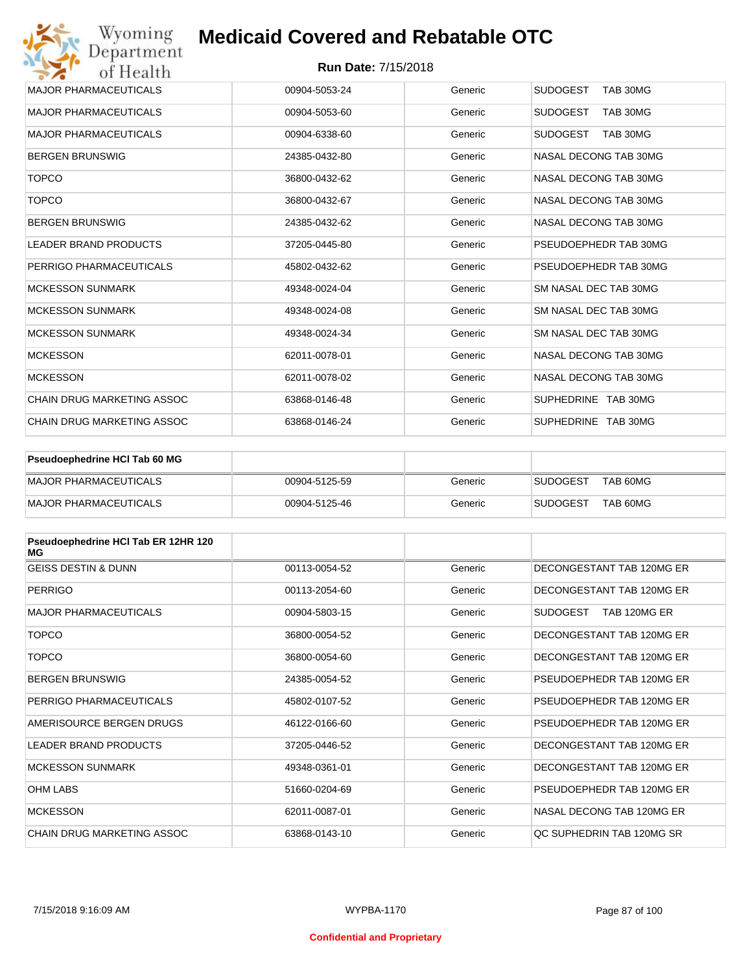| Wyoming<br>Department             | <b>Medicaid Covered and Rebatable OTC</b> |         |                             |
|-----------------------------------|-------------------------------------------|---------|-----------------------------|
| of Health                         | <b>Run Date: 7/15/2018</b>                |         |                             |
| <b>MAJOR PHARMACEUTICALS</b>      | 00904-5053-24                             | Generic | <b>SUDOGEST</b><br>TAB 30MG |
| <b>MAJOR PHARMACEUTICALS</b>      | 00904-5053-60                             | Generic | <b>SUDOGEST</b><br>TAB 30MG |
| <b>MAJOR PHARMACEUTICALS</b>      | 00904-6338-60                             | Generic | <b>SUDOGEST</b><br>TAB 30MG |
| <b>BERGEN BRUNSWIG</b>            | 24385-0432-80                             | Generic | NASAL DECONG TAB 30MG       |
| <b>TOPCO</b>                      | 36800-0432-62                             | Generic | NASAL DECONG TAB 30MG       |
| <b>TOPCO</b>                      | 36800-0432-67                             | Generic | NASAL DECONG TAB 30MG       |
| <b>BERGEN BRUNSWIG</b>            | 24385-0432-62                             | Generic | NASAL DECONG TAB 30MG       |
| <b>LEADER BRAND PRODUCTS</b>      | 37205-0445-80                             | Generic | PSEUDOEPHEDR TAB 30MG       |
| PERRIGO PHARMACEUTICALS           | 45802-0432-62                             | Generic | PSEUDOEPHEDR TAB 30MG       |
| <b>MCKESSON SUNMARK</b>           | 49348-0024-04                             | Generic | SM NASAL DEC TAB 30MG       |
| <b>MCKESSON SUNMARK</b>           | 49348-0024-08                             | Generic | SM NASAL DEC TAB 30MG       |
| <b>MCKESSON SUNMARK</b>           | 49348-0024-34                             | Generic | SM NASAL DEC TAB 30MG       |
| <b>MCKESSON</b>                   | 62011-0078-01                             | Generic | NASAL DECONG TAB 30MG       |
| <b>MCKESSON</b>                   | 62011-0078-02                             | Generic | NASAL DECONG TAB 30MG       |
| <b>CHAIN DRUG MARKETING ASSOC</b> | 63868-0146-48                             | Generic | SUPHEDRINE TAB 30MG         |
| <b>CHAIN DRUG MARKETING ASSOC</b> | 63868-0146-24                             | Generic | SUPHEDRINE TAB 30MG         |

| Pseudoephedrine HCl Tab 60 MG |               |         |                 |          |
|-------------------------------|---------------|---------|-----------------|----------|
| MAJOR PHARMACEUTICALS         | 00904-5125-59 | Generic | <b>SUDOGEST</b> | TAB 60MG |
| MAJOR PHARMACEUTICALS         | 00904-5125-46 | Generic | <b>SUDOGEST</b> | TAB 60MG |

| Pseudoephedrine HCI Tab ER 12HR 120<br>MG |               |         |                                 |
|-------------------------------------------|---------------|---------|---------------------------------|
| <b>GEISS DESTIN &amp; DUNN</b>            | 00113-0054-52 | Generic | DECONGESTANT TAB 120MG ER       |
| <b>PERRIGO</b>                            | 00113-2054-60 | Generic | DECONGESTANT TAB 120MG ER       |
| <b>MAJOR PHARMACEUTICALS</b>              | 00904-5803-15 | Generic | <b>SUDOGEST</b><br>TAB 120MG ER |
| <b>TOPCO</b>                              | 36800-0054-52 | Generic | DECONGESTANT TAB 120MG ER       |
| <b>TOPCO</b>                              | 36800-0054-60 | Generic | DECONGESTANT TAB 120MG ER       |
| <b>BERGEN BRUNSWIG</b>                    | 24385-0054-52 | Generic | PSEUDOEPHEDR TAB 120MG ER       |
| PERRIGO PHARMACEUTICALS                   | 45802-0107-52 | Generic | PSEUDOEPHEDR TAB 120MG ER       |
| AMERISOURCE BERGEN DRUGS                  | 46122-0166-60 | Generic | PSEUDOEPHEDR TAB 120MG ER       |
| <b>LEADER BRAND PRODUCTS</b>              | 37205-0446-52 | Generic | DECONGESTANT TAB 120MG ER       |
| <b>MCKESSON SUNMARK</b>                   | 49348-0361-01 | Generic | DECONGESTANT TAB 120MG ER       |
| <b>OHM LABS</b>                           | 51660-0204-69 | Generic | PSEUDOEPHEDR TAB 120MG ER       |
| <b>MCKESSON</b>                           | 62011-0087-01 | Generic | NASAL DECONG TAB 120MG ER       |
| CHAIN DRUG MARKETING ASSOC                | 63868-0143-10 | Generic | QC SUPHEDRIN TAB 120MG SR       |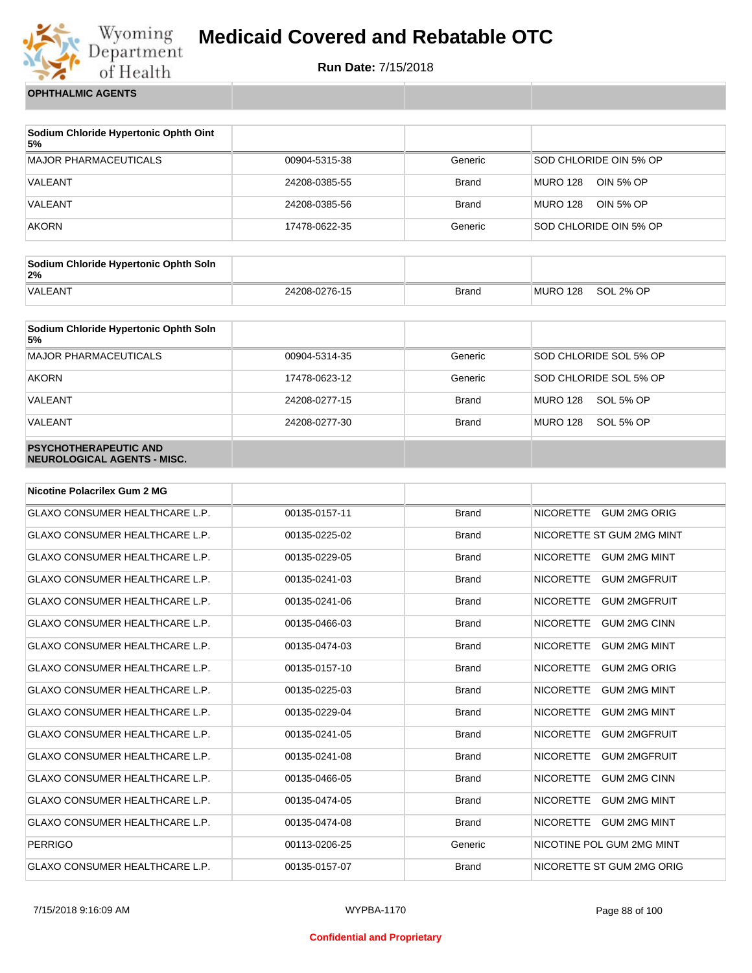

**Run Date:** 7/15/2018

**OPHTHALMIC AGENTS**

| Sodium Chloride Hypertonic Ophth Oint<br>5% |               |         |                              |
|---------------------------------------------|---------------|---------|------------------------------|
| <b>MAJOR PHARMACEUTICALS</b>                | 00904-5315-38 | Generic | SOD CHLORIDE OIN 5% OP       |
| VALEANT                                     | 24208-0385-55 | Brand   | <b>MURO 128</b><br>OIN 5% OP |
| VALEANT                                     | 24208-0385-56 | Brand   | MURO 128<br>OIN 5% OP        |
| <b>AKORN</b>                                | 17478-0622-35 | Generic | SOD CHLORIDE OIN 5% OP       |

| Sodium Chloride Hypertonic Ophth Soln<br>2% |               |              |          |           |
|---------------------------------------------|---------------|--------------|----------|-----------|
| <b>VALEANT</b>                              | 24208-0276-15 | <b>Brand</b> | MURO 128 | SOL 2% OP |

| Sodium Chloride Hypertonic Ophth Soln<br>5%                 |               |              |                              |
|-------------------------------------------------------------|---------------|--------------|------------------------------|
| MAJOR PHARMACEUTICALS                                       | 00904-5314-35 | Generic      | SOD CHLORIDE SOL 5% OP       |
| <b>AKORN</b>                                                | 17478-0623-12 | Generic      | SOD CHLORIDE SOL 5% OP       |
| VALEANT                                                     | 24208-0277-15 | <b>Brand</b> | <b>MURO 128</b><br>SOL 5% OP |
| VALEANT                                                     | 24208-0277-30 | <b>Brand</b> | <b>MURO 128</b><br>SOL 5% OP |
| <b>PSYCHOTHERAPEUTIC AND</b><br>NEUROLOGICAL AGENTS - MISC. |               |              |                              |

| <b>Nicotine Polacrilex Gum 2 MG</b>   |               |              |                                         |
|---------------------------------------|---------------|--------------|-----------------------------------------|
| <b>GLAXO CONSUMER HEALTHCARE L.P.</b> | 00135-0157-11 | <b>Brand</b> | NICORETTE GUM 2MG ORIG                  |
| <b>GLAXO CONSUMER HEALTHCARE L.P.</b> | 00135-0225-02 | <b>Brand</b> | NICORETTE ST GUM 2MG MINT               |
| GLAXO CONSUMER HEALTHCARE L.P.        | 00135-0229-05 | <b>Brand</b> | <b>NICORETTE</b><br><b>GUM 2MG MINT</b> |
| <b>GLAXO CONSUMER HEALTHCARE L.P.</b> | 00135-0241-03 | <b>Brand</b> | <b>NICORETTE</b><br><b>GUM 2MGFRUIT</b> |
| <b>GLAXO CONSUMER HEALTHCARE L.P.</b> | 00135-0241-06 | <b>Brand</b> | <b>NICORETTE</b><br><b>GUM 2MGFRUIT</b> |
| GLAXO CONSUMER HEALTHCARE L.P.        | 00135-0466-03 | <b>Brand</b> | <b>NICORETTE</b><br><b>GUM 2MG CINN</b> |
| <b>GLAXO CONSUMER HEALTHCARE L.P.</b> | 00135-0474-03 | <b>Brand</b> | <b>NICORETTE</b><br><b>GUM 2MG MINT</b> |
| <b>GLAXO CONSUMER HEALTHCARE L.P.</b> | 00135-0157-10 | <b>Brand</b> | <b>NICORETTE</b><br><b>GUM 2MG ORIG</b> |
| <b>GLAXO CONSUMER HEALTHCARE L.P.</b> | 00135-0225-03 | <b>Brand</b> | <b>NICORETTE</b><br><b>GUM 2MG MINT</b> |
| <b>GLAXO CONSUMER HEALTHCARE L.P.</b> | 00135-0229-04 | <b>Brand</b> | <b>NICORETTE</b><br><b>GUM 2MG MINT</b> |
| <b>GLAXO CONSUMER HEALTHCARE L.P.</b> | 00135-0241-05 | <b>Brand</b> | <b>NICORETTE</b><br><b>GUM 2MGFRUIT</b> |
| GLAXO CONSUMER HEALTHCARE L.P.        | 00135-0241-08 | <b>Brand</b> | <b>NICORETTE</b><br><b>GUM 2MGFRUIT</b> |
| <b>GLAXO CONSUMER HEALTHCARE L.P.</b> | 00135-0466-05 | <b>Brand</b> | <b>NICORETTE</b><br><b>GUM 2MG CINN</b> |
| <b>GLAXO CONSUMER HEALTHCARE L.P.</b> | 00135-0474-05 | <b>Brand</b> | <b>NICORETTE</b><br><b>GUM 2MG MINT</b> |
| <b>GLAXO CONSUMER HEALTHCARE L.P.</b> | 00135-0474-08 | <b>Brand</b> | <b>NICORETTE</b><br><b>GUM 2MG MINT</b> |
| <b>PERRIGO</b>                        | 00113-0206-25 | Generic      | NICOTINE POL GUM 2MG MINT               |
| <b>GLAXO CONSUMER HEALTHCARE L.P.</b> | 00135-0157-07 | <b>Brand</b> | NICORETTE ST GUM 2MG ORIG               |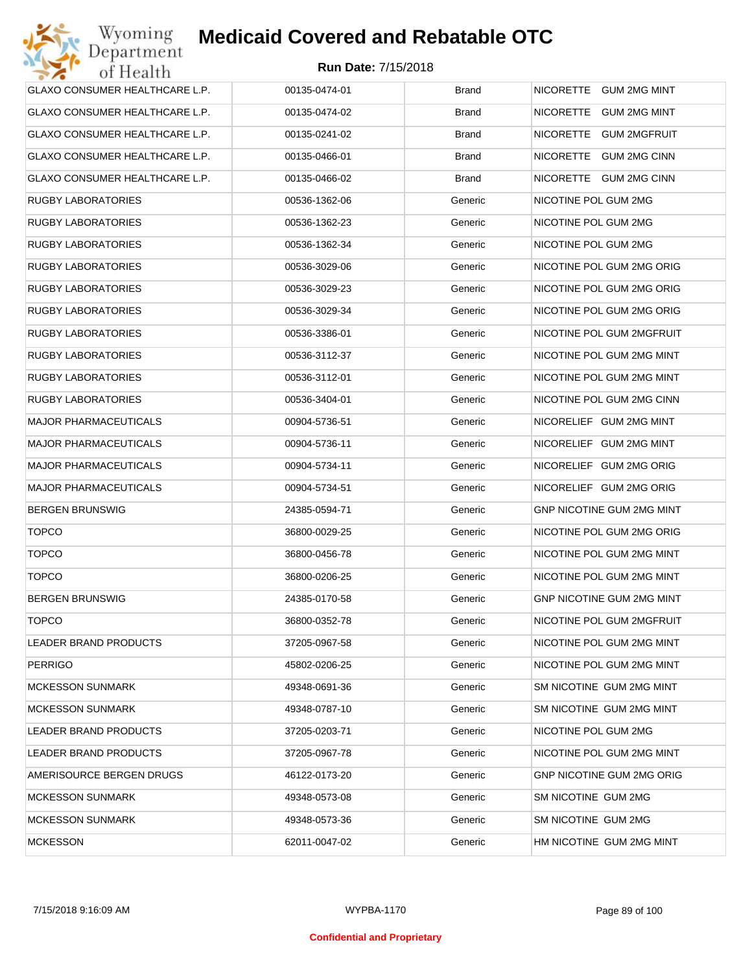| GLAXO CONSUMER HEALTHCARE L.P.        | 00135-0474-01 | <b>Brand</b> | NICORETTE GUM 2MG MINT           |
|---------------------------------------|---------------|--------------|----------------------------------|
| <b>GLAXO CONSUMER HEALTHCARE L.P.</b> | 00135-0474-02 | <b>Brand</b> | NICORETTE GUM 2MG MINT           |
| GLAXO CONSUMER HEALTHCARE L.P.        | 00135-0241-02 | <b>Brand</b> | NICORETTE GUM 2MGFRUIT           |
| GLAXO CONSUMER HEALTHCARE L.P.        | 00135-0466-01 | <b>Brand</b> | NICORETTE GUM 2MG CINN           |
| GLAXO CONSUMER HEALTHCARE L.P.        | 00135-0466-02 | <b>Brand</b> | NICORETTE GUM 2MG CINN           |
| <b>RUGBY LABORATORIES</b>             | 00536-1362-06 | Generic      | NICOTINE POL GUM 2MG             |
| <b>RUGBY LABORATORIES</b>             | 00536-1362-23 | Generic      | NICOTINE POL GUM 2MG             |
| <b>RUGBY LABORATORIES</b>             | 00536-1362-34 | Generic      | NICOTINE POL GUM 2MG             |
| <b>RUGBY LABORATORIES</b>             | 00536-3029-06 | Generic      | NICOTINE POL GUM 2MG ORIG        |
| <b>RUGBY LABORATORIES</b>             | 00536-3029-23 | Generic      | NICOTINE POL GUM 2MG ORIG        |
| <b>RUGBY LABORATORIES</b>             | 00536-3029-34 | Generic      | NICOTINE POL GUM 2MG ORIG        |
| <b>RUGBY LABORATORIES</b>             | 00536-3386-01 | Generic      | NICOTINE POL GUM 2MGFRUIT        |
| <b>RUGBY LABORATORIES</b>             | 00536-3112-37 | Generic      | NICOTINE POL GUM 2MG MINT        |
| <b>RUGBY LABORATORIES</b>             | 00536-3112-01 | Generic      | NICOTINE POL GUM 2MG MINT        |
| <b>RUGBY LABORATORIES</b>             | 00536-3404-01 | Generic      | NICOTINE POL GUM 2MG CINN        |
| <b>MAJOR PHARMACEUTICALS</b>          | 00904-5736-51 | Generic      | NICORELIEF GUM 2MG MINT          |
| <b>MAJOR PHARMACEUTICALS</b>          | 00904-5736-11 | Generic      | NICORELIEF GUM 2MG MINT          |
| <b>MAJOR PHARMACEUTICALS</b>          | 00904-5734-11 | Generic      | NICORELIEF GUM 2MG ORIG          |
| <b>MAJOR PHARMACEUTICALS</b>          | 00904-5734-51 | Generic      | NICORELIEF GUM 2MG ORIG          |
| <b>BERGEN BRUNSWIG</b>                | 24385-0594-71 | Generic      | <b>GNP NICOTINE GUM 2MG MINT</b> |
| <b>TOPCO</b>                          | 36800-0029-25 | Generic      | NICOTINE POL GUM 2MG ORIG        |
| <b>TOPCO</b>                          | 36800-0456-78 | Generic      | NICOTINE POL GUM 2MG MINT        |
| <b>TOPCO</b>                          | 36800-0206-25 | Generic      | NICOTINE POL GUM 2MG MINT        |
| <b>BERGEN BRUNSWIG</b>                | 24385-0170-58 | Generic      | <b>GNP NICOTINE GUM 2MG MINT</b> |
| <b>TOPCO</b>                          | 36800-0352-78 | Generic      | NICOTINE POL GUM 2MGFRUIT        |
| LEADER BRAND PRODUCTS                 | 37205-0967-58 | Generic      | NICOTINE POL GUM 2MG MINT        |
| <b>PERRIGO</b>                        | 45802-0206-25 | Generic      | NICOTINE POL GUM 2MG MINT        |
| <b>MCKESSON SUNMARK</b>               | 49348-0691-36 | Generic      | SM NICOTINE GUM 2MG MINT         |
| <b>MCKESSON SUNMARK</b>               | 49348-0787-10 | Generic      | SM NICOTINE GUM 2MG MINT         |
| LEADER BRAND PRODUCTS                 | 37205-0203-71 | Generic      | NICOTINE POL GUM 2MG             |
| LEADER BRAND PRODUCTS                 | 37205-0967-78 | Generic      | NICOTINE POL GUM 2MG MINT        |
| AMERISOURCE BERGEN DRUGS              | 46122-0173-20 | Generic      | <b>GNP NICOTINE GUM 2MG ORIG</b> |
| <b>MCKESSON SUNMARK</b>               | 49348-0573-08 | Generic      | SM NICOTINE GUM 2MG              |
| <b>MCKESSON SUNMARK</b>               | 49348-0573-36 | Generic      | SM NICOTINE GUM 2MG              |
| <b>MCKESSON</b>                       | 62011-0047-02 | Generic      | HM NICOTINE GUM 2MG MINT         |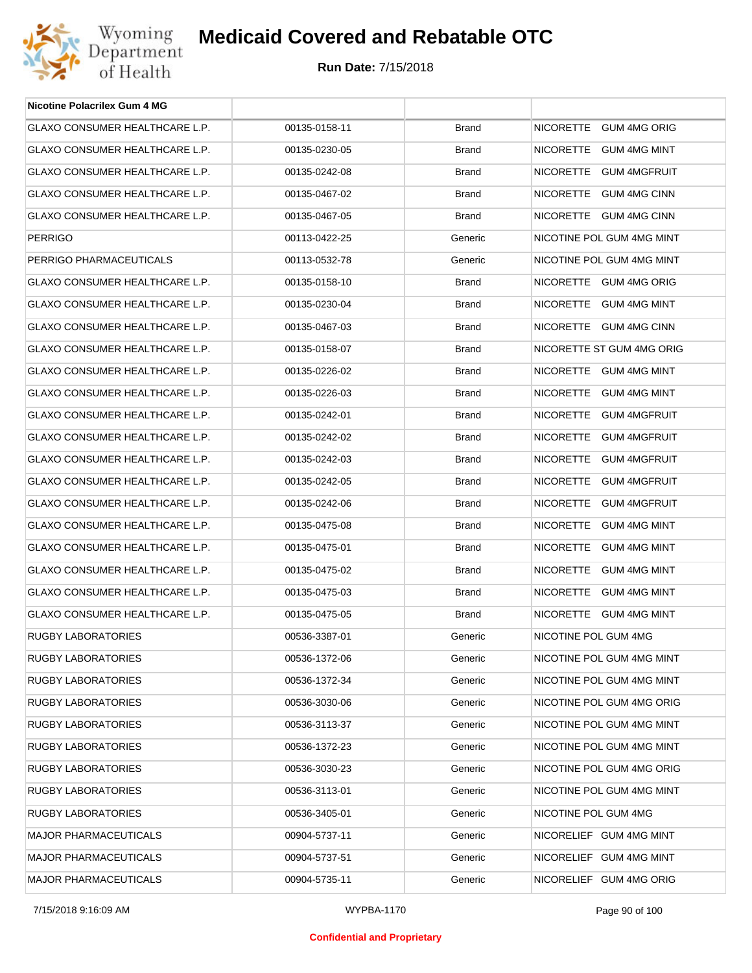

| <b>Nicotine Polacrilex Gum 4 MG</b>   |               |              |                           |
|---------------------------------------|---------------|--------------|---------------------------|
| GLAXO CONSUMER HEALTHCARE L.P.        | 00135-0158-11 | <b>Brand</b> | NICORETTE GUM 4MG ORIG    |
| GLAXO CONSUMER HEALTHCARE L.P.        | 00135-0230-05 | <b>Brand</b> | NICORETTE GUM 4MG MINT    |
| <b>GLAXO CONSUMER HEALTHCARE L.P.</b> | 00135-0242-08 | <b>Brand</b> | NICORETTE GUM 4MGFRUIT    |
| GLAXO CONSUMER HEALTHCARE L.P.        | 00135-0467-02 | <b>Brand</b> | NICORETTE GUM 4MG CINN    |
| GLAXO CONSUMER HEALTHCARE L.P.        | 00135-0467-05 | <b>Brand</b> | NICORETTE GUM 4MG CINN    |
| <b>PERRIGO</b>                        | 00113-0422-25 | Generic      | NICOTINE POL GUM 4MG MINT |
| PERRIGO PHARMACEUTICALS               | 00113-0532-78 | Generic      | NICOTINE POL GUM 4MG MINT |
| GLAXO CONSUMER HEALTHCARE L.P.        | 00135-0158-10 | <b>Brand</b> | NICORETTE GUM 4MG ORIG    |
| GLAXO CONSUMER HEALTHCARE L.P.        | 00135-0230-04 | <b>Brand</b> | NICORETTE GUM 4MG MINT    |
| GLAXO CONSUMER HEALTHCARE L.P.        | 00135-0467-03 | <b>Brand</b> | NICORETTE GUM 4MG CINN    |
| <b>GLAXO CONSUMER HEALTHCARE L.P.</b> | 00135-0158-07 | <b>Brand</b> | NICORETTE ST GUM 4MG ORIG |
| GLAXO CONSUMER HEALTHCARE L.P.        | 00135-0226-02 | <b>Brand</b> | NICORETTE GUM 4MG MINT    |
| GLAXO CONSUMER HEALTHCARE L.P.        | 00135-0226-03 | <b>Brand</b> | NICORETTE GUM 4MG MINT    |
| <b>GLAXO CONSUMER HEALTHCARE L.P.</b> | 00135-0242-01 | <b>Brand</b> | NICORETTE GUM 4MGFRUIT    |
| GLAXO CONSUMER HEALTHCARE L.P.        | 00135-0242-02 | <b>Brand</b> | NICORETTE GUM 4MGFRUIT    |
| GLAXO CONSUMER HEALTHCARE L.P.        | 00135-0242-03 | <b>Brand</b> | NICORETTE GUM 4MGFRUIT    |
| GLAXO CONSUMER HEALTHCARE L.P.        | 00135-0242-05 | <b>Brand</b> | NICORETTE GUM 4MGFRUIT    |
| GLAXO CONSUMER HEALTHCARE L.P.        | 00135-0242-06 | <b>Brand</b> | NICORETTE GUM 4MGFRUIT    |
| GLAXO CONSUMER HEALTHCARE L.P.        | 00135-0475-08 | <b>Brand</b> | NICORETTE GUM 4MG MINT    |
| GLAXO CONSUMER HEALTHCARE L.P.        | 00135-0475-01 | <b>Brand</b> | NICORETTE GUM 4MG MINT    |
| GLAXO CONSUMER HEALTHCARE L.P.        | 00135-0475-02 | <b>Brand</b> | NICORETTE GUM 4MG MINT    |
| GLAXO CONSUMER HEALTHCARE L.P.        | 00135-0475-03 | <b>Brand</b> | NICORETTE GUM 4MG MINT    |
| GLAXO CONSUMER HEALTHCARE L.P.        | 00135-0475-05 | <b>Brand</b> | NICORETTE GUM 4MG MINT    |
| RUGBY LABORATORIES                    | 00536-3387-01 | Generic      | NICOTINE POL GUM 4MG      |
| RUGBY LABORATORIES                    | 00536-1372-06 | Generic      | NICOTINE POL GUM 4MG MINT |
| RUGBY LABORATORIES                    | 00536-1372-34 | Generic      | NICOTINE POL GUM 4MG MINT |
| RUGBY LABORATORIES                    | 00536-3030-06 | Generic      | NICOTINE POL GUM 4MG ORIG |
| RUGBY LABORATORIES                    | 00536-3113-37 | Generic      | NICOTINE POL GUM 4MG MINT |
| RUGBY LABORATORIES                    | 00536-1372-23 | Generic      | NICOTINE POL GUM 4MG MINT |
| RUGBY LABORATORIES                    | 00536-3030-23 | Generic      | NICOTINE POL GUM 4MG ORIG |
| <b>RUGBY LABORATORIES</b>             | 00536-3113-01 | Generic      | NICOTINE POL GUM 4MG MINT |
| RUGBY LABORATORIES                    | 00536-3405-01 | Generic      | NICOTINE POL GUM 4MG      |
| <b>MAJOR PHARMACEUTICALS</b>          | 00904-5737-11 | Generic      | NICORELIEF GUM 4MG MINT   |
| <b>MAJOR PHARMACEUTICALS</b>          | 00904-5737-51 | Generic      | NICORELIEF GUM 4MG MINT   |
| <b>MAJOR PHARMACEUTICALS</b>          | 00904-5735-11 | Generic      | NICORELIEF GUM 4MG ORIG   |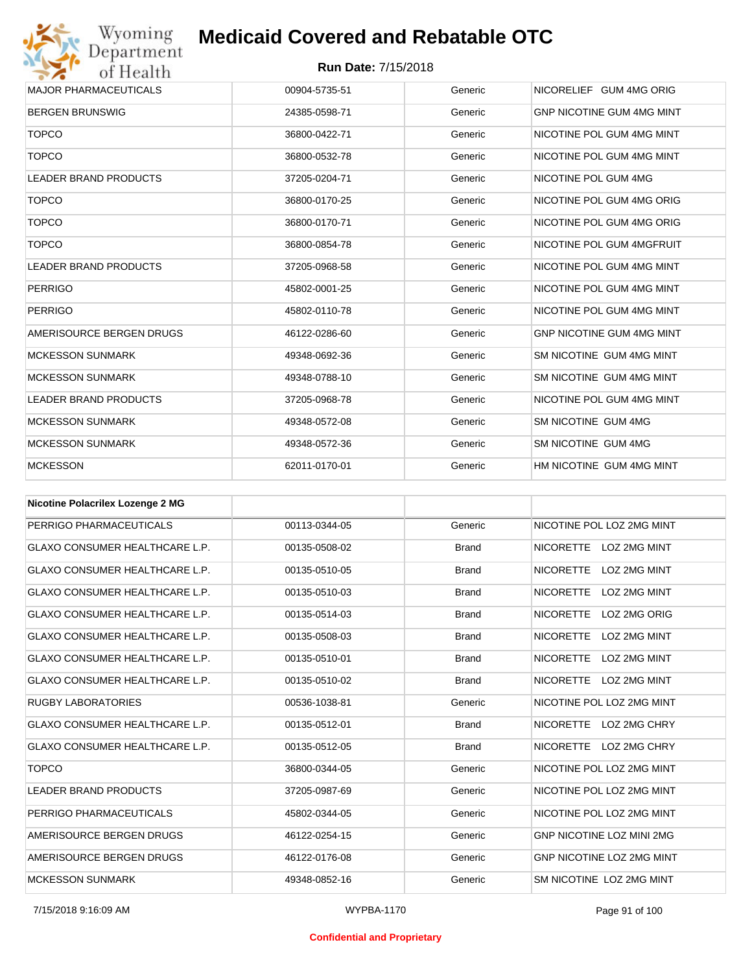Wyoming<br>Department<br>of Health

| <b>MAJOR PHARMACEUTICALS</b> | 00904-5735-51 | Generic | NICORELIEF GUM 4MG ORIG          |
|------------------------------|---------------|---------|----------------------------------|
| <b>BERGEN BRUNSWIG</b>       | 24385-0598-71 | Generic | <b>GNP NICOTINE GUM 4MG MINT</b> |
| <b>TOPCO</b>                 | 36800-0422-71 | Generic | NICOTINE POL GUM 4MG MINT        |
| <b>TOPCO</b>                 | 36800-0532-78 | Generic | NICOTINE POL GUM 4MG MINT        |
| <b>LEADER BRAND PRODUCTS</b> | 37205-0204-71 | Generic | NICOTINE POL GUM 4MG             |
| <b>TOPCO</b>                 | 36800-0170-25 | Generic | NICOTINE POL GUM 4MG ORIG        |
| <b>TOPCO</b>                 | 36800-0170-71 | Generic | NICOTINE POL GUM 4MG ORIG        |
| <b>TOPCO</b>                 | 36800-0854-78 | Generic | NICOTINE POL GUM 4MGFRUIT        |
| <b>LEADER BRAND PRODUCTS</b> | 37205-0968-58 | Generic | NICOTINE POL GUM 4MG MINT        |
| <b>PERRIGO</b>               | 45802-0001-25 | Generic | NICOTINE POL GUM 4MG MINT        |
| <b>PERRIGO</b>               | 45802-0110-78 | Generic | NICOTINE POL GUM 4MG MINT        |
| AMERISOURCE BERGEN DRUGS     | 46122-0286-60 | Generic | <b>GNP NICOTINE GUM 4MG MINT</b> |
| <b>MCKESSON SUNMARK</b>      | 49348-0692-36 | Generic | SM NICOTINE GUM 4MG MINT         |
| <b>MCKESSON SUNMARK</b>      | 49348-0788-10 | Generic | SM NICOTINE GUM 4MG MINT         |
| <b>LEADER BRAND PRODUCTS</b> | 37205-0968-78 | Generic | NICOTINE POL GUM 4MG MINT        |
| <b>MCKESSON SUNMARK</b>      | 49348-0572-08 | Generic | SM NICOTINE GUM 4MG              |
| <b>MCKESSON SUNMARK</b>      | 49348-0572-36 | Generic | SM NICOTINE GUM 4MG              |
| <b>MCKESSON</b>              | 62011-0170-01 | Generic | HM NICOTINE GUM 4MG MINT         |
|                              |               |         |                                  |

| <b>Nicotine Polacrilex Lozenge 2 MG</b> |               |              |                                         |
|-----------------------------------------|---------------|--------------|-----------------------------------------|
| PERRIGO PHARMACEUTICALS                 | 00113-0344-05 | Generic      | NICOTINE POL LOZ 2MG MINT               |
| <b>GLAXO CONSUMER HEALTHCARE L.P.</b>   | 00135-0508-02 | <b>Brand</b> | NICORETTE LOZ 2MG MINT                  |
| <b>GLAXO CONSUMER HEALTHCARE L.P.</b>   | 00135-0510-05 | <b>Brand</b> | LOZ 2MG MINT<br><b>NICORETTE</b>        |
| <b>GLAXO CONSUMER HEALTHCARE L.P.</b>   | 00135-0510-03 | <b>Brand</b> | <b>NICORETTE</b><br>LOZ 2MG MINT        |
| <b>GLAXO CONSUMER HEALTHCARE L.P.</b>   | 00135-0514-03 | <b>Brand</b> | LOZ 2MG ORIG<br><b>NICORETTE</b>        |
| <b>GLAXO CONSUMER HEALTHCARE L.P.</b>   | 00135-0508-03 | <b>Brand</b> | <b>NICORETTE</b><br>LOZ 2MG MINT        |
| <b>GLAXO CONSUMER HEALTHCARE L.P.</b>   | 00135-0510-01 | <b>Brand</b> | <b>NICORETTE</b><br>LOZ 2MG MINT        |
| <b>GLAXO CONSUMER HEALTHCARE L.P.</b>   | 00135-0510-02 | <b>Brand</b> | <b>NICORETTE</b><br><b>LOZ 2MG MINT</b> |
| <b>RUGBY LABORATORIES</b>               | 00536-1038-81 | Generic      | NICOTINE POL LOZ 2MG MINT               |
| <b>GLAXO CONSUMER HEALTHCARE L.P.</b>   | 00135-0512-01 | <b>Brand</b> | NICORETTE LOZ 2MG CHRY                  |
| <b>GLAXO CONSUMER HEALTHCARE L.P.</b>   | 00135-0512-05 | <b>Brand</b> | NICORETTE LOZ 2MG CHRY                  |
| <b>TOPCO</b>                            | 36800-0344-05 | Generic      | NICOTINE POL LOZ 2MG MINT               |
| <b>LEADER BRAND PRODUCTS</b>            | 37205-0987-69 | Generic      | NICOTINE POL LOZ 2MG MINT               |
| PERRIGO PHARMACEUTICALS                 | 45802-0344-05 | Generic      | NICOTINE POL LOZ 2MG MINT               |
| AMERISOURCE BERGEN DRUGS                | 46122-0254-15 | Generic      | <b>GNP NICOTINE LOZ MINI 2MG</b>        |
| AMERISOURCE BERGEN DRUGS                | 46122-0176-08 | Generic      | <b>GNP NICOTINE LOZ 2MG MINT</b>        |
| <b>MCKESSON SUNMARK</b>                 | 49348-0852-16 | Generic      | SM NICOTINE LOZ 2MG MINT                |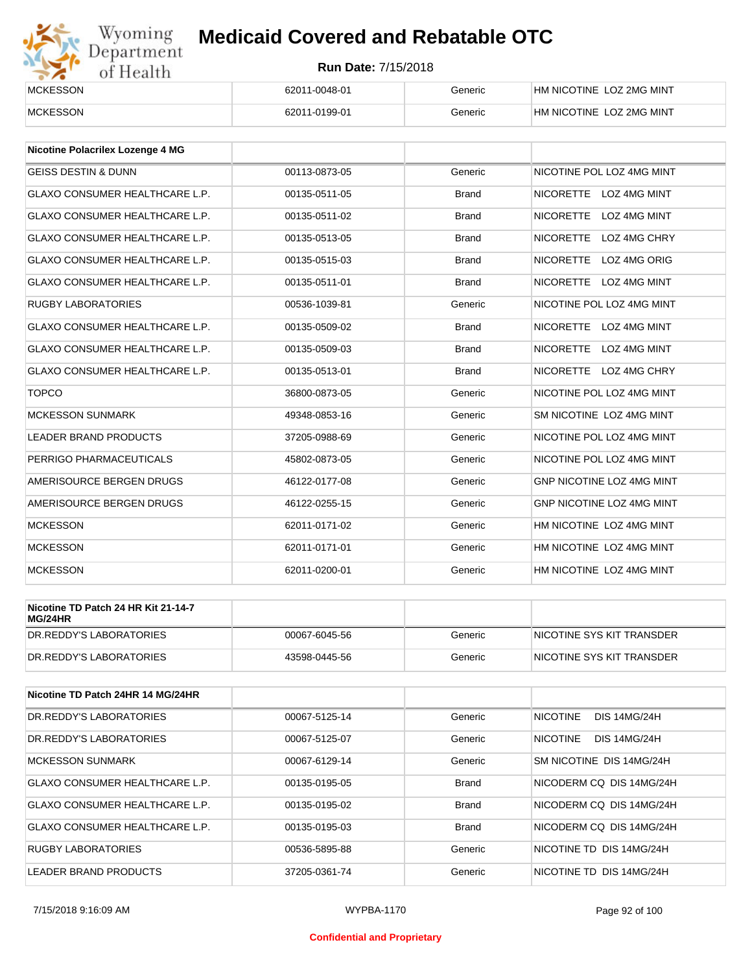# Wyoming<br>Department<br>of Health

## **Medicaid Covered and Rebatable OTC**

| <b>MCKESSON</b> | 62011-0048-01 | Generic | HM NICOTINE LOZ 2MG MINT |
|-----------------|---------------|---------|--------------------------|
| <b>MCKESSON</b> | 62011-0199-01 | Generic | HM NICOTINE LOZ 2MG MINT |

| Nicotine Polacrilex Lozenge 4 MG      |               |              |                                  |
|---------------------------------------|---------------|--------------|----------------------------------|
| <b>GEISS DESTIN &amp; DUNN</b>        | 00113-0873-05 | Generic      | NICOTINE POL LOZ 4MG MINT        |
| <b>GLAXO CONSUMER HEALTHCARE L.P.</b> | 00135-0511-05 | <b>Brand</b> | NICORETTE LOZ 4MG MINT           |
| <b>GLAXO CONSUMER HEALTHCARE L.P.</b> | 00135-0511-02 | <b>Brand</b> | <b>NICORETTE</b><br>LOZ 4MG MINT |
| <b>GLAXO CONSUMER HEALTHCARE L.P.</b> | 00135-0513-05 | <b>Brand</b> | <b>NICORETTE</b><br>LOZ 4MG CHRY |
| <b>GLAXO CONSUMER HEALTHCARE L.P.</b> | 00135-0515-03 | <b>Brand</b> | LOZ 4MG ORIG<br><b>NICORETTE</b> |
| <b>GLAXO CONSUMER HEALTHCARE L.P.</b> | 00135-0511-01 | <b>Brand</b> | <b>NICORETTE</b><br>LOZ 4MG MINT |
| <b>RUGBY LABORATORIES</b>             | 00536-1039-81 | Generic      | NICOTINE POL LOZ 4MG MINT        |
| <b>GLAXO CONSUMER HEALTHCARE L.P.</b> | 00135-0509-02 | <b>Brand</b> | NICORETTE LOZ 4MG MINT           |
| <b>GLAXO CONSUMER HEALTHCARE L.P.</b> | 00135-0509-03 | <b>Brand</b> | NICORETTE LOZ 4MG MINT           |
| <b>GLAXO CONSUMER HEALTHCARE L.P.</b> | 00135-0513-01 | <b>Brand</b> | NICORETTE LOZ 4MG CHRY           |
| <b>TOPCO</b>                          | 36800-0873-05 | Generic      | NICOTINE POL LOZ 4MG MINT        |
| <b>MCKESSON SUNMARK</b>               | 49348-0853-16 | Generic      | SM NICOTINE LOZ 4MG MINT         |
| <b>LEADER BRAND PRODUCTS</b>          | 37205-0988-69 | Generic      | NICOTINE POL LOZ 4MG MINT        |
| PERRIGO PHARMACEUTICALS               | 45802-0873-05 | Generic      | NICOTINE POL LOZ 4MG MINT        |
| AMERISOURCE BERGEN DRUGS              | 46122-0177-08 | Generic      | <b>GNP NICOTINE LOZ 4MG MINT</b> |
| AMERISOURCE BERGEN DRUGS              | 46122-0255-15 | Generic      | GNP NICOTINE LOZ 4MG MINT        |
| <b>MCKESSON</b>                       | 62011-0171-02 | Generic      | HM NICOTINE LOZ 4MG MINT         |
| <b>MCKESSON</b>                       | 62011-0171-01 | Generic      | HM NICOTINE LOZ 4MG MINT         |
| <b>MCKESSON</b>                       | 62011-0200-01 | Generic      | HM NICOTINE LOZ 4MG MINT         |

| Nicotine TD Patch 24 HR Kit 21-14-7<br>MG/24HR |               |         |                            |
|------------------------------------------------|---------------|---------|----------------------------|
| IDR.REDDY'S LABORATORIES                       | 00067-6045-56 | Generic | INICOTINE SYS KIT TRANSDER |
| IDR.REDDY'S LABORATORIES                       | 43598-0445-56 | Generic | INICOTINE SYS KIT TRANSDER |

| Nicotine TD Patch 24HR 14 MG/24HR |               |              |                                        |
|-----------------------------------|---------------|--------------|----------------------------------------|
| DR. REDDY'S LABORATORIES          | 00067-5125-14 | Generic      | <b>NICOTINE</b><br><b>DIS 14MG/24H</b> |
| DR.REDDY'S LABORATORIES           | 00067-5125-07 | Generic      | <b>NICOTINE</b><br><b>DIS 14MG/24H</b> |
| <b>MCKESSON SUNMARK</b>           | 00067-6129-14 | Generic      | SM NICOTINE DIS 14MG/24H               |
| GLAXO CONSUMER HEALTHCARE L.P.    | 00135-0195-05 | <b>Brand</b> | NICODERM CO DIS 14MG/24H               |
| GLAXO CONSUMER HEALTHCARE L.P.    | 00135-0195-02 | <b>Brand</b> | NICODERM CO DIS 14MG/24H               |
| GLAXO CONSUMER HEALTHCARE L.P.    | 00135-0195-03 | <b>Brand</b> | NICODERM CO DIS 14MG/24H               |
| <b>RUGBY LABORATORIES</b>         | 00536-5895-88 | Generic      | NICOTINE TD DIS 14MG/24H               |
| LEADER BRAND PRODUCTS             | 37205-0361-74 | Generic      | NICOTINE TD DIS 14MG/24H               |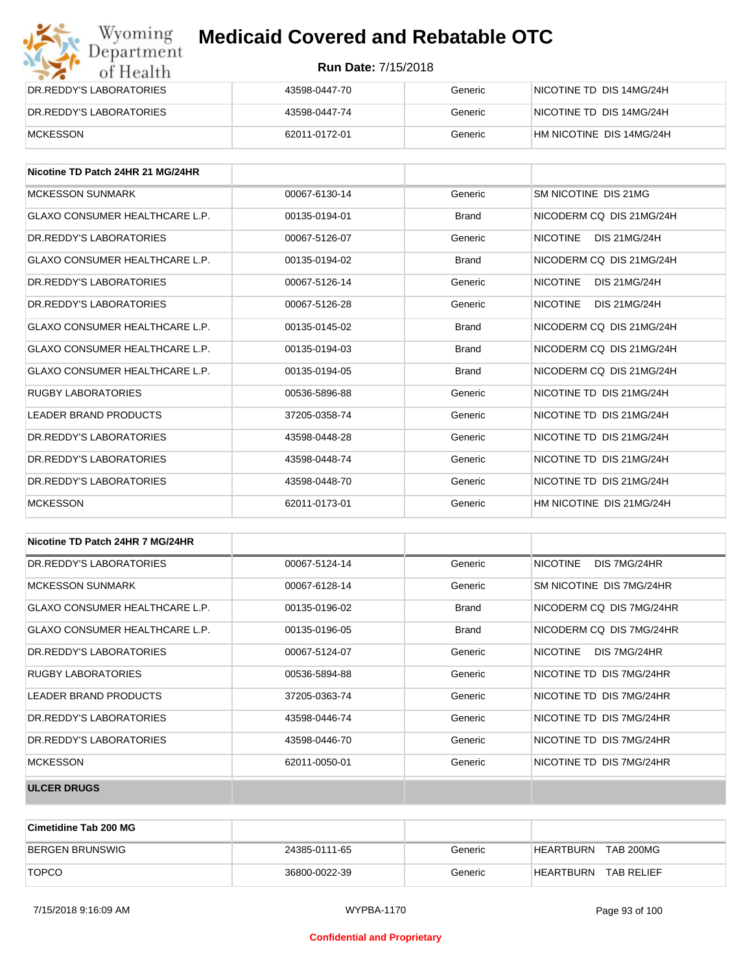| Wyoming<br>Department   | <b>Medicaid Covered and Rebatable OTC</b> |         |                          |  |
|-------------------------|-------------------------------------------|---------|--------------------------|--|
| of Health               | <b>Run Date: 7/15/2018</b>                |         |                          |  |
| DR.REDDY'S LABORATORIES | 43598-0447-70                             | Generic | NICOTINE TD DIS 14MG/24H |  |
| DR.REDDY'S LABORATORIES | 43598-0447-74                             | Generic | NICOTINE TD DIS 14MG/24H |  |
| MCKESSON                | 62011-0172-01                             | Generic | HM NICOTINE DIS 14MG/24H |  |

| Nicotine TD Patch 24HR 21 MG/24HR     |               |              |                                        |
|---------------------------------------|---------------|--------------|----------------------------------------|
| <b>MCKESSON SUNMARK</b>               | 00067-6130-14 | Generic      | SM NICOTINE DIS 21MG                   |
| <b>GLAXO CONSUMER HEALTHCARE L.P.</b> | 00135-0194-01 | <b>Brand</b> | NICODERM CO DIS 21MG/24H               |
| DR. REDDY'S LABORATORIES              | 00067-5126-07 | Generic      | <b>NICOTINE</b><br><b>DIS 21MG/24H</b> |
| GLAXO CONSUMER HEALTHCARE L.P.        | 00135-0194-02 | <b>Brand</b> | NICODERM CO DIS 21MG/24H               |
| DR. REDDY'S LABORATORIES              | 00067-5126-14 | Generic      | <b>NICOTINE</b><br><b>DIS 21MG/24H</b> |
| DR. REDDY'S LABORATORIES              | 00067-5126-28 | Generic      | <b>NICOTINE</b><br><b>DIS 21MG/24H</b> |
| <b>GLAXO CONSUMER HEALTHCARE L.P.</b> | 00135-0145-02 | <b>Brand</b> | NICODERM CO DIS 21MG/24H               |
| <b>GLAXO CONSUMER HEALTHCARE L.P.</b> | 00135-0194-03 | <b>Brand</b> | NICODERM CO DIS 21MG/24H               |
| GLAXO CONSUMER HEALTHCARE L.P.        | 00135-0194-05 | <b>Brand</b> | NICODERM CO DIS 21MG/24H               |
| <b>RUGBY LABORATORIES</b>             | 00536-5896-88 | Generic      | NICOTINE TD DIS 21MG/24H               |
| <b>LEADER BRAND PRODUCTS</b>          | 37205-0358-74 | Generic      | NICOTINE TD DIS 21MG/24H               |
| DR. REDDY'S LABORATORIES              | 43598-0448-28 | Generic      | NICOTINE TD DIS 21MG/24H               |
| DR. REDDY'S LABORATORIES              | 43598-0448-74 | Generic      | NICOTINE TD DIS 21MG/24H               |
| DR. REDDY'S LABORATORIES              | 43598-0448-70 | Generic      | NICOTINE TD DIS 21MG/24H               |
| <b>MCKESSON</b>                       | 62011-0173-01 | Generic      | HM NICOTINE DIS 21MG/24H               |

| Nicotine TD Patch 24HR 7 MG/24HR      |               |              |                                 |
|---------------------------------------|---------------|--------------|---------------------------------|
| DR. REDDY'S LABORATORIES              | 00067-5124-14 | Generic      | <b>NICOTINE</b><br>DIS 7MG/24HR |
| MCKESSON SUNMARK                      | 00067-6128-14 | Generic      | SM NICOTINE DIS 7MG/24HR        |
| <b>GLAXO CONSUMER HEALTHCARE L.P.</b> | 00135-0196-02 | <b>Brand</b> | NICODERM CQ DIS 7MG/24HR        |
| GLAXO CONSUMER HEALTHCARE L.P.        | 00135-0196-05 | <b>Brand</b> | NICODERM CO DIS 7MG/24HR        |
| DR. REDDY'S LABORATORIES              | 00067-5124-07 | Generic      | NICOTINE<br>DIS 7MG/24HR        |
| <b>RUGBY LABORATORIES</b>             | 00536-5894-88 | Generic      | NICOTINE TD DIS 7MG/24HR        |
| LEADER BRAND PRODUCTS                 | 37205-0363-74 | Generic      | NICOTINE TD DIS 7MG/24HR        |
| DR. REDDY'S LABORATORIES              | 43598-0446-74 | Generic      | NICOTINE TD DIS 7MG/24HR        |
| DR. REDDY'S LABORATORIES              | 43598-0446-70 | Generic      | NICOTINE TD DIS 7MG/24HR        |
| <b>MCKESSON</b>                       | 62011-0050-01 | Generic      | NICOTINE TD DIS 7MG/24HR        |
| <b>ULCER DRUGS</b>                    |               |              |                                 |

| <b>Cimetidine Tab 200 MG</b> |               |         |                                |
|------------------------------|---------------|---------|--------------------------------|
| BERGEN BRUNSWIG              | 24385-0111-65 | Generic | <b>TAB 200MG</b><br>HEARTBURN  |
| <b>TOPCO</b>                 | 36800-0022-39 | Generic | <b>TAB RELIEF</b><br>HEARTBURN |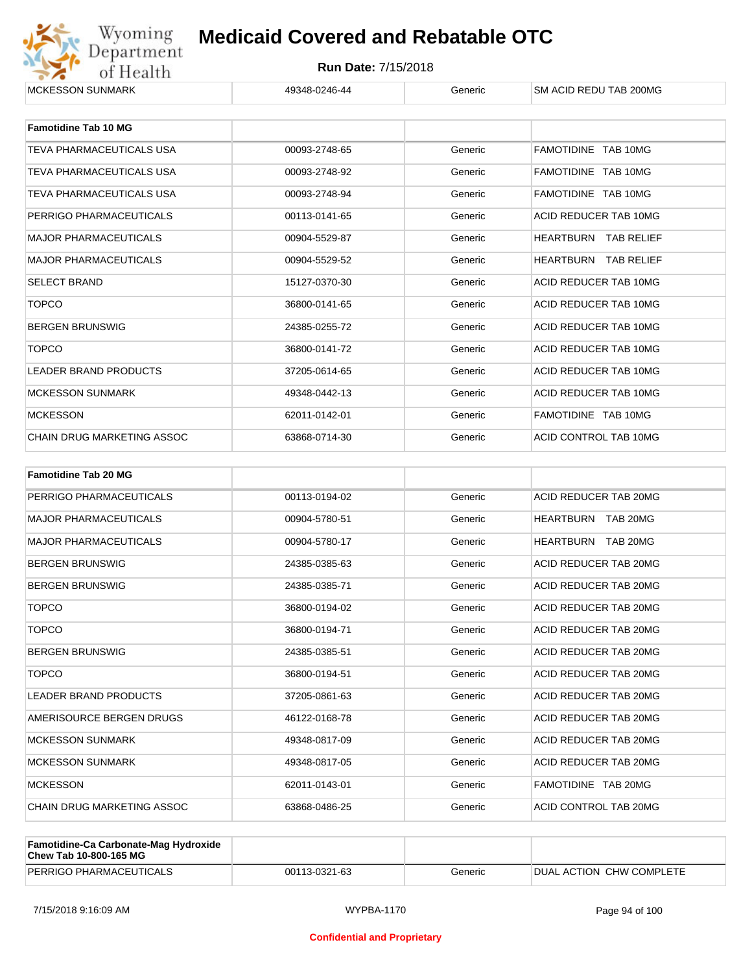

| <b>Famotidine Tab 10 MG</b>     |               |         |                             |
|---------------------------------|---------------|---------|-----------------------------|
| TEVA PHARMACEUTICALS USA        | 00093-2748-65 | Generic | FAMOTIDINE TAB 10MG         |
| <b>TEVA PHARMACEUTICALS USA</b> | 00093-2748-92 | Generic | FAMOTIDINE TAB 10MG         |
| <b>TEVA PHARMACEUTICALS USA</b> | 00093-2748-94 | Generic | FAMOTIDINE TAB 10MG         |
| PERRIGO PHARMACEUTICALS         | 00113-0141-65 | Generic | ACID REDUCER TAB 10MG       |
| <b>MAJOR PHARMACEUTICALS</b>    | 00904-5529-87 | Generic | <b>HEARTBURN TAB RELIEF</b> |
| <b>MAJOR PHARMACEUTICALS</b>    | 00904-5529-52 | Generic | <b>HEARTBURN TAB RELIEF</b> |
| <b>SELECT BRAND</b>             | 15127-0370-30 | Generic | ACID REDUCER TAB 10MG       |
| <b>TOPCO</b>                    | 36800-0141-65 | Generic | ACID REDUCER TAB 10MG       |
| <b>BERGEN BRUNSWIG</b>          | 24385-0255-72 | Generic | ACID REDUCER TAB 10MG       |
| <b>TOPCO</b>                    | 36800-0141-72 | Generic | ACID REDUCER TAB 10MG       |
| <b>LEADER BRAND PRODUCTS</b>    | 37205-0614-65 | Generic | ACID REDUCER TAB 10MG       |
| <b>MCKESSON SUNMARK</b>         | 49348-0442-13 | Generic | ACID REDUCER TAB 10MG       |
| <b>MCKESSON</b>                 | 62011-0142-01 | Generic | FAMOTIDINE TAB 10MG         |
| CHAIN DRUG MARKETING ASSOC      | 63868-0714-30 | Generic | ACID CONTROL TAB 10MG       |

| <b>Famotidine Tab 20 MG</b>  |               |         |                       |
|------------------------------|---------------|---------|-----------------------|
| PERRIGO PHARMACEUTICALS      | 00113-0194-02 | Generic | ACID REDUCER TAB 20MG |
| <b>MAJOR PHARMACEUTICALS</b> | 00904-5780-51 | Generic | HEARTBURN TAB 20MG    |
| <b>MAJOR PHARMACEUTICALS</b> | 00904-5780-17 | Generic | HEARTBURN TAB 20MG    |
| <b>BERGEN BRUNSWIG</b>       | 24385-0385-63 | Generic | ACID REDUCER TAB 20MG |
| <b>BERGEN BRUNSWIG</b>       | 24385-0385-71 | Generic | ACID REDUCER TAB 20MG |
| <b>TOPCO</b>                 | 36800-0194-02 | Generic | ACID REDUCER TAB 20MG |
| <b>TOPCO</b>                 | 36800-0194-71 | Generic | ACID REDUCER TAB 20MG |
| <b>BERGEN BRUNSWIG</b>       | 24385-0385-51 | Generic | ACID REDUCER TAB 20MG |
| <b>TOPCO</b>                 | 36800-0194-51 | Generic | ACID REDUCER TAB 20MG |
| <b>LEADER BRAND PRODUCTS</b> | 37205-0861-63 | Generic | ACID REDUCER TAB 20MG |
| AMERISOURCE BERGEN DRUGS     | 46122-0168-78 | Generic | ACID REDUCER TAB 20MG |
| <b>MCKESSON SUNMARK</b>      | 49348-0817-09 | Generic | ACID REDUCER TAB 20MG |
| <b>MCKESSON SUNMARK</b>      | 49348-0817-05 | Generic | ACID REDUCER TAB 20MG |
| <b>MCKESSON</b>              | 62011-0143-01 | Generic | FAMOTIDINE TAB 20MG   |
| CHAIN DRUG MARKETING ASSOC   | 63868-0486-25 | Generic | ACID CONTROL TAB 20MG |

| <b>Famotidine-Ca Carbonate-Mag Hydroxide</b><br>Chew Tab 10-800-165 MG |               |         |                                  |
|------------------------------------------------------------------------|---------------|---------|----------------------------------|
| PERRIGO PHARMACEUTICALS                                                | 00113-0321-63 | Generic | <b>IDUAL ACTION CHW COMPLETE</b> |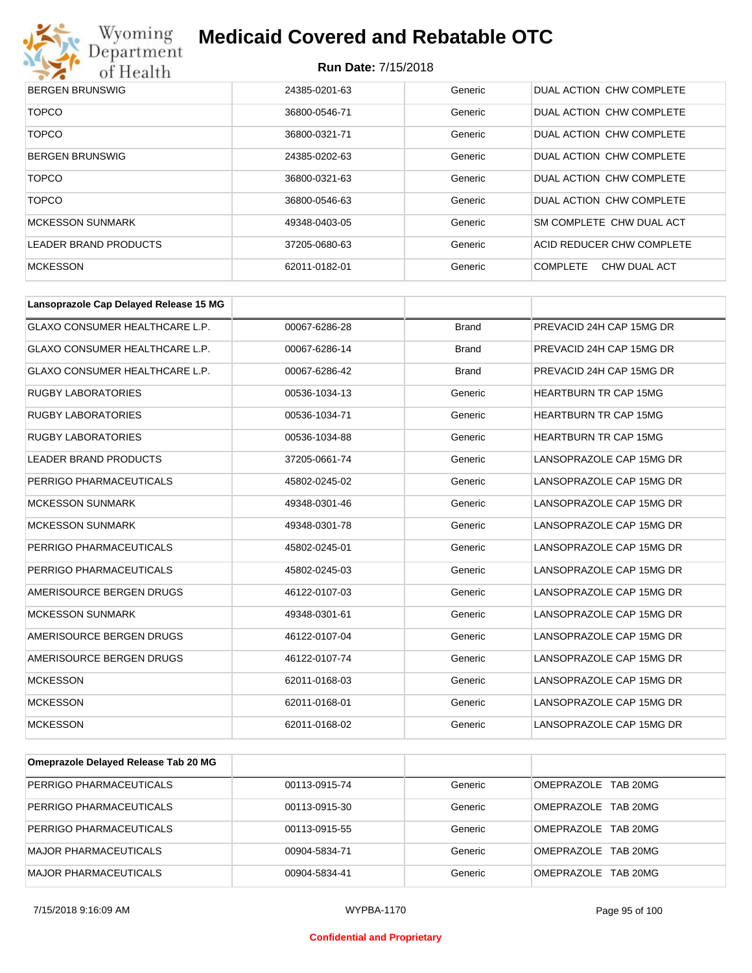

| <b>BERGEN BRUNSWIG</b>  | 24385-0201-63 | Generic | DUAL ACTION CHW COMPLETE        |
|-------------------------|---------------|---------|---------------------------------|
| <b>TOPCO</b>            | 36800-0546-71 | Generic | DUAL ACTION CHW COMPLETE        |
| <b>TOPCO</b>            | 36800-0321-71 | Generic | DUAL ACTION CHW COMPLETE        |
| <b>BERGEN BRUNSWIG</b>  | 24385-0202-63 | Generic | DUAL ACTION CHW COMPLETE        |
| <b>TOPCO</b>            | 36800-0321-63 | Generic | DUAL ACTION CHW COMPLETE        |
| <b>TOPCO</b>            | 36800-0546-63 | Generic | DUAL ACTION CHW COMPLETE        |
| <b>MCKESSON SUNMARK</b> | 49348-0403-05 | Generic | SM COMPLETE CHW DUAL ACT        |
| LEADER BRAND PRODUCTS   | 37205-0680-63 | Generic | ACID REDUCER CHW COMPLETE       |
| <b>MCKESSON</b>         | 62011-0182-01 | Generic | <b>COMPLETE</b><br>CHW DUAL ACT |

| Lansoprazole Cap Delayed Release 15 MG |               |              |                              |
|----------------------------------------|---------------|--------------|------------------------------|
| <b>GLAXO CONSUMER HEALTHCARE L.P.</b>  | 00067-6286-28 | <b>Brand</b> | PREVACID 24H CAP 15MG DR     |
| <b>GLAXO CONSUMER HEALTHCARE L.P.</b>  | 00067-6286-14 | <b>Brand</b> | PREVACID 24H CAP 15MG DR     |
| <b>GLAXO CONSUMER HEALTHCARE L.P.</b>  | 00067-6286-42 | <b>Brand</b> | PREVACID 24H CAP 15MG DR     |
| <b>RUGBY LABORATORIES</b>              | 00536-1034-13 | Generic      | <b>HEARTBURN TR CAP 15MG</b> |
| <b>RUGBY LABORATORIES</b>              | 00536-1034-71 | Generic      | <b>HEARTBURN TR CAP 15MG</b> |
| <b>RUGBY LABORATORIES</b>              | 00536-1034-88 | Generic      | <b>HEARTBURN TR CAP 15MG</b> |
| <b>LEADER BRAND PRODUCTS</b>           | 37205-0661-74 | Generic      | LANSOPRAZOLE CAP 15MG DR     |
| PERRIGO PHARMACEUTICALS                | 45802-0245-02 | Generic      | LANSOPRAZOLE CAP 15MG DR     |
| <b>MCKESSON SUNMARK</b>                | 49348-0301-46 | Generic      | LANSOPRAZOLE CAP 15MG DR     |
| <b>MCKESSON SUNMARK</b>                | 49348-0301-78 | Generic      | LANSOPRAZOLE CAP 15MG DR     |
| PERRIGO PHARMACEUTICALS                | 45802-0245-01 | Generic      | LANSOPRAZOLE CAP 15MG DR     |
| PERRIGO PHARMACEUTICALS                | 45802-0245-03 | Generic      | LANSOPRAZOLE CAP 15MG DR     |
| AMERISOURCE BERGEN DRUGS               | 46122-0107-03 | Generic      | LANSOPRAZOLE CAP 15MG DR     |
| <b>MCKESSON SUNMARK</b>                | 49348-0301-61 | Generic      | LANSOPRAZOLE CAP 15MG DR     |
| AMERISOURCE BERGEN DRUGS               | 46122-0107-04 | Generic      | LANSOPRAZOLE CAP 15MG DR     |
| AMERISOURCE BERGEN DRUGS               | 46122-0107-74 | Generic      | LANSOPRAZOLE CAP 15MG DR     |
| <b>MCKESSON</b>                        | 62011-0168-03 | Generic      | LANSOPRAZOLE CAP 15MG DR     |
| <b>MCKESSON</b>                        | 62011-0168-01 | Generic      | LANSOPRAZOLE CAP 15MG DR     |
| <b>MCKESSON</b>                        | 62011-0168-02 | Generic      | LANSOPRAZOLE CAP 15MG DR     |

| Omeprazole Delayed Release Tab 20 MG |               |         |                     |
|--------------------------------------|---------------|---------|---------------------|
| PERRIGO PHARMACEUTICALS              | 00113-0915-74 | Generic | OMEPRAZOLE TAB 20MG |
| PERRIGO PHARMACEUTICALS              | 00113-0915-30 | Generic | OMEPRAZOLE TAB 20MG |
| PERRIGO PHARMACEUTICALS              | 00113-0915-55 | Generic | OMEPRAZOLE TAB 20MG |
| <b>MAJOR PHARMACEUTICALS</b>         | 00904-5834-71 | Generic | OMEPRAZOLE TAB 20MG |
| <b>MAJOR PHARMACEUTICALS</b>         | 00904-5834-41 | Generic | OMEPRAZOLE TAB 20MG |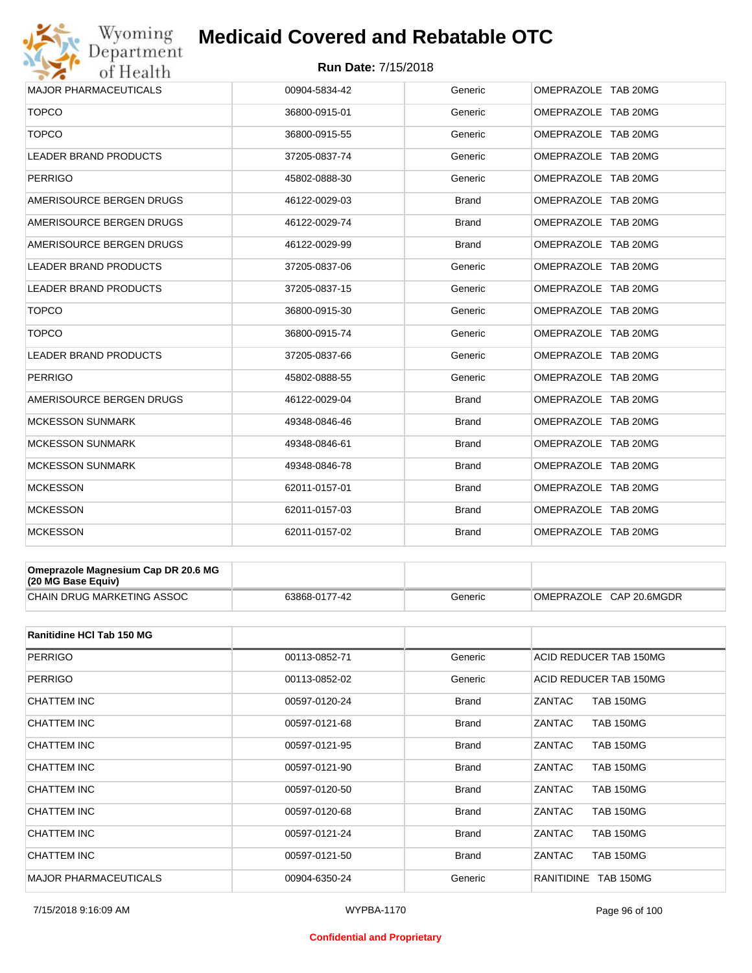# Wyoming<br>Department<br>of Health

## **Medicaid Covered and Rebatable OTC**

#### **Run Date:** 7/15/2018

| 36800-0915-01 | Generic      | OMEPRAZOLE TAB 20MG |
|---------------|--------------|---------------------|
| 36800-0915-55 | Generic      | OMEPRAZOLE TAB 20MG |
| 37205-0837-74 | Generic      | OMEPRAZOLE TAB 20MG |
| 45802-0888-30 | Generic      | OMEPRAZOLE TAB 20MG |
| 46122-0029-03 | <b>Brand</b> | OMEPRAZOLE TAB 20MG |
| 46122-0029-74 | <b>Brand</b> | OMEPRAZOLE TAB 20MG |
| 46122-0029-99 | Brand        | OMEPRAZOLE TAB 20MG |
| 37205-0837-06 | Generic      | OMEPRAZOLE TAB 20MG |
| 37205-0837-15 | Generic      | OMEPRAZOLE TAB 20MG |
| 36800-0915-30 | Generic      | OMEPRAZOLE TAB 20MG |
| 36800-0915-74 | Generic      | OMEPRAZOLE TAB 20MG |
| 37205-0837-66 | Generic      | OMEPRAZOLE TAB 20MG |
| 45802-0888-55 | Generic      | OMEPRAZOLE TAB 20MG |
| 46122-0029-04 | <b>Brand</b> | OMEPRAZOLE TAB 20MG |
| 49348-0846-46 | <b>Brand</b> | OMEPRAZOLE TAB 20MG |
| 49348-0846-61 | <b>Brand</b> | OMEPRAZOLE TAB 20MG |
| 49348-0846-78 | <b>Brand</b> | OMEPRAZOLE TAB 20MG |
| 62011-0157-01 | <b>Brand</b> | OMEPRAZOLE TAB 20MG |
| 62011-0157-03 | <b>Brand</b> | OMEPRAZOLE TAB 20MG |
| 62011-0157-02 | <b>Brand</b> | OMEPRAZOLE TAB 20MG |
|               |              |                     |

| Omeprazole Magnesium Cap DR 20.6 MG<br>$(20 \text{ MG Base}$ Equiv) |               |         |                         |
|---------------------------------------------------------------------|---------------|---------|-------------------------|
| CHAIN DRUG MARKETING ASSOC                                          | 63868-0177-42 | Generic | OMEPRAZOLE CAP 20.6MGDR |

| Ranitidine HCI Tab 150 MG    |               |              |                                       |
|------------------------------|---------------|--------------|---------------------------------------|
| <b>PERRIGO</b>               | 00113-0852-71 | Generic      | ACID REDUCER TAB 150MG                |
| <b>PERRIGO</b>               | 00113-0852-02 | Generic      | ACID REDUCER TAB 150MG                |
| CHATTEM INC                  | 00597-0120-24 | <b>Brand</b> | ZANTAC<br><b>TAB 150MG</b>            |
| CHATTEM INC                  | 00597-0121-68 | <b>Brand</b> | ZANTAC<br><b>TAB 150MG</b>            |
| CHATTEM INC                  | 00597-0121-95 | <b>Brand</b> | ZANTAC<br><b>TAB 150MG</b>            |
| CHATTEM INC                  | 00597-0121-90 | <b>Brand</b> | <b>TAB 150MG</b><br>ZANTAC            |
| CHATTEM INC                  | 00597-0120-50 | <b>Brand</b> | ZANTAC<br><b>TAB 150MG</b>            |
| CHATTEM INC                  | 00597-0120-68 | <b>Brand</b> | ZANTAC<br><b>TAB 150MG</b>            |
| CHATTEM INC                  | 00597-0121-24 | <b>Brand</b> | ZANTAC<br><b>TAB 150MG</b>            |
| CHATTEM INC                  | 00597-0121-50 | <b>Brand</b> | ZANTAC<br><b>TAB 150MG</b>            |
| <b>MAJOR PHARMACEUTICALS</b> | 00904-6350-24 | Generic      | <b>RANITIDINE</b><br><b>TAB 150MG</b> |

#### **Confidential and Proprietary**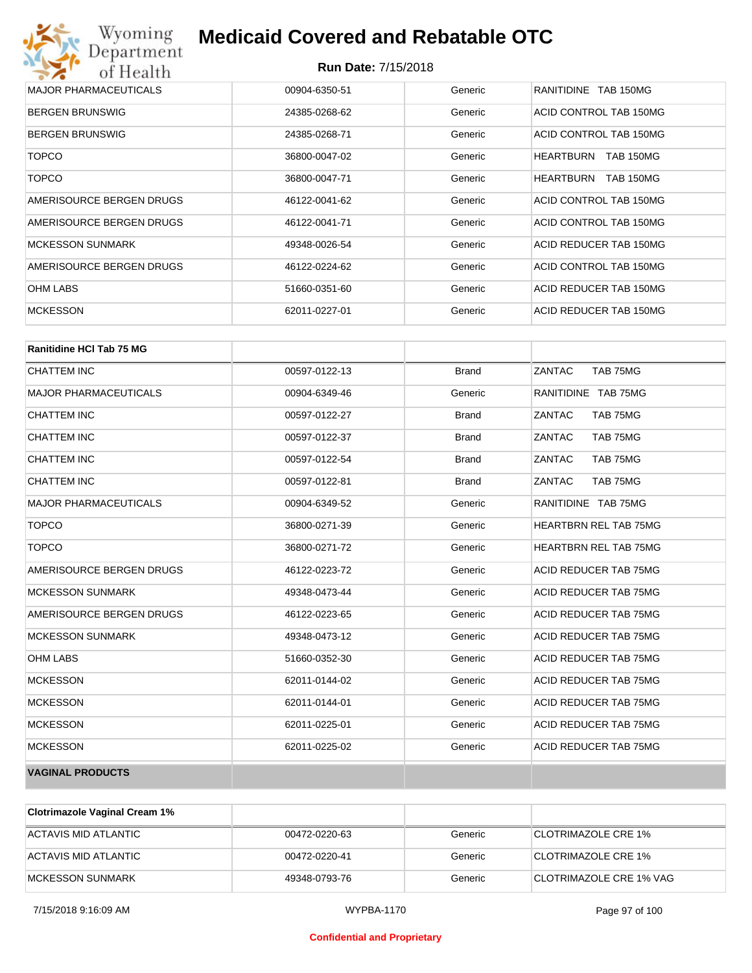| Wyoming<br>Department        | <b>Medicaid Covered and Rebatable OTC</b> |         |                                      |  |  |
|------------------------------|-------------------------------------------|---------|--------------------------------------|--|--|
| of Health                    | <b>Run Date: 7/15/2018</b>                |         |                                      |  |  |
| <b>MAJOR PHARMACEUTICALS</b> | 00904-6350-51                             | Generic | RANITIDINE TAB 150MG                 |  |  |
| <b>BERGEN BRUNSWIG</b>       | 24385-0268-62                             | Generic | ACID CONTROL TAB 150MG               |  |  |
| <b>BERGEN BRUNSWIG</b>       | 24385-0268-71                             | Generic | ACID CONTROL TAB 150MG               |  |  |
| <b>TOPCO</b>                 | 36800-0047-02                             | Generic | <b>HEARTBURN</b><br><b>TAB 150MG</b> |  |  |
| <b>TOPCO</b>                 | 36800-0047-71                             | Generic | <b>HEARTBURN</b><br><b>TAB 150MG</b> |  |  |
| AMERISOURCE BERGEN DRUGS     | 46122-0041-62                             | Generic | ACID CONTROL TAB 150MG               |  |  |
| AMERISOURCE BERGEN DRUGS     | 46122-0041-71                             | Generic | ACID CONTROL TAB 150MG               |  |  |
| <b>MCKESSON SUNMARK</b>      | 49348-0026-54                             | Generic | ACID REDUCER TAB 150MG               |  |  |
| AMERISOURCE BERGEN DRUGS     | 46122-0224-62                             | Generic | ACID CONTROL TAB 150MG               |  |  |
| <b>OHM LABS</b>              | 51660-0351-60                             | Generic | ACID REDUCER TAB 150MG               |  |  |
| <b>MCKESSON</b>              | 62011-0227-01                             | Generic | ACID REDUCER TAB 150MG               |  |  |

| <b>Ranitidine HCI Tab 75 MG</b> |               |              |                              |
|---------------------------------|---------------|--------------|------------------------------|
| <b>CHATTEM INC</b>              | 00597-0122-13 | <b>Brand</b> | ZANTAC<br>TAB 75MG           |
| <b>MAJOR PHARMACEUTICALS</b>    | 00904-6349-46 | Generic      | RANITIDINE TAB 75MG          |
| <b>CHATTEM INC</b>              | 00597-0122-27 | <b>Brand</b> | ZANTAC<br>TAB 75MG           |
| <b>CHATTEM INC</b>              | 00597-0122-37 | <b>Brand</b> | ZANTAC<br>TAB 75MG           |
| <b>CHATTEM INC</b>              | 00597-0122-54 | <b>Brand</b> | ZANTAC<br>TAB 75MG           |
| <b>CHATTEM INC</b>              | 00597-0122-81 | <b>Brand</b> | ZANTAC<br>TAB 75MG           |
| <b>MAJOR PHARMACEUTICALS</b>    | 00904-6349-52 | Generic      | RANITIDINE TAB 75MG          |
| <b>TOPCO</b>                    | 36800-0271-39 | Generic      | <b>HEARTBRN REL TAB 75MG</b> |
| <b>TOPCO</b>                    | 36800-0271-72 | Generic      | <b>HEARTBRN REL TAB 75MG</b> |
| AMERISOURCE BERGEN DRUGS        | 46122-0223-72 | Generic      | ACID REDUCER TAB 75MG        |
| <b>MCKESSON SUNMARK</b>         | 49348-0473-44 | Generic      | ACID REDUCER TAB 75MG        |
| AMERISOURCE BERGEN DRUGS        | 46122-0223-65 | Generic      | ACID REDUCER TAB 75MG        |
| <b>MCKESSON SUNMARK</b>         | 49348-0473-12 | Generic      | ACID REDUCER TAB 75MG        |
| <b>OHM LABS</b>                 | 51660-0352-30 | Generic      | ACID REDUCER TAB 75MG        |
| <b>MCKESSON</b>                 | 62011-0144-02 | Generic      | ACID REDUCER TAB 75MG        |
| <b>MCKESSON</b>                 | 62011-0144-01 | Generic      | ACID REDUCER TAB 75MG        |
| <b>MCKESSON</b>                 | 62011-0225-01 | Generic      | ACID REDUCER TAB 75MG        |
| <b>MCKESSON</b>                 | 62011-0225-02 | Generic      | ACID REDUCER TAB 75MG        |
| <b>VAGINAL PRODUCTS</b>         |               |              |                              |

| <b>Clotrimazole Vaginal Cream 1%</b> |               |         |                            |
|--------------------------------------|---------------|---------|----------------------------|
| ACTAVIS MID ATLANTIC                 | 00472-0220-63 | Generic | CLOTRIMAZOLE CRE 1%        |
| ACTAVIS MID ATLANTIC                 | 00472-0220-41 | Generic | <b>CLOTRIMAZOLE CRE 1%</b> |
| MCKESSON SUNMARK                     | 49348-0793-76 | Generic | CLOTRIMAZOLE CRE 1% VAG    |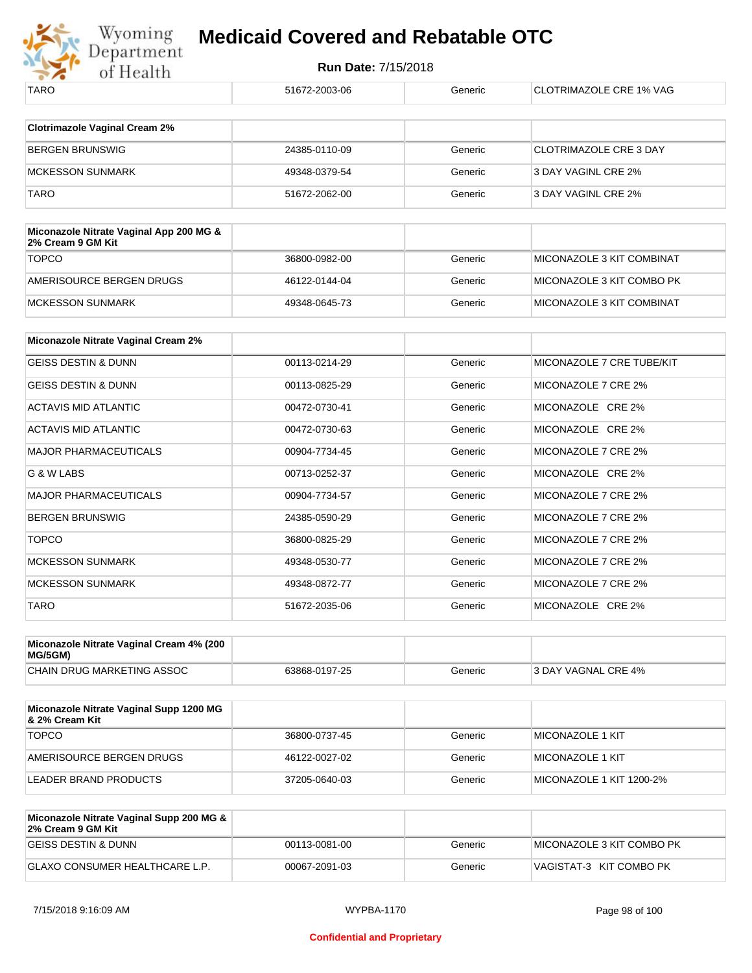

| TARO                                                         | 51672-2003-06 | Generic | <b>CLOTRIMAZOLE CRE 1% VAG</b> |
|--------------------------------------------------------------|---------------|---------|--------------------------------|
|                                                              |               |         |                                |
| <b>Clotrimazole Vaginal Cream 2%</b>                         |               |         |                                |
| <b>BERGEN BRUNSWIG</b>                                       | 24385-0110-09 | Generic | <b>CLOTRIMAZOLE CRE 3 DAY</b>  |
| <b>MCKESSON SUNMARK</b>                                      | 49348-0379-54 | Generic | 3 DAY VAGINL CRE 2%            |
| <b>TARO</b>                                                  | 51672-2062-00 | Generic | 3 DAY VAGINL CRE 2%            |
|                                                              |               |         |                                |
| Miconazole Nitrate Vaginal App 200 MG &<br>2% Cream 9 GM Kit |               |         |                                |
| <b>TOPCO</b>                                                 | 36800-0982-00 | Generic | MICONAZOLE 3 KIT COMBINAT      |
| AMERISOURCE BERGEN DRUGS                                     | 46122-0144-04 | Generic | MICONAZOLE 3 KIT COMBO PK      |
| MCKESSON SUNMARK                                             | 49348-0645-73 | Generic | MICONAZOLE 3 KIT COMBINAT      |
|                                                              |               |         |                                |
| <b>Miconazole Nitrate Vaginal Cream 2%</b>                   |               |         |                                |
| <b>GEISS DESTIN &amp; DUNN</b>                               | 00113-0214-29 | Generic | MICONAZOLE 7 CRE TUBE/KIT      |
| <b>GEISS DESTIN &amp; DUNN</b>                               | 00113-0825-29 | Generic | MICONAZOLE 7 CRE 2%            |
| <b>ACTAVIS MID ATLANTIC</b>                                  | 00472-0730-41 | Generic | MICONAZOLE CRE 2%              |
| <b>ACTAVIS MID ATLANTIC</b>                                  | 00472-0730-63 | Generic | MICONAZOLE CRE 2%              |
| <b>MAJOR PHARMACEUTICALS</b>                                 | 00904-7734-45 | Generic | MICONAZOLE 7 CRE 2%            |
| G & W LABS                                                   | 00713-0252-37 | Generic | MICONAZOLE CRE 2%              |
| <b>MAJOR PHARMACEUTICALS</b>                                 | 00904-7734-57 | Generic | MICONAZOLE 7 CRE 2%            |
| <b>BERGEN BRUNSWIG</b>                                       | 24385-0590-29 | Generic | MICONAZOLE 7 CRE 2%            |
| <b>TOPCO</b>                                                 | 36800-0825-29 | Generic | MICONAZOLE 7 CRE 2%            |
| <b>MCKESSON SUNMARK</b>                                      | 49348-0530-77 | Generic | MICONAZOLE 7 CRE 2%            |
| <b>MCKESSON SUNMARK</b>                                      | 49348-0872-77 | Generic | MICONAZOLE 7 CRE 2%            |
| <b>TARO</b>                                                  | 51672-2035-06 | Generic | MICONAZOLE CRE 2%              |
|                                                              |               |         |                                |

| Miconazole Nitrate Vaginal Cream 4% (200<br>MG/5GM) |               |         |                     |
|-----------------------------------------------------|---------------|---------|---------------------|
| CHAIN DRUG MARKETING ASSOC                          | 63868-0197-25 | Generic | 3 DAY VAGNAL CRE 4% |

| Miconazole Nitrate Vaginal Supp 1200 MG<br>8. 2% Cream Kit |               |         |                          |
|------------------------------------------------------------|---------------|---------|--------------------------|
| <b>TOPCO</b>                                               | 36800-0737-45 | Generic | <b>MICONAZOLE 1 KIT</b>  |
| AMERISOURCE BERGEN DRUGS                                   | 46122-0027-02 | Generic | <b>MICONAZOLE 1 KIT</b>  |
| LEADER BRAND PRODUCTS                                      | 37205-0640-03 | Generic | MICONAZOLE 1 KIT 1200-2% |

| Miconazole Nitrate Vaginal Supp 200 MG &<br>2% Cream 9 GM Kit |               |         |                           |
|---------------------------------------------------------------|---------------|---------|---------------------------|
| IGEISS DESTIN & DUNN                                          | 00113-0081-00 | Generic | MICONAZOLE 3 KIT COMBO PK |
| GLAXO CONSUMER HEALTHCARE L.P.                                | 00067-2091-03 | Generic | VAGISTAT-3 KIT COMBO PK   |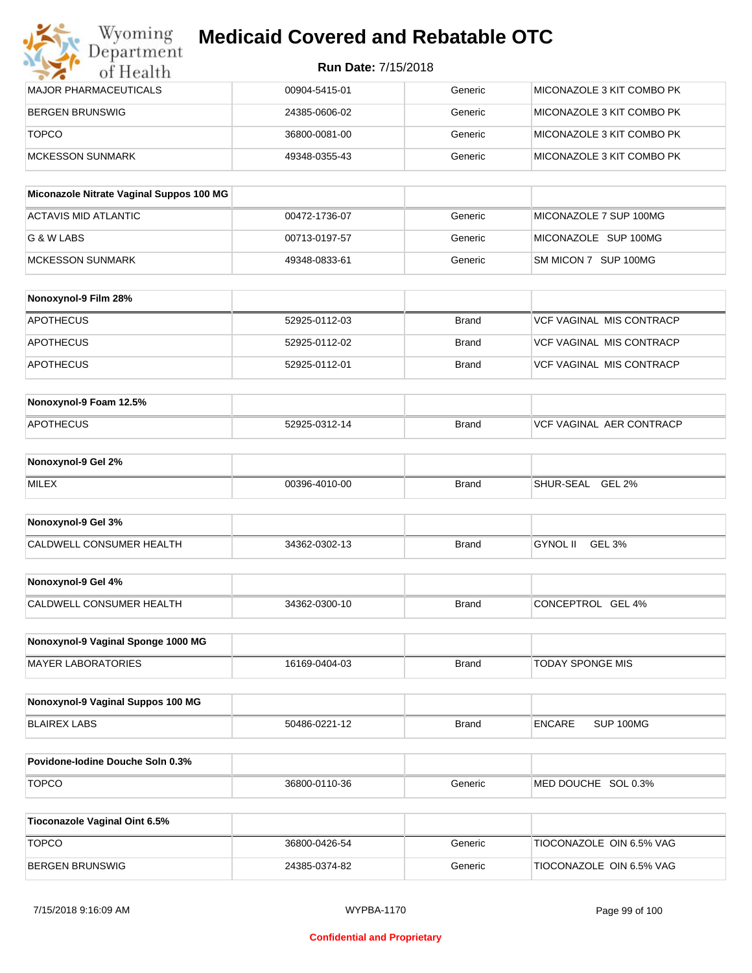| Wyoming<br><b>Medicaid Covered and Rebatable OTC</b><br>Department |                            |         |                           |  |
|--------------------------------------------------------------------|----------------------------|---------|---------------------------|--|
| of Health                                                          | <b>Run Date: 7/15/2018</b> |         |                           |  |
| MAJOR PHARMACEUTICALS                                              | 00904-5415-01              | Generic | MICONAZOLE 3 KIT COMBO PK |  |
| BERGEN BRUNSWIG                                                    | 24385-0606-02              | Generic | MICONAZOLE 3 KIT COMBO PK |  |
| <b>TOPCO</b>                                                       | 36800-0081-00              | Generic | MICONAZOLE 3 KIT COMBO PK |  |
| <b>MCKESSON SUNMARK</b>                                            | 49348-0355-43              | Generic | MICONAZOLE 3 KIT COMBO PK |  |

| Miconazole Nitrate Vaginal Suppos 100 MG |               |         |                        |
|------------------------------------------|---------------|---------|------------------------|
| ACTAVIS MID ATLANTIC                     | 00472-1736-07 | Generic | MICONAZOLE 7 SUP 100MG |
| G & W LABS                               | 00713-0197-57 | Generic | MICONAZOLE SUP 100MG   |
| IMCKESSON SUNMARK                        | 49348-0833-61 | Generic | SM MICON 7 SUP 100MG   |

| Nonoxynol-9 Film 28% |               |              |                          |
|----------------------|---------------|--------------|--------------------------|
| APOTHECUS            | 52925-0112-03 | <b>Brand</b> | VCF VAGINAL MIS CONTRACP |
| <b>APOTHECUS</b>     | 52925-0112-02 | Brand        | VCF VAGINAL MIS CONTRACP |
| <b>APOTHECUS</b>     | 52925-0112-01 | Brand        | VCF VAGINAL MIS CONTRACP |

| Nonoxynol-9 Foam 12.5% |               |       |                          |
|------------------------|---------------|-------|--------------------------|
| <b>APOTHECUS</b>       | 52925-0312-14 | Brand | VCF VAGINAL AER CONTRACP |

| Nonoxynol-9 Gel 2% |               |       |                            |
|--------------------|---------------|-------|----------------------------|
| <b>MILEX</b>       | 00396-4010-00 | Brand | <b>GEL 2%</b><br>SHUR-SEAL |

| Nonoxynol-9 Gel 3%       |               |       |          |        |
|--------------------------|---------------|-------|----------|--------|
| CALDWELL CONSUMER HEALTH | 34362-0302-13 | Brand | GYNOL II | GEL 3% |

| Nonoxynol-9 Gel 4%       |               |       |                   |
|--------------------------|---------------|-------|-------------------|
| CALDWELL CONSUMER HEALTH | 34362-0300-10 | Brand | CONCEPTROL GEL 4% |

| Nonoxynol-9 Vaginal Sponge 1000 MG |               |              |                  |
|------------------------------------|---------------|--------------|------------------|
| <b>MAYER LABORATORIES</b>          | 16169-0404-03 | <b>Brand</b> | TODAY SPONGE MIS |

| Nonoxynol-9 Vaginal Suppos 100 MG |               |       |        |           |
|-----------------------------------|---------------|-------|--------|-----------|
| BLAIREX LABS                      | 50486-0221-12 | Brand | ENCARE | SUP 100MG |

| <b>Povidone-lodine Douche Soln 0.3%</b> |               |         |                        |
|-----------------------------------------|---------------|---------|------------------------|
| <b>TOPCO</b>                            | 36800-0110-36 | Generic | SOL 0.3%<br>MED DOUCHE |

| Tioconazole Vaginal Oint 6.5% |               |         |                          |
|-------------------------------|---------------|---------|--------------------------|
| <b>TOPCO</b>                  | 36800-0426-54 | Generic | TIOCONAZOLE OIN 6.5% VAG |
| BERGEN BRUNSWIG               | 24385-0374-82 | Generic | TIOCONAZOLE OIN 6.5% VAG |